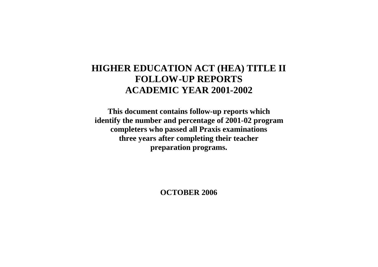# **HIGHER EDUCATION ACT (HEA) TITLE II FOLLOW-UP REPORTS ACADEMIC YEAR 2001-2002**

**This document contains follow-up reports which identify the number and percentage of 2001-02 program completers who passed all Praxis examinations three years after completing their teacher preparation programs.**

**OCTOBER 2006**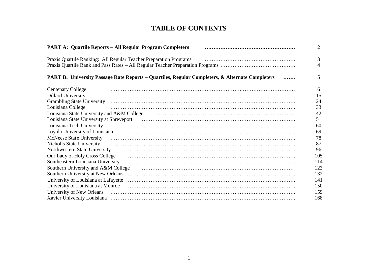# **TABLE OF CONTENTS**

|                                    | <b>PART A: Quartile Reports - All Regular Program Completers</b>                                |                                                                                                                                                                                                                                      | 2   |
|------------------------------------|-------------------------------------------------------------------------------------------------|--------------------------------------------------------------------------------------------------------------------------------------------------------------------------------------------------------------------------------------|-----|
|                                    | Praxis Quartile Ranking: All Regular Teacher Preparation Programs                               |                                                                                                                                                                                                                                      | 3   |
|                                    |                                                                                                 |                                                                                                                                                                                                                                      | 4   |
|                                    | PART B: University Passage Rate Reports - Quartiles, Regular Completers, & Alternate Completers |                                                                                                                                                                                                                                      | 5   |
| <b>Centenary College</b>           |                                                                                                 |                                                                                                                                                                                                                                      | 6   |
| <b>Dillard University</b>          |                                                                                                 |                                                                                                                                                                                                                                      | 15  |
| <b>Grambling State University</b>  |                                                                                                 |                                                                                                                                                                                                                                      | 24  |
| Louisiana College                  |                                                                                                 |                                                                                                                                                                                                                                      | 33  |
|                                    |                                                                                                 | Louisiana State University and A&M College (a) material contract the contract of the University and A&M College                                                                                                                      | 42  |
|                                    |                                                                                                 |                                                                                                                                                                                                                                      | 51  |
|                                    |                                                                                                 |                                                                                                                                                                                                                                      | 60  |
|                                    |                                                                                                 | Loyola University of Louisiana <b>contract to the Contract Contract Contract Contract Contract Contract Contract Contract Contract Contract Contract Contract Contract Contract Contract Contract Contract Contract Contract Con</b> | 69  |
|                                    |                                                                                                 |                                                                                                                                                                                                                                      | 78  |
|                                    |                                                                                                 |                                                                                                                                                                                                                                      | 87  |
| Northwestern State University      |                                                                                                 |                                                                                                                                                                                                                                      | 96  |
|                                    |                                                                                                 | Our Lady of Holy Cross College (and continuum continuum control of Holy Cross College)                                                                                                                                               | 105 |
| Southeastern Louisiana University  |                                                                                                 |                                                                                                                                                                                                                                      | 114 |
|                                    |                                                                                                 | Southern University and A&M College (and contain the contained and all the contained and an interval of the co                                                                                                                       | 123 |
| Southern University at New Orleans |                                                                                                 |                                                                                                                                                                                                                                      | 132 |
|                                    |                                                                                                 |                                                                                                                                                                                                                                      | 141 |
|                                    |                                                                                                 | University of Louisiana at Monroe (and according continuum) and a metal of Louisiana at Monroe                                                                                                                                       | 150 |
|                                    |                                                                                                 |                                                                                                                                                                                                                                      | 159 |
|                                    |                                                                                                 |                                                                                                                                                                                                                                      | 168 |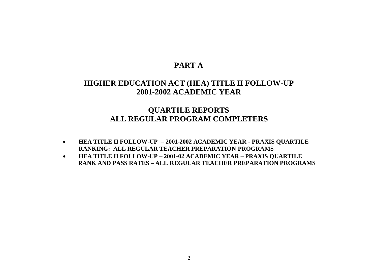# **PART A**

# **HIGHER EDUCATION ACT (HEA) TITLE II FOLLOW-UP 2001-2002 ACADEMIC YEAR**

# **QUARTILE REPORTS ALL REGULAR PROGRAM COMPLETERS**

- **HEA TITLE II FOLLOW-UP – 2001-2002 ACADEMIC YEAR - PRAXIS QUARTILE RANKING: ALL REGULAR TEACHER PREPARATION PROGRAMS**
- **HEA TITLE II FOLLOW-UP – 2001-02 ACADEMIC YEAR – PRAXIS QUARTILE RANK AND PASS RATES – ALL REGULAR TEACHER PREPARATION PROGRAMS**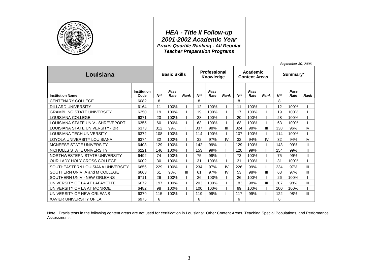

### *HEA - Title II Follow-up 2001-2002 Academic Year Praxis Quartile Ranking - All Regular Teacher Preparation Programs*

*September 30, 2006*

| Louisiana                         |                            | <b>Basic Skills</b> |              | <b>Professional</b><br>Knowledge |          |              | Academic<br><b>Content Areas</b> |          |              | Summary*       |          |              |                |
|-----------------------------------|----------------------------|---------------------|--------------|----------------------------------|----------|--------------|----------------------------------|----------|--------------|----------------|----------|--------------|----------------|
| <b>Institution Name</b>           | <b>Institution</b><br>Code | $N^{**}$            | Pass<br>Rate | Rank                             | $N^{**}$ | Pass<br>Rate | Rank                             | $N^{**}$ | Pass<br>Rate | <b>Rank</b>    | $N^{**}$ | Pass<br>Rate | Rank           |
| <b>CENTENARY COLLEGE</b>          | 6082                       | 8                   |              |                                  | 8        |              |                                  | 8        |              |                | 8        |              |                |
| <b>DILLARD UNIVERSITY</b>         | 6164                       | 11                  | 100%         |                                  | 12       | 100%         |                                  | 11       | 100%         |                | 12       | 100%         |                |
| <b>GRAMBLING STATE UNIVERSITY</b> | 6250                       | 19                  | 100%         |                                  | 19       | 100%         |                                  | 17       | 100%         |                | 19       | 100%         |                |
| LOUISIANA COLLEGE                 | 6371                       | 23                  | 100%         |                                  | 28       | 100%         |                                  | 20       | 100%         |                | 28       | 100%         |                |
| LOUISIANA STATE UNIV - SHREVEPORT | 6355                       | 60                  | 100%         |                                  | 63       | 100%         |                                  | 63       | 100%         |                | 63       | 100%         |                |
| LOUISIANA STATE UNIVERSITY - BR   | 6373                       | 312                 | 99%          | Ш                                | 337      | 98%          | $\mathbf{III}$                   | 324      | 98%          | $\mathbf{III}$ | 338      | 96%          | IV             |
| LOUISIANA TECH UNIVERSITY         | 6372                       | 108                 | 100%         |                                  | 114      | 100%         |                                  | 107      | 100%         |                | 114      | 100%         |                |
| LOYOLA UNIVERSITY LOUISIANA       | 6374                       | 32                  | 100%         |                                  | 32       | 97%          | IV                               | 32       | 94%          | IV             | 32       | 94%          | IV             |
| MCNEESE STATE UNIVERSITY          | 6403                       | 129                 | 100%         |                                  | 142      | 99%          | Ш.                               | 129      | 100%         |                | 143      | 99%          | $\mathbf{H}$   |
| NICHOLLS STATE UNIVERSITY         | 6221                       | 146                 | 100%         |                                  | 153      | 99%          | Ш.                               | 120      | 99%          | Ш              | 154      | 99%          | $\mathbf{I}$   |
| NORTHWESTERN STATE UNIVERSITY     | 6492                       | 74                  | 100%         |                                  | 75       | 99%          | Ш                                | 73       | 100%         |                | 75       | 99%          | Ш              |
| OUR LADY HOLY CROSS COLLEGE       | 6002                       | 30                  | 100%         |                                  | 31       | 100%         |                                  | 31       | 100%         |                | 31       | 100%         |                |
| SOUTHEASTERN LOUISIANA UNIVERSITY | 6656                       | 229                 | 100%         |                                  | 234      | 97%          | IV                               | 226      | 99%          | Ш              | 234      | 97%          | III            |
| SOUTHERN UNIV A and M COLLEGE     | 6663                       | 61                  | 98%          | $\mathbf{III}$                   | 61       | 97%          | IV                               | 53       | 98%          | III            | 63       | 97%          | III            |
| SOUTHERN UNIV - NEW ORLEANS       | 6711                       | 26                  | 100%         |                                  | 26       | 100%         |                                  | 26       | 100%         |                | 26       | 100%         |                |
| UNIVERSITY OF LA AT LAFAYETTE     | 6672                       | 197                 | 100%         |                                  | 203      | 100%         |                                  | 183      | 98%          | Ш              | 207      | 98%          | Ш              |
| UNIVERSITY OF LA AT MONROE        | 6482                       | 98                  | 100%         |                                  | 100      | 100%         |                                  | 99       | 100%         |                | 100      | 100%         |                |
| UNIVERSITY OF NEW ORLEANS         | 6379                       | 115                 | 100%         |                                  | 119      | 99%          | Ш                                | 117      | 99%          | Ш              | 122      | 98%          | $\mathbf{III}$ |
| <b>XAVIER UNIVERSITY OF LA</b>    | 6975                       | 6                   |              |                                  | 6        |              |                                  | 6        |              |                | 6        |              |                |

Note: Praxis tests in the following content areas are not used for certification in Louisiana: Other Content Areas, Teaching Special Populations, and Performance Assessments.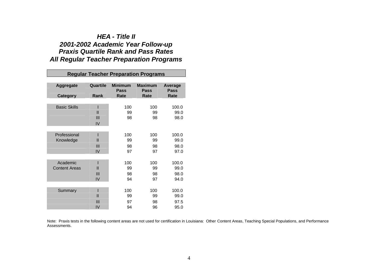### *HEA - Title II 2001-2002 Academic Year Follow-up Praxis Quartile Rank and Pass Rates All Regular Teacher Preparation Programs*

|                                  |                                      |                               | <b>Regular Teacher Preparation Programs</b> |                               |
|----------------------------------|--------------------------------------|-------------------------------|---------------------------------------------|-------------------------------|
| <b>Aggregate</b>                 | Quartile                             | <b>Minimum</b><br><b>Pass</b> | <b>Maximum</b><br><b>Pass</b>               | <b>Average</b><br>Pass        |
| <b>Category</b>                  | Rank                                 | Rate                          | Rate                                        | Rate                          |
| <b>Basic Skills</b>              | $\mathbf{I}$<br>$\mathbf{III}$<br>IV | 100<br>99<br>98               | 100<br>99<br>98                             | 100.0<br>99.0<br>98.0         |
| Professional<br>Knowledge        | Ш<br>$\mathbf{III}$<br>IV            | 100<br>99<br>98<br>97         | 100<br>99<br>98<br>97                       | 100.0<br>99.0<br>98.0<br>97.0 |
| Academic<br><b>Content Areas</b> | Ш<br>III<br>IV                       | 100<br>99<br>98<br>94         | 100<br>99<br>98<br>97                       | 100.0<br>99.0<br>98.0<br>94.0 |
| Summary                          | ı<br>$\mathbf{I}$<br>III<br>IV       | 100<br>99<br>97<br>94         | 100<br>99<br>98<br>96                       | 100.0<br>99.0<br>97.5<br>95.0 |

Note: Praxis tests in the following content areas are not used for certification in Louisiana: Other Content Areas, Teaching Special Populations, and Performance Assessments.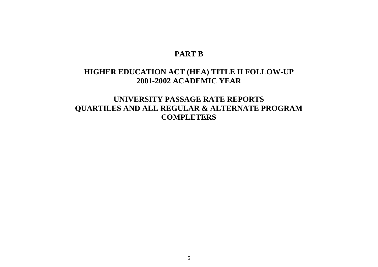# **PART B**

# **HIGHER EDUCATION ACT (HEA) TITLE II FOLLOW-UP 2001-2002 ACADEMIC YEAR**

**UNIVERSITY PASSAGE RATE REPORTS QUARTILES AND ALL REGULAR & ALTERNATE PROGRAM COMPLETERS**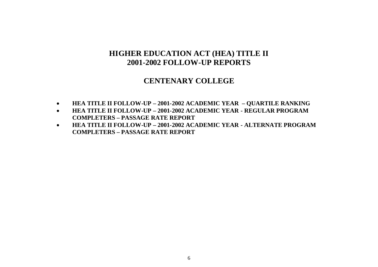### **CENTENARY COLLEGE**

- **HEA TITLE II FOLLOW-UP – 2001-2002 ACADEMIC YEAR – QUARTILE RANKING**
- **HEA TITLE II FOLLOW-UP – 2001-2002 ACADEMIC YEAR - REGULAR PROGRAM COMPLETERS – PASSAGE RATE REPORT**
- **HEA TITLE II FOLLOW-UP – 2001-2002 ACADEMIC YEAR - ALTERNATE PROGRAM COMPLETERS – PASSAGE RATE REPORT**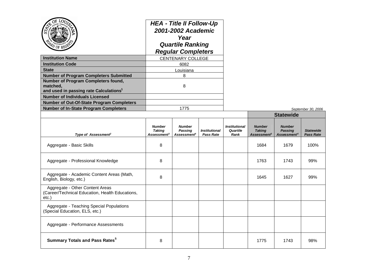| <b>Institution Name</b><br><b>Institution Code</b><br><b>State</b><br><b>Number of Program Completers Submitted</b><br>Number of Program Completers found,<br>matched.<br>and used in passing rate Calculations <sup>1</sup><br><b>Number of Individuals Licensed</b><br><b>Number of Out-Of-State Program Completers</b><br><b>Number of In-State Program Completers</b> | <b>HEA - Title II Follow-Up</b><br>2001-2002 Academic<br>Year<br><b>Quartile Ranking</b><br><b>Regular Completers</b><br><b>CENTENARY COLLEGE</b><br>6082<br>Louisiana<br>8<br>8<br>1775 |                                                            |                                          |                                          |                                                           |                                                            |                                      |  |
|---------------------------------------------------------------------------------------------------------------------------------------------------------------------------------------------------------------------------------------------------------------------------------------------------------------------------------------------------------------------------|------------------------------------------------------------------------------------------------------------------------------------------------------------------------------------------|------------------------------------------------------------|------------------------------------------|------------------------------------------|-----------------------------------------------------------|------------------------------------------------------------|--------------------------------------|--|
|                                                                                                                                                                                                                                                                                                                                                                           |                                                                                                                                                                                          |                                                            |                                          |                                          | September 30, 2006<br><b>Statewide</b>                    |                                                            |                                      |  |
| Type of Assessment <sup>2</sup>                                                                                                                                                                                                                                                                                                                                           | <b>Number</b><br>Taking<br>Assessment <sup>3</sup>                                                                                                                                       | <b>Number</b><br><b>Passing</b><br>Assessment <sup>4</sup> | <b>Institutional</b><br><b>Pass Rate</b> | <b>Institutional</b><br>Quartile<br>Rank | <b>Number</b><br><b>Taking</b><br>Assessment <sup>3</sup> | <b>Number</b><br><b>Passing</b><br>Assessment <sup>4</sup> | <b>Statewide</b><br><b>Pass Rate</b> |  |
| Aggregate - Basic Skills                                                                                                                                                                                                                                                                                                                                                  | 8                                                                                                                                                                                        |                                                            |                                          |                                          | 1684                                                      | 1679                                                       | 100%                                 |  |
| Aggregate - Professional Knowledge                                                                                                                                                                                                                                                                                                                                        | 8                                                                                                                                                                                        |                                                            |                                          |                                          | 1763                                                      | 1743                                                       | 99%                                  |  |
| Aggregate - Academic Content Areas (Math,<br>English, Biology, etc.)                                                                                                                                                                                                                                                                                                      | 8                                                                                                                                                                                        |                                                            |                                          |                                          | 1645                                                      | 1627                                                       | 99%                                  |  |
| Aggregate - Other Content Areas<br>(Career/Technical Education, Health Educations,<br>etc.                                                                                                                                                                                                                                                                                |                                                                                                                                                                                          |                                                            |                                          |                                          |                                                           |                                                            |                                      |  |
| Aggregate - Teaching Special Populations<br>(Special Education, ELS, etc.)                                                                                                                                                                                                                                                                                                |                                                                                                                                                                                          |                                                            |                                          |                                          |                                                           |                                                            |                                      |  |
| Aggregate - Performance Assessments                                                                                                                                                                                                                                                                                                                                       |                                                                                                                                                                                          |                                                            |                                          |                                          |                                                           |                                                            |                                      |  |
| <b>Summary Totals and Pass Rates<sup>5</sup></b>                                                                                                                                                                                                                                                                                                                          | 8                                                                                                                                                                                        |                                                            |                                          |                                          | 1775                                                      | 1743                                                       | 98%                                  |  |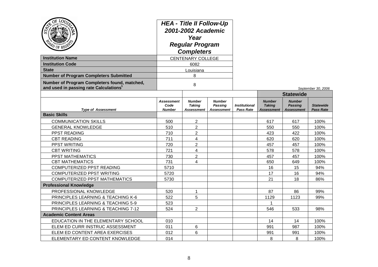| <b>Institution Name</b><br><b>Institution Code</b><br><b>State</b><br><b>Number of Program Completers Submitted</b><br>Number of Program Completers found, matched, | <b>HEA - Title II Follow-Up</b><br>2001-2002 Academic<br>Year<br><b>Regular Program</b><br><b>Completers</b><br><b>CENTENARY COLLEGE</b><br>6082<br>Louisiana<br>8<br>8 |                                              |                                               |                                          |                                                     |                                                                          |                                      |
|---------------------------------------------------------------------------------------------------------------------------------------------------------------------|-------------------------------------------------------------------------------------------------------------------------------------------------------------------------|----------------------------------------------|-----------------------------------------------|------------------------------------------|-----------------------------------------------------|--------------------------------------------------------------------------|--------------------------------------|
| and used in passing rate Calculations <sup>1</sup>                                                                                                                  |                                                                                                                                                                         |                                              |                                               |                                          |                                                     |                                                                          | September 30, 2006                   |
| <b>Type of Assessment</b>                                                                                                                                           | <b>Assessment</b><br>Code<br><b>Number</b>                                                                                                                              | <b>Number</b><br><b>Taking</b><br>Assessment | <b>Number</b><br>Passing<br><b>Assessment</b> | <b>Institutional</b><br><b>Pass Rate</b> | <b>Number</b><br><b>Taking</b><br><b>Assessment</b> | <b>Statewide</b><br><b>Number</b><br><b>Passing</b><br><b>Assessment</b> | <b>Statewide</b><br><b>Pass Rate</b> |
| <b>Basic Skills</b>                                                                                                                                                 |                                                                                                                                                                         |                                              |                                               |                                          |                                                     |                                                                          |                                      |
| <b>COMMUNICATION SKILLS</b>                                                                                                                                         | 500                                                                                                                                                                     | $\overline{2}$                               |                                               |                                          | 617                                                 | 617                                                                      | 100%                                 |
| <b>GENERAL KNOWLEDGE</b>                                                                                                                                            | 510                                                                                                                                                                     | $\overline{2}$                               |                                               |                                          | 550                                                 | 550                                                                      | 100%                                 |
| PPST READING                                                                                                                                                        | 710                                                                                                                                                                     | $\overline{2}$                               |                                               |                                          | 423                                                 | 422                                                                      | 100%                                 |
| <b>CBT READING</b>                                                                                                                                                  | 711                                                                                                                                                                     | 4                                            |                                               |                                          | 620                                                 | 620                                                                      | 100%                                 |
| PPST WRITING                                                                                                                                                        | 720                                                                                                                                                                     | $\overline{2}$                               |                                               |                                          | 457                                                 | 457                                                                      | 100%                                 |
| <b>CBT WRITING</b>                                                                                                                                                  | 721                                                                                                                                                                     | 4                                            |                                               |                                          | 578                                                 | 578                                                                      | 100%                                 |
| PPST MATHEMATICS                                                                                                                                                    | 730                                                                                                                                                                     | $\overline{2}$                               |                                               |                                          | 457                                                 | 457                                                                      | 100%                                 |
| <b>CBT MATHEMATICS</b>                                                                                                                                              | 731                                                                                                                                                                     | 4                                            |                                               |                                          | 650                                                 | 649                                                                      | 100%                                 |
| COMPUTERIZED PPST READING                                                                                                                                           | 5710                                                                                                                                                                    |                                              |                                               |                                          | 16                                                  | 15                                                                       | 94%                                  |
| COMPUTERIZED PPST WRITING                                                                                                                                           | 5720                                                                                                                                                                    |                                              |                                               |                                          | 17                                                  | 16                                                                       | 94%                                  |
| <b>COMPUTERIZED PPST MATHEMATICS</b>                                                                                                                                | 5730                                                                                                                                                                    |                                              |                                               |                                          | 21                                                  | 18                                                                       | 86%                                  |
| <b>Professional Knowledge</b>                                                                                                                                       |                                                                                                                                                                         |                                              |                                               |                                          |                                                     |                                                                          |                                      |
| PROFESSIONAL KNOWLEDGE                                                                                                                                              | 520                                                                                                                                                                     | 1                                            |                                               |                                          | 87                                                  | 86                                                                       | 99%                                  |
| PRINCIPLES LEARNING & TEACHING K-6                                                                                                                                  | 522                                                                                                                                                                     | 5                                            |                                               |                                          | 1129                                                | 1123                                                                     | 99%                                  |
| PRINCIPLES LEARNING & TEACHING 5-9                                                                                                                                  | 523                                                                                                                                                                     |                                              |                                               |                                          | 1                                                   |                                                                          |                                      |
| PRINCIPLES LEARNING & TEACHING 7-12                                                                                                                                 | 524                                                                                                                                                                     | $\overline{2}$                               |                                               |                                          | 546                                                 | 533                                                                      | 98%                                  |
| <b>Academic Content Areas</b>                                                                                                                                       |                                                                                                                                                                         |                                              |                                               |                                          |                                                     |                                                                          |                                      |
| EDUCATION IN THE ELEMENTARY SCHOOL                                                                                                                                  | 010                                                                                                                                                                     |                                              |                                               |                                          | 14                                                  | 14                                                                       | 100%                                 |
| ELEM ED CURR INSTRUC ASSESSMENT                                                                                                                                     | 011                                                                                                                                                                     | 6                                            |                                               |                                          | 991                                                 | 987                                                                      | 100%                                 |
| ELEM ED CONTENT AREA EXERCISES                                                                                                                                      | 012                                                                                                                                                                     | 6                                            |                                               |                                          | 991                                                 | 991                                                                      | 100%                                 |
| ELEMENTARY ED CONTENT KNOWLEDGE                                                                                                                                     | 014                                                                                                                                                                     |                                              |                                               |                                          | 8                                                   | 8                                                                        | 100%                                 |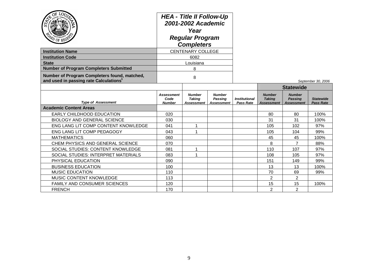| <b>TO OF REG!</b><br><b>Institution Name</b>                                                       | <b>HEA - Title II Follow-Up</b><br>2001-2002 Academic<br>Year<br><b>Regular Program</b><br><b>Completers</b><br><b>CENTENARY COLLEGE</b> |                                              |                                        |                                          |                                              |                                                      |                               |  |
|----------------------------------------------------------------------------------------------------|------------------------------------------------------------------------------------------------------------------------------------------|----------------------------------------------|----------------------------------------|------------------------------------------|----------------------------------------------|------------------------------------------------------|-------------------------------|--|
| <b>Institution Code</b>                                                                            |                                                                                                                                          | 6082                                         |                                        |                                          |                                              |                                                      |                               |  |
| <b>State</b>                                                                                       |                                                                                                                                          | Louisiana                                    |                                        |                                          |                                              |                                                      |                               |  |
| <b>Number of Program Completers Submitted</b>                                                      |                                                                                                                                          | 8                                            |                                        |                                          |                                              |                                                      |                               |  |
| Number of Program Completers found, matched,<br>and used in passing rate Calculations <sup>1</sup> |                                                                                                                                          | 8                                            |                                        |                                          |                                              |                                                      | September 30, 2006            |  |
|                                                                                                    |                                                                                                                                          |                                              |                                        |                                          |                                              | <b>Statewide</b>                                     |                               |  |
| <b>Type of Assessment</b>                                                                          | Assessment<br>Code<br><b>Number</b>                                                                                                      | <b>Number</b><br><b>Taking</b><br>Assessment | <b>Number</b><br>Passing<br>Assessment | <b>Institutional</b><br><b>Pass Rate</b> | <b>Number</b><br><b>Taking</b><br>Assessment | <b>Number</b><br><b>Passing</b><br><b>Assessment</b> | <b>Statewide</b><br>Pass Rate |  |
| <b>Academic Content Areas</b>                                                                      |                                                                                                                                          |                                              |                                        |                                          |                                              |                                                      |                               |  |
| EARLY CHILDHOOD EDUCATION                                                                          | 020                                                                                                                                      |                                              |                                        |                                          | 80                                           | 80                                                   | 100%                          |  |
| <b>BIOLOGY AND GENERAL SCIENCE</b>                                                                 | 030                                                                                                                                      |                                              |                                        |                                          | 31                                           | 31                                                   | 100%                          |  |
| ENG LANG LIT COMP CONTENT KNOWLEDGE                                                                | 041                                                                                                                                      | 1                                            |                                        |                                          | 105                                          | 102                                                  | 97%                           |  |
| ENG LANG LIT COMP PEDAGOGY                                                                         | 043                                                                                                                                      | 1                                            |                                        |                                          | 105                                          | 104                                                  | 99%                           |  |
| <b>MATHEMATICS</b>                                                                                 | 060                                                                                                                                      |                                              |                                        |                                          | 45                                           | 45                                                   | 100%                          |  |
| CHEM PHYSICS AND GENERAL SCIENCE                                                                   | 070                                                                                                                                      |                                              |                                        |                                          | 8                                            | $\overline{7}$                                       | 88%                           |  |
| SOCIAL STUDIES: CONTENT KNOWLEDGE                                                                  | 081                                                                                                                                      | 1                                            |                                        |                                          | 110                                          | 107                                                  | 97%                           |  |
| SOCIAL STUDIES: INTERPRET MATERIALS                                                                | 083                                                                                                                                      | 1                                            |                                        |                                          | 108                                          | 105                                                  | 97%                           |  |
| PHYSICAL EDUCATION                                                                                 | 090                                                                                                                                      |                                              |                                        |                                          | 151                                          | 149                                                  | 99%                           |  |
| <b>BUSINESS EDUCATION</b>                                                                          | 100                                                                                                                                      |                                              |                                        |                                          | 13                                           | 13                                                   | 100%                          |  |
| <b>MUSIC EDUCATION</b>                                                                             | 110                                                                                                                                      |                                              |                                        |                                          | 70                                           | 69                                                   | 99%                           |  |
| MUSIC CONTENT KNOWLEDGE                                                                            | 113                                                                                                                                      |                                              |                                        |                                          | $\overline{2}$                               | 2                                                    |                               |  |
| FAMILY AND CONSUMER SCIENCES                                                                       | 120                                                                                                                                      |                                              |                                        |                                          | 15                                           | 15                                                   | 100%                          |  |
| <b>FRENCH</b>                                                                                      | 170                                                                                                                                      |                                              |                                        |                                          | $\overline{2}$                               | $\overline{2}$                                       |                               |  |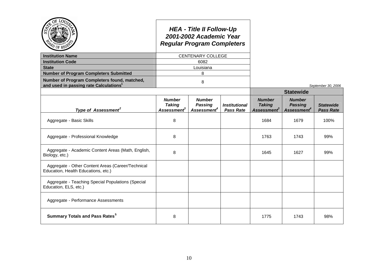|                                                                                                    |                                                     | <b>HEA - Title II Follow-Up</b><br>2001-2002 Academic Year<br><b>Regular Program Completers</b> |                                          |                                                           |                                                            |                                      |
|----------------------------------------------------------------------------------------------------|-----------------------------------------------------|-------------------------------------------------------------------------------------------------|------------------------------------------|-----------------------------------------------------------|------------------------------------------------------------|--------------------------------------|
| <b>Institution Name</b>                                                                            |                                                     | <b>CENTENARY COLLEGE</b>                                                                        |                                          |                                                           |                                                            |                                      |
| <b>Institution Code</b>                                                                            |                                                     | 6082                                                                                            |                                          |                                                           |                                                            |                                      |
| <b>State</b>                                                                                       |                                                     | Louisiana                                                                                       |                                          |                                                           |                                                            |                                      |
| <b>Number of Program Completers Submitted</b>                                                      |                                                     | 8                                                                                               |                                          |                                                           |                                                            |                                      |
| Number of Program Completers found, matched,<br>and used in passing rate Calculations <sup>1</sup> |                                                     | 8                                                                                               |                                          |                                                           |                                                            | September 30, 2006                   |
|                                                                                                    |                                                     |                                                                                                 |                                          |                                                           | <b>Statewide</b>                                           |                                      |
| Type of Assessment <sup>2</sup>                                                                    | <b>Number</b><br><b>Taking</b><br><b>Assessment</b> | <b>Number</b><br><b>Passing</b><br>Assessment <sup>4</sup>                                      | <b>Institutional</b><br><b>Pass Rate</b> | <b>Number</b><br><b>Taking</b><br>Assessment <sup>3</sup> | <b>Number</b><br><b>Passing</b><br>Assessment <sup>4</sup> | <b>Statewide</b><br><b>Pass Rate</b> |
| Aggregate - Basic Skills                                                                           | 8                                                   |                                                                                                 |                                          | 1684                                                      | 1679                                                       | 100%                                 |
| Aggregate - Professional Knowledge                                                                 | 8                                                   |                                                                                                 |                                          | 1763                                                      | 1743                                                       | 99%                                  |
| Aggregate - Academic Content Areas (Math, English,<br>Biology, etc.)                               | 8                                                   |                                                                                                 |                                          | 1645                                                      | 1627                                                       | 99%                                  |
| Aggregate - Other Content Areas (Career/Technical<br>Education, Health Educations, etc.)           |                                                     |                                                                                                 |                                          |                                                           |                                                            |                                      |
| Aggregate - Teaching Special Populations (Special<br>Education, ELS, etc.)                         |                                                     |                                                                                                 |                                          |                                                           |                                                            |                                      |
| Aggregate - Performance Assessments                                                                |                                                     |                                                                                                 |                                          |                                                           |                                                            |                                      |
| <b>Summary Totals and Pass Rates<sup>5</sup></b>                                                   | 8                                                   |                                                                                                 |                                          | 1775                                                      | 1743                                                       | 98%                                  |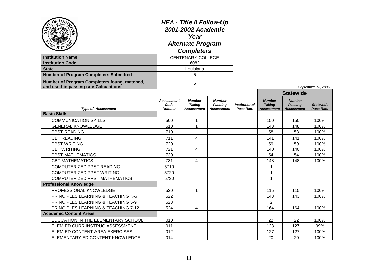| Ö٤<br>LOU<br><b>Institution Name</b><br><b>Institution Code</b><br><b>State</b><br><b>Number of Program Completers Submitted</b><br>Number of Program Completers found, matched, | <b>HEA - Title II Follow-Up</b><br>2001-2002 Academic<br>Year<br><b>Alternate Program</b><br><b>Completers</b><br><b>CENTENARY COLLEGE</b><br>6082<br>Louisiana<br>5<br>5 |                                                     |                                               |                                          |                                                     |                                               |                                      |
|----------------------------------------------------------------------------------------------------------------------------------------------------------------------------------|---------------------------------------------------------------------------------------------------------------------------------------------------------------------------|-----------------------------------------------------|-----------------------------------------------|------------------------------------------|-----------------------------------------------------|-----------------------------------------------|--------------------------------------|
| and used in passing rate Calculations <sup>1</sup>                                                                                                                               |                                                                                                                                                                           |                                                     |                                               |                                          |                                                     | <b>Statewide</b>                              | September 13, 2006                   |
| <b>Type of Assessment</b>                                                                                                                                                        | Assessment<br>Code<br><b>Number</b>                                                                                                                                       | <b>Number</b><br><b>Taking</b><br><b>Assessment</b> | <b>Number</b><br>Passing<br><b>Assessment</b> | <b>Institutional</b><br><b>Pass Rate</b> | <b>Number</b><br><b>Taking</b><br><b>Assessment</b> | <b>Number</b><br>Passing<br><b>Assessment</b> | <b>Statewide</b><br><b>Pass Rate</b> |
| <b>Basic Skills</b>                                                                                                                                                              |                                                                                                                                                                           |                                                     |                                               |                                          |                                                     |                                               |                                      |
| <b>COMMUNICATION SKILLS</b>                                                                                                                                                      | 500                                                                                                                                                                       | 1                                                   |                                               |                                          | 150                                                 | 150                                           | 100%                                 |
| <b>GENERAL KNOWLEDGE</b>                                                                                                                                                         | 510                                                                                                                                                                       | $\mathbf{1}$                                        |                                               |                                          | 148                                                 | 148                                           | 100%                                 |
| PPST READING                                                                                                                                                                     | 710                                                                                                                                                                       |                                                     |                                               |                                          | 58                                                  | 58                                            | 100%                                 |
| <b>CBT READING</b>                                                                                                                                                               | 711                                                                                                                                                                       | 4                                                   |                                               |                                          | 141                                                 | 141                                           | 100%                                 |
| PPST WRITING                                                                                                                                                                     | 720                                                                                                                                                                       |                                                     |                                               |                                          | 59                                                  | 59                                            | 100%                                 |
| <b>CBT WRITING</b>                                                                                                                                                               | 721                                                                                                                                                                       | 4                                                   |                                               |                                          | 140                                                 | 140                                           | 100%                                 |
| PPST MATHEMATICS                                                                                                                                                                 | 730                                                                                                                                                                       |                                                     |                                               |                                          | 54                                                  | 54                                            | 100%                                 |
| <b>CBT MATHEMATICS</b>                                                                                                                                                           | 731                                                                                                                                                                       | 4                                                   |                                               |                                          | 148                                                 | 148                                           | 100%                                 |
| COMPUTERIZED PPST READING                                                                                                                                                        | 5710                                                                                                                                                                      |                                                     |                                               |                                          | 1                                                   |                                               |                                      |
| <b>COMPUTERIZED PPST WRITING</b>                                                                                                                                                 | 5720                                                                                                                                                                      |                                                     |                                               |                                          | 1                                                   |                                               |                                      |
| <b>COMPUTERIZED PPST MATHEMATICS</b>                                                                                                                                             | 5730                                                                                                                                                                      |                                                     |                                               |                                          | 1                                                   |                                               |                                      |
| <b>Professional Knowledge</b>                                                                                                                                                    |                                                                                                                                                                           |                                                     |                                               |                                          |                                                     |                                               |                                      |
| PROFESSIONAL KNOWLEDGE                                                                                                                                                           | 520                                                                                                                                                                       | 1                                                   |                                               |                                          | 115                                                 | 115                                           | 100%                                 |
| PRINCIPLES LEARNING & TEACHING K-6                                                                                                                                               | 522                                                                                                                                                                       |                                                     |                                               |                                          | 143                                                 | 143                                           | 100%                                 |
| PRINCIPLES LEARNING & TEACHING 5-9                                                                                                                                               | 523                                                                                                                                                                       |                                                     |                                               |                                          | $\overline{2}$                                      |                                               |                                      |
| PRINCIPLES LEARNING & TEACHING 7-12                                                                                                                                              | 524                                                                                                                                                                       | 4                                                   |                                               |                                          | 164                                                 | 164                                           | 100%                                 |
| <b>Academic Content Areas</b>                                                                                                                                                    |                                                                                                                                                                           |                                                     |                                               |                                          |                                                     |                                               |                                      |
| EDUCATION IN THE ELEMENTARY SCHOOL                                                                                                                                               | 010                                                                                                                                                                       |                                                     |                                               |                                          | 22                                                  | 22                                            | 100%                                 |
| ELEM ED CURR INSTRUC ASSESSMENT                                                                                                                                                  | 011                                                                                                                                                                       |                                                     |                                               |                                          | 128                                                 | 127                                           | 99%                                  |
| ELEM ED CONTENT AREA EXERCISES                                                                                                                                                   | 012                                                                                                                                                                       |                                                     |                                               |                                          | 127                                                 | 127                                           | 100%                                 |
| ELEMENTARY ED CONTENT KNOWLEDGE                                                                                                                                                  | 014                                                                                                                                                                       |                                                     |                                               |                                          | 20                                                  | 20                                            | 100%                                 |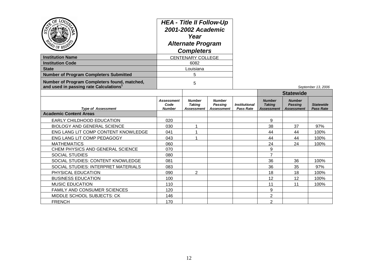| $\overline{O}$<br>LOU<br>ධ                                                                         | <b>HEA - Title II Follow-Up</b><br>2001-2002 Academic<br>Year<br><b>Alternate Program</b><br><b>Completers</b><br><b>CENTENARY COLLEGE</b> |                                              |                                               |                                   |                                              |                                                      |                                      |
|----------------------------------------------------------------------------------------------------|--------------------------------------------------------------------------------------------------------------------------------------------|----------------------------------------------|-----------------------------------------------|-----------------------------------|----------------------------------------------|------------------------------------------------------|--------------------------------------|
| <b>Institution Name</b>                                                                            |                                                                                                                                            |                                              |                                               |                                   |                                              |                                                      |                                      |
| <b>Institution Code</b>                                                                            |                                                                                                                                            | 6082                                         |                                               |                                   |                                              |                                                      |                                      |
| <b>State</b>                                                                                       |                                                                                                                                            | Louisiana                                    |                                               |                                   |                                              |                                                      |                                      |
| <b>Number of Program Completers Submitted</b>                                                      |                                                                                                                                            | 5                                            |                                               |                                   |                                              |                                                      |                                      |
| Number of Program Completers found, matched,<br>and used in passing rate Calculations <sup>1</sup> |                                                                                                                                            | 5                                            |                                               |                                   |                                              |                                                      | September 13, 2006                   |
|                                                                                                    |                                                                                                                                            |                                              |                                               |                                   |                                              | <b>Statewide</b>                                     |                                      |
| <b>Type of Assessment</b>                                                                          | <b>Assessment</b><br>Code<br><b>Number</b>                                                                                                 | <b>Number</b><br><b>Taking</b><br>Assessment | <b>Number</b><br>Passing<br><b>Assessment</b> | <b>Institutional</b><br>Pass Rate | <b>Number</b><br><b>Taking</b><br>Assessment | <b>Number</b><br><b>Passing</b><br><b>Assessment</b> | <b>Statewide</b><br><b>Pass Rate</b> |
| <b>Academic Content Areas</b>                                                                      |                                                                                                                                            |                                              |                                               |                                   |                                              |                                                      |                                      |
| EARLY CHILDHOOD EDUCATION                                                                          | 020                                                                                                                                        |                                              |                                               |                                   | 9                                            |                                                      |                                      |
| <b>BIOLOGY AND GENERAL SCIENCE</b>                                                                 | 030                                                                                                                                        | 1                                            |                                               |                                   | 38                                           | 37                                                   | 97%                                  |
| ENG LANG LIT COMP CONTENT KNOWLEDGE                                                                | 041                                                                                                                                        | 1                                            |                                               |                                   | 44                                           | 44                                                   | 100%                                 |
| ENG LANG LIT COMP PEDAGOGY                                                                         | 043                                                                                                                                        | 1                                            |                                               |                                   | 44                                           | 44                                                   | 100%                                 |
| <b>MATHEMATICS</b>                                                                                 | 060                                                                                                                                        |                                              |                                               |                                   | 24                                           | 24                                                   | 100%                                 |
| CHEM PHYSICS AND GENERAL SCIENCE                                                                   | 070                                                                                                                                        |                                              |                                               |                                   | 9                                            |                                                      |                                      |
| <b>SOCIAL STUDIES</b>                                                                              | 080                                                                                                                                        |                                              |                                               |                                   | $\overline{7}$                               |                                                      |                                      |
| SOCIAL STUDIES: CONTENT KNOWLEDGE                                                                  | 081                                                                                                                                        |                                              |                                               |                                   | 36                                           | 36                                                   | 100%                                 |
| SOCIAL STUDIES: INTERPRET MATERIALS                                                                | 083                                                                                                                                        |                                              |                                               |                                   | 36                                           | 35                                                   | 97%                                  |
| PHYSICAL EDUCATION                                                                                 | 090                                                                                                                                        | $\overline{2}$                               |                                               |                                   | 18                                           | 18                                                   | 100%                                 |
| <b>BUSINESS EDUCATION</b>                                                                          | 100                                                                                                                                        |                                              |                                               |                                   | 12                                           | 12                                                   | 100%                                 |
| <b>MUSIC EDUCATION</b>                                                                             | 110                                                                                                                                        |                                              |                                               |                                   | 11                                           | 11                                                   | 100%                                 |
| FAMILY AND CONSUMER SCIENCES                                                                       | 120                                                                                                                                        |                                              |                                               |                                   | 9                                            |                                                      |                                      |
| MIDDLE SCHOOL SUBJECTS: CK                                                                         | 146                                                                                                                                        |                                              |                                               |                                   | $\overline{2}$                               |                                                      |                                      |
| <b>FRENCH</b>                                                                                      | 170                                                                                                                                        |                                              |                                               |                                   | $\overline{2}$                               |                                                      |                                      |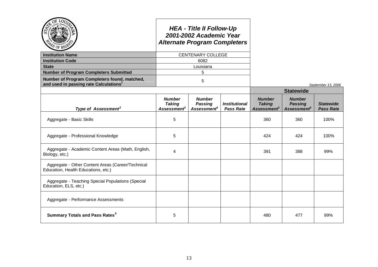|                                                                                                    |                                                           | <b>HEA - Title II Follow-Up</b><br>2001-2002 Academic Year<br><b>Alternate Program Completers</b> |                                          |                                                                  |                                                            |                                      |  |  |
|----------------------------------------------------------------------------------------------------|-----------------------------------------------------------|---------------------------------------------------------------------------------------------------|------------------------------------------|------------------------------------------------------------------|------------------------------------------------------------|--------------------------------------|--|--|
| <b>Institution Name</b>                                                                            |                                                           | <b>CENTENARY COLLEGE</b>                                                                          |                                          |                                                                  |                                                            |                                      |  |  |
| <b>Institution Code</b>                                                                            | 6082                                                      |                                                                                                   |                                          |                                                                  |                                                            |                                      |  |  |
| <b>State</b>                                                                                       |                                                           | Louisiana                                                                                         |                                          |                                                                  |                                                            |                                      |  |  |
| <b>Number of Program Completers Submitted</b>                                                      |                                                           | 5                                                                                                 |                                          |                                                                  |                                                            |                                      |  |  |
| Number of Program Completers found, matched,<br>and used in passing rate Calculations <sup>1</sup> |                                                           | 5                                                                                                 |                                          |                                                                  |                                                            | September 13, 2006                   |  |  |
|                                                                                                    |                                                           |                                                                                                   |                                          |                                                                  | <b>Statewide</b>                                           |                                      |  |  |
| Type of Assessment <sup>2</sup>                                                                    | <b>Number</b><br><b>Taking</b><br>Assessment <sup>3</sup> | <b>Number</b><br><b>Passing</b><br>Assessment <sup>4</sup>                                        | <b>Institutional</b><br><b>Pass Rate</b> | <b>Number</b><br><b>Taking</b><br><b>Assessment</b> <sup>3</sup> | <b>Number</b><br><b>Passing</b><br>Assessment <sup>4</sup> | <b>Statewide</b><br><b>Pass Rate</b> |  |  |
| Aggregate - Basic Skills                                                                           | 5                                                         |                                                                                                   |                                          | 360                                                              | 360                                                        | 100%                                 |  |  |
| Aggregate - Professional Knowledge                                                                 | 5                                                         |                                                                                                   |                                          | 424                                                              | 424                                                        | 100%                                 |  |  |
| Aggregate - Academic Content Areas (Math, English,<br>Biology, etc.)                               | $\overline{\mathbf{4}}$                                   |                                                                                                   |                                          | 391                                                              | 388                                                        | 99%                                  |  |  |
| Aggregate - Other Content Areas (Career/Technical<br>Education, Health Educations, etc.)           |                                                           |                                                                                                   |                                          |                                                                  |                                                            |                                      |  |  |
| Aggregate - Teaching Special Populations (Special<br>Education, ELS, etc.)                         |                                                           |                                                                                                   |                                          |                                                                  |                                                            |                                      |  |  |
| Aggregate - Performance Assessments                                                                |                                                           |                                                                                                   |                                          |                                                                  |                                                            |                                      |  |  |
| <b>Summary Totals and Pass Rates<sup>5</sup></b>                                                   | 5                                                         |                                                                                                   |                                          | 480                                                              | 477                                                        | 99%                                  |  |  |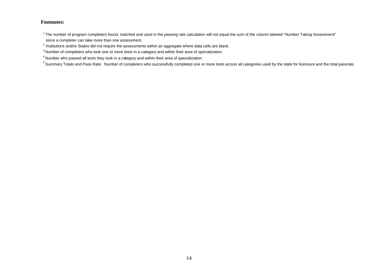#### **Footnotes:**

<sup>1</sup> The number of program completers found, matched and used in the passing rate calculation will not equal the sum of the column labeled "Number Taking Assessment" since a completer can take more than one assessment.

 $<sup>2</sup>$  Institutions and/or States did not require the assessments within an aggregate where data cells are blank.</sup>

<sup>3</sup> Number of completers who took one or more tests in a category and within their area of specialization.

 $^{\text{4}}$ Number who passed all tests they took in a category and within their area of specialization.

<sup>5</sup> Summary Totals and Pass Rate: Number of completers who successfully completed one or more tests across all categories used by the state for licensure and the total passrate.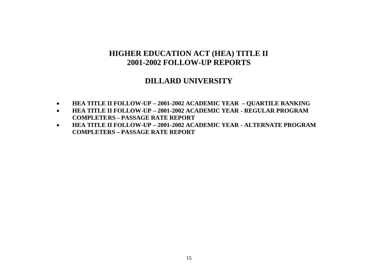### **DILLARD UNIVERSITY**

- **HEA TITLE II FOLLOW-UP – 2001-2002 ACADEMIC YEAR – QUARTILE RANKING**
- **HEA TITLE II FOLLOW-UP – 2001-2002 ACADEMIC YEAR - REGULAR PROGRAM COMPLETERS – PASSAGE RATE REPORT**
- **HEA TITLE II FOLLOW-UP – 2001-2002 ACADEMIC YEAR - ALTERNATE PROGRAM COMPLETERS – PASSAGE RATE REPORT**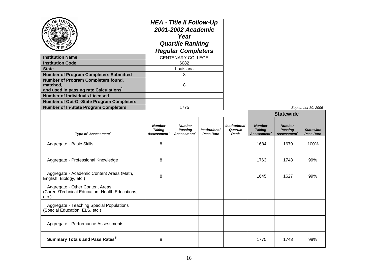| LOr<br><b>Institution Name</b><br><b>Institution Code</b>                                                                                                                                       | <b>HEA - Title II Follow-Up</b><br>2001-2002 Academic<br>Year<br><b>Quartile Ranking</b><br><b>Regular Completers</b><br><b>CENTENARY COLLEGE</b><br>6082<br>Louisiana |                                                            |                                   |                                          |                                                           |                                                            |                                      |  |
|-------------------------------------------------------------------------------------------------------------------------------------------------------------------------------------------------|------------------------------------------------------------------------------------------------------------------------------------------------------------------------|------------------------------------------------------------|-----------------------------------|------------------------------------------|-----------------------------------------------------------|------------------------------------------------------------|--------------------------------------|--|
| <b>State</b>                                                                                                                                                                                    |                                                                                                                                                                        |                                                            |                                   |                                          |                                                           |                                                            |                                      |  |
| <b>Number of Program Completers Submitted</b><br>Number of Program Completers found,<br>matched,<br>and used in passing rate Calculations <sup>1</sup><br><b>Number of Individuals Licensed</b> | 8<br>8                                                                                                                                                                 |                                                            |                                   |                                          |                                                           |                                                            |                                      |  |
| <b>Number of Out-Of-State Program Completers</b>                                                                                                                                                |                                                                                                                                                                        |                                                            |                                   |                                          |                                                           |                                                            |                                      |  |
| <b>Number of In-State Program Completers</b>                                                                                                                                                    |                                                                                                                                                                        | 1775                                                       |                                   |                                          |                                                           |                                                            | September 30, 2006                   |  |
|                                                                                                                                                                                                 |                                                                                                                                                                        |                                                            |                                   |                                          | <b>Statewide</b>                                          |                                                            |                                      |  |
| Type of Assessment <sup>2</sup>                                                                                                                                                                 | <b>Number</b><br><b>Taking</b><br>Assessment <sup>3</sup>                                                                                                              | <b>Number</b><br><b>Passing</b><br>Assessment <sup>4</sup> | <b>Institutional</b><br>Pass Rate | <b>Institutional</b><br>Quartile<br>Rank | <b>Number</b><br><b>Taking</b><br>Assessment <sup>3</sup> | <b>Number</b><br><b>Passing</b><br>Assessment <sup>4</sup> | <b>Statewide</b><br><b>Pass Rate</b> |  |
| Aggregate - Basic Skills                                                                                                                                                                        | 8                                                                                                                                                                      |                                                            |                                   |                                          | 1684                                                      | 1679                                                       | 100%                                 |  |
| Aggregate - Professional Knowledge                                                                                                                                                              | 8                                                                                                                                                                      |                                                            |                                   |                                          | 1763                                                      | 1743                                                       | 99%                                  |  |
| Aggregate - Academic Content Areas (Math,<br>English, Biology, etc.)                                                                                                                            | 8                                                                                                                                                                      |                                                            |                                   |                                          | 1645                                                      | 1627                                                       | 99%                                  |  |
| Aggregate - Other Content Areas<br>(Career/Technical Education, Health Educations,<br>etc.)                                                                                                     |                                                                                                                                                                        |                                                            |                                   |                                          |                                                           |                                                            |                                      |  |
| Aggregate - Teaching Special Populations<br>(Special Education, ELS, etc.)                                                                                                                      |                                                                                                                                                                        |                                                            |                                   |                                          |                                                           |                                                            |                                      |  |
| Aggregate - Performance Assessments                                                                                                                                                             |                                                                                                                                                                        |                                                            |                                   |                                          |                                                           |                                                            |                                      |  |
| <b>Summary Totals and Pass Rates<sup>5</sup></b>                                                                                                                                                | 8                                                                                                                                                                      |                                                            |                                   |                                          | 1775                                                      | 1743                                                       | 98%                                  |  |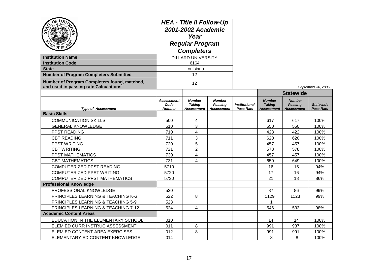| <b>Institution Name</b><br><b>Institution Code</b><br><b>State</b><br><b>Number of Program Completers Submitted</b><br>Number of Program Completers found, matched,<br>and used in passing rate Calculations <sup>1</sup> | <b>HEA - Title II Follow-Up</b><br>2001-2002 Academic<br>Year<br><b>Regular Program</b><br><b>Completers</b><br><b>DILLARD UNIVERSITY</b><br>6164<br>Louisiana<br>12<br>12 |                                              |                                                      |                                          |                                              |                                                      | September 30, 2006                   |
|---------------------------------------------------------------------------------------------------------------------------------------------------------------------------------------------------------------------------|----------------------------------------------------------------------------------------------------------------------------------------------------------------------------|----------------------------------------------|------------------------------------------------------|------------------------------------------|----------------------------------------------|------------------------------------------------------|--------------------------------------|
|                                                                                                                                                                                                                           |                                                                                                                                                                            |                                              |                                                      |                                          |                                              | <b>Statewide</b>                                     |                                      |
| <b>Type of Assessment</b>                                                                                                                                                                                                 | <b>Assessment</b><br>Code<br><b>Number</b>                                                                                                                                 | <b>Number</b><br><b>Taking</b><br>Assessment | <b>Number</b><br><b>Passing</b><br><b>Assessment</b> | <b>Institutional</b><br><b>Pass Rate</b> | <b>Number</b><br><b>Taking</b><br>Assessment | <b>Number</b><br><b>Passing</b><br><b>Assessment</b> | <b>Statewide</b><br><b>Pass Rate</b> |
| <b>Basic Skills</b>                                                                                                                                                                                                       |                                                                                                                                                                            |                                              |                                                      |                                          |                                              |                                                      |                                      |
| <b>COMMUNICATION SKILLS</b>                                                                                                                                                                                               | 500                                                                                                                                                                        | 4                                            |                                                      |                                          | 617                                          | 617                                                  | 100%                                 |
| <b>GENERAL KNOWLEDGE</b>                                                                                                                                                                                                  | 510                                                                                                                                                                        | 3                                            |                                                      |                                          | 550                                          | 550                                                  | 100%                                 |
| PPST READING                                                                                                                                                                                                              | 710                                                                                                                                                                        | 4                                            |                                                      |                                          | 423                                          | 422                                                  | 100%                                 |
| <b>CBT READING</b>                                                                                                                                                                                                        | 711                                                                                                                                                                        | 3                                            |                                                      |                                          | 620                                          | 620                                                  | 100%                                 |
| PPST WRITING                                                                                                                                                                                                              | 720                                                                                                                                                                        | 5                                            |                                                      |                                          | 457                                          | 457                                                  | 100%                                 |
| <b>CBT WRITING</b>                                                                                                                                                                                                        | 721                                                                                                                                                                        | $\overline{2}$                               |                                                      |                                          | 578                                          | 578                                                  | 100%                                 |
| PPST MATHEMATICS                                                                                                                                                                                                          | 730                                                                                                                                                                        | 4                                            |                                                      |                                          | 457                                          | 457                                                  | 100%                                 |
| <b>CBT MATHEMATICS</b>                                                                                                                                                                                                    | 731                                                                                                                                                                        | 4                                            |                                                      |                                          | 650                                          | 649                                                  | 100%                                 |
| COMPUTERIZED PPST READING                                                                                                                                                                                                 | 5710                                                                                                                                                                       |                                              |                                                      |                                          | 16                                           | 15                                                   | 94%                                  |
| COMPUTERIZED PPST WRITING                                                                                                                                                                                                 | 5720                                                                                                                                                                       |                                              |                                                      |                                          | 17                                           | 16                                                   | 94%                                  |
| <b>COMPUTERIZED PPST MATHEMATICS</b>                                                                                                                                                                                      | 5730                                                                                                                                                                       |                                              |                                                      |                                          | 21                                           | 18                                                   | 86%                                  |
| <b>Professional Knowledge</b>                                                                                                                                                                                             |                                                                                                                                                                            |                                              |                                                      |                                          |                                              |                                                      |                                      |
| PROFESSIONAL KNOWLEDGE                                                                                                                                                                                                    | 520                                                                                                                                                                        |                                              |                                                      |                                          | 87                                           | 86                                                   | 99%                                  |
| PRINCIPLES LEARNING & TEACHING K-6                                                                                                                                                                                        | 522                                                                                                                                                                        | 8                                            |                                                      |                                          | 1129                                         | 1123                                                 | 99%                                  |
| PRINCIPLES LEARNING & TEACHING 5-9                                                                                                                                                                                        | 523                                                                                                                                                                        |                                              |                                                      |                                          | 1                                            |                                                      |                                      |
| PRINCIPLES LEARNING & TEACHING 7-12                                                                                                                                                                                       | 524                                                                                                                                                                        | 4                                            |                                                      |                                          | 546                                          | 533                                                  | 98%                                  |
| <b>Academic Content Areas</b>                                                                                                                                                                                             |                                                                                                                                                                            |                                              |                                                      |                                          |                                              |                                                      |                                      |
| EDUCATION IN THE ELEMENTARY SCHOOL                                                                                                                                                                                        | 010                                                                                                                                                                        |                                              |                                                      |                                          | 14                                           | 14                                                   | 100%                                 |
| ELEM ED CURR INSTRUC ASSESSMENT                                                                                                                                                                                           | 011                                                                                                                                                                        | 8                                            |                                                      |                                          | 991                                          | 987                                                  | 100%                                 |
| ELEM ED CONTENT AREA EXERCISES                                                                                                                                                                                            | 012                                                                                                                                                                        | 8                                            |                                                      |                                          | 991                                          | 991                                                  | 100%                                 |
| ELEMENTARY ED CONTENT KNOWLEDGE                                                                                                                                                                                           | 014                                                                                                                                                                        |                                              |                                                      |                                          | 8                                            | 8                                                    | 100%                                 |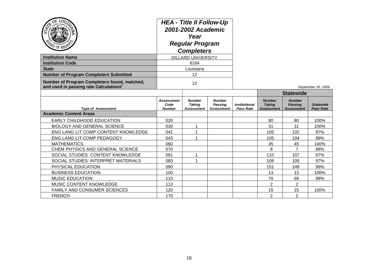| $Q_E$<br>LOU<br>ධ<br>PD OF REGS<br><b>Institution Name</b><br><b>Institution Code</b><br><b>State</b> | <b>HEA - Title II Follow-Up</b><br>2001-2002 Academic<br>Year<br><b>Regular Program</b><br><b>Completers</b><br><b>DILLARD UNIVERSITY</b><br>6164<br>Louisiana |                                              |                                                      |                                          |                                                     |                                                      |                                      |
|-------------------------------------------------------------------------------------------------------|----------------------------------------------------------------------------------------------------------------------------------------------------------------|----------------------------------------------|------------------------------------------------------|------------------------------------------|-----------------------------------------------------|------------------------------------------------------|--------------------------------------|
| <b>Number of Program Completers Submitted</b>                                                         |                                                                                                                                                                | 12                                           |                                                      |                                          |                                                     |                                                      |                                      |
| Number of Program Completers found, matched,<br>and used in passing rate Calculations <sup>1</sup>    | 12                                                                                                                                                             |                                              |                                                      |                                          |                                                     |                                                      | September 30, 2006                   |
|                                                                                                       |                                                                                                                                                                |                                              |                                                      |                                          |                                                     | <b>Statewide</b>                                     |                                      |
| <b>Type of Assessment</b>                                                                             | Assessment<br>Code<br><b>Number</b>                                                                                                                            | <b>Number</b><br><b>Taking</b><br>Assessment | <b>Number</b><br><b>Passing</b><br><b>Assessment</b> | <b>Institutional</b><br><b>Pass Rate</b> | <b>Number</b><br><b>Taking</b><br><b>Assessment</b> | <b>Number</b><br><b>Passing</b><br><b>Assessment</b> | <b>Statewide</b><br><b>Pass Rate</b> |
| <b>Academic Content Areas</b>                                                                         |                                                                                                                                                                |                                              |                                                      |                                          |                                                     |                                                      |                                      |
| EARLY CHILDHOOD EDUCATION                                                                             | 020                                                                                                                                                            |                                              |                                                      |                                          | 80                                                  | 80                                                   | 100%                                 |
| <b>BIOLOGY AND GENERAL SCIENCE</b>                                                                    | 030                                                                                                                                                            | 1                                            |                                                      |                                          | 31                                                  | 31                                                   | 100%                                 |
| ENG LANG LIT COMP CONTENT KNOWLEDGE                                                                   | 041                                                                                                                                                            |                                              |                                                      |                                          | 105                                                 | 102                                                  | 97%                                  |
| ENG LANG LIT COMP PEDAGOGY                                                                            | 043                                                                                                                                                            | 1                                            |                                                      |                                          | 105                                                 | 104                                                  | 99%                                  |
| <b>MATHEMATICS</b>                                                                                    | 060                                                                                                                                                            |                                              |                                                      |                                          | 45                                                  | 45                                                   | 100%                                 |
| CHEM PHYSICS AND GENERAL SCIENCE                                                                      | 070                                                                                                                                                            |                                              |                                                      |                                          | 8                                                   | $\overline{7}$                                       | 88%                                  |
| SOCIAL STUDIES: CONTENT KNOWLEDGE                                                                     | 081                                                                                                                                                            | 1                                            |                                                      |                                          | 110                                                 | 107                                                  | 97%                                  |
| SOCIAL STUDIES: INTERPRET MATERIALS                                                                   | 083                                                                                                                                                            |                                              |                                                      |                                          | 108                                                 | 105                                                  | 97%                                  |
| PHYSICAL EDUCATION                                                                                    | 090                                                                                                                                                            |                                              |                                                      |                                          | 151                                                 | 149                                                  | 99%                                  |
| <b>BUSINESS EDUCATION</b>                                                                             | 100                                                                                                                                                            |                                              |                                                      |                                          | 13                                                  | 13                                                   | 100%                                 |
| <b>MUSIC EDUCATION</b>                                                                                | 110                                                                                                                                                            |                                              |                                                      |                                          | 70                                                  | 69                                                   | 99%                                  |
| MUSIC CONTENT KNOWLEDGE                                                                               | 113                                                                                                                                                            |                                              |                                                      |                                          | $\overline{2}$                                      | $\overline{2}$                                       |                                      |
| FAMILY AND CONSUMER SCIENCES                                                                          | 120                                                                                                                                                            |                                              |                                                      |                                          | 15                                                  | 15                                                   | 100%                                 |
| <b>FRENCH</b>                                                                                         | 170                                                                                                                                                            |                                              |                                                      |                                          | $\overline{2}$                                      | $\overline{2}$                                       |                                      |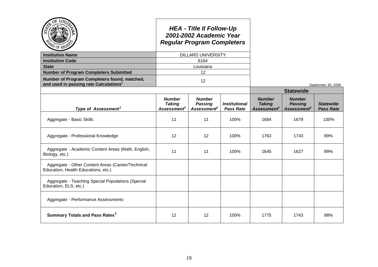|                                                                                                    |                                                           | <b>HEA - Title II Follow-Up</b><br>2001-2002 Academic Year<br><b>Regular Program Completers</b> |                                                 |                                                                  |                                                            |                                      |
|----------------------------------------------------------------------------------------------------|-----------------------------------------------------------|-------------------------------------------------------------------------------------------------|-------------------------------------------------|------------------------------------------------------------------|------------------------------------------------------------|--------------------------------------|
| <b>Institution Name</b>                                                                            |                                                           | <b>DILLARD UNIVERSITY</b>                                                                       |                                                 |                                                                  |                                                            |                                      |
| <b>Institution Code</b>                                                                            |                                                           | 6164                                                                                            |                                                 |                                                                  |                                                            |                                      |
| <b>State</b>                                                                                       |                                                           | Louisiana                                                                                       |                                                 |                                                                  |                                                            |                                      |
| <b>Number of Program Completers Submitted</b>                                                      |                                                           | 12                                                                                              |                                                 |                                                                  |                                                            |                                      |
| Number of Program Completers found, matched,<br>and used in passing rate Calculations <sup>1</sup> |                                                           | 12                                                                                              |                                                 |                                                                  |                                                            | September 30, 2006                   |
|                                                                                                    |                                                           |                                                                                                 |                                                 |                                                                  | <b>Statewide</b>                                           |                                      |
| Type of Assessment <sup>2</sup>                                                                    | <b>Number</b><br><b>Taking</b><br>Assessment <sup>3</sup> | <b>Number</b><br><b>Passing</b><br>Assessment <sup>4</sup>                                      | <i><b>Institutional</b></i><br><b>Pass Rate</b> | <b>Number</b><br><b>Taking</b><br><b>Assessment</b> <sup>3</sup> | <b>Number</b><br><b>Passing</b><br>Assessment <sup>4</sup> | <b>Statewide</b><br><b>Pass Rate</b> |
| Aggregate - Basic Skills                                                                           | 11                                                        | 11                                                                                              | 100%                                            | 1684                                                             | 1679                                                       | 100%                                 |
| Aggregate - Professional Knowledge                                                                 | 12                                                        | 12                                                                                              | 100%                                            | 1763                                                             | 1743                                                       | 99%                                  |
| Aggregate - Academic Content Areas (Math, English,<br>Biology, etc.)                               | 11                                                        | 11                                                                                              | 100%                                            | 1645                                                             | 1627                                                       | 99%                                  |
| Aggregate - Other Content Areas (Career/Technical<br>Education, Health Educations, etc.)           |                                                           |                                                                                                 |                                                 |                                                                  |                                                            |                                      |
| Aggregate - Teaching Special Populations (Special<br>Education, ELS, etc.)                         |                                                           |                                                                                                 |                                                 |                                                                  |                                                            |                                      |
| Aggregate - Performance Assessments                                                                |                                                           |                                                                                                 |                                                 |                                                                  |                                                            |                                      |
| <b>Summary Totals and Pass Rates<sup>5</sup></b>                                                   | 12                                                        | 12                                                                                              | 100%                                            | 1775                                                             | 1743                                                       | 98%                                  |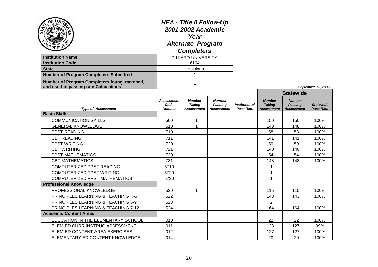| $Q_{\rm E}$<br>LOU<br><b>Institution Name</b><br><b>Institution Code</b><br><b>State</b><br><b>Number of Program Completers Submitted</b><br>Number of Program Completers found, matched,<br>and used in passing rate Calculations | <b>HEA - Title II Follow-Up</b><br>2001-2002 Academic<br>Year<br><b>Alternate Program</b><br><b>Completers</b><br><b>DILLARD UNIVERSITY</b><br>6164<br>Louisiana<br>1 |                                              |                                                      |                                                 |                                                     |                                                      | September 13, 2006                   |
|------------------------------------------------------------------------------------------------------------------------------------------------------------------------------------------------------------------------------------|-----------------------------------------------------------------------------------------------------------------------------------------------------------------------|----------------------------------------------|------------------------------------------------------|-------------------------------------------------|-----------------------------------------------------|------------------------------------------------------|--------------------------------------|
|                                                                                                                                                                                                                                    |                                                                                                                                                                       |                                              |                                                      |                                                 |                                                     | <b>Statewide</b>                                     |                                      |
| <b>Type of Assessment</b>                                                                                                                                                                                                          | Assessment<br>Code<br><b>Number</b>                                                                                                                                   | <b>Number</b><br><b>Taking</b><br>Assessment | <b>Number</b><br><b>Passing</b><br><b>Assessment</b> | <i><b>Institutional</b></i><br><b>Pass Rate</b> | <b>Number</b><br><b>Taking</b><br><b>Assessment</b> | <b>Number</b><br><b>Passing</b><br><b>Assessment</b> | <b>Statewide</b><br><b>Pass Rate</b> |
| <b>Basic Skills</b>                                                                                                                                                                                                                |                                                                                                                                                                       |                                              |                                                      |                                                 |                                                     |                                                      |                                      |
| <b>COMMUNICATION SKILLS</b>                                                                                                                                                                                                        | 500                                                                                                                                                                   | 1                                            |                                                      |                                                 | 150                                                 | 150                                                  | 100%                                 |
| <b>GENERAL KNOWLEDGE</b>                                                                                                                                                                                                           | 510                                                                                                                                                                   | $\mathbf{1}$                                 |                                                      |                                                 | 148                                                 | 148                                                  | 100%                                 |
| PPST READING                                                                                                                                                                                                                       | 710                                                                                                                                                                   |                                              |                                                      |                                                 | 58                                                  | 58                                                   | 100%                                 |
| <b>CBT READING</b>                                                                                                                                                                                                                 | 711                                                                                                                                                                   |                                              |                                                      |                                                 | 141                                                 | 141                                                  | 100%                                 |
| PPST WRITING                                                                                                                                                                                                                       | 720                                                                                                                                                                   |                                              |                                                      |                                                 | 59                                                  | 59                                                   | 100%                                 |
| <b>CBT WRITING</b>                                                                                                                                                                                                                 | 721                                                                                                                                                                   |                                              |                                                      |                                                 | 140                                                 | 140                                                  | 100%                                 |
| <b>PPST MATHEMATICS</b>                                                                                                                                                                                                            | 730                                                                                                                                                                   |                                              |                                                      |                                                 | 54                                                  | 54                                                   | 100%                                 |
| <b>CBT MATHEMATICS</b>                                                                                                                                                                                                             | 731                                                                                                                                                                   |                                              |                                                      |                                                 | 148                                                 | 148                                                  | 100%                                 |
| COMPUTERIZED PPST READING                                                                                                                                                                                                          | 5710                                                                                                                                                                  |                                              |                                                      |                                                 | 1                                                   |                                                      |                                      |
| COMPUTERIZED PPST WRITING                                                                                                                                                                                                          | 5720                                                                                                                                                                  |                                              |                                                      |                                                 | 1                                                   |                                                      |                                      |
| <b>COMPUTERIZED PPST MATHEMATICS</b>                                                                                                                                                                                               | 5730                                                                                                                                                                  |                                              |                                                      |                                                 | $\mathbf{1}$                                        |                                                      |                                      |
| <b>Professional Knowledge</b>                                                                                                                                                                                                      |                                                                                                                                                                       |                                              |                                                      |                                                 |                                                     |                                                      |                                      |
| PROFESSIONAL KNOWLEDGE                                                                                                                                                                                                             | 520                                                                                                                                                                   | $\mathbf{1}$                                 |                                                      |                                                 | 115                                                 | 115                                                  | 100%                                 |
| PRINCIPLES LEARNING & TEACHING K-6                                                                                                                                                                                                 | 522                                                                                                                                                                   |                                              |                                                      |                                                 | 143                                                 | 143                                                  | 100%                                 |
| PRINCIPLES LEARNING & TEACHING 5-9                                                                                                                                                                                                 | 523                                                                                                                                                                   |                                              |                                                      |                                                 | $\overline{2}$                                      |                                                      |                                      |
| PRINCIPLES LEARNING & TEACHING 7-12                                                                                                                                                                                                | 524                                                                                                                                                                   |                                              |                                                      |                                                 | 164                                                 | 164                                                  | 100%                                 |
| <b>Academic Content Areas</b>                                                                                                                                                                                                      |                                                                                                                                                                       |                                              |                                                      |                                                 |                                                     |                                                      |                                      |
| EDUCATION IN THE ELEMENTARY SCHOOL                                                                                                                                                                                                 | 010                                                                                                                                                                   |                                              |                                                      |                                                 | 22                                                  | 22                                                   | 100%                                 |
| ELEM ED CURR INSTRUC ASSESSMENT                                                                                                                                                                                                    | 011                                                                                                                                                                   |                                              |                                                      |                                                 | 128                                                 | 127                                                  | 99%                                  |
| ELEM ED CONTENT AREA EXERCISES                                                                                                                                                                                                     | 012                                                                                                                                                                   |                                              |                                                      |                                                 | 127                                                 | 127                                                  | 100%                                 |
| ELEMENTARY ED CONTENT KNOWLEDGE                                                                                                                                                                                                    | 014                                                                                                                                                                   |                                              |                                                      |                                                 | 20                                                  | 20                                                   | 100%                                 |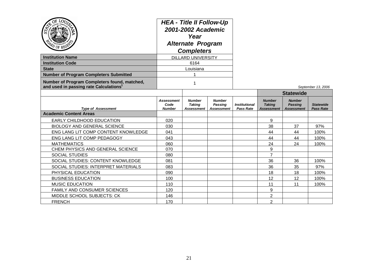| <b>Institution Name</b><br><b>Institution Code</b>                                                 | <b>HEA - Title II Follow-Up</b><br>2001-2002 Academic<br>Year<br><b>Alternate Program</b><br><b>Completers</b><br><b>DILLARD UNIVERSITY</b><br>6164 |                                              |                                                      |                                                 |                                              |                                                      |                                      |
|----------------------------------------------------------------------------------------------------|-----------------------------------------------------------------------------------------------------------------------------------------------------|----------------------------------------------|------------------------------------------------------|-------------------------------------------------|----------------------------------------------|------------------------------------------------------|--------------------------------------|
| <b>State</b>                                                                                       |                                                                                                                                                     | Louisiana                                    |                                                      |                                                 |                                              |                                                      |                                      |
| <b>Number of Program Completers Submitted</b>                                                      |                                                                                                                                                     |                                              |                                                      |                                                 |                                              |                                                      |                                      |
| Number of Program Completers found, matched,<br>and used in passing rate Calculations <sup>1</sup> | 1                                                                                                                                                   |                                              |                                                      |                                                 |                                              |                                                      | September 13, 2006                   |
|                                                                                                    |                                                                                                                                                     |                                              |                                                      |                                                 |                                              | <b>Statewide</b>                                     |                                      |
| <b>Type of Assessment</b>                                                                          | <b>Assessment</b><br>Code<br><b>Number</b>                                                                                                          | <b>Number</b><br><b>Taking</b><br>Assessment | <b>Number</b><br><b>Passing</b><br><b>Assessment</b> | <i><b>Institutional</b></i><br><b>Pass Rate</b> | <b>Number</b><br><b>Taking</b><br>Assessment | <b>Number</b><br><b>Passing</b><br><b>Assessment</b> | <b>Statewide</b><br><b>Pass Rate</b> |
| <b>Academic Content Areas</b>                                                                      |                                                                                                                                                     |                                              |                                                      |                                                 |                                              |                                                      |                                      |
| EARLY CHILDHOOD EDUCATION                                                                          | 020                                                                                                                                                 |                                              |                                                      |                                                 | 9                                            |                                                      |                                      |
| <b>BIOLOGY AND GENERAL SCIENCE</b>                                                                 | 030                                                                                                                                                 |                                              |                                                      |                                                 | 38                                           | 37                                                   | 97%                                  |
| ENG LANG LIT COMP CONTENT KNOWLEDGE                                                                | 041                                                                                                                                                 |                                              |                                                      |                                                 | 44                                           | 44                                                   | 100%                                 |
| ENG LANG LIT COMP PEDAGOGY                                                                         | 043                                                                                                                                                 |                                              |                                                      |                                                 | 44                                           | 44                                                   | 100%                                 |
| <b>MATHEMATICS</b>                                                                                 | 060                                                                                                                                                 |                                              |                                                      |                                                 | 24                                           | 24                                                   | 100%                                 |
| CHEM PHYSICS AND GENERAL SCIENCE                                                                   | 070                                                                                                                                                 |                                              |                                                      |                                                 | 9                                            |                                                      |                                      |
| <b>SOCIAL STUDIES</b>                                                                              | 080                                                                                                                                                 |                                              |                                                      |                                                 | $\overline{7}$                               |                                                      |                                      |
| SOCIAL STUDIES: CONTENT KNOWLEDGE                                                                  | 081                                                                                                                                                 |                                              |                                                      |                                                 | 36                                           | 36                                                   | 100%                                 |
| SOCIAL STUDIES: INTERPRET MATERIALS                                                                | 083                                                                                                                                                 |                                              |                                                      |                                                 | 36                                           | 35                                                   | 97%                                  |
| PHYSICAL EDUCATION                                                                                 | 090                                                                                                                                                 |                                              |                                                      |                                                 | 18                                           | 18                                                   | 100%                                 |
| <b>BUSINESS EDUCATION</b>                                                                          | 100                                                                                                                                                 |                                              |                                                      |                                                 | 12                                           | 12                                                   | 100%                                 |
| <b>MUSIC EDUCATION</b>                                                                             | 110                                                                                                                                                 |                                              |                                                      |                                                 | 11                                           | 11                                                   | 100%                                 |
| FAMILY AND CONSUMER SCIENCES                                                                       | 120                                                                                                                                                 |                                              |                                                      |                                                 | 9                                            |                                                      |                                      |
| MIDDLE SCHOOL SUBJECTS: CK                                                                         | 146                                                                                                                                                 |                                              |                                                      |                                                 | $\overline{2}$                               |                                                      |                                      |
| <b>FRENCH</b>                                                                                      | 170                                                                                                                                                 |                                              |                                                      |                                                 | $\overline{2}$                               |                                                      |                                      |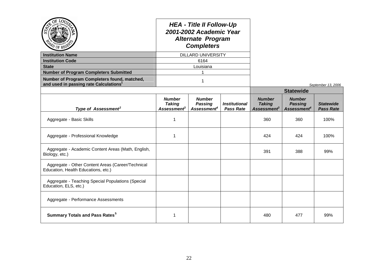| $\sigma$ of $^{BE}$                                                                                |                                                           | <b>HEA - Title II Follow-Up</b><br>2001-2002 Academic Year<br><b>Alternate Program</b><br><b>Completers</b> |                                          |                                                           |                                                            |                                      |
|----------------------------------------------------------------------------------------------------|-----------------------------------------------------------|-------------------------------------------------------------------------------------------------------------|------------------------------------------|-----------------------------------------------------------|------------------------------------------------------------|--------------------------------------|
| <b>Institution Name</b>                                                                            |                                                           | <b>DILLARD UNIVERSITY</b>                                                                                   |                                          |                                                           |                                                            |                                      |
| <b>Institution Code</b>                                                                            |                                                           | 6164                                                                                                        |                                          |                                                           |                                                            |                                      |
| <b>State</b>                                                                                       |                                                           | Louisiana                                                                                                   |                                          |                                                           |                                                            |                                      |
| <b>Number of Program Completers Submitted</b>                                                      |                                                           | 1                                                                                                           |                                          |                                                           |                                                            |                                      |
| Number of Program Completers found, matched,<br>and used in passing rate Calculations <sup>1</sup> |                                                           | $\mathbf 1$                                                                                                 |                                          |                                                           |                                                            | September 13, 2006                   |
|                                                                                                    |                                                           |                                                                                                             |                                          |                                                           | <b>Statewide</b>                                           |                                      |
| Type of Assessment <sup>2</sup>                                                                    | <b>Number</b><br><b>Taking</b><br>Assessment <sup>3</sup> | <b>Number</b><br><b>Passing</b><br>Assessment <sup>4</sup>                                                  | <b>Institutional</b><br><b>Pass Rate</b> | <b>Number</b><br><b>Taking</b><br>Assessment <sup>3</sup> | <b>Number</b><br><b>Passing</b><br>Assessment <sup>4</sup> | <b>Statewide</b><br><b>Pass Rate</b> |
| Aggregate - Basic Skills                                                                           | 1                                                         |                                                                                                             |                                          | 360                                                       | 360                                                        | 100%                                 |
| Aggregate - Professional Knowledge                                                                 | -1                                                        |                                                                                                             |                                          | 424                                                       | 424                                                        | 100%                                 |
| Aggregate - Academic Content Areas (Math, English,<br>Biology, etc.)                               |                                                           |                                                                                                             |                                          | 391                                                       | 388                                                        | 99%                                  |
| Aggregate - Other Content Areas (Career/Technical<br>Education, Health Educations, etc.)           |                                                           |                                                                                                             |                                          |                                                           |                                                            |                                      |
| Aggregate - Teaching Special Populations (Special<br>Education, ELS, etc.)                         |                                                           |                                                                                                             |                                          |                                                           |                                                            |                                      |
| Aggregate - Performance Assessments                                                                |                                                           |                                                                                                             |                                          |                                                           |                                                            |                                      |
| <b>Summary Totals and Pass Rates<sup>5</sup></b>                                                   | $\mathbf 1$                                               |                                                                                                             |                                          | 480                                                       | 477                                                        | 99%                                  |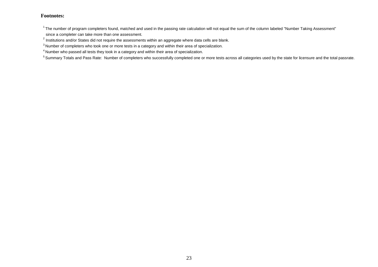#### **Footnotes:**

<sup>5</sup> Summary Totals and Pass Rate: Number of completers who successfully completed one or more tests across all categories used by the state for licensure and the total passrate.

 $1$ The number of program completers found, matched and used in the passing rate calculation will not equal the sum of the column labeled "Number Taking Assessment"

since a completer can take more than one assessment.

 $^{2}$  Institutions and/or States did not require the assessments within an aggregate where data cells are blank.

<sup>&</sup>lt;sup>3</sup> Number of completers who took one or more tests in a category and within their area of specialization.

<sup>4</sup> Number who passed all tests they took in a category and within their area of specialization.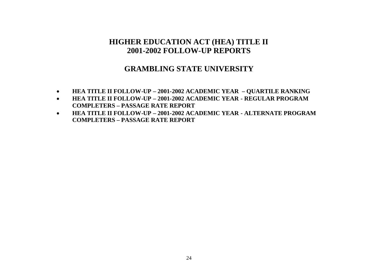# **GRAMBLING STATE UNIVERSITY**

- **HEA TITLE II FOLLOW-UP – 2001-2002 ACADEMIC YEAR – QUARTILE RANKING**
- **HEA TITLE II FOLLOW-UP – 2001-2002 ACADEMIC YEAR - REGULAR PROGRAM COMPLETERS – PASSAGE RATE REPORT**
- **HEA TITLE II FOLLOW-UP – 2001-2002 ACADEMIC YEAR - ALTERNATE PROGRAM COMPLETERS – PASSAGE RATE REPORT**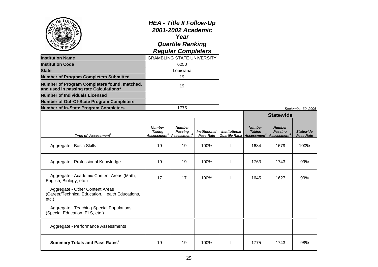| ŌĖ<br><b>LOU</b>                                                                                   | <b>HEA - Title II Follow-Up</b><br>2001-2002 Academic<br>Year<br><b>Quartile Ranking</b><br><b>Regular Completers</b><br><b>GRAMBLING STATE UNIVERSITY</b> |                                                     |                                          |                                       |                                                               |                                                            |                                      |
|----------------------------------------------------------------------------------------------------|------------------------------------------------------------------------------------------------------------------------------------------------------------|-----------------------------------------------------|------------------------------------------|---------------------------------------|---------------------------------------------------------------|------------------------------------------------------------|--------------------------------------|
| <b>Institution Name</b>                                                                            |                                                                                                                                                            |                                                     |                                          |                                       |                                                               |                                                            |                                      |
| Institution Code                                                                                   |                                                                                                                                                            | 6250                                                |                                          |                                       |                                                               |                                                            |                                      |
| <b>State</b>                                                                                       |                                                                                                                                                            | Louisiana                                           |                                          |                                       |                                                               |                                                            |                                      |
| <b>Number of Program Completers Submitted</b>                                                      |                                                                                                                                                            | 19                                                  |                                          |                                       |                                                               |                                                            |                                      |
| Number of Program Completers found, matched,<br>and used in passing rate Calculations <sup>1</sup> | 19                                                                                                                                                         |                                                     |                                          |                                       |                                                               |                                                            |                                      |
| <b>Number of Individuals Licensed</b>                                                              |                                                                                                                                                            |                                                     |                                          |                                       |                                                               |                                                            |                                      |
| <b>Number of Out-Of-State Program Completers</b>                                                   |                                                                                                                                                            |                                                     |                                          |                                       |                                                               |                                                            |                                      |
| <b>Number of In-State Program Completers</b>                                                       |                                                                                                                                                            | 1775                                                |                                          |                                       |                                                               |                                                            | September 30, 2006                   |
|                                                                                                    |                                                                                                                                                            |                                                     |                                          |                                       |                                                               | <b>Statewide</b>                                           |                                      |
| Type of Assessment <sup>2</sup>                                                                    | <b>Number</b><br><b>Taking</b><br>Assessment <sup>3</sup>                                                                                                  | <b>Number</b><br>Passing<br>Assessment <sup>4</sup> | <b>Institutional</b><br><b>Pass Rate</b> | <b>Institutional</b><br>Quartile Rank | <b>Number</b><br><b>Taking</b><br>$\mathcal A$ ssessment $^3$ | <b>Number</b><br><b>Passing</b><br>Assessment <sup>4</sup> | <b>Statewide</b><br><b>Pass Rate</b> |
| Aggregate - Basic Skills                                                                           | 19                                                                                                                                                         | 19                                                  | 100%                                     |                                       | 1684                                                          | 1679                                                       | 100%                                 |
| Aggregate - Professional Knowledge                                                                 | 19                                                                                                                                                         | 19                                                  | 100%                                     |                                       | 1763                                                          | 1743                                                       | 99%                                  |
| Aggregate - Academic Content Areas (Math,<br>English, Biology, etc.)                               | 17                                                                                                                                                         | 17                                                  | 100%                                     |                                       | 1645                                                          | 1627                                                       | 99%                                  |
| Aggregate - Other Content Areas<br>(Career/Technical Education, Health Educations,<br>$etc.$ )     |                                                                                                                                                            |                                                     |                                          |                                       |                                                               |                                                            |                                      |
| Aggregate - Teaching Special Populations<br>(Special Education, ELS, etc.)                         |                                                                                                                                                            |                                                     |                                          |                                       |                                                               |                                                            |                                      |
| Aggregate - Performance Assessments                                                                |                                                                                                                                                            |                                                     |                                          |                                       |                                                               |                                                            |                                      |
| <b>Summary Totals and Pass Rates<sup>5</sup></b>                                                   | 19                                                                                                                                                         | 19                                                  | 100%                                     |                                       | 1775                                                          | 1743                                                       | 98%                                  |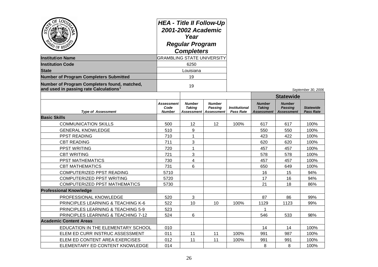| OE TOO<br>OF RE<br><b>Institution Name</b><br><b>Institution Code</b><br><b>State</b><br><b>Number of Program Completers Submitted</b><br>Number of Program Completers found, matched, | <b>HEA - Title II Follow-Up</b><br>2001-2002 Academic<br>Year<br><b>Regular Program</b><br><b>Completers</b><br><b>GRAMBLING STATE UNIVERSITY</b><br>6250<br>Louisiana<br>19<br>19 |                                |                                                     |                                          |                                                     |                                                                          |                                      |
|----------------------------------------------------------------------------------------------------------------------------------------------------------------------------------------|------------------------------------------------------------------------------------------------------------------------------------------------------------------------------------|--------------------------------|-----------------------------------------------------|------------------------------------------|-----------------------------------------------------|--------------------------------------------------------------------------|--------------------------------------|
| and used in passing rate Calculations <sup>1</sup>                                                                                                                                     |                                                                                                                                                                                    |                                |                                                     |                                          |                                                     | September 30, 2006                                                       |                                      |
| <b>Type of Assessment</b>                                                                                                                                                              | Assessment<br>Code<br><b>Number</b>                                                                                                                                                | <b>Number</b><br><b>Taking</b> | <b>Number</b><br>Passina<br>Assessment   Assessment | <b>Institutional</b><br><b>Pass Rate</b> | <b>Number</b><br><b>Taking</b><br><b>Assessment</b> | <b>Statewide</b><br><b>Number</b><br><b>Passing</b><br><b>Assessment</b> | <b>Statewide</b><br><b>Pass Rate</b> |
| <b>Basic Skills</b>                                                                                                                                                                    |                                                                                                                                                                                    |                                |                                                     |                                          |                                                     |                                                                          |                                      |
| <b>COMMUNICATION SKILLS</b>                                                                                                                                                            | 500                                                                                                                                                                                | 12                             | 12                                                  | 100%                                     | 617                                                 | 617                                                                      | 100%                                 |
| <b>GENERAL KNOWLEDGE</b>                                                                                                                                                               | 510                                                                                                                                                                                | 9                              |                                                     |                                          | 550                                                 | 550                                                                      | 100%                                 |
| PPST READING                                                                                                                                                                           | 710                                                                                                                                                                                | $\mathbf{1}$                   |                                                     |                                          | 423                                                 | 422                                                                      | 100%                                 |
| <b>CBT READING</b>                                                                                                                                                                     | 711                                                                                                                                                                                | 3                              |                                                     |                                          | 620                                                 | 620                                                                      | 100%                                 |
| PPST WRITING                                                                                                                                                                           | 720                                                                                                                                                                                | $\mathbf{1}$                   |                                                     |                                          | 457                                                 | 457                                                                      | 100%                                 |
| <b>CBT WRITING</b>                                                                                                                                                                     | 721                                                                                                                                                                                | 3                              |                                                     |                                          | 578                                                 | 578                                                                      | 100%                                 |
| PPST MATHEMATICS                                                                                                                                                                       | 730                                                                                                                                                                                | 4                              |                                                     |                                          | 457                                                 | 457                                                                      | 100%                                 |
| <b>CBT MATHEMATICS</b>                                                                                                                                                                 | 731                                                                                                                                                                                | 6                              |                                                     |                                          | 650                                                 | 649                                                                      | 100%                                 |
| COMPUTERIZED PPST READING                                                                                                                                                              | 5710                                                                                                                                                                               |                                |                                                     |                                          | 16                                                  | 15                                                                       | 94%                                  |
| COMPUTERIZED PPST WRITING                                                                                                                                                              | 5720                                                                                                                                                                               |                                |                                                     |                                          | 17                                                  | 16                                                                       | 94%                                  |
| <b>COMPUTERIZED PPST MATHEMATICS</b>                                                                                                                                                   | 5730                                                                                                                                                                               |                                |                                                     |                                          | 21                                                  | 18                                                                       | 86%                                  |
| <b>Professional Knowledge</b>                                                                                                                                                          |                                                                                                                                                                                    |                                |                                                     |                                          |                                                     |                                                                          |                                      |
| PROFESSIONAL KNOWLEDGE                                                                                                                                                                 | 520                                                                                                                                                                                | 3                              |                                                     |                                          | 87                                                  | 86                                                                       | 99%                                  |
| <b>PRINCIPLES LEARNING &amp; TEACHING K-6</b>                                                                                                                                          | 522                                                                                                                                                                                | 10                             | 10                                                  | 100%                                     | 1129                                                | 1123                                                                     | 99%                                  |
| PRINCIPLES LEARNING & TEACHING 5-9                                                                                                                                                     | 523                                                                                                                                                                                |                                |                                                     |                                          | $\mathbf{1}$                                        |                                                                          |                                      |
| PRINCIPLES LEARNING & TEACHING 7-12                                                                                                                                                    | 524                                                                                                                                                                                | 6                              |                                                     |                                          | 546                                                 | 533                                                                      | 98%                                  |
| <b>Academic Content Areas</b>                                                                                                                                                          |                                                                                                                                                                                    |                                |                                                     |                                          |                                                     |                                                                          |                                      |
| EDUCATION IN THE ELEMENTARY SCHOOL                                                                                                                                                     | 010                                                                                                                                                                                |                                |                                                     |                                          | 14                                                  | 14                                                                       | 100%                                 |
| ELEM ED CURR INSTRUC ASSESSMENT                                                                                                                                                        | 011                                                                                                                                                                                | 11                             | 11                                                  | 100%                                     | 991                                                 | 987                                                                      | 100%                                 |
| ELEM ED CONTENT AREA EXERCISES                                                                                                                                                         | 012                                                                                                                                                                                | 11                             | 11                                                  | 100%                                     | 991                                                 | 991                                                                      | 100%                                 |
| ELEMENTARY ED CONTENT KNOWLEDGE                                                                                                                                                        | 014                                                                                                                                                                                |                                |                                                     |                                          | 8                                                   | 8                                                                        | 100%                                 |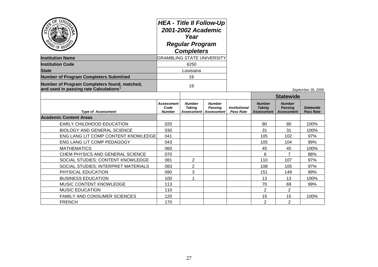| YO OF REG'                                                                                         | <b>HEA - Title II Follow-Up</b><br>2001-2002 Academic<br>Year<br><b>Regular Program</b><br><b>Completers</b> |                                              |                                               |                                          |                                              |                                                      |                                      |
|----------------------------------------------------------------------------------------------------|--------------------------------------------------------------------------------------------------------------|----------------------------------------------|-----------------------------------------------|------------------------------------------|----------------------------------------------|------------------------------------------------------|--------------------------------------|
| <b>Institution Name</b>                                                                            | <b>GRAMBLING STATE UNIVERSITY</b>                                                                            |                                              |                                               |                                          |                                              |                                                      |                                      |
| <b>Institution Code</b>                                                                            |                                                                                                              | 6250                                         |                                               |                                          |                                              |                                                      |                                      |
| <b>State</b>                                                                                       |                                                                                                              | Louisiana                                    |                                               |                                          |                                              |                                                      |                                      |
| <b>Number of Program Completers Submitted</b>                                                      |                                                                                                              | 19                                           |                                               |                                          |                                              |                                                      |                                      |
| Number of Program Completers found, matched,<br>and used in passing rate Calculations <sup>1</sup> | 19                                                                                                           |                                              |                                               |                                          |                                              |                                                      | September 30, 2006                   |
|                                                                                                    |                                                                                                              |                                              |                                               |                                          | <b>Statewide</b>                             |                                                      |                                      |
| <b>Type of Assessment</b>                                                                          | <b>Assessment</b><br>Code<br><b>Number</b>                                                                   | <b>Number</b><br><b>Taking</b><br>Assessment | <b>Number</b><br>Passing<br><b>Assessment</b> | <b>Institutional</b><br><b>Pass Rate</b> | <b>Number</b><br><b>Taking</b><br>Assessment | <b>Number</b><br><b>Passing</b><br><b>Assessment</b> | <b>Statewide</b><br><b>Pass Rate</b> |
| <b>Academic Content Areas</b>                                                                      |                                                                                                              |                                              |                                               |                                          |                                              |                                                      |                                      |
| EARLY CHILDHOOD EDUCATION                                                                          | 020                                                                                                          |                                              |                                               |                                          | 80                                           | 80                                                   | 100%                                 |
| <b>BIOLOGY AND GENERAL SCIENCE</b>                                                                 | 030                                                                                                          |                                              |                                               |                                          | 31                                           | 31                                                   | 100%                                 |
| ENG LANG LIT COMP CONTENT KNOWLEDGE                                                                | 041                                                                                                          |                                              |                                               |                                          | 105                                          | 102                                                  | 97%                                  |
| ENG LANG LIT COMP PEDAGOGY                                                                         | 043                                                                                                          |                                              |                                               |                                          | 105                                          | 104                                                  | 99%                                  |
| <b>MATHEMATICS</b>                                                                                 | 060                                                                                                          |                                              |                                               |                                          | 45                                           | 45                                                   | 100%                                 |
| CHEM PHYSICS AND GENERAL SCIENCE                                                                   | 070                                                                                                          |                                              |                                               |                                          | 8                                            | $\overline{7}$                                       | 88%                                  |
| SOCIAL STUDIES: CONTENT KNOWLEDGE                                                                  | 081                                                                                                          | 2                                            |                                               |                                          | 110                                          | 107                                                  | 97%                                  |
| SOCIAL STUDIES: INTERPRET MATERIALS                                                                | 083                                                                                                          | $\overline{2}$                               |                                               |                                          | 108                                          | 105                                                  | 97%                                  |
| PHYSICAL EDUCATION                                                                                 | 090                                                                                                          | 3                                            |                                               |                                          | 151                                          | 149                                                  | 99%                                  |
| <b>BUSINESS EDUCATION</b>                                                                          | 100                                                                                                          | 1                                            |                                               |                                          | 13                                           | 13                                                   | 100%                                 |
| MUSIC CONTENT KNOWLEDGE                                                                            | 113                                                                                                          |                                              |                                               |                                          | 70                                           | 69                                                   | 99%                                  |
| <b>MUSIC EDUCATION</b>                                                                             | 110                                                                                                          |                                              |                                               |                                          | $\overline{2}$                               | $\overline{2}$                                       |                                      |
| FAMILY AND CONSUMER SCIENCES                                                                       | 120                                                                                                          |                                              |                                               |                                          | 15                                           | 15                                                   | 100%                                 |
| <b>FRENCH</b>                                                                                      | 170                                                                                                          |                                              |                                               |                                          | $\overline{2}$                               | $\overline{2}$                                       |                                      |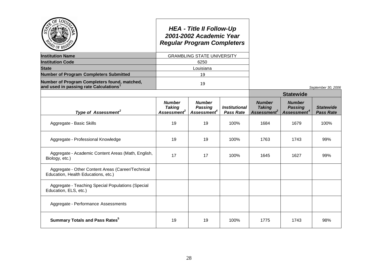|                                                                                                    |                                                           | <b>HEA - Title II Follow-Up</b><br>2001-2002 Academic Year<br><b>Regular Program Completers</b> |                                          |                                                           |                                                            |                                      |
|----------------------------------------------------------------------------------------------------|-----------------------------------------------------------|-------------------------------------------------------------------------------------------------|------------------------------------------|-----------------------------------------------------------|------------------------------------------------------------|--------------------------------------|
| <b>Institution Name</b>                                                                            |                                                           | <b>GRAMBLING STATE UNIVERSITY</b>                                                               |                                          |                                                           |                                                            |                                      |
| <b>Institution Code</b>                                                                            |                                                           | 6250                                                                                            |                                          |                                                           |                                                            |                                      |
| <b>State</b>                                                                                       |                                                           | Louisiana                                                                                       |                                          |                                                           |                                                            |                                      |
| <b>Number of Program Completers Submitted</b>                                                      |                                                           | 19                                                                                              |                                          |                                                           |                                                            |                                      |
| Number of Program Completers found, matched,<br>and used in passing rate Calculations <sup>1</sup> |                                                           | 19                                                                                              |                                          |                                                           |                                                            | September 30, 2006                   |
|                                                                                                    |                                                           |                                                                                                 |                                          |                                                           | <b>Statewide</b>                                           |                                      |
| Type of Assessment <sup>2</sup>                                                                    | <b>Number</b><br><b>Taking</b><br>Assessment <sup>3</sup> | <b>Number</b><br><b>Passing</b><br>Assessment <sup>4</sup>                                      | <b>Institutional</b><br><b>Pass Rate</b> | <b>Number</b><br><b>Taking</b><br>Assessment <sup>3</sup> | <b>Number</b><br><b>Passing</b><br>Assessment <sup>4</sup> | <b>Statewide</b><br><b>Pass Rate</b> |
| Aggregate - Basic Skills                                                                           | 19                                                        | 19                                                                                              | 100%                                     | 1684                                                      | 1679                                                       | 100%                                 |
| Aggregate - Professional Knowledge                                                                 | 19                                                        | 19                                                                                              | 100%                                     | 1763                                                      | 1743                                                       | 99%                                  |
| Aggregate - Academic Content Areas (Math, English,<br>Biology, etc.)                               | 17                                                        | 17                                                                                              | 100%                                     | 1645                                                      | 1627                                                       | 99%                                  |
| Aggregate - Other Content Areas (Career/Technical<br>Education, Health Educations, etc.)           |                                                           |                                                                                                 |                                          |                                                           |                                                            |                                      |
| Aggregate - Teaching Special Populations (Special<br>Education, ELS, etc.)                         |                                                           |                                                                                                 |                                          |                                                           |                                                            |                                      |
| Aggregate - Performance Assessments                                                                |                                                           |                                                                                                 |                                          |                                                           |                                                            |                                      |
| <b>Summary Totals and Pass Rates</b> <sup>5</sup>                                                  | 19                                                        | 19                                                                                              | 100%                                     | 1775                                                      | 1743                                                       | 98%                                  |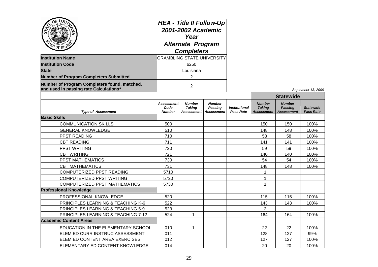| OE TOO<br>$^{\prime\prime}$ of RE<br><b>Institution Name</b><br><b>Institution Code</b><br><b>State</b><br><b>Number of Program Completers Submitted</b><br>Number of Program Completers found, matched,<br>and used in passing rate Calculations <sup>1</sup> | <b>HEA - Title II Follow-Up</b><br>2001-2002 Academic<br>Year<br><b>Alternate Program</b><br><b>Completers</b><br><b>GRAMBLING STATE UNIVERSITY</b><br>6250<br>Louisiana<br>$\overline{2}$<br>$\overline{2}$ |                                |                                                            |                                          |                                                     |                                                      | September 13, 2006                   |
|----------------------------------------------------------------------------------------------------------------------------------------------------------------------------------------------------------------------------------------------------------------|--------------------------------------------------------------------------------------------------------------------------------------------------------------------------------------------------------------|--------------------------------|------------------------------------------------------------|------------------------------------------|-----------------------------------------------------|------------------------------------------------------|--------------------------------------|
|                                                                                                                                                                                                                                                                |                                                                                                                                                                                                              |                                |                                                            |                                          |                                                     | <b>Statewide</b>                                     |                                      |
| <b>Type of Assessment</b>                                                                                                                                                                                                                                      | Assessment<br>Code<br><b>Number</b>                                                                                                                                                                          | <b>Number</b><br><b>Taking</b> | <b>Number</b><br><b>Passing</b><br>Assessment   Assessment | <b>Institutional</b><br><b>Pass Rate</b> | <b>Number</b><br><b>Taking</b><br><b>Assessment</b> | <b>Number</b><br><b>Passing</b><br><b>Assessment</b> | <b>Statewide</b><br><b>Pass Rate</b> |
| <b>Basic Skills</b>                                                                                                                                                                                                                                            |                                                                                                                                                                                                              |                                |                                                            |                                          |                                                     |                                                      |                                      |
| <b>COMMUNICATION SKILLS</b>                                                                                                                                                                                                                                    | 500                                                                                                                                                                                                          |                                |                                                            |                                          | 150                                                 | 150                                                  | 100%                                 |
| <b>GENERAL KNOWLEDGE</b>                                                                                                                                                                                                                                       | 510                                                                                                                                                                                                          |                                |                                                            |                                          | 148                                                 | 148                                                  | 100%                                 |
| PPST READING                                                                                                                                                                                                                                                   | 710                                                                                                                                                                                                          |                                |                                                            |                                          | 58                                                  | 58                                                   | 100%                                 |
| <b>CBT READING</b>                                                                                                                                                                                                                                             | 711                                                                                                                                                                                                          |                                |                                                            |                                          | 141                                                 | 141                                                  | 100%                                 |
| PPST WRITING                                                                                                                                                                                                                                                   | 720                                                                                                                                                                                                          |                                |                                                            |                                          | 59                                                  | 59                                                   | 100%                                 |
| <b>CBT WRITING</b>                                                                                                                                                                                                                                             | 721                                                                                                                                                                                                          |                                |                                                            |                                          | 140                                                 | 140                                                  | 100%                                 |
| PPST MATHEMATICS                                                                                                                                                                                                                                               | 730                                                                                                                                                                                                          |                                |                                                            |                                          | 54                                                  | 54                                                   | 100%                                 |
| <b>CBT MATHEMATICS</b>                                                                                                                                                                                                                                         | 731                                                                                                                                                                                                          |                                |                                                            |                                          | 148                                                 | 148                                                  | 100%                                 |
| COMPUTERIZED PPST READING                                                                                                                                                                                                                                      | 5710                                                                                                                                                                                                         |                                |                                                            |                                          | 1                                                   |                                                      |                                      |
| <b>COMPUTERIZED PPST WRITING</b>                                                                                                                                                                                                                               | 5720                                                                                                                                                                                                         |                                |                                                            |                                          | 1                                                   |                                                      |                                      |
| <b>COMPUTERIZED PPST MATHEMATICS</b>                                                                                                                                                                                                                           | 5730                                                                                                                                                                                                         |                                |                                                            |                                          | 1                                                   |                                                      |                                      |
| <b>Professional Knowledge</b>                                                                                                                                                                                                                                  |                                                                                                                                                                                                              |                                |                                                            |                                          |                                                     |                                                      |                                      |
| PROFESSIONAL KNOWLEDGE                                                                                                                                                                                                                                         | 520                                                                                                                                                                                                          |                                |                                                            |                                          | 115                                                 | 115                                                  | 100%                                 |
| PRINCIPLES LEARNING & TEACHING K-6                                                                                                                                                                                                                             | 522                                                                                                                                                                                                          |                                |                                                            |                                          | 143                                                 | 143                                                  | 100%                                 |
| PRINCIPLES LEARNING & TEACHING 5-9                                                                                                                                                                                                                             | 523                                                                                                                                                                                                          |                                |                                                            |                                          | $\overline{2}$                                      |                                                      |                                      |
| PRINCIPLES LEARNING & TEACHING 7-12                                                                                                                                                                                                                            | 524                                                                                                                                                                                                          | $\mathbf{1}$                   |                                                            |                                          | 164                                                 | 164                                                  | 100%                                 |
| <b>Academic Content Areas</b>                                                                                                                                                                                                                                  |                                                                                                                                                                                                              |                                |                                                            |                                          |                                                     |                                                      |                                      |
| EDUCATION IN THE ELEMENTARY SCHOOL                                                                                                                                                                                                                             | 010                                                                                                                                                                                                          | 1                              |                                                            |                                          | 22                                                  | 22                                                   | 100%                                 |
| ELEM ED CURR INSTRUC ASSESSMENT                                                                                                                                                                                                                                | 011                                                                                                                                                                                                          |                                |                                                            |                                          | 128                                                 | 127                                                  | 99%                                  |
| ELEM ED CONTENT AREA EXERCISES                                                                                                                                                                                                                                 | 012                                                                                                                                                                                                          |                                |                                                            |                                          | 127                                                 | 127                                                  | 100%                                 |
| ELEMENTARY ED CONTENT KNOWLEDGE                                                                                                                                                                                                                                | 014                                                                                                                                                                                                          |                                |                                                            |                                          | 20                                                  | 20                                                   | 100%                                 |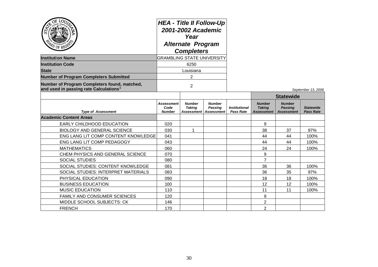| OE<br>LOTT                                                                                         | <b>HEA - Title II Follow-Up</b><br>2001-2002 Academic<br>Year<br><b>Alternate Program</b><br><b>Completers</b> |                                              |                                               |                                          |                                                     |                                                      |                                      |
|----------------------------------------------------------------------------------------------------|----------------------------------------------------------------------------------------------------------------|----------------------------------------------|-----------------------------------------------|------------------------------------------|-----------------------------------------------------|------------------------------------------------------|--------------------------------------|
| <b>Institution Name</b>                                                                            | <b>GRAMBLING STATE UNIVERSITY</b>                                                                              |                                              |                                               |                                          |                                                     |                                                      |                                      |
| <b>Institution Code</b>                                                                            |                                                                                                                | 6250                                         |                                               |                                          |                                                     |                                                      |                                      |
| <b>State</b>                                                                                       |                                                                                                                | Louisiana                                    |                                               |                                          |                                                     |                                                      |                                      |
| <b>Number of Program Completers Submitted</b>                                                      |                                                                                                                | $\overline{2}$                               |                                               |                                          |                                                     |                                                      |                                      |
| Number of Program Completers found, matched,<br>and used in passing rate Calculations <sup>1</sup> | $\overline{2}$                                                                                                 |                                              |                                               |                                          |                                                     |                                                      | September 13, 2006                   |
|                                                                                                    |                                                                                                                |                                              |                                               |                                          |                                                     | <b>Statewide</b>                                     |                                      |
| <b>Type of Assessment</b>                                                                          | Assessment<br>Code<br><b>Number</b>                                                                            | <b>Number</b><br><b>Taking</b><br>Assessment | <b>Number</b><br>Passing<br><b>Assessment</b> | <b>Institutional</b><br><b>Pass Rate</b> | <b>Number</b><br><b>Taking</b><br><b>Assessment</b> | <b>Number</b><br><b>Passing</b><br><b>Assessment</b> | <b>Statewide</b><br><b>Pass Rate</b> |
| <b>Academic Content Areas</b>                                                                      |                                                                                                                |                                              |                                               |                                          |                                                     |                                                      |                                      |
| EARLY CHILDHOOD EDUCATION                                                                          | 020                                                                                                            |                                              |                                               |                                          | 9                                                   |                                                      |                                      |
| <b>BIOLOGY AND GENERAL SCIENCE</b>                                                                 | 030                                                                                                            | $\mathbf 1$                                  |                                               |                                          | 38                                                  | 37                                                   | 97%                                  |
| ENG LANG LIT COMP CONTENT KNOWLEDGE                                                                | 041                                                                                                            |                                              |                                               |                                          | 44                                                  | 44                                                   | 100%                                 |
| ENG LANG LIT COMP PEDAGOGY                                                                         | 043                                                                                                            |                                              |                                               |                                          | 44                                                  | 44                                                   | 100%                                 |
| <b>MATHEMATICS</b>                                                                                 | 060                                                                                                            |                                              |                                               |                                          | 24                                                  | 24                                                   | 100%                                 |
| CHEM PHYSICS AND GENERAL SCIENCE                                                                   | 070                                                                                                            |                                              |                                               |                                          | 9                                                   |                                                      |                                      |
| <b>SOCIAL STUDIES</b>                                                                              | 080                                                                                                            |                                              |                                               |                                          | $\overline{7}$                                      |                                                      |                                      |
| SOCIAL STUDIES: CONTENT KNOWLEDGE                                                                  | 081                                                                                                            |                                              |                                               |                                          | 36                                                  | 36                                                   | 100%                                 |
| SOCIAL STUDIES: INTERPRET MATERIALS                                                                | 083                                                                                                            |                                              |                                               |                                          | 36                                                  | 35                                                   | 97%                                  |
| PHYSICAL EDUCATION                                                                                 | 090                                                                                                            |                                              |                                               |                                          | 18                                                  | 18                                                   | 100%                                 |
| <b>BUSINESS EDUCATION</b>                                                                          | 100                                                                                                            |                                              |                                               |                                          | 12                                                  | 12                                                   | 100%                                 |
| <b>MUSIC EDUCATION</b>                                                                             | 110                                                                                                            |                                              |                                               |                                          | 11                                                  | 11                                                   | 100%                                 |
| FAMILY AND CONSUMER SCIENCES                                                                       | 120                                                                                                            |                                              |                                               |                                          | 9                                                   |                                                      |                                      |
| MIDDLE SCHOOL SUBJECTS: CK                                                                         | 146                                                                                                            |                                              |                                               |                                          | $\overline{c}$                                      |                                                      |                                      |
| <b>FRENCH</b>                                                                                      | 170                                                                                                            |                                              |                                               |                                          | $\overline{2}$                                      |                                                      |                                      |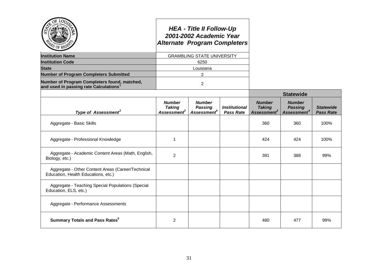|                                                                                                    |                                                           | <b>HEA - Title II Follow-Up</b><br>2001-2002 Academic Year<br><b>Alternate Program Completers</b> |                                                 |                                                   |                                                            |                                      |
|----------------------------------------------------------------------------------------------------|-----------------------------------------------------------|---------------------------------------------------------------------------------------------------|-------------------------------------------------|---------------------------------------------------|------------------------------------------------------------|--------------------------------------|
| <b>Institution Name</b>                                                                            |                                                           | <b>GRAMBLING STATE UNIVERSITY</b>                                                                 |                                                 |                                                   |                                                            |                                      |
| <b>Institution Code</b>                                                                            |                                                           | 6250                                                                                              |                                                 |                                                   |                                                            |                                      |
| <b>State</b>                                                                                       |                                                           | Louisiana                                                                                         |                                                 |                                                   |                                                            |                                      |
| <b>Number of Program Completers Submitted</b>                                                      |                                                           | $\overline{2}$                                                                                    |                                                 |                                                   |                                                            |                                      |
| Number of Program Completers found, matched,<br>and used in passing rate Calculations <sup>1</sup> |                                                           | $\overline{2}$                                                                                    |                                                 |                                                   |                                                            |                                      |
|                                                                                                    |                                                           |                                                                                                   |                                                 |                                                   | <b>Statewide</b>                                           |                                      |
| Type of Assessment <sup>2</sup>                                                                    | <b>Number</b><br><b>Taking</b><br>Assessment <sup>3</sup> | <b>Number</b><br><b>Passing</b><br>Assessment <sup>4</sup>                                        | <i><b>Institutional</b></i><br><b>Pass Rate</b> | <b>Number</b><br><b>Taking</b><br>Assessment $^3$ | <b>Number</b><br><b>Passing</b><br>Assessment <sup>4</sup> | <b>Statewide</b><br><b>Pass Rate</b> |
| Aggregate - Basic Skills                                                                           |                                                           |                                                                                                   |                                                 | 360                                               | 360                                                        | 100%                                 |
| Aggregate - Professional Knowledge                                                                 | $\mathbf 1$                                               |                                                                                                   |                                                 | 424                                               | 424                                                        | 100%                                 |
| Aggregate - Academic Content Areas (Math, English,<br>Biology, etc.)                               | $\overline{2}$                                            |                                                                                                   |                                                 | 391                                               | 388                                                        | 99%                                  |
| Aggregate - Other Content Areas (Career/Technical<br>Education, Health Educations, etc.)           |                                                           |                                                                                                   |                                                 |                                                   |                                                            |                                      |
| Aggregate - Teaching Special Populations (Special<br>Education, ELS, etc.)                         |                                                           |                                                                                                   |                                                 |                                                   |                                                            |                                      |
| Aggregate - Performance Assessments                                                                |                                                           |                                                                                                   |                                                 |                                                   |                                                            |                                      |
| <b>Summary Totals and Pass Rates</b> <sup>5</sup>                                                  | $\overline{2}$                                            |                                                                                                   |                                                 | 480                                               | 477                                                        | 99%                                  |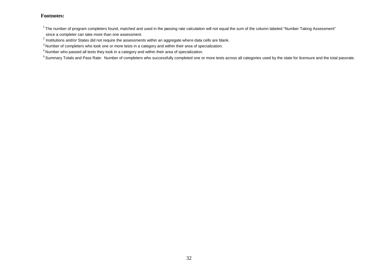#### **Footnotes:**

 $1$ The number of program completers found, matched and used in the passing rate calculation will not equal the sum of the column labeled "Number Taking Assessment" since a completer can take more than one assessment.

 $^{2}$  Institutions and/or States did not require the assessments within an aggregate where data cells are blank.

<sup>3</sup> Number of completers who took one or more tests in a category and within their area of specialization.

<sup>4</sup> Number who passed all tests they took in a category and within their area of specialization.

<sup>5</sup> Summary Totals and Pass Rate: Number of completers who successfully completed one or more tests across all categories used by the state for licensure and the total passrate.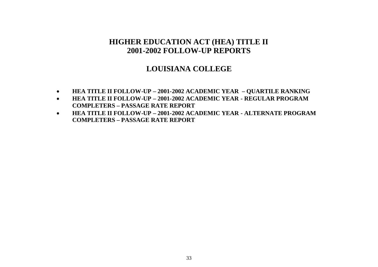# **LOUISIANA COLLEGE**

- **HEA TITLE II FOLLOW-UP – 2001-2002 ACADEMIC YEAR – QUARTILE RANKING**
- **HEA TITLE II FOLLOW-UP – 2001-2002 ACADEMIC YEAR - REGULAR PROGRAM COMPLETERS – PASSAGE RATE REPORT**
- **HEA TITLE II FOLLOW-UP – 2001-2002 ACADEMIC YEAR - ALTERNATE PROGRAM COMPLETERS – PASSAGE RATE REPORT**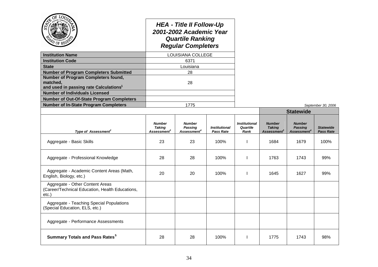| OF                                                                                                    |                                                           |                                                                                                                    |                                          |                                          |                                                   |                                                            |                                      |
|-------------------------------------------------------------------------------------------------------|-----------------------------------------------------------|--------------------------------------------------------------------------------------------------------------------|------------------------------------------|------------------------------------------|---------------------------------------------------|------------------------------------------------------------|--------------------------------------|
|                                                                                                       |                                                           | <b>HEA - Title II Follow-Up</b><br>2001-2002 Academic Year<br><b>Quartile Ranking</b><br><b>Regular Completers</b> |                                          |                                          |                                                   |                                                            |                                      |
| <b>Institution Name</b>                                                                               |                                                           | LOUISIANA COLLEGE                                                                                                  |                                          |                                          |                                                   |                                                            |                                      |
| <b>Institution Code</b>                                                                               |                                                           | 6371                                                                                                               |                                          |                                          |                                                   |                                                            |                                      |
| <b>State</b>                                                                                          |                                                           | Louisiana                                                                                                          |                                          |                                          |                                                   |                                                            |                                      |
| <b>Number of Program Completers Submitted</b>                                                         |                                                           | 28                                                                                                                 |                                          |                                          |                                                   |                                                            |                                      |
| Number of Program Completers found,<br>matched,<br>and used in passing rate Calculations <sup>1</sup> |                                                           | 28                                                                                                                 |                                          |                                          |                                                   |                                                            |                                      |
| <b>Number of Individuals Licensed</b>                                                                 |                                                           |                                                                                                                    |                                          |                                          |                                                   |                                                            |                                      |
| <b>Number of Out-Of-State Program Completers</b>                                                      |                                                           |                                                                                                                    |                                          |                                          |                                                   |                                                            |                                      |
| <b>Number of In-State Program Completers</b>                                                          | 1775                                                      |                                                                                                                    |                                          |                                          |                                                   |                                                            | September 30, 2006                   |
|                                                                                                       |                                                           |                                                                                                                    |                                          |                                          | <b>Statewide</b>                                  |                                                            |                                      |
| Type of Assessment <sup>2</sup>                                                                       | <b>Number</b><br><b>Taking</b><br>Assessment <sup>3</sup> | <b>Number</b><br>Passing<br>Assessment <sup>4</sup>                                                                | <b>Institutional</b><br><b>Pass Rate</b> | <b>Institutional</b><br>Quartile<br>Rank | <b>Number</b><br><b>Taking</b><br>Assessment $^3$ | <b>Number</b><br><b>Passing</b><br>Assessment <sup>4</sup> | <b>Statewide</b><br><b>Pass Rate</b> |
| Aggregate - Basic Skills                                                                              | 23                                                        | 23                                                                                                                 | 100%                                     | ı                                        | 1684                                              | 1679                                                       | 100%                                 |
| Aggregate - Professional Knowledge                                                                    | 28                                                        | 28                                                                                                                 | 100%                                     | ı                                        | 1763                                              | 1743                                                       | 99%                                  |
| Aggregate - Academic Content Areas (Math,<br>English, Biology, etc.)                                  | 20                                                        | 20                                                                                                                 | 100%                                     | ı                                        | 1645                                              | 1627                                                       | 99%                                  |
| Aggregate - Other Content Areas<br>(Career/Technical Education, Health Educations,<br>etc.)           |                                                           |                                                                                                                    |                                          |                                          |                                                   |                                                            |                                      |
| Aggregate - Teaching Special Populations<br>(Special Education, ELS, etc.)                            |                                                           |                                                                                                                    |                                          |                                          |                                                   |                                                            |                                      |
| Aggregate - Performance Assessments                                                                   |                                                           |                                                                                                                    |                                          |                                          |                                                   |                                                            |                                      |
| <b>Summary Totals and Pass Rates<sup>5</sup></b>                                                      | 28                                                        | 28                                                                                                                 | 100%                                     | $\mathbf{I}$                             | 1775                                              | 1743                                                       | 98%                                  |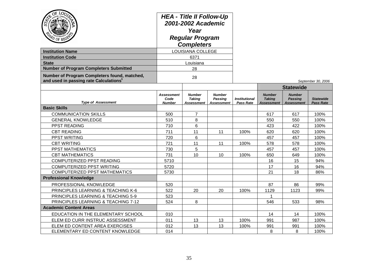| OF LOO<br>PD OF RES<br><b>Institution Name</b><br><b>Institution Code</b><br><b>State</b><br><b>Number of Program Completers Submitted</b> | <b>HEA - Title II Follow-Up</b><br>2001-2002 Academic<br>Year<br><b>Regular Program</b><br><b>Completers</b><br>LOUISIANA COLLEGE<br>6371<br>Louisiana<br>28 |                                              |                                               |                                   |                                                     |                                                                          |                                      |
|--------------------------------------------------------------------------------------------------------------------------------------------|--------------------------------------------------------------------------------------------------------------------------------------------------------------|----------------------------------------------|-----------------------------------------------|-----------------------------------|-----------------------------------------------------|--------------------------------------------------------------------------|--------------------------------------|
| Number of Program Completers found, matched,                                                                                               | 28                                                                                                                                                           |                                              |                                               |                                   |                                                     |                                                                          |                                      |
| and used in passing rate Calculations <sup>1</sup>                                                                                         |                                                                                                                                                              |                                              |                                               |                                   |                                                     |                                                                          | September 30, 2006                   |
| <b>Type of Assessment</b>                                                                                                                  | <b>Assessment</b><br>Code<br><b>Number</b>                                                                                                                   | <b>Number</b><br><b>Taking</b><br>Assessment | <b>Number</b><br>Passing<br><b>Assessment</b> | <b>Institutional</b><br>Pass Rate | <b>Number</b><br><b>Taking</b><br><b>Assessment</b> | <b>Statewide</b><br><b>Number</b><br><b>Passing</b><br><b>Assessment</b> | <b>Statewide</b><br><b>Pass Rate</b> |
| <b>Basic Skills</b>                                                                                                                        |                                                                                                                                                              |                                              |                                               |                                   |                                                     |                                                                          |                                      |
| <b>COMMUNICATION SKILLS</b>                                                                                                                | 500                                                                                                                                                          | $\overline{7}$                               |                                               |                                   | 617                                                 | 617                                                                      | 100%                                 |
| <b>GENERAL KNOWLEDGE</b>                                                                                                                   | 510                                                                                                                                                          | 8                                            |                                               |                                   | 550                                                 | 550                                                                      | 100%                                 |
| PPST READING                                                                                                                               | 710                                                                                                                                                          | 6                                            |                                               |                                   | 423                                                 | 422                                                                      | 100%                                 |
| <b>CBT READING</b>                                                                                                                         | 711                                                                                                                                                          | 11                                           | 11                                            | 100%                              | 620                                                 | 620                                                                      | 100%                                 |
| PPST WRITING                                                                                                                               | 720                                                                                                                                                          | 6                                            |                                               |                                   | 457                                                 | 457                                                                      | 100%                                 |
| <b>CBT WRITING</b>                                                                                                                         | 721                                                                                                                                                          | 11                                           | 11                                            | 100%                              | 578                                                 | 578                                                                      | 100%                                 |
| PPST MATHEMATICS                                                                                                                           | 730                                                                                                                                                          | 5                                            |                                               |                                   | 457                                                 | 457                                                                      | 100%                                 |
| <b>CBT MATHEMATICS</b>                                                                                                                     | 731                                                                                                                                                          | 10                                           | 10                                            | 100%                              | 650                                                 | 649                                                                      | 100%                                 |
| COMPUTERIZED PPST READING                                                                                                                  | 5710                                                                                                                                                         |                                              |                                               |                                   | 16                                                  | 15                                                                       | 94%                                  |
| COMPUTERIZED PPST WRITING                                                                                                                  | 5720                                                                                                                                                         |                                              |                                               |                                   | 17                                                  | 16                                                                       | 94%                                  |
| <b>COMPUTERIZED PPST MATHEMATICS</b>                                                                                                       | 5730                                                                                                                                                         |                                              |                                               |                                   | 21                                                  | 18                                                                       | 86%                                  |
| <b>Professional Knowledge</b>                                                                                                              |                                                                                                                                                              |                                              |                                               |                                   |                                                     |                                                                          |                                      |
| PROFESSIONAL KNOWLEDGE                                                                                                                     | 520                                                                                                                                                          |                                              |                                               |                                   | 87                                                  | 86                                                                       | 99%                                  |
| PRINCIPLES LEARNING & TEACHING K-6                                                                                                         | 522                                                                                                                                                          | 20                                           | 20                                            | 100%                              | 1129                                                | 1123                                                                     | 99%                                  |
| PRINCIPLES LEARNING & TEACHING 5-9                                                                                                         | 523                                                                                                                                                          |                                              |                                               |                                   | 1                                                   |                                                                          |                                      |
| PRINCIPLES LEARNING & TEACHING 7-12                                                                                                        | 524                                                                                                                                                          | 8                                            |                                               |                                   | 546                                                 | 533                                                                      | 98%                                  |
| <b>Academic Content Areas</b>                                                                                                              |                                                                                                                                                              |                                              |                                               |                                   |                                                     |                                                                          |                                      |
| EDUCATION IN THE ELEMENTARY SCHOOL                                                                                                         | 010                                                                                                                                                          |                                              |                                               |                                   | 14                                                  | 14                                                                       | 100%                                 |
| ELEM ED CURR INSTRUC ASSESSMENT                                                                                                            | 011                                                                                                                                                          | 13                                           | 13                                            | 100%                              | 991                                                 | 987                                                                      | 100%                                 |
| ELEM ED CONTENT AREA EXERCISES                                                                                                             | 012                                                                                                                                                          | 13                                           | 13                                            | 100%                              | 991                                                 | 991                                                                      | 100%                                 |
| ELEMENTARY ED CONTENT KNOWLEDGE                                                                                                            | 014                                                                                                                                                          |                                              |                                               |                                   | 8                                                   | 8                                                                        | 100%                                 |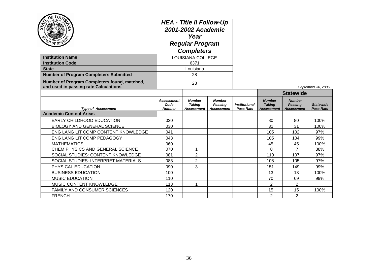| OF TOO.<br><b>Institution Name</b><br><b>Institution Code</b>                                      |                                     | <b>HEA - Title II Follow-Up</b><br>2001-2002 Academic<br>Year<br><b>Regular Program</b><br><b>Completers</b><br>LOUISIANA COLLEGE<br>6371 |                                                      |                                          |                                              |                                                      |                                      |
|----------------------------------------------------------------------------------------------------|-------------------------------------|-------------------------------------------------------------------------------------------------------------------------------------------|------------------------------------------------------|------------------------------------------|----------------------------------------------|------------------------------------------------------|--------------------------------------|
| <b>State</b>                                                                                       |                                     | Louisiana                                                                                                                                 |                                                      |                                          |                                              |                                                      |                                      |
| <b>Number of Program Completers Submitted</b>                                                      | 28                                  |                                                                                                                                           |                                                      |                                          |                                              |                                                      |                                      |
| Number of Program Completers found, matched,<br>and used in passing rate Calculations <sup>1</sup> | 28                                  |                                                                                                                                           |                                                      |                                          |                                              |                                                      | September 30, 2006                   |
|                                                                                                    |                                     |                                                                                                                                           |                                                      |                                          | <b>Statewide</b>                             |                                                      |                                      |
| <b>Type of Assessment</b>                                                                          | Assessment<br>Code<br><b>Number</b> | <b>Number</b><br><b>Taking</b><br>Assessment                                                                                              | <b>Number</b><br><b>Passing</b><br><b>Assessment</b> | <b>Institutional</b><br><b>Pass Rate</b> | <b>Number</b><br><b>Taking</b><br>Assessment | <b>Number</b><br><b>Passing</b><br><b>Assessment</b> | <b>Statewide</b><br><b>Pass Rate</b> |
| <b>Academic Content Areas</b>                                                                      |                                     |                                                                                                                                           |                                                      |                                          |                                              |                                                      |                                      |
| EARLY CHILDHOOD EDUCATION                                                                          | 020                                 |                                                                                                                                           |                                                      |                                          | 80                                           | 80                                                   | 100%                                 |
| <b>BIOLOGY AND GENERAL SCIENCE</b>                                                                 | 030                                 |                                                                                                                                           |                                                      |                                          | 31                                           | 31                                                   | 100%                                 |
| ENG LANG LIT COMP CONTENT KNOWLEDGE                                                                | 041                                 |                                                                                                                                           |                                                      |                                          | 105                                          | 102                                                  | 97%                                  |
| ENG LANG LIT COMP PEDAGOGY                                                                         | 043                                 |                                                                                                                                           |                                                      |                                          | 105                                          | 104                                                  | 99%                                  |
| <b>MATHEMATICS</b>                                                                                 | 060                                 |                                                                                                                                           |                                                      |                                          | 45                                           | 45                                                   | 100%                                 |
| CHEM PHYSICS AND GENERAL SCIENCE                                                                   | 070                                 | 1                                                                                                                                         |                                                      |                                          | 8                                            | $\overline{7}$                                       | 88%                                  |
| SOCIAL STUDIES: CONTENT KNOWLEDGE                                                                  | 081                                 | $\overline{c}$                                                                                                                            |                                                      |                                          | 110                                          | 107                                                  | 97%                                  |
| SOCIAL STUDIES: INTERPRET MATERIALS                                                                | 083                                 | $\overline{2}$                                                                                                                            |                                                      |                                          | 108                                          | 105                                                  | 97%                                  |
| PHYSICAL EDUCATION                                                                                 | 090                                 | 3                                                                                                                                         |                                                      |                                          | 151                                          | 149                                                  | 99%                                  |
| <b>BUSINESS EDUCATION</b>                                                                          | 100                                 |                                                                                                                                           |                                                      |                                          | 13                                           | 13                                                   | 100%                                 |
| <b>MUSIC EDUCATION</b>                                                                             | 110                                 |                                                                                                                                           |                                                      |                                          | 70                                           | 69                                                   | 99%                                  |
| MUSIC CONTENT KNOWLEDGE                                                                            | 113                                 | 1                                                                                                                                         |                                                      |                                          | $\overline{2}$                               | $\overline{2}$                                       |                                      |
| FAMILY AND CONSUMER SCIENCES                                                                       | 120                                 |                                                                                                                                           |                                                      |                                          | 15                                           | 15                                                   | 100%                                 |
| <b>FRENCH</b>                                                                                      | 170                                 |                                                                                                                                           |                                                      |                                          | $\overline{2}$                               | $\overline{2}$                                       |                                      |

- 24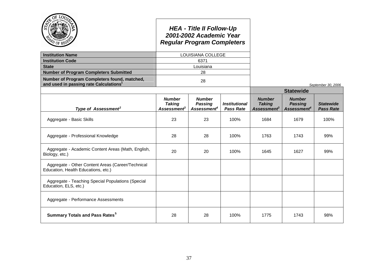|                                                                                                    |                                                           | <b>HEA - Title II Follow-Up</b><br>2001-2002 Academic Year<br><b>Regular Program Completers</b> |                                          |                                                                  |                                                            |                                      |
|----------------------------------------------------------------------------------------------------|-----------------------------------------------------------|-------------------------------------------------------------------------------------------------|------------------------------------------|------------------------------------------------------------------|------------------------------------------------------------|--------------------------------------|
| <b>Institution Name</b>                                                                            |                                                           | LOUISIANA COLLEGE                                                                               |                                          |                                                                  |                                                            |                                      |
| <b>Institution Code</b>                                                                            |                                                           | 6371                                                                                            |                                          |                                                                  |                                                            |                                      |
| <b>State</b>                                                                                       |                                                           | Louisiana                                                                                       |                                          |                                                                  |                                                            |                                      |
| <b>Number of Program Completers Submitted</b>                                                      |                                                           | 28                                                                                              |                                          |                                                                  |                                                            |                                      |
| Number of Program Completers found, matched,<br>and used in passing rate Calculations <sup>1</sup> |                                                           | 28                                                                                              |                                          |                                                                  |                                                            | September 30, 2006                   |
|                                                                                                    |                                                           |                                                                                                 |                                          |                                                                  | <b>Statewide</b>                                           |                                      |
| Type of Assessment <sup>2</sup>                                                                    | <b>Number</b><br><b>Taking</b><br>Assessment <sup>3</sup> | <b>Number</b><br><b>Passing</b><br>Assessment <sup>4</sup>                                      | <b>Institutional</b><br><b>Pass Rate</b> | <b>Number</b><br><b>Taking</b><br><b>Assessment</b> <sup>3</sup> | <b>Number</b><br><b>Passing</b><br>Assessment <sup>4</sup> | <b>Statewide</b><br><b>Pass Rate</b> |
| Aggregate - Basic Skills                                                                           | 23                                                        | 23                                                                                              | 100%                                     | 1684                                                             | 1679                                                       | 100%                                 |
| Aggregate - Professional Knowledge                                                                 | 28                                                        | 28                                                                                              | 100%                                     | 1763                                                             | 1743                                                       | 99%                                  |
| Aggregate - Academic Content Areas (Math, English,<br>Biology, etc.)                               | 20                                                        | 20                                                                                              | 100%                                     | 1645                                                             | 1627                                                       | 99%                                  |
| Aggregate - Other Content Areas (Career/Technical<br>Education, Health Educations, etc.)           |                                                           |                                                                                                 |                                          |                                                                  |                                                            |                                      |
| Aggregate - Teaching Special Populations (Special<br>Education, ELS, etc.)                         |                                                           |                                                                                                 |                                          |                                                                  |                                                            |                                      |
| Aggregate - Performance Assessments                                                                |                                                           |                                                                                                 |                                          |                                                                  |                                                            |                                      |
| <b>Summary Totals and Pass Rates<sup>5</sup></b>                                                   | 28                                                        | 28                                                                                              | 100%                                     | 1775                                                             | 1743                                                       | 98%                                  |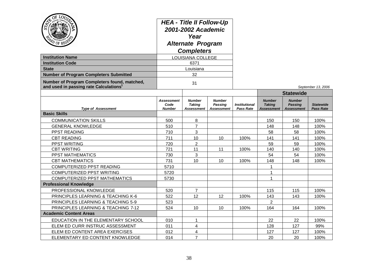| OĘ<br>OF<br><b>Institution Name</b><br><b>Institution Code</b><br><b>State</b> | <b>HEA - Title II Follow-Up</b><br>2001-2002 Academic<br>Year<br><b>Alternate Program</b><br><b>Completers</b><br>LOUISIANA COLLEGE<br>6371<br>Louisiana |                                              |                                                      |                                   |                                                     |                                                      |                                      |
|--------------------------------------------------------------------------------|----------------------------------------------------------------------------------------------------------------------------------------------------------|----------------------------------------------|------------------------------------------------------|-----------------------------------|-----------------------------------------------------|------------------------------------------------------|--------------------------------------|
| <b>Number of Program Completers Submitted</b>                                  |                                                                                                                                                          | 32                                           |                                                      |                                   |                                                     |                                                      |                                      |
| Number of Program Completers found, matched,                                   | 31                                                                                                                                                       |                                              |                                                      |                                   |                                                     |                                                      |                                      |
| and used in passing rate Calculations <sup>1</sup>                             |                                                                                                                                                          |                                              |                                                      |                                   |                                                     | <b>Statewide</b>                                     | September 13, 2006                   |
| <b>Type of Assessment</b>                                                      | <b>Assessment</b><br>Code<br><b>Number</b>                                                                                                               | <b>Number</b><br><b>Taking</b><br>Assessment | <b>Number</b><br><b>Passing</b><br><b>Assessment</b> | <b>Institutional</b><br>Pass Rate | <b>Number</b><br><b>Taking</b><br><b>Assessment</b> | <b>Number</b><br><b>Passing</b><br><b>Assessment</b> | <b>Statewide</b><br><b>Pass Rate</b> |
| <b>Basic Skills</b>                                                            |                                                                                                                                                          |                                              |                                                      |                                   |                                                     |                                                      |                                      |
| <b>COMMUNICATION SKILLS</b>                                                    | 500                                                                                                                                                      | 8                                            |                                                      |                                   | 150                                                 | 150                                                  | 100%                                 |
| <b>GENERAL KNOWLEDGE</b>                                                       | 510                                                                                                                                                      | $\overline{7}$                               |                                                      |                                   | 148                                                 | 148                                                  | 100%                                 |
| PPST READING                                                                   | 710                                                                                                                                                      | 3                                            |                                                      |                                   | 58                                                  | 58                                                   | 100%                                 |
| <b>CBT READING</b>                                                             | 711                                                                                                                                                      | 10                                           | 10                                                   | 100%                              | 141                                                 | 141                                                  | 100%                                 |
| PPST WRITING                                                                   | 720                                                                                                                                                      | $\overline{2}$                               |                                                      |                                   | 59                                                  | 59                                                   | 100%                                 |
| <b>CBT WRITING</b>                                                             | 721                                                                                                                                                      | 11                                           | 11                                                   | 100%                              | 140                                                 | 140                                                  | 100%                                 |
| PPST MATHEMATICS                                                               | 730                                                                                                                                                      | 3                                            |                                                      |                                   | 54                                                  | 54                                                   | 100%                                 |
| <b>CBT MATHEMATICS</b>                                                         | 731                                                                                                                                                      | 10                                           | 10                                                   | 100%                              | 148                                                 | 148                                                  | 100%                                 |
| COMPUTERIZED PPST READING                                                      | 5710                                                                                                                                                     |                                              |                                                      |                                   | -1                                                  |                                                      |                                      |
| COMPUTERIZED PPST WRITING                                                      | 5720                                                                                                                                                     |                                              |                                                      |                                   | 1                                                   |                                                      |                                      |
| <b>COMPUTERIZED PPST MATHEMATICS</b>                                           | 5730                                                                                                                                                     |                                              |                                                      |                                   | $\overline{1}$                                      |                                                      |                                      |
| <b>Professional Knowledge</b>                                                  |                                                                                                                                                          |                                              |                                                      |                                   |                                                     |                                                      |                                      |
| PROFESSIONAL KNOWLEDGE                                                         | 520                                                                                                                                                      | $\overline{7}$                               |                                                      |                                   | 115                                                 | 115                                                  | 100%                                 |
| PRINCIPLES LEARNING & TEACHING K-6                                             | 522                                                                                                                                                      | 12                                           | 12                                                   | 100%                              | 143                                                 | 143                                                  | 100%                                 |
| PRINCIPLES LEARNING & TEACHING 5-9                                             | 523                                                                                                                                                      |                                              |                                                      |                                   | $\overline{2}$                                      |                                                      |                                      |
| PRINCIPLES LEARNING & TEACHING 7-12                                            | 524                                                                                                                                                      | 10                                           | 10                                                   | 100%                              | 164                                                 | 164                                                  | 100%                                 |
| <b>Academic Content Areas</b>                                                  |                                                                                                                                                          |                                              |                                                      |                                   |                                                     |                                                      |                                      |
| EDUCATION IN THE ELEMENTARY SCHOOL                                             | 010                                                                                                                                                      | 1                                            |                                                      |                                   | 22                                                  | 22                                                   | 100%                                 |
| ELEM ED CURR INSTRUC ASSESSMENT                                                | 011                                                                                                                                                      | 4                                            |                                                      |                                   | 128                                                 | 127                                                  | 99%                                  |
| ELEM ED CONTENT AREA EXERCISES                                                 | 012                                                                                                                                                      | 4                                            |                                                      |                                   | 127                                                 | 127                                                  | 100%                                 |
| ELEMENTARY ED CONTENT KNOWLEDGE                                                | 014                                                                                                                                                      | $\overline{7}$                               |                                                      |                                   | 20                                                  | 20                                                   | 100%                                 |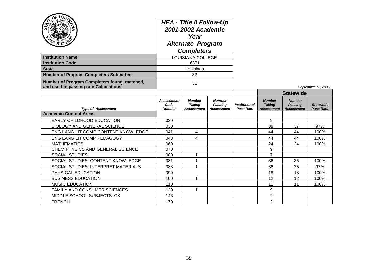| $^{20}$ of reg<br><b>Institution Name</b><br><b>Institution Code</b><br><b>State</b>               | <b>HEA - Title II Follow-Up</b><br>2001-2002 Academic<br>Year<br><b>Alternate Program</b><br><b>Completers</b><br>LOUISIANA COLLEGE<br>6371<br>Louisiana |                                              |                                               |                                          |                                              |                                                      |                                      |  |
|----------------------------------------------------------------------------------------------------|----------------------------------------------------------------------------------------------------------------------------------------------------------|----------------------------------------------|-----------------------------------------------|------------------------------------------|----------------------------------------------|------------------------------------------------------|--------------------------------------|--|
| <b>Number of Program Completers Submitted</b>                                                      | 32                                                                                                                                                       |                                              |                                               |                                          |                                              |                                                      |                                      |  |
| Number of Program Completers found, matched,<br>and used in passing rate Calculations <sup>1</sup> | 31                                                                                                                                                       |                                              |                                               |                                          |                                              |                                                      | September 13, 2006                   |  |
|                                                                                                    |                                                                                                                                                          |                                              |                                               |                                          |                                              | <b>Statewide</b>                                     |                                      |  |
| <b>Type of Assessment</b>                                                                          | Assessment<br>Code<br><b>Number</b>                                                                                                                      | <b>Number</b><br><b>Taking</b><br>Assessment | <b>Number</b><br>Passing<br><b>Assessment</b> | <b>Institutional</b><br><b>Pass Rate</b> | <b>Number</b><br><b>Taking</b><br>Assessment | <b>Number</b><br><b>Passing</b><br><b>Assessment</b> | <b>Statewide</b><br><b>Pass Rate</b> |  |
| <b>Academic Content Areas</b>                                                                      |                                                                                                                                                          |                                              |                                               |                                          |                                              |                                                      |                                      |  |
| EARLY CHILDHOOD EDUCATION                                                                          | 020                                                                                                                                                      |                                              |                                               |                                          | 9                                            |                                                      |                                      |  |
| <b>BIOLOGY AND GENERAL SCIENCE</b>                                                                 | 030                                                                                                                                                      |                                              |                                               |                                          | 38                                           | 37                                                   | 97%                                  |  |
| ENG LANG LIT COMP CONTENT KNOWLEDGE                                                                | 041                                                                                                                                                      | 4                                            |                                               |                                          | 44                                           | 44                                                   | 100%                                 |  |
| ENG LANG LIT COMP PEDAGOGY                                                                         | 043                                                                                                                                                      | 4                                            |                                               |                                          | 44                                           | 44                                                   | 100%                                 |  |
| <b>MATHEMATICS</b>                                                                                 | 060                                                                                                                                                      |                                              |                                               |                                          | 24                                           | 24                                                   | 100%                                 |  |
| CHEM PHYSICS AND GENERAL SCIENCE                                                                   | 070                                                                                                                                                      |                                              |                                               |                                          | 9                                            |                                                      |                                      |  |
| SOCIAL STUDIES                                                                                     | 080                                                                                                                                                      | 1                                            |                                               |                                          | $\overline{7}$                               |                                                      |                                      |  |
| SOCIAL STUDIES: CONTENT KNOWLEDGE                                                                  | 081                                                                                                                                                      | 1                                            |                                               |                                          | 36                                           | 36                                                   | 100%                                 |  |
| SOCIAL STUDIES: INTERPRET MATERIALS                                                                | 083                                                                                                                                                      | 1                                            |                                               |                                          | 36                                           | 35                                                   | 97%                                  |  |
| PHYSICAL EDUCATION                                                                                 | 090                                                                                                                                                      |                                              |                                               |                                          | 18                                           | 18                                                   | 100%                                 |  |
| <b>BUSINESS EDUCATION</b>                                                                          | 100                                                                                                                                                      | 1                                            |                                               |                                          | 12                                           | 12                                                   | 100%                                 |  |
| <b>MUSIC EDUCATION</b>                                                                             | 110                                                                                                                                                      |                                              |                                               |                                          | 11                                           | 11                                                   | 100%                                 |  |
| <b>FAMILY AND CONSUMER SCIENCES</b>                                                                | 120                                                                                                                                                      | 1                                            |                                               |                                          | 9                                            |                                                      |                                      |  |
| MIDDLE SCHOOL SUBJECTS: CK                                                                         | 146                                                                                                                                                      |                                              |                                               |                                          | $\overline{2}$                               |                                                      |                                      |  |
| <b>FRENCH</b>                                                                                      | 170                                                                                                                                                      |                                              |                                               |                                          | $\overline{2}$                               |                                                      |                                      |  |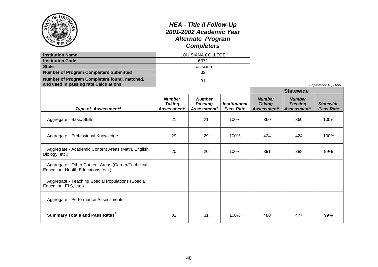|                                                                                                    | <b>HEA - Title II Follow-Up</b><br>2001-2002 Academic Year<br><b>Alternate Program</b><br><b>Completers</b><br>LOUISIANA COLLEGE |                                                            |                                          |                                                           |                                                            |                                      |
|----------------------------------------------------------------------------------------------------|----------------------------------------------------------------------------------------------------------------------------------|------------------------------------------------------------|------------------------------------------|-----------------------------------------------------------|------------------------------------------------------------|--------------------------------------|
| <b>Institution Name</b>                                                                            |                                                                                                                                  |                                                            |                                          |                                                           |                                                            |                                      |
| <b>Institution Code</b>                                                                            | 6371                                                                                                                             |                                                            |                                          |                                                           |                                                            |                                      |
| <b>State</b>                                                                                       |                                                                                                                                  | Louisiana                                                  |                                          |                                                           |                                                            |                                      |
| <b>Number of Program Completers Submitted</b>                                                      |                                                                                                                                  | 32                                                         |                                          |                                                           |                                                            |                                      |
| Number of Program Completers found, matched,<br>and used in passing rate Calculations <sup>1</sup> | 31                                                                                                                               |                                                            |                                          |                                                           |                                                            | September 13, 2006                   |
|                                                                                                    |                                                                                                                                  |                                                            |                                          |                                                           | <b>Statewide</b>                                           |                                      |
| Type of Assessment <sup>2</sup>                                                                    | <b>Number</b><br><b>Taking</b><br>Assessment <sup>3</sup>                                                                        | <b>Number</b><br><b>Passing</b><br>Assessment <sup>4</sup> | <b>Institutional</b><br><b>Pass Rate</b> | <b>Number</b><br><b>Taking</b><br>Assessment <sup>3</sup> | <b>Number</b><br><b>Passing</b><br>Assessment <sup>4</sup> | <b>Statewide</b><br><b>Pass Rate</b> |
| Aggregate - Basic Skills                                                                           | 21                                                                                                                               | 21                                                         | 100%                                     | 360                                                       | 360                                                        | 100%                                 |
| Aggregate - Professional Knowledge                                                                 | 29                                                                                                                               | 29                                                         | 100%                                     | 424                                                       | 424                                                        | 100%                                 |
| Aggregate - Academic Content Areas (Math, English,<br>Biology, etc.)                               | 20                                                                                                                               | 20                                                         | 100%                                     | 391                                                       | 388                                                        | 99%                                  |
| Aggregate - Other Content Areas (Career/Technical<br>Education, Health Educations, etc.)           |                                                                                                                                  |                                                            |                                          |                                                           |                                                            |                                      |
| Aggregate - Teaching Special Populations (Special<br>Education, ELS, etc.)                         |                                                                                                                                  |                                                            |                                          |                                                           |                                                            |                                      |
| Aggregate - Performance Assessments                                                                |                                                                                                                                  |                                                            |                                          |                                                           |                                                            |                                      |
| <b>Summary Totals and Pass Rates<sup>5</sup></b>                                                   | 31                                                                                                                               | 31                                                         | 100%                                     | 480                                                       | 477                                                        | 99%                                  |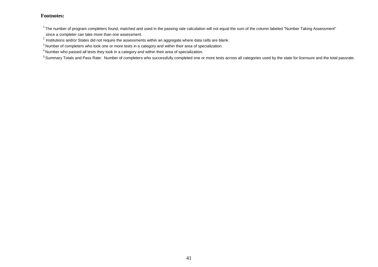$1$ The number of program completers found, matched and used in the passing rate calculation will not equal the sum of the column labeled "Number Taking Assessment" since a completer can take more than one assessment.

 $^{2}$  Institutions and/or States did not require the assessments within an aggregate where data cells are blank.

<sup>&</sup>lt;sup>3</sup> Number of completers who took one or more tests in a category and within their area of specialization.

<sup>4</sup> Number who passed all tests they took in a category and within their area of specialization.

<sup>&</sup>lt;sup>5</sup> Summary Totals and Pass Rate: Number of completers who successfully completed one or more tests across all categories used by the state for licensure and the total passrate.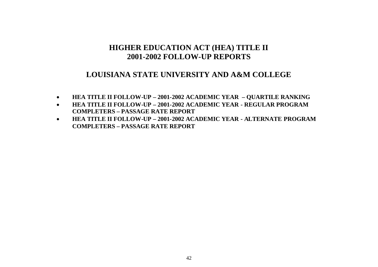### **LOUISIANA STATE UNIVERSITY AND A&M COLLEGE**

- **HEA TITLE II FOLLOW-UP – 2001-2002 ACADEMIC YEAR – QUARTILE RANKING**
- **HEA TITLE II FOLLOW-UP – 2001-2002 ACADEMIC YEAR - REGULAR PROGRAM COMPLETERS – PASSAGE RATE REPORT**
- **HEA TITLE II FOLLOW-UP – 2001-2002 ACADEMIC YEAR - ALTERNATE PROGRAM COMPLETERS – PASSAGE RATE REPORT**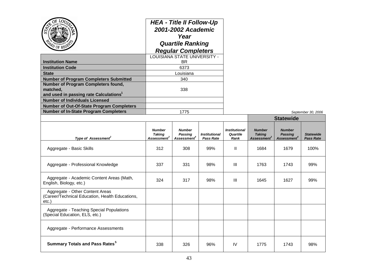|                                                    | <b>HEA - Title II Follow-Up</b><br>2001-2002 Academic<br>Year<br><b>Quartile Ranking</b><br><b>Regular Completers</b> |                    |
|----------------------------------------------------|-----------------------------------------------------------------------------------------------------------------------|--------------------|
|                                                    | LOUISIANA STATE UNIVERSITY -                                                                                          |                    |
| <b>Institution Name</b>                            | BR.                                                                                                                   |                    |
| <b>Institution Code</b>                            | 6373                                                                                                                  |                    |
| <b>State</b>                                       | Louisiana                                                                                                             |                    |
| <b>Number of Program Completers Submitted</b>      | 340                                                                                                                   |                    |
| Number of Program Completers found,                |                                                                                                                       |                    |
| matched,                                           | 338                                                                                                                   |                    |
| and used in passing rate Calculations <sup>1</sup> |                                                                                                                       |                    |
| <b>Number of Individuals Licensed</b>              |                                                                                                                       |                    |
| <b>Number of Out-Of-State Program Completers</b>   |                                                                                                                       |                    |
| <b>Number of In-State Program Completers</b>       | 1775                                                                                                                  | September 30, 2006 |

|                                                                                                |                                                           |                                                            |                                          |                                          | <b>Statewide</b>                                    |                                                            |                                      |  |
|------------------------------------------------------------------------------------------------|-----------------------------------------------------------|------------------------------------------------------------|------------------------------------------|------------------------------------------|-----------------------------------------------------|------------------------------------------------------------|--------------------------------------|--|
| Type of Assessment <sup>2</sup>                                                                | <b>Number</b><br><b>Taking</b><br>Assessment <sup>3</sup> | <b>Number</b><br><b>Passing</b><br>Assessment <sup>4</sup> | <b>Institutional</b><br><b>Pass Rate</b> | <b>Institutional</b><br>Quartile<br>Rank | <b>Number</b><br><b>Taking</b><br><b>Assessment</b> | <b>Number</b><br><b>Passing</b><br>Assessment <sup>4</sup> | <b>Statewide</b><br><b>Pass Rate</b> |  |
| Aggregate - Basic Skills                                                                       | 312                                                       | 308                                                        | 99%                                      | $\mathbf{H}$                             | 1684                                                | 1679                                                       | 100%                                 |  |
| Aggregate - Professional Knowledge                                                             | 337                                                       | 331                                                        | 98%                                      | Ш                                        | 1763                                                | 1743                                                       | 99%                                  |  |
| Aggregate - Academic Content Areas (Math,<br>English, Biology, etc.)                           | 324                                                       | 317                                                        | 98%                                      | Ш                                        | 1645                                                | 1627                                                       | 99%                                  |  |
| Aggregate - Other Content Areas<br>(Career/Technical Education, Health Educations,<br>$etc.$ ) |                                                           |                                                            |                                          |                                          |                                                     |                                                            |                                      |  |
| Aggregate - Teaching Special Populations<br>(Special Education, ELS, etc.)                     |                                                           |                                                            |                                          |                                          |                                                     |                                                            |                                      |  |
| Aggregate - Performance Assessments                                                            |                                                           |                                                            |                                          |                                          |                                                     |                                                            |                                      |  |
| <b>Summary Totals and Pass Rates</b> <sup>5</sup>                                              | 338                                                       | 326                                                        | 96%                                      | <b>IV</b>                                | 1775                                                | 1743                                                       | 98%                                  |  |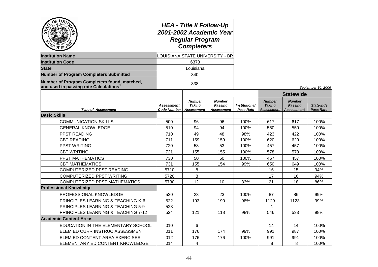| ОĘ<br><b>LOU</b><br>PO OF REG                                                         | <b>HEA - Title II Follow-Up</b><br>2001-2002 Academic Year<br><b>Regular Program</b><br><b>Completers</b><br><b>LOUISIANA STATE UNIVERSITY - BR</b> |                                              |                                        |                                          |                                              |                                                      |                                      |  |
|---------------------------------------------------------------------------------------|-----------------------------------------------------------------------------------------------------------------------------------------------------|----------------------------------------------|----------------------------------------|------------------------------------------|----------------------------------------------|------------------------------------------------------|--------------------------------------|--|
| <b>Institution Name</b>                                                               |                                                                                                                                                     |                                              |                                        |                                          |                                              |                                                      |                                      |  |
| <b>Institution Code</b>                                                               | 6373                                                                                                                                                |                                              |                                        |                                          |                                              |                                                      |                                      |  |
| <b>State</b>                                                                          |                                                                                                                                                     | Louisiana                                    |                                        |                                          |                                              |                                                      |                                      |  |
| <b>Number of Program Completers Submitted</b>                                         |                                                                                                                                                     | 340                                          |                                        |                                          |                                              |                                                      |                                      |  |
| Number of Program Completers found, matched,<br>and used in passing rate Calculations |                                                                                                                                                     | 338                                          |                                        |                                          |                                              |                                                      | September 30, 2006                   |  |
|                                                                                       |                                                                                                                                                     |                                              |                                        |                                          | <b>Statewide</b>                             |                                                      |                                      |  |
| <b>Type of Assessment</b>                                                             | <b>Assessment</b><br><b>Code Number</b>                                                                                                             | <b>Number</b><br><b>Taking</b><br>Assessment | <b>Number</b><br>Passing<br>Assessment | <b>Institutional</b><br><b>Pass Rate</b> | <b>Number</b><br><b>Taking</b><br>Assessment | <b>Number</b><br><b>Passing</b><br><b>Assessment</b> | <b>Statewide</b><br><b>Pass Rate</b> |  |
| <b>Basic Skills</b>                                                                   |                                                                                                                                                     |                                              |                                        |                                          |                                              |                                                      |                                      |  |
| <b>COMMUNICATION SKILLS</b>                                                           | 500                                                                                                                                                 | 96                                           | 96                                     | 100%                                     | 617                                          | 617                                                  | 100%                                 |  |
| <b>GENERAL KNOWLEDGE</b>                                                              | 510                                                                                                                                                 | 94                                           | 94                                     | 100%                                     | 550                                          | 550                                                  | 100%                                 |  |
| <b>PPST READING</b>                                                                   | 710                                                                                                                                                 | 49                                           | 48                                     | 98%                                      | 423                                          | 422                                                  | 100%                                 |  |
| <b>CBT READING</b>                                                                    | 711                                                                                                                                                 | 159                                          | 159                                    | 100%                                     | 620                                          | 620                                                  | 100%                                 |  |
| <b>PPST WRITING</b>                                                                   | 720                                                                                                                                                 | 53                                           | 53                                     | 100%                                     | 457                                          | 457                                                  | 100%                                 |  |
| <b>CBT WRITING</b>                                                                    | 721                                                                                                                                                 | 155                                          | 155                                    | 100%                                     | 578                                          | 578                                                  | 100%                                 |  |
| <b>PPST MATHEMATICS</b>                                                               | 730                                                                                                                                                 | 50                                           | 50                                     | 100%                                     | 457                                          | 457                                                  | 100%                                 |  |
| <b>CBT MATHEMATICS</b>                                                                | 731                                                                                                                                                 | 155                                          | 154                                    | 99%                                      | 650                                          | 649                                                  | 100%                                 |  |
| COMPUTERIZED PPST READING                                                             | 5710                                                                                                                                                | 8                                            |                                        |                                          | 16                                           | 15                                                   | 94%                                  |  |
| <b>COMPUTERIZED PPST WRITING</b>                                                      | 5720                                                                                                                                                | 8                                            |                                        |                                          | 17                                           | 16                                                   | 94%                                  |  |
| <b>COMPUTERIZED PPST MATHEMATICS</b>                                                  | 5730                                                                                                                                                | 12 <sup>2</sup>                              | 10                                     | 83%                                      | 21                                           | 18                                                   | 86%                                  |  |
| <b>Professional Knowledge</b>                                                         |                                                                                                                                                     |                                              |                                        |                                          |                                              |                                                      |                                      |  |
| PROFESSIONAL KNOWLEDGE                                                                | 520                                                                                                                                                 | 23                                           | 23                                     | 100%                                     | 87                                           | 86                                                   | 99%                                  |  |
| PRINCIPLES LEARNING & TEACHING K-6                                                    | 522                                                                                                                                                 | 193                                          | 190                                    | 98%                                      | 1129                                         | 1123                                                 | 99%                                  |  |
| PRINCIPLES LEARNING & TEACHING 5-9                                                    | 523                                                                                                                                                 |                                              |                                        |                                          | $\mathbf 1$                                  |                                                      |                                      |  |
| <b>PRINCIPLES LEARNING &amp; TEACHING 7-12</b>                                        | 524                                                                                                                                                 | 121                                          | 118                                    | 98%                                      | 546                                          | 533                                                  | 98%                                  |  |
| <b>Academic Content Areas</b>                                                         |                                                                                                                                                     |                                              |                                        |                                          |                                              |                                                      |                                      |  |
| EDUCATION IN THE ELEMENTARY SCHOOL                                                    | 010                                                                                                                                                 | 6                                            |                                        |                                          | 14                                           | 14                                                   | 100%                                 |  |
| ELEM ED CURR INSTRUC ASSESSMENT                                                       | 011                                                                                                                                                 | 176                                          | 174                                    | 99%                                      | 991                                          | 987                                                  | 100%                                 |  |
| ELEM ED CONTENT AREA EXERCISES                                                        | 012                                                                                                                                                 | 176                                          | 176                                    | 100%                                     | 991                                          | 991                                                  | 100%                                 |  |
| ELEMENTARY ED CONTENT KNOWLEDGE                                                       | 014                                                                                                                                                 | 4                                            |                                        |                                          | 8                                            | 8                                                    | 100%                                 |  |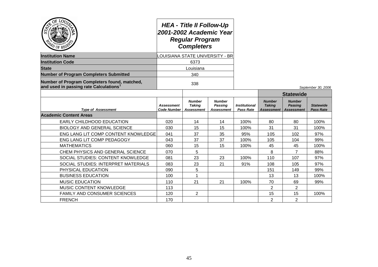| $Q_E$<br>LOU<br>$\overline{O}$ OF REG                                                              | <b>HEA - Title II Follow-Up</b><br>2001-2002 Academic Year<br><b>Regular Program</b><br><b>Completers</b><br>LOUISIANA STATE UNIVERSITY - BR |                                              |                                        |                                          |                                              |                                               |                               |
|----------------------------------------------------------------------------------------------------|----------------------------------------------------------------------------------------------------------------------------------------------|----------------------------------------------|----------------------------------------|------------------------------------------|----------------------------------------------|-----------------------------------------------|-------------------------------|
| <b>Institution Name</b>                                                                            |                                                                                                                                              |                                              |                                        |                                          |                                              |                                               |                               |
| <b>Institution Code</b>                                                                            |                                                                                                                                              | 6373                                         |                                        |                                          |                                              |                                               |                               |
| <b>State</b>                                                                                       |                                                                                                                                              | Louisiana                                    |                                        |                                          |                                              |                                               |                               |
| <b>Number of Program Completers Submitted</b>                                                      | 340                                                                                                                                          |                                              |                                        |                                          |                                              |                                               |                               |
| Number of Program Completers found, matched,<br>and used in passing rate Calculations <sup>1</sup> | 338                                                                                                                                          |                                              |                                        |                                          |                                              |                                               | September 30, 2006            |
|                                                                                                    |                                                                                                                                              |                                              |                                        |                                          |                                              | <b>Statewide</b>                              |                               |
| <b>Type of Assessment</b>                                                                          | <b>Assessment</b><br><b>Code Number</b>                                                                                                      | <b>Number</b><br><b>Taking</b><br>Assessment | <b>Number</b><br>Passing<br>Assessment | <b>Institutional</b><br><b>Pass Rate</b> | <b>Number</b><br><b>Taking</b><br>Assessment | <b>Number</b><br><b>Passing</b><br>Assessment | <b>Statewide</b><br>Pass Rate |
| <b>Academic Content Areas</b>                                                                      |                                                                                                                                              |                                              |                                        |                                          |                                              |                                               |                               |
| EARLY CHILDHOOD EDUCATION                                                                          | 020                                                                                                                                          | 14                                           | 14                                     | 100%                                     | 80                                           | 80                                            | 100%                          |
| <b>BIOLOGY AND GENERAL SCIENCE</b>                                                                 | 030                                                                                                                                          | 15                                           | 15                                     | 100%                                     | 31                                           | 31                                            | 100%                          |
| ENG LANG LIT COMP CONTENT KNOWLEDGE                                                                | 041                                                                                                                                          | 37                                           | 35                                     | 95%                                      | 105                                          | 102                                           | 97%                           |
| ENG LANG LIT COMP PEDAGOGY                                                                         | 043                                                                                                                                          | 37                                           | 37                                     | 100%                                     | 105                                          | 104                                           | 99%                           |
| <b>MATHEMATICS</b>                                                                                 | 060                                                                                                                                          | 15                                           | 15                                     | 100%                                     | 45                                           | 45                                            | 100%                          |
| CHEM PHYSICS AND GENERAL SCIENCE                                                                   | 070                                                                                                                                          | 5                                            |                                        |                                          | 8                                            | 7                                             | 88%                           |
| SOCIAL STUDIES: CONTENT KNOWLEDGE                                                                  | 081                                                                                                                                          | 23                                           | 23                                     | 100%                                     | 110                                          | 107                                           | 97%                           |
| SOCIAL STUDIES: INTERPRET MATERIALS                                                                | 083                                                                                                                                          | 23                                           | 21                                     | 91%                                      | 108                                          | 105                                           | 97%                           |
| PHYSICAL EDUCATION                                                                                 | 090                                                                                                                                          | 5                                            |                                        |                                          | 151                                          | 149                                           | 99%                           |
| <b>BUSINESS EDUCATION</b>                                                                          | 100                                                                                                                                          | 1                                            |                                        |                                          | 13                                           | 13                                            | 100%                          |
| <b>MUSIC EDUCATION</b>                                                                             | 110                                                                                                                                          | 21                                           | 21                                     | 100%                                     | 70                                           | 69                                            | 99%                           |
| MUSIC CONTENT KNOWLEDGE                                                                            | 113                                                                                                                                          |                                              |                                        |                                          | $\overline{2}$                               | $\overline{2}$                                |                               |
| <b>FAMILY AND CONSUMER SCIENCES</b>                                                                | 120                                                                                                                                          | $\overline{2}$                               |                                        |                                          | 15                                           | 15                                            | 100%                          |
| <b>FRENCH</b>                                                                                      | 170                                                                                                                                          |                                              |                                        |                                          | $\overline{2}$                               | $\overline{2}$                                |                               |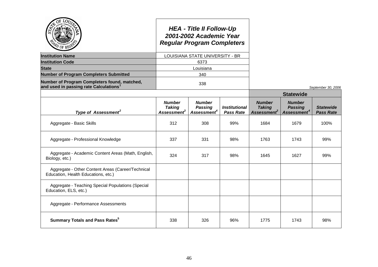| <b>COF REC</b>                                                                           |                                                     | <b>HEA - Title II Follow-Up</b><br>2001-2002 Academic Year<br><b>Regular Program Completers</b> |                                          |                                                           |                                                            |                                      |
|------------------------------------------------------------------------------------------|-----------------------------------------------------|-------------------------------------------------------------------------------------------------|------------------------------------------|-----------------------------------------------------------|------------------------------------------------------------|--------------------------------------|
| <b>Institution Name</b>                                                                  |                                                     | LOUISIANA STATE UNIVERSITY - BR                                                                 |                                          |                                                           |                                                            |                                      |
| <b>Institution Code</b>                                                                  |                                                     | 6373                                                                                            |                                          |                                                           |                                                            |                                      |
| <b>State</b>                                                                             |                                                     | Louisiana                                                                                       |                                          |                                                           |                                                            |                                      |
| <b>Number of Program Completers Submitted</b>                                            |                                                     | 340                                                                                             |                                          |                                                           |                                                            |                                      |
| Number of Program Completers found, matched,<br>and used in passing rate Calculations    |                                                     | 338                                                                                             |                                          |                                                           |                                                            | September 30, 2006                   |
|                                                                                          |                                                     |                                                                                                 |                                          |                                                           |                                                            |                                      |
| Type of Assessment <sup>2</sup>                                                          | <b>Number</b><br><b>Taking</b><br><b>Assessment</b> | <b>Number</b><br><b>Passing</b><br>Assessment <sup>4</sup>                                      | <b>Institutional</b><br><b>Pass Rate</b> | <b>Number</b><br><b>Taking</b><br>Assessment <sup>3</sup> | <b>Number</b><br><b>Passing</b><br>Assessment <sup>4</sup> | <b>Statewide</b><br><b>Pass Rate</b> |
| Aggregate - Basic Skills                                                                 | 312                                                 | 308                                                                                             | 99%                                      | 1684                                                      | 1679                                                       | 100%                                 |
| Aggregate - Professional Knowledge                                                       | 337                                                 | 331                                                                                             | 98%                                      | 1763                                                      | 1743                                                       | 99%                                  |
| Aggregate - Academic Content Areas (Math, English,<br>Biology, etc.)                     | 324                                                 | 317                                                                                             | 98%                                      | 1645                                                      | 1627                                                       | 99%                                  |
| Aggregate - Other Content Areas (Career/Technical<br>Education, Health Educations, etc.) |                                                     |                                                                                                 |                                          |                                                           |                                                            |                                      |
| Aggregate - Teaching Special Populations (Special<br>Education, ELS, etc.)               |                                                     |                                                                                                 |                                          |                                                           |                                                            |                                      |
| Aggregate - Performance Assessments                                                      |                                                     |                                                                                                 |                                          |                                                           |                                                            |                                      |
| <b>Summary Totals and Pass Rates</b> <sup>5</sup>                                        | 338                                                 | 326                                                                                             | 96%                                      | 1775                                                      | 1743                                                       | 98%                                  |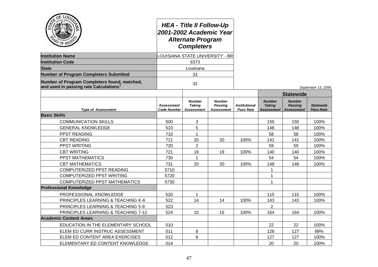| OF LOO<br>PD OF REGY                                                                  |                                  | <b>HEA - Title II Follow-Up</b><br>2001-2002 Academic Year<br><b>Alternate Program</b><br><b>Completers</b> |                                                      |                                                 |                                              |                                                      |                                      |
|---------------------------------------------------------------------------------------|----------------------------------|-------------------------------------------------------------------------------------------------------------|------------------------------------------------------|-------------------------------------------------|----------------------------------------------|------------------------------------------------------|--------------------------------------|
| <b>Institution Name</b>                                                               |                                  | LOUISIANA STATE UNIVERSITY - BR                                                                             |                                                      |                                                 |                                              |                                                      |                                      |
| <b>Institution Code</b>                                                               | 6373                             |                                                                                                             |                                                      |                                                 |                                              |                                                      |                                      |
| <b>State</b>                                                                          |                                  | Louisiana                                                                                                   |                                                      |                                                 |                                              |                                                      |                                      |
| <b>Number of Program Completers Submitted</b>                                         |                                  | 33                                                                                                          |                                                      |                                                 |                                              |                                                      |                                      |
| Number of Program Completers found, matched,<br>and used in passing rate Calculations |                                  | 32                                                                                                          |                                                      |                                                 |                                              |                                                      | September 13, 2006                   |
|                                                                                       |                                  |                                                                                                             |                                                      |                                                 |                                              | <b>Statewide</b>                                     |                                      |
| <b>Type of Assessment</b>                                                             | Assessment<br><b>Code Number</b> | <b>Number</b><br><b>Taking</b><br><b>Assessment</b>                                                         | <b>Number</b><br><b>Passing</b><br><b>Assessment</b> | <i><b>Institutional</b></i><br><b>Pass Rate</b> | <b>Number</b><br><b>Taking</b><br>Assessment | <b>Number</b><br><b>Passing</b><br><b>Assessment</b> | <b>Statewide</b><br><b>Pass Rate</b> |
| <b>Basic Skills</b>                                                                   |                                  |                                                                                                             |                                                      |                                                 |                                              |                                                      |                                      |
| <b>COMMUNICATION SKILLS</b>                                                           | 500                              | 3                                                                                                           |                                                      |                                                 | 150                                          | 150                                                  | 100%                                 |
| <b>GENERAL KNOWLEDGE</b>                                                              | 510                              | 5                                                                                                           |                                                      |                                                 | 148                                          | 148                                                  | 100%                                 |
| <b>PPST READING</b>                                                                   | 710                              | 1                                                                                                           |                                                      |                                                 | 58                                           | 58                                                   | 100%                                 |
| <b>CBT READING</b>                                                                    | 711                              | 20                                                                                                          | 20                                                   | 100%                                            | 141                                          | 141                                                  | 100%                                 |
| PPST WRITING                                                                          | 720                              | $\overline{c}$                                                                                              |                                                      |                                                 | 59                                           | 59                                                   | 100%                                 |
| <b>CBT WRITING</b>                                                                    | 721                              | 19                                                                                                          | 19                                                   | 100%                                            | 140                                          | 140                                                  | 100%                                 |
| PPST MATHEMATICS                                                                      | 730                              | 1                                                                                                           |                                                      |                                                 | 54                                           | 54                                                   | 100%                                 |
| <b>CBT MATHEMATICS</b>                                                                | 731                              | 20                                                                                                          | 20                                                   | 100%                                            | 148                                          | 148                                                  | 100%                                 |
| COMPUTERIZED PPST READING                                                             | 5710                             |                                                                                                             |                                                      |                                                 | $\mathbf{1}$                                 |                                                      |                                      |
| COMPUTERIZED PPST WRITING                                                             | 5720                             |                                                                                                             |                                                      |                                                 | 1                                            |                                                      |                                      |
| <b>COMPUTERIZED PPST MATHEMATICS</b>                                                  | 5730                             |                                                                                                             |                                                      |                                                 | $\mathbf{1}$                                 |                                                      |                                      |
| <b>Professional Knowledge</b>                                                         |                                  |                                                                                                             |                                                      |                                                 |                                              |                                                      |                                      |
| PROFESSIONAL KNOWLEDGE                                                                | 520                              |                                                                                                             |                                                      |                                                 | 115                                          | 115                                                  | 100%                                 |
| PRINCIPLES LEARNING & TEACHING K-6                                                    | 522                              | 14                                                                                                          | 14                                                   | 100%                                            | 143                                          | 143                                                  | 100%                                 |
| PRINCIPLES LEARNING & TEACHING 5-9                                                    | 523                              |                                                                                                             |                                                      |                                                 | $\overline{2}$                               |                                                      |                                      |
| PRINCIPLES LEARNING & TEACHING 7-12                                                   | 524                              | 15                                                                                                          | 15                                                   | 100%                                            | 164                                          | 164                                                  | 100%                                 |
| <b>Academic Content Areas</b>                                                         |                                  |                                                                                                             |                                                      |                                                 |                                              |                                                      |                                      |
| EDUCATION IN THE ELEMENTARY SCHOOL                                                    | 010                              |                                                                                                             |                                                      |                                                 | 22                                           | 22                                                   | 100%                                 |
| ELEM ED CURR INSTRUC ASSESSMENT                                                       | 011                              | 8                                                                                                           |                                                      |                                                 | 128                                          | 127                                                  | 99%                                  |
| ELEM ED CONTENT AREA EXERCISES                                                        | 012                              | 8                                                                                                           |                                                      |                                                 | 127                                          | 127                                                  | 100%                                 |
| ELEMENTARY ED CONTENT KNOWLEDGE                                                       | 014                              |                                                                                                             |                                                      |                                                 | 20                                           | 20                                                   | 100%                                 |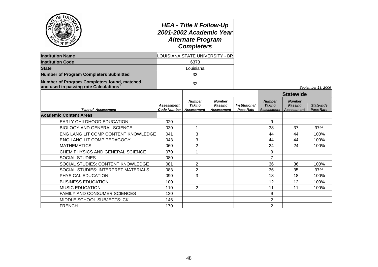| $Q_{\rm E}$<br>LOU<br><b>AD OF REG'S</b>                                              | <b>HEA - Title II Follow-Up</b><br>2001-2002 Academic Year<br><b>Alternate Program</b><br><b>Completers</b><br><b>LOUISIANA STATE UNIVERSITY - BR</b> |                                                     |                                                      |                                          |                                              |                                                      |                                      |
|---------------------------------------------------------------------------------------|-------------------------------------------------------------------------------------------------------------------------------------------------------|-----------------------------------------------------|------------------------------------------------------|------------------------------------------|----------------------------------------------|------------------------------------------------------|--------------------------------------|
| <b>Institution Name</b>                                                               |                                                                                                                                                       |                                                     |                                                      |                                          |                                              |                                                      |                                      |
| <b>Institution Code</b>                                                               |                                                                                                                                                       | 6373                                                |                                                      |                                          |                                              |                                                      |                                      |
| <b>State</b>                                                                          |                                                                                                                                                       | Louisiana                                           |                                                      |                                          |                                              |                                                      |                                      |
| <b>Number of Program Completers Submitted</b>                                         | 33                                                                                                                                                    |                                                     |                                                      |                                          |                                              |                                                      |                                      |
| Number of Program Completers found, matched,<br>and used in passing rate Calculations |                                                                                                                                                       | 32                                                  |                                                      |                                          |                                              |                                                      | September 13, 2006                   |
|                                                                                       |                                                                                                                                                       |                                                     |                                                      |                                          |                                              | <b>Statewide</b>                                     |                                      |
| <b>Type of Assessment</b>                                                             | <b>Assessment</b><br><b>Code Number</b>                                                                                                               | <b>Number</b><br><b>Taking</b><br><b>Assessment</b> | <b>Number</b><br><b>Passing</b><br><b>Assessment</b> | <b>Institutional</b><br><b>Pass Rate</b> | <b>Number</b><br><b>Taking</b><br>Assessment | <b>Number</b><br><b>Passing</b><br><b>Assessment</b> | <b>Statewide</b><br><b>Pass Rate</b> |
| <b>Academic Content Areas</b>                                                         |                                                                                                                                                       |                                                     |                                                      |                                          |                                              |                                                      |                                      |
| <b>EARLY CHILDHOOD EDUCATION</b>                                                      | 020                                                                                                                                                   |                                                     |                                                      |                                          | 9                                            |                                                      |                                      |
| <b>BIOLOGY AND GENERAL SCIENCE</b>                                                    | 030                                                                                                                                                   | 1                                                   |                                                      |                                          | 38                                           | 37                                                   | 97%                                  |
| ENG LANG LIT COMP CONTENT KNOWLEDGE                                                   | 041                                                                                                                                                   | 3                                                   |                                                      |                                          | 44                                           | 44                                                   | 100%                                 |
| ENG LANG LIT COMP PEDAGOGY                                                            | 043                                                                                                                                                   | 3                                                   |                                                      |                                          | 44                                           | 44                                                   | 100%                                 |
| <b>MATHEMATICS</b>                                                                    | 060                                                                                                                                                   | $\overline{2}$                                      |                                                      |                                          | 24                                           | 24                                                   | 100%                                 |
| CHEM PHYSICS AND GENERAL SCIENCE                                                      | 070                                                                                                                                                   | 1                                                   |                                                      |                                          | 9                                            |                                                      |                                      |
| <b>SOCIAL STUDIES</b>                                                                 | 080                                                                                                                                                   |                                                     |                                                      |                                          | 7                                            |                                                      |                                      |
| SOCIAL STUDIES: CONTENT KNOWLEDGE                                                     | 081                                                                                                                                                   | 2                                                   |                                                      |                                          | 36                                           | 36                                                   | 100%                                 |
| SOCIAL STUDIES: INTERPRET MATERIALS                                                   | 083                                                                                                                                                   | $\overline{2}$                                      |                                                      |                                          | 36                                           | 35                                                   | 97%                                  |
| PHYSICAL EDUCATION                                                                    | 090                                                                                                                                                   | 3                                                   |                                                      |                                          | 18                                           | 18                                                   | 100%                                 |
| <b>BUSINESS EDUCATION</b>                                                             | 100                                                                                                                                                   |                                                     |                                                      |                                          | 12                                           | 12                                                   | 100%                                 |
| <b>MUSIC EDUCATION</b>                                                                | 110                                                                                                                                                   | $\overline{2}$                                      |                                                      |                                          | 11                                           | 11                                                   | 100%                                 |
| FAMILY AND CONSUMER SCIENCES                                                          | 120                                                                                                                                                   |                                                     |                                                      |                                          | 9                                            |                                                      |                                      |
| MIDDLE SCHOOL SUBJECTS: CK                                                            | 146                                                                                                                                                   |                                                     |                                                      |                                          | 2                                            |                                                      |                                      |
| <b>FRENCH</b>                                                                         | 170                                                                                                                                                   |                                                     |                                                      |                                          | $\overline{2}$                               |                                                      |                                      |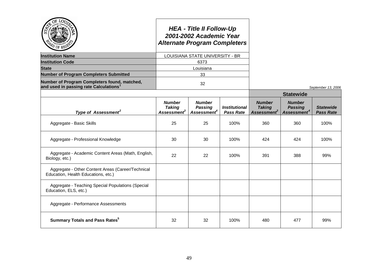| $\sigma$ of REV                                                                                    |                                                           | <b>HEA - Title II Follow-Up</b><br>2001-2002 Academic Year<br><b>Alternate Program Completers</b> |                                          |                                                           |                                                            |                                      |
|----------------------------------------------------------------------------------------------------|-----------------------------------------------------------|---------------------------------------------------------------------------------------------------|------------------------------------------|-----------------------------------------------------------|------------------------------------------------------------|--------------------------------------|
| <b>Institution Name</b>                                                                            |                                                           | LOUISIANA STATE UNIVERSITY - BR                                                                   |                                          |                                                           |                                                            |                                      |
| <b>Institution Code</b>                                                                            |                                                           | 6373                                                                                              |                                          |                                                           |                                                            |                                      |
| <b>State</b>                                                                                       |                                                           | Louisiana                                                                                         |                                          |                                                           |                                                            |                                      |
| <b>Number of Program Completers Submitted</b>                                                      |                                                           | 33                                                                                                |                                          |                                                           |                                                            |                                      |
| Number of Program Completers found, matched,<br>and used in passing rate Calculations <sup>1</sup> |                                                           | 32                                                                                                |                                          |                                                           |                                                            | September 13, 2006                   |
|                                                                                                    |                                                           |                                                                                                   |                                          |                                                           | <b>Statewide</b>                                           |                                      |
| Type of Assessment <sup>2</sup>                                                                    | <b>Number</b><br><b>Taking</b><br>Assessment <sup>3</sup> | <b>Number</b><br>Passing<br>Assessment <sup>4</sup>                                               | <b>Institutional</b><br><b>Pass Rate</b> | <b>Number</b><br><b>Taking</b><br>Assessment <sup>3</sup> | <b>Number</b><br><b>Passing</b><br>Assessment <sup>4</sup> | <b>Statewide</b><br><b>Pass Rate</b> |
| Aggregate - Basic Skills                                                                           | 25                                                        | 25                                                                                                | 100%                                     | 360                                                       | 360                                                        | 100%                                 |
| Aggregate - Professional Knowledge                                                                 | 30                                                        | 30                                                                                                | 100%                                     | 424                                                       | 424                                                        | 100%                                 |
| Aggregate - Academic Content Areas (Math, English,<br>Biology, etc.)                               | 22                                                        | 22                                                                                                | 100%                                     | 391                                                       | 388                                                        | 99%                                  |
| Aggregate - Other Content Areas (Career/Technical<br>Education, Health Educations, etc.)           |                                                           |                                                                                                   |                                          |                                                           |                                                            |                                      |
| Aggregate - Teaching Special Populations (Special<br>Education, ELS, etc.)                         |                                                           |                                                                                                   |                                          |                                                           |                                                            |                                      |
| Aggregate - Performance Assessments                                                                |                                                           |                                                                                                   |                                          |                                                           |                                                            |                                      |
| <b>Summary Totals and Pass Rates</b> <sup>5</sup>                                                  | 32                                                        | 32                                                                                                | 100%                                     | 480                                                       | 477                                                        | 99%                                  |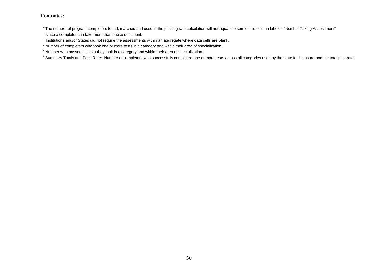$1$ The number of program completers found, matched and used in the passing rate calculation will not equal the sum of the column labeled "Number Taking Assessment" since a completer can take more than one assessment.

 $^{2}$  Institutions and/or States did not require the assessments within an aggregate where data cells are blank.

<sup>&</sup>lt;sup>3</sup> Number of completers who took one or more tests in a category and within their area of specialization.

<sup>4</sup> Number who passed all tests they took in a category and within their area of specialization.

<sup>&</sup>lt;sup>5</sup> Summary Totals and Pass Rate: Number of completers who successfully completed one or more tests across all categories used by the state for licensure and the total passrate.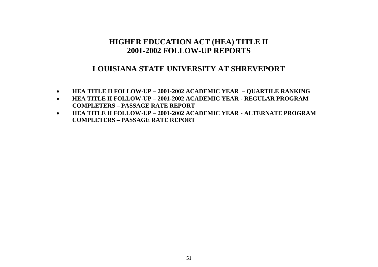## **LOUISIANA STATE UNIVERSITY AT SHREVEPORT**

- **HEA TITLE II FOLLOW-UP – 2001-2002 ACADEMIC YEAR – QUARTILE RANKING**
- **HEA TITLE II FOLLOW-UP – 2001-2002 ACADEMIC YEAR - REGULAR PROGRAM COMPLETERS – PASSAGE RATE REPORT**
- **HEA TITLE II FOLLOW-UP – 2001-2002 ACADEMIC YEAR - ALTERNATE PROGRAM COMPLETERS – PASSAGE RATE REPORT**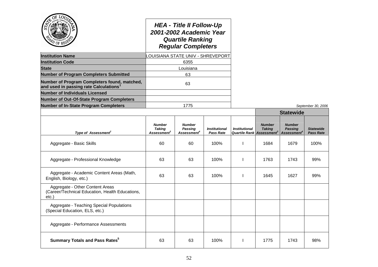| <b>Institution Name</b><br><b>Institution Code</b><br><b>State</b><br><b>Number of Program Completers Submitted</b><br>Number of Program Completers found, matched, |                                                           | <b>HEA - Title II Follow-Up</b><br>2001-2002 Academic Year<br><b>Quartile Ranking</b><br><b>Regular Completers</b><br><b>LOUISIANA STATE UNIV - SHREVEPORT</b><br>6355<br>Louisiana<br>63 |                                   |                                                               |                                |                                                            |                                      |
|---------------------------------------------------------------------------------------------------------------------------------------------------------------------|-----------------------------------------------------------|-------------------------------------------------------------------------------------------------------------------------------------------------------------------------------------------|-----------------------------------|---------------------------------------------------------------|--------------------------------|------------------------------------------------------------|--------------------------------------|
| and used in passing rate Calculations <sup>1</sup><br><b>Number of Individuals Licensed</b>                                                                         |                                                           | 63                                                                                                                                                                                        |                                   |                                                               |                                |                                                            |                                      |
| <b>Number of Out-Of-State Program Completers</b>                                                                                                                    |                                                           |                                                                                                                                                                                           |                                   |                                                               |                                |                                                            |                                      |
| <b>Number of In-State Program Completers</b>                                                                                                                        | 1775                                                      |                                                                                                                                                                                           |                                   |                                                               |                                |                                                            | September 30, 2006                   |
|                                                                                                                                                                     |                                                           |                                                                                                                                                                                           |                                   |                                                               |                                | <b>Statewide</b>                                           |                                      |
| Type of Assessment <sup>2</sup>                                                                                                                                     | <b>Number</b><br><b>Taking</b><br>Assessment <sup>3</sup> | <b>Number</b><br>Passing<br>Assessment <sup>4</sup>                                                                                                                                       | <b>Institutional</b><br>Pass Rate | <b>Institutional</b><br>Quartile Rank Assessment <sup>3</sup> | <b>Number</b><br><b>Taking</b> | <b>Number</b><br><b>Passing</b><br>Assessment <sup>*</sup> | <b>Statewide</b><br><b>Pass Rate</b> |
| Aggregate - Basic Skills                                                                                                                                            | 60                                                        | 60                                                                                                                                                                                        | 100%                              |                                                               | 1684                           | 1679                                                       | 100%                                 |
| Aggregate - Professional Knowledge                                                                                                                                  | 63                                                        | 63                                                                                                                                                                                        | 100%                              |                                                               | 1763                           | 1743                                                       | 99%                                  |
| Aggregate - Academic Content Areas (Math,<br>English, Biology, etc.)                                                                                                | 63                                                        | 63                                                                                                                                                                                        | 100%                              |                                                               | 1645                           | 1627                                                       | 99%                                  |
| Aggregate - Other Content Areas<br>(Career/Technical Education, Health Educations,<br>$etc.$ )                                                                      |                                                           |                                                                                                                                                                                           |                                   |                                                               |                                |                                                            |                                      |
| Aggregate - Teaching Special Populations<br>(Special Education, ELS, etc.)                                                                                          |                                                           |                                                                                                                                                                                           |                                   |                                                               |                                |                                                            |                                      |
| Aggregate - Performance Assessments                                                                                                                                 |                                                           |                                                                                                                                                                                           |                                   |                                                               |                                |                                                            |                                      |
| <b>Summary Totals and Pass Rates<sup>5</sup></b>                                                                                                                    | 63                                                        | 63                                                                                                                                                                                        | 100%                              |                                                               | 1775                           | 1743                                                       | 98%                                  |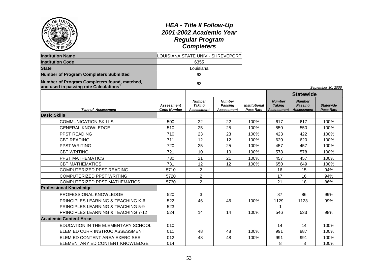| $O_{\tilde{E}}$<br>LON                                                                | <b>HEA - Title II Follow-Up</b><br>2001-2002 Academic Year<br><b>Regular Program</b><br><b>Completers</b><br>LOUISIANA STATE UNIV - SHREVEPORT |                                                     |                                               |                                          |                                                     |                                                      |                                      |
|---------------------------------------------------------------------------------------|------------------------------------------------------------------------------------------------------------------------------------------------|-----------------------------------------------------|-----------------------------------------------|------------------------------------------|-----------------------------------------------------|------------------------------------------------------|--------------------------------------|
| <b>Institution Name</b>                                                               |                                                                                                                                                |                                                     |                                               |                                          |                                                     |                                                      |                                      |
| <b>Institution Code</b>                                                               |                                                                                                                                                | 6355                                                |                                               |                                          |                                                     |                                                      |                                      |
| <b>State</b>                                                                          |                                                                                                                                                |                                                     |                                               |                                          |                                                     |                                                      |                                      |
| <b>Number of Program Completers Submitted</b>                                         |                                                                                                                                                | 63                                                  |                                               |                                          |                                                     |                                                      |                                      |
| Number of Program Completers found, matched,<br>and used in passing rate Calculations | 63                                                                                                                                             |                                                     |                                               |                                          |                                                     |                                                      | September 30, 2006                   |
|                                                                                       |                                                                                                                                                |                                                     |                                               |                                          |                                                     | <b>Statewide</b>                                     |                                      |
| <b>Type of Assessment</b>                                                             | <b>Assessment</b><br><b>Code Number</b>                                                                                                        | <b>Number</b><br><b>Taking</b><br><b>Assessment</b> | <b>Number</b><br>Passing<br><b>Assessment</b> | <b>Institutional</b><br><b>Pass Rate</b> | <b>Number</b><br><b>Taking</b><br><b>Assessment</b> | <b>Number</b><br><b>Passing</b><br><b>Assessment</b> | <b>Statewide</b><br><b>Pass Rate</b> |
| <b>Basic Skills</b>                                                                   |                                                                                                                                                |                                                     |                                               |                                          |                                                     |                                                      |                                      |
| <b>COMMUNICATION SKILLS</b>                                                           | 500                                                                                                                                            | 22                                                  | 22                                            | 100%                                     | 617                                                 | 617                                                  | 100%                                 |
| <b>GENERAL KNOWLEDGE</b>                                                              | 510                                                                                                                                            | 25                                                  | 25                                            | 100%                                     | 550                                                 | 550                                                  | 100%                                 |
| PPST READING                                                                          | 710                                                                                                                                            | 23                                                  | 23                                            | 100%                                     | 423                                                 | 422                                                  | 100%                                 |
| <b>CBT READING</b>                                                                    | 711                                                                                                                                            | 12                                                  | 12                                            | 100%                                     | 620                                                 | 620                                                  | 100%                                 |
| <b>PPST WRITING</b>                                                                   | 720                                                                                                                                            | 25                                                  | 25                                            | 100%                                     | 457                                                 | 457                                                  | 100%                                 |
| <b>CBT WRITING</b>                                                                    | 721                                                                                                                                            | 10                                                  | 10                                            | 100%                                     | 578                                                 | 578                                                  | 100%                                 |
| PPST MATHEMATICS                                                                      | 730                                                                                                                                            | 21                                                  | 21                                            | 100%                                     | 457                                                 | 457                                                  | 100%                                 |
| <b>CBT MATHEMATICS</b>                                                                | 731                                                                                                                                            | 12                                                  | 12                                            | 100%                                     | 650                                                 | 649                                                  | 100%                                 |
| COMPUTERIZED PPST READING                                                             | 5710                                                                                                                                           | $\overline{2}$                                      |                                               |                                          | 16                                                  | 15                                                   | 94%                                  |
| COMPUTERIZED PPST WRITING                                                             | 5720                                                                                                                                           | $\overline{2}$                                      |                                               |                                          | 17                                                  | 16                                                   | 94%                                  |
| <b>COMPUTERIZED PPST MATHEMATICS</b>                                                  | 5730                                                                                                                                           | $\overline{2}$                                      |                                               |                                          | 21                                                  | 18                                                   | 86%                                  |
| <b>Professional Knowledge</b>                                                         |                                                                                                                                                |                                                     |                                               |                                          |                                                     |                                                      |                                      |
| PROFESSIONAL KNOWLEDGE                                                                | 520                                                                                                                                            | 3                                                   |                                               |                                          | 87                                                  | 86                                                   | 99%                                  |
| PRINCIPLES LEARNING & TEACHING K-6                                                    | 522                                                                                                                                            | 46                                                  | 46                                            | 100%                                     | 1129                                                | 1123                                                 | 99%                                  |
| PRINCIPLES LEARNING & TEACHING 5-9                                                    | 523                                                                                                                                            |                                                     |                                               |                                          | 1                                                   |                                                      |                                      |
| PRINCIPLES LEARNING & TEACHING 7-12                                                   | 524                                                                                                                                            | 14                                                  | 14                                            | 100%                                     | 546                                                 | 533                                                  | 98%                                  |
| <b>Academic Content Areas</b>                                                         |                                                                                                                                                |                                                     |                                               |                                          |                                                     |                                                      |                                      |
| EDUCATION IN THE ELEMENTARY SCHOOL                                                    | 010                                                                                                                                            |                                                     |                                               |                                          | 14                                                  | 14                                                   | 100%                                 |
| ELEM ED CURR INSTRUC ASSESSMENT                                                       | 011                                                                                                                                            | 48                                                  | 48                                            | 100%                                     | 991                                                 | 987                                                  | 100%                                 |
| ELEM ED CONTENT AREA EXERCISES                                                        | 012                                                                                                                                            | 48                                                  | 48                                            | 100%                                     | 991                                                 | 991                                                  | 100%                                 |
| ELEMENTARY ED CONTENT KNOWLEDGE                                                       | 014                                                                                                                                            |                                                     |                                               |                                          | 8                                                   | 8                                                    | 100%                                 |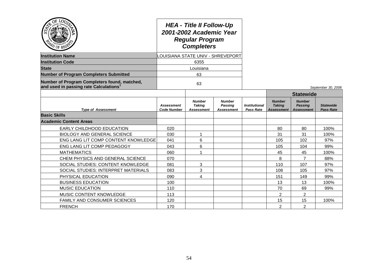|                                                                                                    | <b>HEA - Title II Follow-Up</b><br>2001-2002 Academic Year<br><b>Regular Program</b><br><b>Completers</b><br><b>CUISIANA STATE UNIV - SHREVEPORT</b> |                                                     |                                               |                                          |                                              |                                                      |                                      |
|----------------------------------------------------------------------------------------------------|------------------------------------------------------------------------------------------------------------------------------------------------------|-----------------------------------------------------|-----------------------------------------------|------------------------------------------|----------------------------------------------|------------------------------------------------------|--------------------------------------|
| <b>Institution Name</b>                                                                            |                                                                                                                                                      |                                                     |                                               |                                          |                                              |                                                      |                                      |
| <b>Institution Code</b>                                                                            |                                                                                                                                                      | 6355                                                |                                               |                                          |                                              |                                                      |                                      |
| <b>State</b>                                                                                       |                                                                                                                                                      | Louisiana                                           |                                               |                                          |                                              |                                                      |                                      |
| <b>Number of Program Completers Submitted</b>                                                      |                                                                                                                                                      | 63                                                  |                                               |                                          |                                              |                                                      |                                      |
| Number of Program Completers found, matched,<br>and used in passing rate Calculations <sup>1</sup> | 63                                                                                                                                                   |                                                     |                                               |                                          |                                              |                                                      | September 30, 2006                   |
|                                                                                                    |                                                                                                                                                      |                                                     |                                               |                                          |                                              | <b>Statewide</b>                                     |                                      |
| <b>Type of Assessment</b>                                                                          | <b>Assessment</b><br><b>Code Number</b>                                                                                                              | <b>Number</b><br><b>Taking</b><br><b>Assessment</b> | <b>Number</b><br><b>Passing</b><br>Assessment | <i><b>Institutional</b></i><br>Pass Rate | <b>Number</b><br><b>Taking</b><br>Assessment | <b>Number</b><br><b>Passing</b><br><b>Assessment</b> | <b>Statewide</b><br><b>Pass Rate</b> |
| <b>Basic Skills</b>                                                                                |                                                                                                                                                      |                                                     |                                               |                                          |                                              |                                                      |                                      |
| <b>Academic Content Areas</b>                                                                      |                                                                                                                                                      |                                                     |                                               |                                          |                                              |                                                      |                                      |
| EARLY CHILDHOOD EDUCATION                                                                          | 020                                                                                                                                                  |                                                     |                                               |                                          | 80                                           | 80                                                   | 100%                                 |
| <b>BIOLOGY AND GENERAL SCIENCE</b>                                                                 | 030                                                                                                                                                  | 1                                                   |                                               |                                          | 31                                           | 31                                                   | 100%                                 |
| ENG LANG LIT COMP CONTENT KNOWLEDGE                                                                | 041                                                                                                                                                  | 6                                                   |                                               |                                          | 105                                          | 102                                                  | 97%                                  |
| ENG LANG LIT COMP PEDAGOGY                                                                         | 043                                                                                                                                                  | 6                                                   |                                               |                                          | 105                                          | 104                                                  | 99%                                  |
| <b>MATHEMATICS</b>                                                                                 | 060                                                                                                                                                  | 1                                                   |                                               |                                          | 45                                           | 45                                                   | 100%                                 |
| CHEM PHYSICS AND GENERAL SCIENCE                                                                   | 070                                                                                                                                                  |                                                     |                                               |                                          | 8                                            | $\overline{7}$                                       | 88%                                  |
| SOCIAL STUDIES: CONTENT KNOWLEDGE                                                                  | 081                                                                                                                                                  | 3                                                   |                                               |                                          | 110                                          | 107                                                  | 97%                                  |
| SOCIAL STUDIES: INTERPRET MATERIALS                                                                | 083                                                                                                                                                  | 3                                                   |                                               |                                          | 108                                          | 105                                                  | 97%                                  |
| PHYSICAL EDUCATION                                                                                 | 090                                                                                                                                                  | 4                                                   |                                               |                                          | 151                                          | 149                                                  | 99%                                  |
| <b>BUSINESS EDUCATION</b>                                                                          | 100                                                                                                                                                  |                                                     |                                               |                                          | 13                                           | 13                                                   | 100%                                 |
| <b>MUSIC EDUCATION</b>                                                                             | 110                                                                                                                                                  |                                                     |                                               |                                          | 70                                           | 69                                                   | 99%                                  |
| MUSIC CONTENT KNOWLEDGE                                                                            | 113                                                                                                                                                  |                                                     |                                               |                                          | $\mathfrak{p}$                               | $\overline{2}$                                       |                                      |
| FAMILY AND CONSUMER SCIENCES                                                                       | 120                                                                                                                                                  |                                                     |                                               |                                          | 15                                           | 15                                                   | 100%                                 |
| <b>FRENCH</b>                                                                                      | 170                                                                                                                                                  |                                                     |                                               |                                          | $\overline{2}$                               | 2                                                    |                                      |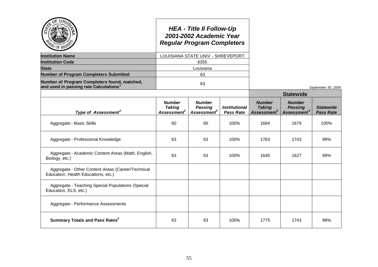|                                                                                                    |                                                                  | <b>HEA - Title II Follow-Up</b><br>2001-2002 Academic Year<br><b>Regular Program Completers</b> |                                          |                                                           |                                                            |                                      |
|----------------------------------------------------------------------------------------------------|------------------------------------------------------------------|-------------------------------------------------------------------------------------------------|------------------------------------------|-----------------------------------------------------------|------------------------------------------------------------|--------------------------------------|
| <b>Institution Name</b>                                                                            |                                                                  | LOUISIANA STATE UNIV - SHREVEPORT                                                               |                                          |                                                           |                                                            |                                      |
| <b>Institution Code</b>                                                                            |                                                                  | 6355                                                                                            |                                          |                                                           |                                                            |                                      |
| <b>State</b>                                                                                       |                                                                  | Louisiana                                                                                       |                                          |                                                           |                                                            |                                      |
| <b>Number of Program Completers Submitted</b>                                                      |                                                                  | 63                                                                                              |                                          |                                                           |                                                            |                                      |
| Number of Program Completers found, matched,<br>and used in passing rate Calculations <sup>1</sup> |                                                                  | 63                                                                                              |                                          |                                                           |                                                            | September 30, 2006                   |
|                                                                                                    |                                                                  |                                                                                                 |                                          |                                                           | <b>Statewide</b>                                           |                                      |
| Type of Assessment <sup>2</sup>                                                                    | <b>Number</b><br><b>Taking</b><br><b>Assessment</b> <sup>3</sup> | <b>Number</b><br><b>Passing</b><br>Assessment <sup>4</sup>                                      | <b>Institutional</b><br><b>Pass Rate</b> | <b>Number</b><br><b>Taking</b><br>Assessment <sup>3</sup> | <b>Number</b><br><b>Passing</b><br>Assessment <sup>4</sup> | <b>Statewide</b><br><b>Pass Rate</b> |
| Aggregate - Basic Skills                                                                           | 60                                                               | 60                                                                                              | 100%                                     | 1684                                                      | 1679                                                       | 100%                                 |
| Aggregate - Professional Knowledge                                                                 | 63                                                               | 63                                                                                              | 100%                                     | 1763                                                      | 1743                                                       | 99%                                  |
| Aggregate - Academic Content Areas (Math, English,<br>Biology, etc.)                               | 63                                                               | 63                                                                                              | 100%                                     | 1645                                                      | 1627                                                       | 99%                                  |
| Aggregate - Other Content Areas (Career/Technical<br>Education, Health Educations, etc.)           |                                                                  |                                                                                                 |                                          |                                                           |                                                            |                                      |
| Aggregate - Teaching Special Populations (Special<br>Education, ELS, etc.)                         |                                                                  |                                                                                                 |                                          |                                                           |                                                            |                                      |
| Aggregate - Performance Assessments                                                                |                                                                  |                                                                                                 |                                          |                                                           |                                                            |                                      |
| <b>Summary Totals and Pass Rates</b> <sup>5</sup>                                                  | 63                                                               | 63                                                                                              | 100%                                     | 1775                                                      | 1743                                                       | 98%                                  |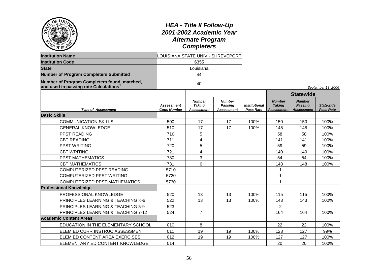| O <sub>E</sub><br><b>LO<sub>U</sub></b>                                                            |                                         | <b>HEA - Title II Follow-Up</b><br>2001-2002 Academic Year<br><b>Alternate Program</b><br><b>Completers</b><br><b>CUISIANA STATE UNIV - SHREVEPORT</b> |                                        |                                          |                                                     |                                                      |                                      |
|----------------------------------------------------------------------------------------------------|-----------------------------------------|--------------------------------------------------------------------------------------------------------------------------------------------------------|----------------------------------------|------------------------------------------|-----------------------------------------------------|------------------------------------------------------|--------------------------------------|
| <b>Institution Name</b>                                                                            |                                         |                                                                                                                                                        |                                        |                                          |                                                     |                                                      |                                      |
| <b>Institution Code</b>                                                                            |                                         | 6355                                                                                                                                                   |                                        |                                          |                                                     |                                                      |                                      |
| <b>State</b>                                                                                       | Louisiana                               |                                                                                                                                                        |                                        |                                          |                                                     |                                                      |                                      |
| <b>Number of Program Completers Submitted</b>                                                      | 44                                      |                                                                                                                                                        |                                        |                                          |                                                     |                                                      |                                      |
| Number of Program Completers found, matched,<br>and used in passing rate Calculations <sup>1</sup> | 40                                      |                                                                                                                                                        |                                        |                                          |                                                     |                                                      | September 13, 2006                   |
|                                                                                                    |                                         |                                                                                                                                                        |                                        |                                          |                                                     | <b>Statewide</b>                                     |                                      |
| <b>Type of Assessment</b>                                                                          | <b>Assessment</b><br><b>Code Number</b> | <b>Number</b><br><b>Taking</b><br>Assessment                                                                                                           | <b>Number</b><br>Passing<br>Assessment | <b>Institutional</b><br><b>Pass Rate</b> | <b>Number</b><br><b>Taking</b><br><b>Assessment</b> | <b>Number</b><br><b>Passing</b><br><b>Assessment</b> | <b>Statewide</b><br><b>Pass Rate</b> |
| <b>Basic Skills</b>                                                                                |                                         |                                                                                                                                                        |                                        |                                          |                                                     |                                                      |                                      |
| <b>COMMUNICATION SKILLS</b>                                                                        | 500                                     | 17                                                                                                                                                     | 17                                     | 100%                                     | 150                                                 | 150                                                  | 100%                                 |
| <b>GENERAL KNOWLEDGE</b>                                                                           | 510                                     | 17                                                                                                                                                     | 17                                     | 100%                                     | 148                                                 | 148                                                  | 100%                                 |
| PPST READING                                                                                       | 710                                     | 5                                                                                                                                                      |                                        |                                          | 58                                                  | 58                                                   | 100%                                 |
| <b>CBT READING</b>                                                                                 | 711                                     | 4                                                                                                                                                      |                                        |                                          | 141                                                 | 141                                                  | 100%                                 |
| <b>PPST WRITING</b>                                                                                | 720                                     | 5                                                                                                                                                      |                                        |                                          | 59                                                  | 59                                                   | 100%                                 |
| <b>CBT WRITING</b>                                                                                 | 721                                     | 4                                                                                                                                                      |                                        |                                          | 140                                                 | 140                                                  | 100%                                 |
| <b>PPST MATHEMATICS</b>                                                                            | 730                                     | 3                                                                                                                                                      |                                        |                                          | 54                                                  | 54                                                   | 100%                                 |
| <b>CBT MATHEMATICS</b>                                                                             | 731                                     | 6                                                                                                                                                      |                                        |                                          | 148                                                 | 148                                                  | 100%                                 |
| COMPUTERIZED PPST READING                                                                          | 5710                                    |                                                                                                                                                        |                                        |                                          | 1                                                   |                                                      |                                      |
| COMPUTERIZED PPST WRITING                                                                          | 5720                                    |                                                                                                                                                        |                                        |                                          | 1                                                   |                                                      |                                      |
| <b>COMPUTERIZED PPST MATHEMATICS</b>                                                               | 5730                                    |                                                                                                                                                        |                                        |                                          | 1                                                   |                                                      |                                      |
| <b>Professional Knowledge</b>                                                                      |                                         |                                                                                                                                                        |                                        |                                          |                                                     |                                                      |                                      |
| PROFESSIONAL KNOWLEDGE                                                                             | 520                                     | 13                                                                                                                                                     | 13                                     | 100%                                     | 115                                                 | 115                                                  | 100%                                 |
| PRINCIPLES LEARNING & TEACHING K-6                                                                 | 522                                     | 13                                                                                                                                                     | 13                                     | 100%                                     | 143                                                 | 143                                                  | 100%                                 |
| PRINCIPLES LEARNING & TEACHING 5-9                                                                 | 523                                     |                                                                                                                                                        |                                        |                                          | 2                                                   |                                                      |                                      |
| PRINCIPLES LEARNING & TEACHING 7-12                                                                | 524                                     | $\overline{7}$                                                                                                                                         |                                        |                                          | 164                                                 | 164                                                  | 100%                                 |
| <b>Academic Content Areas</b>                                                                      |                                         |                                                                                                                                                        |                                        |                                          |                                                     |                                                      |                                      |
| EDUCATION IN THE ELEMENTARY SCHOOL                                                                 | 010                                     | 8                                                                                                                                                      |                                        |                                          | 22                                                  | 22                                                   | 100%                                 |
| ELEM ED CURR INSTRUC ASSESSMENT                                                                    | 011                                     | 19                                                                                                                                                     | 19                                     | 100%                                     | 128                                                 | 127                                                  | 99%                                  |
| ELEM ED CONTENT AREA EXERCISES                                                                     | 012                                     | 19                                                                                                                                                     | 19                                     | 100%                                     | 127                                                 | 127                                                  | 100%                                 |
| ELEMENTARY ED CONTENT KNOWLEDGE                                                                    | 014                                     |                                                                                                                                                        |                                        |                                          | 20                                                  | 20                                                   | 100%                                 |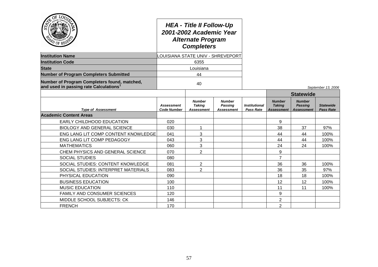| LOU<br>$Q_E$                                                                          | <b>HEA - Title II Follow-Up</b><br>2001-2002 Academic Year<br><b>Alternate Program</b><br><b>Completers</b> |                                       |                                         |                                   |                                                     |                                                      |                                      |
|---------------------------------------------------------------------------------------|-------------------------------------------------------------------------------------------------------------|---------------------------------------|-----------------------------------------|-----------------------------------|-----------------------------------------------------|------------------------------------------------------|--------------------------------------|
| <b>Institution Name</b>                                                               |                                                                                                             |                                       | <b>OUISIANA STATE UNIV - SHREVEPORT</b> |                                   |                                                     |                                                      |                                      |
| <b>Institution Code</b>                                                               | 6355                                                                                                        |                                       |                                         |                                   |                                                     |                                                      |                                      |
| <b>State</b>                                                                          | Louisiana                                                                                                   |                                       |                                         |                                   |                                                     |                                                      |                                      |
| <b>Number of Program Completers Submitted</b>                                         | 44                                                                                                          |                                       |                                         |                                   |                                                     |                                                      |                                      |
| Number of Program Completers found, matched,<br>and used in passing rate Calculations |                                                                                                             | 40                                    |                                         |                                   |                                                     |                                                      | September 13, 2006                   |
|                                                                                       |                                                                                                             |                                       |                                         |                                   |                                                     | <b>Statewide</b>                                     |                                      |
| <b>Type of Assessment</b>                                                             | <b>Assessment</b><br><b>Code Number</b>                                                                     | <b>Number</b><br>Takina<br>Assessment | <b>Number</b><br>Passing<br>Assessment  | <b>Institutional</b><br>Pass Rate | <b>Number</b><br><b>Taking</b><br><b>Assessment</b> | <b>Number</b><br><b>Passing</b><br><b>Assessment</b> | <b>Statewide</b><br><b>Pass Rate</b> |
| <b>Academic Content Areas</b>                                                         |                                                                                                             |                                       |                                         |                                   |                                                     |                                                      |                                      |
| EARLY CHILDHOOD EDUCATION                                                             | 020                                                                                                         |                                       |                                         |                                   | 9                                                   |                                                      |                                      |
| <b>BIOLOGY AND GENERAL SCIENCE</b>                                                    | 030                                                                                                         | 1                                     |                                         |                                   | 38                                                  | 37                                                   | 97%                                  |
| ENG LANG LIT COMP CONTENT KNOWLEDGE                                                   | 041                                                                                                         | 3                                     |                                         |                                   | 44                                                  | 44                                                   | 100%                                 |
| ENG LANG LIT COMP PEDAGOGY                                                            | 043                                                                                                         | 3                                     |                                         |                                   | 44                                                  | 44                                                   | 100%                                 |
| <b>MATHEMATICS</b>                                                                    | 060                                                                                                         | 3                                     |                                         |                                   | 24                                                  | 24                                                   | 100%                                 |
| CHEM PHYSICS AND GENERAL SCIENCE                                                      | 070                                                                                                         | $\overline{2}$                        |                                         |                                   | 9                                                   |                                                      |                                      |
| <b>SOCIAL STUDIES</b>                                                                 | 080                                                                                                         |                                       |                                         |                                   | $\overline{7}$                                      |                                                      |                                      |
| SOCIAL STUDIES: CONTENT KNOWLEDGE                                                     | 081                                                                                                         | 2                                     |                                         |                                   | 36                                                  | 36                                                   | 100%                                 |
| SOCIAL STUDIES: INTERPRET MATERIALS                                                   | 083                                                                                                         | $\overline{2}$                        |                                         |                                   | 36                                                  | 35                                                   | 97%                                  |
| PHYSICAL EDUCATION                                                                    | 090                                                                                                         |                                       |                                         |                                   | 18                                                  | 18                                                   | 100%                                 |
| <b>BUSINESS EDUCATION</b>                                                             | 100                                                                                                         |                                       |                                         |                                   | 12                                                  | 12                                                   | 100%                                 |
| <b>MUSIC EDUCATION</b>                                                                | 110                                                                                                         |                                       |                                         |                                   | 11                                                  | 11                                                   | 100%                                 |
| FAMILY AND CONSUMER SCIENCES                                                          | 120                                                                                                         |                                       |                                         |                                   | 9                                                   |                                                      |                                      |
| MIDDLE SCHOOL SUBJECTS: CK                                                            | 146                                                                                                         |                                       |                                         |                                   | 2                                                   |                                                      |                                      |
| <b>FRENCH</b>                                                                         | 170                                                                                                         |                                       |                                         |                                   | 2                                                   |                                                      |                                      |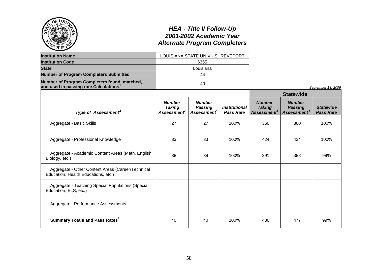| $\rm \sigma$ of Ry                                                                                 |                                                     | <b>HEA - Title II Follow-Up</b><br>2001-2002 Academic Year<br><b>Alternate Program Completers</b> |                                          |                                                           |                                                            |                                      |
|----------------------------------------------------------------------------------------------------|-----------------------------------------------------|---------------------------------------------------------------------------------------------------|------------------------------------------|-----------------------------------------------------------|------------------------------------------------------------|--------------------------------------|
| <b>Institution Name</b>                                                                            |                                                     | LOUISIANA STATE UNIV - SHREVEPORT                                                                 |                                          |                                                           |                                                            |                                      |
| <b>Institution Code</b>                                                                            |                                                     | 6355                                                                                              |                                          |                                                           |                                                            |                                      |
| <b>State</b>                                                                                       |                                                     | Louisiana                                                                                         |                                          |                                                           |                                                            |                                      |
| <b>Number of Program Completers Submitted</b>                                                      |                                                     | 44                                                                                                |                                          |                                                           |                                                            |                                      |
| Number of Program Completers found, matched,<br>and used in passing rate Calculations <sup>1</sup> |                                                     | 40                                                                                                |                                          |                                                           |                                                            | September 13, 2006                   |
|                                                                                                    |                                                     |                                                                                                   |                                          |                                                           | <b>Statewide</b>                                           |                                      |
| Type of Assessment <sup>2</sup>                                                                    | <b>Number</b><br><b>Taking</b><br><b>Assessment</b> | <b>Number</b><br><b>Passing</b><br>Assessment <sup>4</sup>                                        | <b>Institutional</b><br><b>Pass Rate</b> | <b>Number</b><br><b>Taking</b><br>Assessment <sup>3</sup> | <b>Number</b><br><b>Passing</b><br>Assessment <sup>4</sup> | <b>Statewide</b><br><b>Pass Rate</b> |
| Aggregate - Basic Skills                                                                           | 27                                                  | 27                                                                                                | 100%                                     | 360                                                       | 360                                                        | 100%                                 |
| Aggregate - Professional Knowledge                                                                 | 33                                                  | 33                                                                                                | 100%                                     | 424                                                       | 424                                                        | 100%                                 |
| Aggregate - Academic Content Areas (Math, English,<br>Biology, etc.)                               | 38                                                  | 38                                                                                                | 100%                                     | 391                                                       | 388                                                        | 99%                                  |
| Aggregate - Other Content Areas (Career/Technical<br>Education, Health Educations, etc.)           |                                                     |                                                                                                   |                                          |                                                           |                                                            |                                      |
| Aggregate - Teaching Special Populations (Special<br>Education, ELS, etc.)                         |                                                     |                                                                                                   |                                          |                                                           |                                                            |                                      |
| Aggregate - Performance Assessments                                                                |                                                     |                                                                                                   |                                          |                                                           |                                                            |                                      |
| <b>Summary Totals and Pass Rates</b> <sup>5</sup>                                                  | 40                                                  | 40                                                                                                | 100%                                     | 480                                                       | 477                                                        | 99%                                  |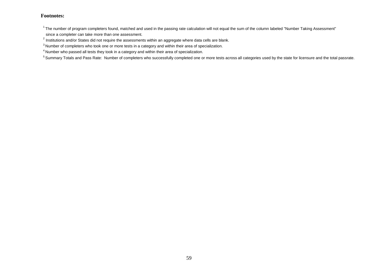$1$ The number of program completers found, matched and used in the passing rate calculation will not equal the sum of the column labeled "Number Taking Assessment"

since a completer can take more than one assessment.

 $^{2}$  Institutions and/or States did not require the assessments within an aggregate where data cells are blank.

<sup>&</sup>lt;sup>3</sup> Number of completers who took one or more tests in a category and within their area of specialization.

<sup>4</sup> Number who passed all tests they took in a category and within their area of specialization.

<sup>&</sup>lt;sup>5</sup> Summary Totals and Pass Rate: Number of completers who successfully completed one or more tests across all categories used by the state for licensure and the total passrate.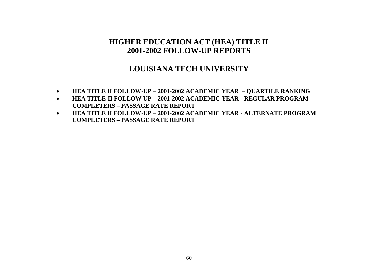### **LOUISIANA TECH UNIVERSITY**

- **HEA TITLE II FOLLOW-UP – 2001-2002 ACADEMIC YEAR – QUARTILE RANKING**
- **HEA TITLE II FOLLOW-UP – 2001-2002 ACADEMIC YEAR - REGULAR PROGRAM COMPLETERS – PASSAGE RATE REPORT**
- **HEA TITLE II FOLLOW-UP – 2001-2002 ACADEMIC YEAR - ALTERNATE PROGRAM COMPLETERS – PASSAGE RATE REPORT**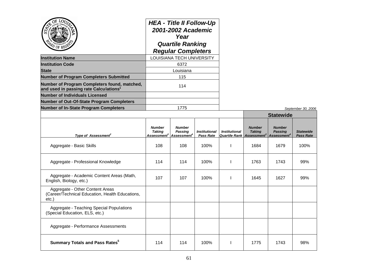| ОĒ<br>LO <sub>U</sub>                                                                            |                                                           | <b>HEA - Title II Follow-Up</b><br>2001-2002 Academic<br>Year<br><b>Quartile Ranking</b><br><b>Regular Completers</b> |                                          |                      |                                                                                |                                                            |                                      |
|--------------------------------------------------------------------------------------------------|-----------------------------------------------------------|-----------------------------------------------------------------------------------------------------------------------|------------------------------------------|----------------------|--------------------------------------------------------------------------------|------------------------------------------------------------|--------------------------------------|
| <b>Institution Name</b>                                                                          |                                                           | LOUISIANA TECH UNIVERSITY                                                                                             |                                          |                      |                                                                                |                                                            |                                      |
| <b>Institution Code</b>                                                                          |                                                           | 6372                                                                                                                  |                                          |                      |                                                                                |                                                            |                                      |
| <b>State</b>                                                                                     |                                                           | Louisiana                                                                                                             |                                          |                      |                                                                                |                                                            |                                      |
| <b>Number of Program Completers Submitted</b>                                                    | 115                                                       |                                                                                                                       |                                          |                      |                                                                                |                                                            |                                      |
| Number of Program Completers found, matched,<br>and used in passing rate Calculations $^{\rm 1}$ | 114                                                       |                                                                                                                       |                                          |                      |                                                                                |                                                            |                                      |
| <b>Number of Individuals Licensed</b>                                                            |                                                           |                                                                                                                       |                                          |                      |                                                                                |                                                            |                                      |
| Number of Out-Of-State Program Completers                                                        |                                                           |                                                                                                                       |                                          |                      |                                                                                |                                                            |                                      |
| <b>Number of In-State Program Completers</b>                                                     | 1775                                                      |                                                                                                                       |                                          |                      |                                                                                |                                                            | September 30, 2006                   |
|                                                                                                  |                                                           |                                                                                                                       |                                          |                      |                                                                                | <b>Statewide</b>                                           |                                      |
| Type of Assessment <sup>2</sup>                                                                  | <b>Number</b><br><b>Taking</b><br>Assessment <sup>3</sup> | <b>Number</b><br><b>Passing</b><br><u>Assessment<sup>4</sup></u>                                                      | <b>Institutional</b><br><b>Pass Rate</b> | <b>Institutional</b> | <b>Number</b><br><b>Taking</b><br><b>Quartile Rank Assessment</b> <sup>3</sup> | <b>Number</b><br><b>Passing</b><br>Assessment <sup>4</sup> | <b>Statewide</b><br><b>Pass Rate</b> |
| Aggregate - Basic Skills                                                                         | 108                                                       | 108                                                                                                                   | 100%                                     | $\mathbf{I}$         | 1684                                                                           | 1679                                                       | 100%                                 |
| Aggregate - Professional Knowledge                                                               | 114                                                       | 114                                                                                                                   | 100%                                     |                      | 1763                                                                           | 1743                                                       | 99%                                  |
| Aggregate - Academic Content Areas (Math,<br>English, Biology, etc.)                             | 107                                                       | 107                                                                                                                   | 100%                                     | $\mathbf{I}$         | 1645                                                                           | 1627                                                       | 99%                                  |
| Aggregate - Other Content Areas<br>(Career/Technical Education, Health Educations,<br>etc.       |                                                           |                                                                                                                       |                                          |                      |                                                                                |                                                            |                                      |
| Aggregate - Teaching Special Populations<br>(Special Education, ELS, etc.)                       |                                                           |                                                                                                                       |                                          |                      |                                                                                |                                                            |                                      |
| Aggregate - Performance Assessments                                                              |                                                           |                                                                                                                       |                                          |                      |                                                                                |                                                            |                                      |
| <b>Summary Totals and Pass Rates<sup>5</sup></b>                                                 | 114                                                       | 114                                                                                                                   | 100%                                     |                      | 1775                                                                           | 1743                                                       | 98%                                  |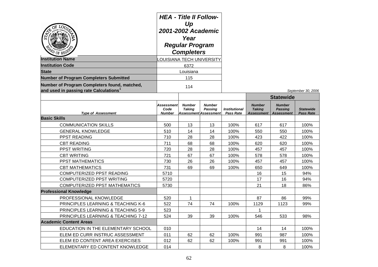| <b>ZO OF REGES</b>                                                                    | <b>HEA - Title II Follow-</b><br>Up<br>2001-2002 Academic<br>Year<br><b>Regular Program</b><br><b>Completers</b><br>LOUISIANA TECH UNIVERSITY |                                |                                                          |                                          |                                                     |                                                      |                                      |
|---------------------------------------------------------------------------------------|-----------------------------------------------------------------------------------------------------------------------------------------------|--------------------------------|----------------------------------------------------------|------------------------------------------|-----------------------------------------------------|------------------------------------------------------|--------------------------------------|
| <b>Institution Name</b>                                                               |                                                                                                                                               |                                |                                                          |                                          |                                                     |                                                      |                                      |
| <b>Institution Code</b>                                                               |                                                                                                                                               | 6372                           |                                                          |                                          |                                                     |                                                      |                                      |
| <b>State</b>                                                                          | Louisiana                                                                                                                                     |                                |                                                          |                                          |                                                     |                                                      |                                      |
| <b>Number of Program Completers Submitted</b>                                         |                                                                                                                                               | 115                            |                                                          |                                          |                                                     |                                                      |                                      |
| Number of Program Completers found, matched,<br>and used in passing rate Calculations |                                                                                                                                               | 114                            |                                                          |                                          |                                                     |                                                      | September 30, 2006                   |
|                                                                                       |                                                                                                                                               |                                |                                                          |                                          |                                                     | <b>Statewide</b>                                     |                                      |
| <b>Type of Assessment</b>                                                             | <b>Assessment</b><br>Code<br><b>Number</b>                                                                                                    | <b>Number</b><br><b>Taking</b> | <b>Number</b><br><b>Passing</b><br>Assessment Assessment | <b>Institutional</b><br><b>Pass Rate</b> | <b>Number</b><br><b>Taking</b><br><b>Assessment</b> | <b>Number</b><br><b>Passing</b><br><b>Assessment</b> | <b>Statewide</b><br><b>Pass Rate</b> |
| <b>Basic Skills</b>                                                                   |                                                                                                                                               |                                |                                                          |                                          |                                                     |                                                      |                                      |
| <b>COMMUNICATION SKILLS</b>                                                           | 500                                                                                                                                           | 13                             | 13                                                       | 100%                                     | 617                                                 | 617                                                  | 100%                                 |
| <b>GENERAL KNOWLEDGE</b>                                                              | 510                                                                                                                                           | 14                             | 14                                                       | 100%                                     | 550                                                 | 550                                                  | 100%                                 |
| PPST READING                                                                          | 710                                                                                                                                           | 28                             | 28                                                       | 100%                                     | 423                                                 | 422                                                  | 100%                                 |
| <b>CBT READING</b>                                                                    | 711                                                                                                                                           | 68                             | 68                                                       | 100%                                     | 620                                                 | 620                                                  | 100%                                 |
| PPST WRITING                                                                          | 720                                                                                                                                           | 28                             | 28                                                       | 100%                                     | 457                                                 | 457                                                  | 100%                                 |
| <b>CBT WRITING</b>                                                                    | 721                                                                                                                                           | 67                             | 67                                                       | 100%                                     | 578                                                 | 578                                                  | 100%                                 |
| PPST MATHEMATICS                                                                      | 730                                                                                                                                           | 26                             | 26                                                       | 100%                                     | 457                                                 | 457                                                  | 100%                                 |
| <b>CBT MATHEMATICS</b>                                                                | 731                                                                                                                                           | 69                             | 69                                                       | 100%                                     | 650                                                 | 649                                                  | 100%                                 |
| COMPUTERIZED PPST READING                                                             | 5710                                                                                                                                          |                                |                                                          |                                          | 16                                                  | 15                                                   | 94%                                  |
| COMPUTERIZED PPST WRITING                                                             | 5720                                                                                                                                          |                                |                                                          |                                          | 17                                                  | 16                                                   | 94%                                  |
| COMPUTERIZED PPST MATHEMATICS                                                         | 5730                                                                                                                                          |                                |                                                          |                                          | 21                                                  | 18                                                   | 86%                                  |
| <b>Professional Knowledge</b>                                                         |                                                                                                                                               |                                |                                                          |                                          |                                                     |                                                      |                                      |
| PROFESSIONAL KNOWLEDGE                                                                | 520                                                                                                                                           | 1                              |                                                          |                                          | 87                                                  | 86                                                   | 99%                                  |
| PRINCIPLES LEARNING & TEACHING K-6                                                    | 522                                                                                                                                           | 74                             | 74                                                       | 100%                                     | 1129                                                | 1123                                                 | 99%                                  |
| PRINCIPLES LEARNING & TEACHING 5-9                                                    | 523                                                                                                                                           |                                |                                                          |                                          | 1                                                   |                                                      |                                      |
| PRINCIPLES LEARNING & TEACHING 7-12                                                   | 524                                                                                                                                           | 39                             | 39                                                       | 100%                                     | 546                                                 | 533                                                  | 98%                                  |
| <b>Academic Content Areas</b>                                                         |                                                                                                                                               |                                |                                                          |                                          |                                                     |                                                      |                                      |
| EDUCATION IN THE ELEMENTARY SCHOOL                                                    | 010                                                                                                                                           |                                |                                                          |                                          | 14                                                  | 14                                                   | 100%                                 |
| ELEM ED CURR INSTRUC ASSESSMENT                                                       | 011                                                                                                                                           | 62                             | 62                                                       | 100%                                     | 991                                                 | 987                                                  | 100%                                 |
| ELEM ED CONTENT AREA EXERCISES                                                        | 012                                                                                                                                           | 62                             | 62                                                       | 100%                                     | 991                                                 | 991                                                  | 100%                                 |
| ELEMENTARY ED CONTENT KNOWLEDGE                                                       | 014                                                                                                                                           |                                |                                                          |                                          | 8                                                   | 8                                                    | 100%                                 |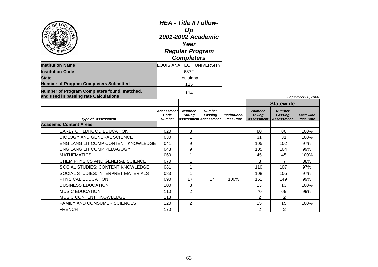| <b>TD OF REGS</b>                                                                                  | <b>HEA - Title II Follow-</b><br>Up<br>2001-2002 Academic<br>Year<br><b>Regular Program</b><br><b>Completers</b> |                                 |                                                   |                                                 |                                              |                                                      |                                      |
|----------------------------------------------------------------------------------------------------|------------------------------------------------------------------------------------------------------------------|---------------------------------|---------------------------------------------------|-------------------------------------------------|----------------------------------------------|------------------------------------------------------|--------------------------------------|
| <b>Institution Name</b>                                                                            |                                                                                                                  | <b>OUISIANA TECH UNIVERSITY</b> |                                                   |                                                 |                                              |                                                      |                                      |
| <b>Institution Code</b>                                                                            | 6372                                                                                                             |                                 |                                                   |                                                 |                                              |                                                      |                                      |
| <b>State</b>                                                                                       |                                                                                                                  | Louisiana                       |                                                   |                                                 |                                              |                                                      |                                      |
| <b>Number of Program Completers Submitted</b>                                                      | 115                                                                                                              |                                 |                                                   |                                                 |                                              |                                                      |                                      |
| Number of Program Completers found, matched,<br>and used in passing rate Calculations <sup>1</sup> | 114                                                                                                              |                                 |                                                   |                                                 |                                              |                                                      | September 30, 2006                   |
|                                                                                                    |                                                                                                                  |                                 |                                                   |                                                 |                                              | <b>Statewide</b>                                     |                                      |
| <b>Type of Assessment</b>                                                                          | Assessment<br>Code<br><b>Number</b>                                                                              | <b>Number</b><br>Takina         | <b>Number</b><br>Passing<br>Assessment Assessment | <i><b>Institutional</b></i><br><b>Pass Rate</b> | <b>Number</b><br><b>Taking</b><br>Assessment | <b>Number</b><br><b>Passing</b><br><b>Assessment</b> | <b>Statewide</b><br><b>Pass Rate</b> |
| <b>Academic Content Areas</b>                                                                      |                                                                                                                  |                                 |                                                   |                                                 |                                              |                                                      |                                      |
| EARLY CHILDHOOD EDUCATION                                                                          | 020                                                                                                              | 8                               |                                                   |                                                 | 80                                           | 80                                                   | 100%                                 |
| <b>BIOLOGY AND GENERAL SCIENCE</b>                                                                 | 030                                                                                                              | $\mathbf{1}$                    |                                                   |                                                 | 31                                           | 31                                                   | 100%                                 |
| ENG LANG LIT COMP CONTENT KNOWLEDGE                                                                | 041                                                                                                              | 9                               |                                                   |                                                 | 105                                          | 102                                                  | 97%                                  |
| ENG LANG LIT COMP PEDAGOGY                                                                         | 043                                                                                                              | 9                               |                                                   |                                                 | 105                                          | 104                                                  | 99%                                  |
| <b>MATHEMATICS</b>                                                                                 | 060                                                                                                              | 1                               |                                                   |                                                 | 45                                           | 45                                                   | 100%                                 |
| CHEM PHYSICS AND GENERAL SCIENCE                                                                   | 070                                                                                                              | 1                               |                                                   |                                                 | 8                                            | 7                                                    | 88%                                  |
| SOCIAL STUDIES: CONTENT KNOWLEDGE                                                                  | 081                                                                                                              | 1                               |                                                   |                                                 | 110                                          | 107                                                  | 97%                                  |
| SOCIAL STUDIES: INTERPRET MATERIALS                                                                | 083                                                                                                              | 1                               |                                                   |                                                 | 108                                          | 105                                                  | 97%                                  |
| PHYSICAL EDUCATION                                                                                 | 090                                                                                                              | 17                              | 17                                                | 100%                                            | 151                                          | 149                                                  | 99%                                  |
| <b>BUSINESS EDUCATION</b>                                                                          | 100                                                                                                              | 3                               |                                                   |                                                 | 13                                           | 13                                                   | 100%                                 |
| <b>MUSIC EDUCATION</b>                                                                             | 110                                                                                                              | $\overline{2}$                  |                                                   |                                                 | 70                                           | 69                                                   | 99%                                  |
| MUSIC CONTENT KNOWLEDGE                                                                            | 113                                                                                                              |                                 |                                                   |                                                 | 2                                            | 2                                                    |                                      |
| <b>FAMILY AND CONSUMER SCIENCES</b>                                                                | 120                                                                                                              | $\overline{2}$                  |                                                   |                                                 | 15                                           | 15                                                   | 100%                                 |
| <b>FRENCH</b>                                                                                      | 170                                                                                                              |                                 |                                                   |                                                 | $\overline{2}$                               | $\overline{2}$                                       |                                      |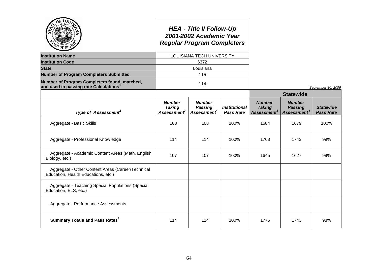| <b>PD OF REC</b>                                                                                   |                                                     | <b>HEA - Title II Follow-Up</b><br>2001-2002 Academic Year<br><b>Regular Program Completers</b> |                                          |                                                           |                                                            |                                      |
|----------------------------------------------------------------------------------------------------|-----------------------------------------------------|-------------------------------------------------------------------------------------------------|------------------------------------------|-----------------------------------------------------------|------------------------------------------------------------|--------------------------------------|
| <b>Institution Name</b>                                                                            |                                                     | LOUISIANA TECH UNIVERSITY                                                                       |                                          |                                                           |                                                            |                                      |
| <b>Institution Code</b>                                                                            |                                                     | 6372                                                                                            |                                          |                                                           |                                                            |                                      |
| <b>State</b>                                                                                       |                                                     | Louisiana                                                                                       |                                          |                                                           |                                                            |                                      |
| <b>Number of Program Completers Submitted</b>                                                      |                                                     | 115                                                                                             |                                          |                                                           |                                                            |                                      |
| Number of Program Completers found, matched,<br>and used in passing rate Calculations <sup>1</sup> |                                                     | 114                                                                                             |                                          |                                                           |                                                            | September 30, 2006                   |
|                                                                                                    |                                                     |                                                                                                 |                                          |                                                           | <b>Statewide</b>                                           |                                      |
| Type of Assessment <sup>2</sup>                                                                    | <b>Number</b><br><b>Taking</b><br><b>Assessment</b> | <b>Number</b><br><b>Passing</b><br>Assessment <sup>4</sup>                                      | <b>Institutional</b><br><b>Pass Rate</b> | <b>Number</b><br><b>Taking</b><br>Assessment <sup>3</sup> | <b>Number</b><br><b>Passing</b><br>Assessment <sup>4</sup> | <b>Statewide</b><br><b>Pass Rate</b> |
| Aggregate - Basic Skills                                                                           | 108                                                 | 108                                                                                             | 100%                                     | 1684                                                      | 1679                                                       | 100%                                 |
| Aggregate - Professional Knowledge                                                                 | 114                                                 | 114                                                                                             | 100%                                     | 1763                                                      | 1743                                                       | 99%                                  |
| Aggregate - Academic Content Areas (Math, English,<br>Biology, etc.)                               | 107                                                 | 107                                                                                             | 100%                                     | 1645                                                      | 1627                                                       | 99%                                  |
| Aggregate - Other Content Areas (Career/Technical<br>Education, Health Educations, etc.)           |                                                     |                                                                                                 |                                          |                                                           |                                                            |                                      |
| Aggregate - Teaching Special Populations (Special<br>Education, ELS, etc.)                         |                                                     |                                                                                                 |                                          |                                                           |                                                            |                                      |
| Aggregate - Performance Assessments                                                                |                                                     |                                                                                                 |                                          |                                                           |                                                            |                                      |
| <b>Summary Totals and Pass Rates</b> <sup>5</sup>                                                  | 114                                                 | 114                                                                                             | 100%                                     | 1775                                                      | 1743                                                       | 98%                                  |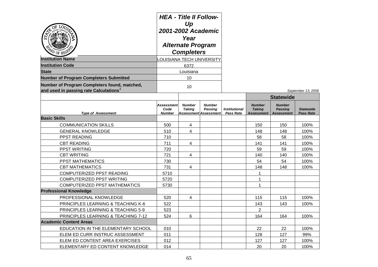| ОF<br><b>PO OF REGE</b>                                                                            | <b>HEA - Title II Follow-</b><br>Up<br>2001-2002 Academic<br>Year<br><b>Alternate Program</b><br><b>Completers</b> |                                |                                                                 |                                                 |                                                     |                                                      |                                      |  |
|----------------------------------------------------------------------------------------------------|--------------------------------------------------------------------------------------------------------------------|--------------------------------|-----------------------------------------------------------------|-------------------------------------------------|-----------------------------------------------------|------------------------------------------------------|--------------------------------------|--|
| <b>Institution Name</b>                                                                            | <b>OUISIANA TECH UNIVERSITY</b>                                                                                    |                                |                                                                 |                                                 |                                                     |                                                      |                                      |  |
| <b>Institution Code</b>                                                                            |                                                                                                                    | 6372                           |                                                                 |                                                 |                                                     |                                                      |                                      |  |
| <b>State</b>                                                                                       |                                                                                                                    | Louisiana                      |                                                                 |                                                 |                                                     |                                                      |                                      |  |
| <b>Number of Program Completers Submitted</b>                                                      | 10                                                                                                                 |                                |                                                                 |                                                 |                                                     |                                                      |                                      |  |
| Number of Program Completers found, matched,<br>and used in passing rate Calculations <sup>1</sup> | 10                                                                                                                 |                                |                                                                 | September 13, 2006                              |                                                     |                                                      |                                      |  |
|                                                                                                    |                                                                                                                    |                                |                                                                 |                                                 |                                                     | <b>Statewide</b>                                     |                                      |  |
| <b>Type of Assessment</b>                                                                          | <b>Assessment</b><br>Code<br><b>Number</b>                                                                         | <b>Number</b><br><b>Taking</b> | <b>Number</b><br><b>Passing</b><br><b>Assessment Assessment</b> | <i><b>Institutional</b></i><br><b>Pass Rate</b> | <b>Number</b><br><b>Taking</b><br><b>Assessment</b> | <b>Number</b><br><b>Passing</b><br><b>Assessment</b> | <b>Statewide</b><br><b>Pass Rate</b> |  |
| <b>Basic Skills</b>                                                                                |                                                                                                                    |                                |                                                                 |                                                 |                                                     |                                                      |                                      |  |
| <b>COMMUNICATION SKILLS</b>                                                                        | 500                                                                                                                | 4                              |                                                                 |                                                 | 150                                                 | 150                                                  | 100%                                 |  |
| <b>GENERAL KNOWLEDGE</b>                                                                           | 510                                                                                                                | 4                              |                                                                 |                                                 | 148                                                 | 148                                                  | 100%                                 |  |
| PPST READING                                                                                       | 710                                                                                                                |                                |                                                                 |                                                 | 58                                                  | 58                                                   | 100%                                 |  |
| <b>CBT READING</b>                                                                                 | 711                                                                                                                | 4                              |                                                                 |                                                 | 141                                                 | 141                                                  | 100%                                 |  |
| <b>PPST WRITING</b>                                                                                | 720                                                                                                                |                                |                                                                 |                                                 | 59                                                  | 59                                                   | 100%                                 |  |
| <b>CBT WRITING</b>                                                                                 | 721                                                                                                                | 4                              |                                                                 |                                                 | 140                                                 | 140                                                  | 100%                                 |  |
| <b>PPST MATHEMATICS</b>                                                                            | 730                                                                                                                |                                |                                                                 |                                                 | 54                                                  | 54                                                   | 100%                                 |  |
| <b>CBT MATHEMATICS</b>                                                                             | 731                                                                                                                | $\overline{4}$                 |                                                                 |                                                 | 148                                                 | 148                                                  | 100%                                 |  |
| COMPUTERIZED PPST READING                                                                          | 5710                                                                                                               |                                |                                                                 |                                                 | 1                                                   |                                                      |                                      |  |
| COMPUTERIZED PPST WRITING                                                                          | 5720                                                                                                               |                                |                                                                 |                                                 | 1                                                   |                                                      |                                      |  |
| <b>COMPUTERIZED PPST MATHEMATICS</b>                                                               | 5730                                                                                                               |                                |                                                                 |                                                 | 1                                                   |                                                      |                                      |  |
| <b>Professional Knowledge</b>                                                                      |                                                                                                                    |                                |                                                                 |                                                 |                                                     |                                                      |                                      |  |
| PROFESSIONAL KNOWLEDGE                                                                             | 520                                                                                                                | 4                              |                                                                 |                                                 | 115                                                 | 115                                                  | 100%                                 |  |
| PRINCIPLES LEARNING & TEACHING K-6                                                                 | 522                                                                                                                |                                |                                                                 |                                                 | 143                                                 | 143                                                  | 100%                                 |  |
| PRINCIPLES LEARNING & TEACHING 5-9                                                                 | 523                                                                                                                |                                |                                                                 |                                                 | $\overline{c}$                                      |                                                      |                                      |  |
| PRINCIPLES LEARNING & TEACHING 7-12                                                                | 524                                                                                                                | 6                              |                                                                 |                                                 | 164                                                 | 164                                                  | 100%                                 |  |
| <b>Academic Content Areas</b>                                                                      |                                                                                                                    |                                |                                                                 |                                                 |                                                     |                                                      |                                      |  |
| EDUCATION IN THE ELEMENTARY SCHOOL                                                                 | 010                                                                                                                |                                |                                                                 |                                                 | 22                                                  | 22                                                   | 100%                                 |  |
| ELEM ED CURR INSTRUC ASSESSMENT                                                                    | 011                                                                                                                |                                |                                                                 |                                                 | 128                                                 | 127                                                  | 99%                                  |  |
| ELEM ED CONTENT AREA EXERCISES                                                                     | 012                                                                                                                |                                |                                                                 |                                                 | 127                                                 | 127                                                  | 100%                                 |  |
| ELEMENTARY ED CONTENT KNOWLEDGE                                                                    | 014                                                                                                                |                                |                                                                 |                                                 | 20                                                  | 20                                                   | 100%                                 |  |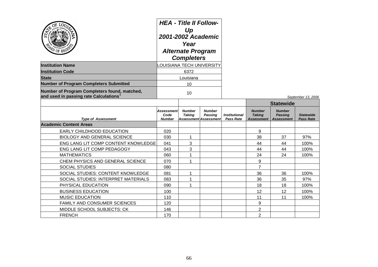| <b>PD</b> OF REGE                                                                     | <b>HEA - Title II Follow-</b><br>Up<br>2001-2002 Academic<br>Year<br><b>Alternate Program</b><br><b>Completers</b> |                                |                                                                 |                                          |                                              |                                                      |                                      |
|---------------------------------------------------------------------------------------|--------------------------------------------------------------------------------------------------------------------|--------------------------------|-----------------------------------------------------------------|------------------------------------------|----------------------------------------------|------------------------------------------------------|--------------------------------------|
| <b>Institution Name</b>                                                               | <b>OUISIANA TECH UNIVERSITY</b>                                                                                    |                                |                                                                 |                                          |                                              |                                                      |                                      |
| <b>Institution Code</b>                                                               |                                                                                                                    | 6372                           |                                                                 |                                          |                                              |                                                      |                                      |
| <b>State</b>                                                                          |                                                                                                                    | Louisiana                      |                                                                 |                                          |                                              |                                                      |                                      |
| <b>Number of Program Completers Submitted</b>                                         |                                                                                                                    | 10                             |                                                                 |                                          |                                              |                                                      |                                      |
| Number of Program Completers found, matched,<br>and used in passing rate Calculations | 10                                                                                                                 |                                |                                                                 |                                          |                                              | September 13, 2006                                   |                                      |
|                                                                                       |                                                                                                                    |                                |                                                                 |                                          | <b>Statewide</b>                             |                                                      |                                      |
| <b>Type of Assessment</b>                                                             | Assessment<br>Code<br><b>Number</b>                                                                                | <b>Number</b><br><b>Taking</b> | <b>Number</b><br><b>Passing</b><br><b>Assessment Assessment</b> | <b>Institutional</b><br><b>Pass Rate</b> | <b>Number</b><br><b>Taking</b><br>Assessment | <b>Number</b><br><b>Passing</b><br><b>Assessment</b> | <b>Statewide</b><br><b>Pass Rate</b> |
| <b>Academic Content Areas</b>                                                         |                                                                                                                    |                                |                                                                 |                                          |                                              |                                                      |                                      |
| EARLY CHILDHOOD EDUCATION                                                             | 020                                                                                                                |                                |                                                                 |                                          | 9                                            |                                                      |                                      |
| <b>BIOLOGY AND GENERAL SCIENCE</b>                                                    | 030                                                                                                                | 1                              |                                                                 |                                          | 38                                           | 37                                                   | 97%                                  |
| ENG LANG LIT COMP CONTENT KNOWLEDGE                                                   | 041                                                                                                                | 3                              |                                                                 |                                          | 44                                           | 44                                                   | 100%                                 |
| ENG LANG LIT COMP PEDAGOGY                                                            | 043                                                                                                                | 3                              |                                                                 |                                          | 44                                           | 44                                                   | 100%                                 |
| <b>MATHEMATICS</b>                                                                    | 060                                                                                                                | $\mathbf 1$                    |                                                                 |                                          | 24                                           | 24                                                   | 100%                                 |
| CHEM PHYSICS AND GENERAL SCIENCE                                                      | 070                                                                                                                | $\mathbf 1$                    |                                                                 |                                          | 9                                            |                                                      |                                      |
| <b>SOCIAL STUDIES</b>                                                                 | 080                                                                                                                |                                |                                                                 |                                          | $\overline{7}$                               |                                                      |                                      |
| SOCIAL STUDIES: CONTENT KNOWLEDGE                                                     | 081                                                                                                                | 1                              |                                                                 |                                          | 36                                           | 36                                                   | 100%                                 |
| SOCIAL STUDIES: INTERPRET MATERIALS                                                   | 083                                                                                                                | $\mathbf{1}$                   |                                                                 |                                          | 36                                           | 35                                                   | 97%                                  |
| PHYSICAL EDUCATION                                                                    | 090                                                                                                                | 1                              |                                                                 |                                          | 18                                           | 18                                                   | 100%                                 |
| <b>BUSINESS EDUCATION</b>                                                             | 100                                                                                                                |                                |                                                                 |                                          | 12                                           | 12                                                   | 100%                                 |
| <b>MUSIC EDUCATION</b>                                                                | 110                                                                                                                |                                |                                                                 |                                          | 11                                           | 11                                                   | 100%                                 |
| FAMILY AND CONSUMER SCIENCES                                                          | 120                                                                                                                |                                |                                                                 |                                          | 9                                            |                                                      |                                      |
| MIDDLE SCHOOL SUBJECTS: CK                                                            | 146                                                                                                                |                                |                                                                 |                                          | $\overline{c}$                               |                                                      |                                      |
| <b>FRENCH</b>                                                                         | 170                                                                                                                |                                |                                                                 |                                          | $\overline{2}$                               |                                                      |                                      |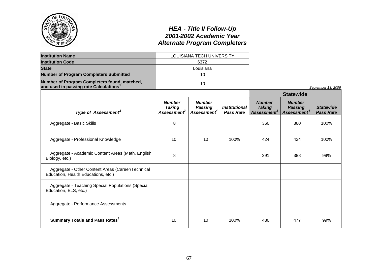|                                                                                                    | <b>HEA - Title II Follow-Up</b><br>2001-2002 Academic Year<br><b>Alternate Program Completers</b> |                                                            |                                                 |                                                           |                                                            |                                      |  |
|----------------------------------------------------------------------------------------------------|---------------------------------------------------------------------------------------------------|------------------------------------------------------------|-------------------------------------------------|-----------------------------------------------------------|------------------------------------------------------------|--------------------------------------|--|
| <b>Institution Name</b>                                                                            | LOUISIANA TECH UNIVERSITY                                                                         |                                                            |                                                 |                                                           |                                                            |                                      |  |
| <b>Institution Code</b>                                                                            |                                                                                                   | 6372                                                       |                                                 |                                                           |                                                            |                                      |  |
| <b>State</b>                                                                                       |                                                                                                   | Louisiana                                                  |                                                 |                                                           |                                                            |                                      |  |
| <b>Number of Program Completers Submitted</b>                                                      |                                                                                                   | 10                                                         |                                                 |                                                           |                                                            |                                      |  |
| Number of Program Completers found, matched,<br>and used in passing rate Calculations <sup>1</sup> |                                                                                                   | 10                                                         |                                                 |                                                           |                                                            | September 13, 2006                   |  |
|                                                                                                    |                                                                                                   |                                                            |                                                 | <b>Statewide</b>                                          |                                                            |                                      |  |
| Type of Assessment <sup>2</sup>                                                                    | <b>Number</b><br><b>Taking</b><br>Assessment <sup>3</sup>                                         | <b>Number</b><br><b>Passing</b><br>Assessment <sup>4</sup> | <i><b>Institutional</b></i><br><b>Pass Rate</b> | <b>Number</b><br><b>Taking</b><br>Assessment <sup>3</sup> | <b>Number</b><br><b>Passing</b><br>Assessment <sup>4</sup> | <b>Statewide</b><br><b>Pass Rate</b> |  |
| Aggregate - Basic Skills                                                                           | 8                                                                                                 |                                                            |                                                 | 360                                                       | 360                                                        | 100%                                 |  |
| Aggregate - Professional Knowledge                                                                 | 10                                                                                                | 10 <sup>1</sup>                                            | 100%                                            | 424                                                       | 424                                                        | 100%                                 |  |
| Aggregate - Academic Content Areas (Math, English,<br>Biology, etc.)                               | 8                                                                                                 |                                                            |                                                 | 391                                                       | 388                                                        | 99%                                  |  |
| Aggregate - Other Content Areas (Career/Technical<br>Education, Health Educations, etc.)           |                                                                                                   |                                                            |                                                 |                                                           |                                                            |                                      |  |
| Aggregate - Teaching Special Populations (Special<br>Education, ELS, etc.)                         |                                                                                                   |                                                            |                                                 |                                                           |                                                            |                                      |  |
| Aggregate - Performance Assessments                                                                |                                                                                                   |                                                            |                                                 |                                                           |                                                            |                                      |  |
| <b>Summary Totals and Pass Rates</b> <sup>5</sup>                                                  | 10                                                                                                | 10                                                         | 100%                                            | 480                                                       | 477                                                        | 99%                                  |  |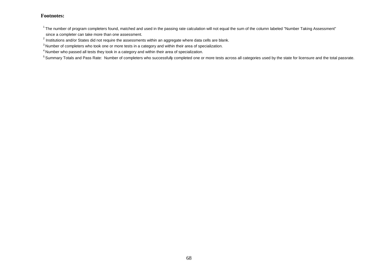$1$ The number of program completers found, matched and used in the passing rate calculation will not equal the sum of the column labeled "Number Taking Assessment" since a completer can take more than one assessment.

 $^{2}$  Institutions and/or States did not require the assessments within an aggregate where data cells are blank.

<sup>&</sup>lt;sup>3</sup> Number of completers who took one or more tests in a category and within their area of specialization.

<sup>4</sup> Number who passed all tests they took in a category and within their area of specialization.

<sup>&</sup>lt;sup>5</sup> Summary Totals and Pass Rate: Number of completers who successfully completed one or more tests across all categories used by the state for licensure and the total passrate.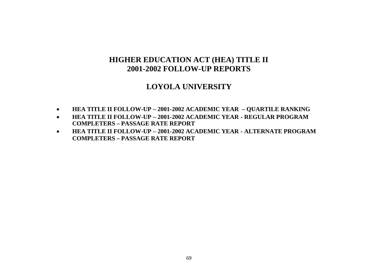# **LOYOLA UNIVERSITY**

- **HEA TITLE II FOLLOW-UP – 2001-2002 ACADEMIC YEAR – QUARTILE RANKING**
- **HEA TITLE II FOLLOW-UP – 2001-2002 ACADEMIC YEAR - REGULAR PROGRAM COMPLETERS – PASSAGE RATE REPORT**
- **HEA TITLE II FOLLOW-UP – 2001-2002 ACADEMIC YEAR - ALTERNATE PROGRAM COMPLETERS – PASSAGE RATE REPORT**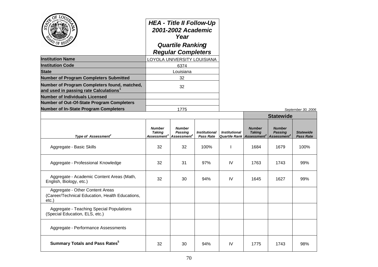|                                                                                                    | <b>HEA - Title II Follow-Up</b><br>2001-2002 Academic<br>Year<br><b>Quartile Ranking</b><br><b>Regular Completers</b> |
|----------------------------------------------------------------------------------------------------|-----------------------------------------------------------------------------------------------------------------------|
| <b>Institution Name</b>                                                                            | LOYOLA UNIVERSITY LOUISIANA                                                                                           |
| <b>Institution Code</b>                                                                            | 6374                                                                                                                  |
| <b>State</b>                                                                                       | Louisiana                                                                                                             |
| <b>Number of Program Completers Submitted</b>                                                      | 32                                                                                                                    |
| Number of Program Completers found, matched,<br>and used in passing rate Calculations <sup>1</sup> | 32                                                                                                                    |
| <b>Number of Individuals Licensed</b>                                                              |                                                                                                                       |
| <b>Number of Out-Of-State Program Completers</b>                                                   |                                                                                                                       |
| <b>Number of In-State Program Completers</b>                                                       | 1775                                                                                                                  |

|                                                                                            |                                                           |                                                     |                                          | <b>Statewide</b>     |                                                                                                 |                          |                                      |
|--------------------------------------------------------------------------------------------|-----------------------------------------------------------|-----------------------------------------------------|------------------------------------------|----------------------|-------------------------------------------------------------------------------------------------|--------------------------|--------------------------------------|
| Type of Assessment <sup>2</sup>                                                            | <b>Number</b><br><b>Taking</b><br>Assessment <sup>3</sup> | <b>Number</b><br>Passing<br>Assessment <sup>4</sup> | <b>Institutional</b><br><b>Pass Rate</b> | <b>Institutional</b> | <b>Number</b><br><b>Taking</b><br>Quartile Rank Assessment <sup>3</sup> Assessment <sup>4</sup> | <b>Number</b><br>Passing | <b>Statewide</b><br><b>Pass Rate</b> |
| Aggregate - Basic Skills                                                                   | 32                                                        | 32                                                  | 100%                                     |                      | 1684                                                                                            | 1679                     | 100%                                 |
| Aggregate - Professional Knowledge                                                         | 32                                                        | 31                                                  | 97%                                      | <b>IV</b>            | 1763                                                                                            | 1743                     | 99%                                  |
| Aggregate - Academic Content Areas (Math,<br>English, Biology, etc.)                       | 32                                                        | 30                                                  | 94%                                      | IV                   | 1645                                                                                            | 1627                     | 99%                                  |
| Aggregate - Other Content Areas<br>(Career/Technical Education, Health Educations,<br>etc. |                                                           |                                                     |                                          |                      |                                                                                                 |                          |                                      |
| Aggregate - Teaching Special Populations<br>(Special Education, ELS, etc.)                 |                                                           |                                                     |                                          |                      |                                                                                                 |                          |                                      |
| Aggregate - Performance Assessments                                                        |                                                           |                                                     |                                          |                      |                                                                                                 |                          |                                      |
| <b>Summary Totals and Pass Rates</b> <sup>5</sup>                                          | 32                                                        | 30                                                  | 94%                                      | IV                   | 1775                                                                                            | 1743                     | 98%                                  |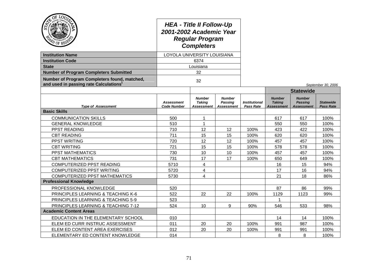| $O_{\text{E}}$<br><b>Institution Name</b><br><b>Institution Code</b><br><b>State</b>               | <b>HEA - Title II Follow-Up</b><br>2001-2002 Academic Year<br><b>Regular Program</b><br><b>Completers</b><br>LOYOLA UNIVERSITY LOUISIANA<br>6374<br>Louisiana |                                              |                                               |                                   |                                              |                                                      |                                      |  |
|----------------------------------------------------------------------------------------------------|---------------------------------------------------------------------------------------------------------------------------------------------------------------|----------------------------------------------|-----------------------------------------------|-----------------------------------|----------------------------------------------|------------------------------------------------------|--------------------------------------|--|
| <b>Number of Program Completers Submitted</b>                                                      |                                                                                                                                                               | 32                                           |                                               |                                   |                                              |                                                      |                                      |  |
| Number of Program Completers found, matched,<br>and used in passing rate Calculations <sup>1</sup> |                                                                                                                                                               | 32                                           |                                               |                                   |                                              |                                                      |                                      |  |
|                                                                                                    |                                                                                                                                                               |                                              |                                               |                                   |                                              | September 30, 2006<br><b>Statewide</b>               |                                      |  |
| <b>Type of Assessment</b>                                                                          | <b>Assessment</b><br><b>Code Number</b>                                                                                                                       | <b>Number</b><br><b>Taking</b><br>Assessment | <b>Number</b><br>Passing<br><b>Assessment</b> | <b>Institutional</b><br>Pass Rate | <b>Number</b><br><b>Taking</b><br>Assessment | <b>Number</b><br><b>Passing</b><br><b>Assessment</b> | <b>Statewide</b><br><b>Pass Rate</b> |  |
| <b>Basic Skills</b>                                                                                |                                                                                                                                                               |                                              |                                               |                                   |                                              |                                                      |                                      |  |
| <b>COMMUNICATION SKILLS</b>                                                                        | 500                                                                                                                                                           | 1                                            |                                               |                                   | 617                                          | 617                                                  | 100%                                 |  |
| <b>GENERAL KNOWLEDGE</b>                                                                           | 510                                                                                                                                                           | $\mathbf{1}$                                 |                                               |                                   | 550                                          | 550                                                  | 100%                                 |  |
| PPST READING                                                                                       | 710                                                                                                                                                           | 12                                           | 12                                            | 100%                              | 423                                          | 422                                                  | 100%                                 |  |
| <b>CBT READING</b>                                                                                 | 711                                                                                                                                                           | 15                                           | 15                                            | 100%                              | 620                                          | 620                                                  | 100%                                 |  |
| PPST WRITING                                                                                       | 720                                                                                                                                                           | 12                                           | 12<br>15                                      | 100%                              | 457                                          | 457                                                  | 100%<br>100%                         |  |
| <b>CBT WRITING</b><br>PPST MATHEMATICS                                                             | 721<br>730                                                                                                                                                    | 15<br>10                                     | 10                                            | 100%<br>100%                      | 578<br>457                                   | 578<br>457                                           | 100%                                 |  |
| <b>CBT MATHEMATICS</b>                                                                             | 731                                                                                                                                                           | 17                                           | 17                                            | 100%                              | 650                                          | 649                                                  | 100%                                 |  |
| COMPUTERIZED PPST READING                                                                          | 5710                                                                                                                                                          | 4                                            |                                               |                                   | 16                                           | 15                                                   | 94%                                  |  |
| COMPUTERIZED PPST WRITING                                                                          | 5720                                                                                                                                                          | 4                                            |                                               |                                   | 17                                           | 16                                                   | 94%                                  |  |
| <b>COMPUTERIZED PPST MATHEMATICS</b>                                                               | 5730                                                                                                                                                          | 4                                            |                                               |                                   | 21                                           | 18                                                   | 86%                                  |  |
| <b>Professional Knowledge</b>                                                                      |                                                                                                                                                               |                                              |                                               |                                   |                                              |                                                      |                                      |  |
| PROFESSIONAL KNOWLEDGE                                                                             | 520                                                                                                                                                           |                                              |                                               |                                   | 87                                           | 86                                                   | 99%                                  |  |
| PRINCIPLES LEARNING & TEACHING K-6                                                                 | 522                                                                                                                                                           | 22                                           | 22                                            | 100%                              | 1129                                         | 1123                                                 | 99%                                  |  |
| PRINCIPLES LEARNING & TEACHING 5-9                                                                 | 523                                                                                                                                                           |                                              |                                               |                                   |                                              |                                                      |                                      |  |
| PRINCIPLES LEARNING & TEACHING 7-12                                                                | 524                                                                                                                                                           | 10                                           | 9                                             | 90%                               | 546                                          | 533                                                  | 98%                                  |  |
| <b>Academic Content Areas</b>                                                                      |                                                                                                                                                               |                                              |                                               |                                   |                                              |                                                      |                                      |  |
| EDUCATION IN THE ELEMENTARY SCHOOL                                                                 | 010                                                                                                                                                           |                                              |                                               |                                   | 14                                           | 14                                                   | 100%                                 |  |
| ELEM ED CURR INSTRUC ASSESSMENT                                                                    | 011                                                                                                                                                           | 20                                           | 20                                            | 100%                              | 991                                          | 987                                                  | 100%                                 |  |
| ELEM ED CONTENT AREA EXERCISES                                                                     | 012<br>20<br>20                                                                                                                                               |                                              |                                               | 100%                              | 991                                          | 991                                                  | 100%                                 |  |
| ELEMENTARY ED CONTENT KNOWLEDGE                                                                    | 014                                                                                                                                                           |                                              | 8                                             | 8                                 | 100%                                         |                                                      |                                      |  |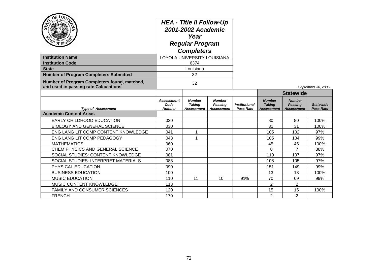| $O_E$<br>LO <sub>U</sub><br>PD OF REGE                                                             | <b>HEA - Title II Follow-Up</b><br>2001-2002 Academic<br>Year<br><b>Regular Program</b><br><b>Completers</b><br>LOYOLA UNIVERSITY LOUISIANA |                                              |                                        |                                   |                                              |                                                      |                                      |
|----------------------------------------------------------------------------------------------------|---------------------------------------------------------------------------------------------------------------------------------------------|----------------------------------------------|----------------------------------------|-----------------------------------|----------------------------------------------|------------------------------------------------------|--------------------------------------|
| <b>Institution Name</b>                                                                            |                                                                                                                                             |                                              |                                        |                                   |                                              |                                                      |                                      |
| <b>Institution Code</b>                                                                            | 6374                                                                                                                                        |                                              |                                        |                                   |                                              |                                                      |                                      |
| <b>State</b>                                                                                       | Louisiana                                                                                                                                   |                                              |                                        |                                   |                                              |                                                      |                                      |
| <b>Number of Program Completers Submitted</b>                                                      |                                                                                                                                             | 32                                           |                                        |                                   |                                              |                                                      |                                      |
| Number of Program Completers found, matched,<br>and used in passing rate Calculations <sup>1</sup> |                                                                                                                                             | 32                                           |                                        |                                   |                                              |                                                      | September 30, 2006                   |
|                                                                                                    |                                                                                                                                             |                                              |                                        |                                   |                                              | <b>Statewide</b>                                     |                                      |
| <b>Type of Assessment</b>                                                                          | Assessment<br>Code<br><b>Number</b>                                                                                                         | <b>Number</b><br><b>Taking</b><br>Assessment | <b>Number</b><br>Passing<br>Assessment | <b>Institutional</b><br>Pass Rate | <b>Number</b><br><b>Taking</b><br>Assessment | <b>Number</b><br><b>Passing</b><br><b>Assessment</b> | <b>Statewide</b><br><b>Pass Rate</b> |
| <b>Academic Content Areas</b>                                                                      |                                                                                                                                             |                                              |                                        |                                   |                                              |                                                      |                                      |
| <b>EARLY CHILDHOOD EDUCATION</b>                                                                   | 020                                                                                                                                         |                                              |                                        |                                   | 80                                           | 80                                                   | 100%                                 |
| <b>BIOLOGY AND GENERAL SCIENCE</b>                                                                 | 030                                                                                                                                         |                                              |                                        |                                   | 31                                           | 31                                                   | 100%                                 |
| ENG LANG LIT COMP CONTENT KNOWLEDGE                                                                | 041                                                                                                                                         | 1                                            |                                        |                                   | 105                                          | 102                                                  | 97%                                  |
| ENG LANG LIT COMP PEDAGOGY                                                                         | 043                                                                                                                                         | 1                                            |                                        |                                   | 105                                          | 104                                                  | 99%                                  |
| <b>MATHEMATICS</b>                                                                                 | 060                                                                                                                                         |                                              |                                        |                                   | 45                                           | 45                                                   | 100%                                 |
| CHEM PHYSICS AND GENERAL SCIENCE                                                                   | 070                                                                                                                                         |                                              |                                        |                                   | 8                                            | $\overline{7}$                                       | 88%                                  |
| SOCIAL STUDIES: CONTENT KNOWLEDGE                                                                  | 081                                                                                                                                         |                                              |                                        |                                   | 110                                          | 107                                                  | 97%                                  |
| SOCIAL STUDIES: INTERPRET MATERIALS                                                                | 083                                                                                                                                         |                                              |                                        |                                   | 108                                          | 105                                                  | 97%                                  |
| PHYSICAL EDUCATION                                                                                 | 090                                                                                                                                         |                                              |                                        |                                   | 151                                          | 149                                                  | 99%                                  |
| <b>BUSINESS EDUCATION</b>                                                                          | 100                                                                                                                                         |                                              |                                        |                                   | 13                                           | 13                                                   | 100%                                 |
| <b>MUSIC EDUCATION</b>                                                                             | 110                                                                                                                                         | 11                                           | 10                                     | 91%                               | 70                                           | 69                                                   | 99%                                  |
| MUSIC CONTENT KNOWLEDGE                                                                            | 113                                                                                                                                         |                                              |                                        |                                   | $\overline{2}$                               | $\overline{2}$                                       |                                      |
| FAMILY AND CONSUMER SCIENCES                                                                       | 120                                                                                                                                         |                                              |                                        |                                   | 15                                           | 15                                                   | 100%                                 |
| <b>FRENCH</b>                                                                                      | 170                                                                                                                                         |                                              |                                        |                                   | $\overline{2}$                               | $\overline{2}$                                       |                                      |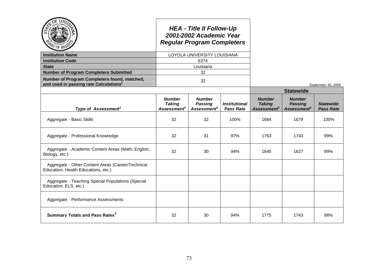|                                                                                                    |                                                           | <b>HEA - Title II Follow-Up</b><br>2001-2002 Academic Year<br><b>Regular Program Completers</b> |                                                 |                                                                  |                                                            |                                      |
|----------------------------------------------------------------------------------------------------|-----------------------------------------------------------|-------------------------------------------------------------------------------------------------|-------------------------------------------------|------------------------------------------------------------------|------------------------------------------------------------|--------------------------------------|
| <b>Institution Name</b>                                                                            |                                                           | LOYOLA UNIVERSITY LOUISIANA                                                                     |                                                 |                                                                  |                                                            |                                      |
| <b>Institution Code</b>                                                                            |                                                           | 6374                                                                                            |                                                 |                                                                  |                                                            |                                      |
| <b>State</b>                                                                                       |                                                           | Louisiana                                                                                       |                                                 |                                                                  |                                                            |                                      |
| <b>Number of Program Completers Submitted</b>                                                      |                                                           | 32                                                                                              |                                                 |                                                                  |                                                            |                                      |
| Number of Program Completers found, matched,<br>and used in passing rate Calculations <sup>1</sup> |                                                           | 32                                                                                              |                                                 |                                                                  |                                                            | September 30, 2006                   |
|                                                                                                    |                                                           |                                                                                                 |                                                 |                                                                  | <b>Statewide</b>                                           |                                      |
| Type of Assessment <sup>2</sup>                                                                    | <b>Number</b><br><b>Taking</b><br>Assessment <sup>3</sup> | <b>Number</b><br><b>Passing</b><br>Assessment <sup>4</sup>                                      | <i><b>Institutional</b></i><br><b>Pass Rate</b> | <b>Number</b><br><b>Taking</b><br><b>Assessment</b> <sup>3</sup> | <b>Number</b><br><b>Passing</b><br>Assessment <sup>4</sup> | <b>Statewide</b><br><b>Pass Rate</b> |
| Aggregate - Basic Skills                                                                           | 32                                                        | 32                                                                                              | 100%                                            | 1684                                                             | 1679                                                       | 100%                                 |
| Aggregate - Professional Knowledge                                                                 | 32                                                        | 31                                                                                              | 97%                                             | 1763                                                             | 1743                                                       | 99%                                  |
| Aggregate - Academic Content Areas (Math, English,<br>Biology, etc.)                               | 32                                                        | 30                                                                                              | 94%                                             | 1645                                                             | 1627                                                       | 99%                                  |
| Aggregate - Other Content Areas (Career/Technical<br>Education, Health Educations, etc.)           |                                                           |                                                                                                 |                                                 |                                                                  |                                                            |                                      |
| Aggregate - Teaching Special Populations (Special<br>Education, ELS, etc.)                         |                                                           |                                                                                                 |                                                 |                                                                  |                                                            |                                      |
| Aggregate - Performance Assessments                                                                |                                                           |                                                                                                 |                                                 |                                                                  |                                                            |                                      |
| <b>Summary Totals and Pass Rates<sup>5</sup></b>                                                   | 32                                                        | 30                                                                                              | 94%                                             | 1775                                                             | 1743                                                       | 98%                                  |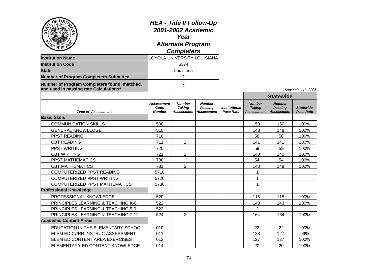| OF LO <sub>U</sub><br><b>Institution Name</b><br><b>Institution Code</b><br><b>State</b><br><b>Number of Program Completers Submitted</b><br>Number of Program Completers found, matched,<br>and used in passing rate Calculations <sup>1</sup> | <b>HEA - Title II Follow-Up</b><br>2001-2002 Academic<br>Year<br><b>Alternate Program</b><br><b>Completers</b><br>LOYOLA UNIVERSITY LOUISIANA<br>6374<br>Louisiana<br>2<br>$\overline{2}$ |                                              |                                               |                                          |                                                     |                                                      | September 13, 2006                   |
|-------------------------------------------------------------------------------------------------------------------------------------------------------------------------------------------------------------------------------------------------|-------------------------------------------------------------------------------------------------------------------------------------------------------------------------------------------|----------------------------------------------|-----------------------------------------------|------------------------------------------|-----------------------------------------------------|------------------------------------------------------|--------------------------------------|
|                                                                                                                                                                                                                                                 |                                                                                                                                                                                           |                                              |                                               |                                          |                                                     | <b>Statewide</b>                                     |                                      |
| <b>Type of Assessment</b>                                                                                                                                                                                                                       | Assessment<br>Code<br><b>Number</b>                                                                                                                                                       | <b>Number</b><br><b>Taking</b><br>Assessment | <b>Number</b><br>Passing<br><b>Assessment</b> | <b>Institutional</b><br><b>Pass Rate</b> | <b>Number</b><br><b>Taking</b><br><b>Assessment</b> | <b>Number</b><br><b>Passing</b><br><b>Assessment</b> | <b>Statewide</b><br><b>Pass Rate</b> |
| <b>Basic Skills</b>                                                                                                                                                                                                                             |                                                                                                                                                                                           |                                              |                                               |                                          |                                                     |                                                      |                                      |
| <b>COMMUNICATION SKILLS</b>                                                                                                                                                                                                                     | 500                                                                                                                                                                                       |                                              |                                               |                                          | 150                                                 | 150                                                  | 100%                                 |
| <b>GENERAL KNOWLEDGE</b>                                                                                                                                                                                                                        | 510                                                                                                                                                                                       |                                              |                                               |                                          | 148                                                 | 148                                                  | 100%                                 |
| PPST READING                                                                                                                                                                                                                                    | 710                                                                                                                                                                                       |                                              |                                               |                                          | 58                                                  | 58                                                   | 100%                                 |
| <b>CBT READING</b>                                                                                                                                                                                                                              | 711                                                                                                                                                                                       | $\overline{2}$                               |                                               |                                          | 141                                                 | 141                                                  | 100%                                 |
| <b>PPST WRITING</b>                                                                                                                                                                                                                             | 720                                                                                                                                                                                       |                                              |                                               |                                          | 59                                                  | 59                                                   | 100%                                 |
| <b>CBT WRITING</b>                                                                                                                                                                                                                              | 721                                                                                                                                                                                       | $\overline{2}$                               |                                               |                                          | 140                                                 | 140                                                  | 100%                                 |
| PPST MATHEMATICS                                                                                                                                                                                                                                | 730                                                                                                                                                                                       |                                              |                                               |                                          | 54                                                  | 54                                                   | 100%                                 |
| <b>CBT MATHEMATICS</b>                                                                                                                                                                                                                          | 731                                                                                                                                                                                       | $\overline{2}$                               |                                               |                                          | 148                                                 | 148                                                  | 100%                                 |
| COMPUTERIZED PPST READING                                                                                                                                                                                                                       | 5710                                                                                                                                                                                      |                                              |                                               |                                          | $\mathbf 1$                                         |                                                      |                                      |
| COMPUTERIZED PPST WRITING                                                                                                                                                                                                                       | 5720                                                                                                                                                                                      |                                              |                                               |                                          | 1                                                   |                                                      |                                      |
| <b>COMPUTERIZED PPST MATHEMATICS</b>                                                                                                                                                                                                            | 5730                                                                                                                                                                                      |                                              |                                               |                                          | 1                                                   |                                                      |                                      |
| <b>Professional Knowledge</b>                                                                                                                                                                                                                   |                                                                                                                                                                                           |                                              |                                               |                                          |                                                     |                                                      |                                      |
| PROFESSIONAL KNOWLEDGE                                                                                                                                                                                                                          | 520                                                                                                                                                                                       |                                              |                                               |                                          | 115                                                 | 115                                                  | 100%                                 |
| PRINCIPLES LEARNING & TEACHING K-6                                                                                                                                                                                                              | 522                                                                                                                                                                                       |                                              |                                               |                                          | 143                                                 | 143                                                  | 100%                                 |
| <b>PRINCIPLES LEARNING &amp; TEACHING 5-9</b>                                                                                                                                                                                                   | 523                                                                                                                                                                                       |                                              |                                               |                                          | $\overline{2}$                                      |                                                      |                                      |
| PRINCIPLES LEARNING & TEACHING 7-12                                                                                                                                                                                                             | 524                                                                                                                                                                                       | $\overline{2}$                               |                                               |                                          | 164                                                 | 164                                                  | 100%                                 |
| <b>Academic Content Areas</b>                                                                                                                                                                                                                   |                                                                                                                                                                                           |                                              |                                               |                                          |                                                     |                                                      |                                      |
| EDUCATION IN THE ELEMENTARY SCHOOL                                                                                                                                                                                                              | 010                                                                                                                                                                                       |                                              |                                               |                                          | 22                                                  | 22                                                   | 100%                                 |
| ELEM ED CURR INSTRUC ASSESSMENT                                                                                                                                                                                                                 | 011                                                                                                                                                                                       |                                              |                                               |                                          | 128                                                 | 127                                                  | 99%                                  |
| ELEM ED CONTENT AREA EXERCISES                                                                                                                                                                                                                  | 012                                                                                                                                                                                       |                                              |                                               |                                          | 127                                                 | 127                                                  | 100%                                 |
| ELEMENTARY ED CONTENT KNOWLEDGE                                                                                                                                                                                                                 | 014                                                                                                                                                                                       |                                              |                                               |                                          | 20                                                  | 20                                                   | 100%                                 |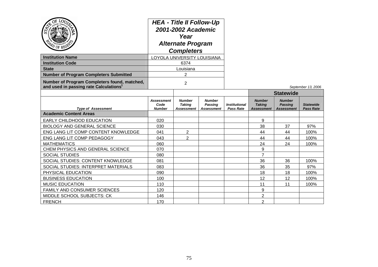| AD OF REGS                                                                                         | <b>HEA - Title II Follow-Up</b><br>2001-2002 Academic<br>Year<br><b>Alternate Program</b><br><b>Completers</b> |                                              |                                                      |                                                 |                                                     |                                                      |                                      |
|----------------------------------------------------------------------------------------------------|----------------------------------------------------------------------------------------------------------------|----------------------------------------------|------------------------------------------------------|-------------------------------------------------|-----------------------------------------------------|------------------------------------------------------|--------------------------------------|
| <b>Institution Name</b>                                                                            |                                                                                                                | LOYOLA UNIVERSITY LOUISIANA                  |                                                      |                                                 |                                                     |                                                      |                                      |
| <b>Institution Code</b>                                                                            |                                                                                                                | 6374                                         |                                                      |                                                 |                                                     |                                                      |                                      |
| <b>State</b>                                                                                       |                                                                                                                | Louisiana                                    |                                                      |                                                 |                                                     |                                                      |                                      |
| <b>Number of Program Completers Submitted</b>                                                      |                                                                                                                | 2                                            |                                                      |                                                 |                                                     |                                                      |                                      |
| Number of Program Completers found, matched,<br>and used in passing rate Calculations <sup>1</sup> | 2                                                                                                              |                                              |                                                      |                                                 |                                                     |                                                      | September 13, 2006                   |
|                                                                                                    |                                                                                                                |                                              |                                                      |                                                 | <b>Statewide</b>                                    |                                                      |                                      |
| <b>Type of Assessment</b>                                                                          | <b>Assessment</b><br>Code<br><b>Number</b>                                                                     | <b>Number</b><br><b>Taking</b><br>Assessment | <b>Number</b><br><b>Passing</b><br><b>Assessment</b> | <i><b>Institutional</b></i><br><b>Pass Rate</b> | <b>Number</b><br><b>Taking</b><br><b>Assessment</b> | <b>Number</b><br><b>Passing</b><br><b>Assessment</b> | <b>Statewide</b><br><b>Pass Rate</b> |
| <b>Academic Content Areas</b>                                                                      |                                                                                                                |                                              |                                                      |                                                 |                                                     |                                                      |                                      |
| <b>EARLY CHILDHOOD EDUCATION</b>                                                                   | 020                                                                                                            |                                              |                                                      |                                                 | 9                                                   |                                                      |                                      |
| <b>BIOLOGY AND GENERAL SCIENCE</b>                                                                 | 030                                                                                                            |                                              |                                                      |                                                 | 38                                                  | 37                                                   | 97%                                  |
| ENG LANG LIT COMP CONTENT KNOWLEDGE                                                                | 041                                                                                                            | $\overline{2}$                               |                                                      |                                                 | 44                                                  | 44                                                   | 100%                                 |
| ENG LANG LIT COMP PEDAGOGY                                                                         | 043                                                                                                            | $\overline{2}$                               |                                                      |                                                 | 44                                                  | 44                                                   | 100%                                 |
| <b>MATHEMATICS</b>                                                                                 | 060                                                                                                            |                                              |                                                      |                                                 | 24                                                  | 24                                                   | 100%                                 |
| CHEM PHYSICS AND GENERAL SCIENCE                                                                   | 070                                                                                                            |                                              |                                                      |                                                 | 9                                                   |                                                      |                                      |
| <b>SOCIAL STUDIES</b>                                                                              | 080                                                                                                            |                                              |                                                      |                                                 | $\overline{7}$                                      |                                                      |                                      |
| SOCIAL STUDIES: CONTENT KNOWLEDGE                                                                  | 081                                                                                                            |                                              |                                                      |                                                 | 36                                                  | 36                                                   | 100%                                 |
| SOCIAL STUDIES: INTERPRET MATERIALS                                                                | 083                                                                                                            |                                              |                                                      |                                                 | 36                                                  | 35                                                   | 97%                                  |
| PHYSICAL EDUCATION                                                                                 | 090                                                                                                            |                                              |                                                      |                                                 | 18                                                  | 18                                                   | 100%                                 |
| <b>BUSINESS EDUCATION</b>                                                                          | 100                                                                                                            |                                              |                                                      |                                                 | 12                                                  | 12                                                   | 100%                                 |
| <b>MUSIC EDUCATION</b>                                                                             | 110                                                                                                            |                                              |                                                      |                                                 | 11                                                  | 11                                                   | 100%                                 |
| FAMILY AND CONSUMER SCIENCES                                                                       | 120                                                                                                            |                                              |                                                      |                                                 | 9                                                   |                                                      |                                      |
| <b>MIDDLE SCHOOL SUBJECTS: CK</b>                                                                  | 146                                                                                                            |                                              |                                                      |                                                 | 2                                                   |                                                      |                                      |
| <b>FRENCH</b>                                                                                      | 170                                                                                                            |                                              |                                                      |                                                 | $\overline{2}$                                      |                                                      |                                      |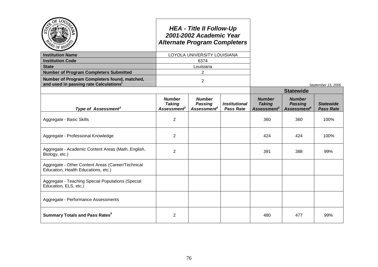|                                                                                                    | <b>HEA - Title II Follow-Up</b><br>2001-2002 Academic Year<br><b>Alternate Program Completers</b><br>LOYOLA UNIVERSITY LOUISIANA |                                                            |                                          |                                                                  |                                                            |                                      |
|----------------------------------------------------------------------------------------------------|----------------------------------------------------------------------------------------------------------------------------------|------------------------------------------------------------|------------------------------------------|------------------------------------------------------------------|------------------------------------------------------------|--------------------------------------|
| <b>Institution Name</b>                                                                            |                                                                                                                                  |                                                            |                                          |                                                                  |                                                            |                                      |
| <b>Institution Code</b>                                                                            | 6374                                                                                                                             |                                                            |                                          |                                                                  |                                                            |                                      |
| <b>State</b>                                                                                       | Louisiana                                                                                                                        |                                                            |                                          |                                                                  |                                                            |                                      |
| <b>Number of Program Completers Submitted</b>                                                      | $\overline{2}$                                                                                                                   |                                                            |                                          |                                                                  |                                                            |                                      |
| Number of Program Completers found, matched,<br>and used in passing rate Calculations <sup>1</sup> |                                                                                                                                  | $\overline{2}$                                             |                                          |                                                                  |                                                            | September 13, 2006                   |
|                                                                                                    |                                                                                                                                  |                                                            |                                          |                                                                  | <b>Statewide</b>                                           |                                      |
| Type of Assessment <sup>2</sup>                                                                    | <b>Number</b><br><b>Taking</b><br><b>Assessment</b> <sup>3</sup>                                                                 | <b>Number</b><br><b>Passing</b><br>Assessment <sup>4</sup> | <b>Institutional</b><br><b>Pass Rate</b> | <b>Number</b><br><b>Taking</b><br><b>Assessment</b> <sup>3</sup> | <b>Number</b><br><b>Passing</b><br>Assessment <sup>4</sup> | <b>Statewide</b><br><b>Pass Rate</b> |
| Aggregate - Basic Skills                                                                           | 2                                                                                                                                |                                                            |                                          | 360                                                              | 360                                                        | 100%                                 |
| Aggregate - Professional Knowledge                                                                 | $\overline{2}$                                                                                                                   |                                                            |                                          | 424                                                              | 424                                                        | 100%                                 |
| Aggregate - Academic Content Areas (Math, English,<br>Biology, etc.)                               | $\overline{2}$                                                                                                                   |                                                            |                                          | 391                                                              | 388                                                        | 99%                                  |
| Aggregate - Other Content Areas (Career/Technical<br>Education, Health Educations, etc.)           |                                                                                                                                  |                                                            |                                          |                                                                  |                                                            |                                      |
| Aggregate - Teaching Special Populations (Special<br>Education, ELS, etc.)                         |                                                                                                                                  |                                                            |                                          |                                                                  |                                                            |                                      |
| Aggregate - Performance Assessments                                                                |                                                                                                                                  |                                                            |                                          |                                                                  |                                                            |                                      |
| <b>Summary Totals and Pass Rates<sup>5</sup></b>                                                   | $\overline{2}$                                                                                                                   |                                                            |                                          | 480                                                              | 477                                                        | 99%                                  |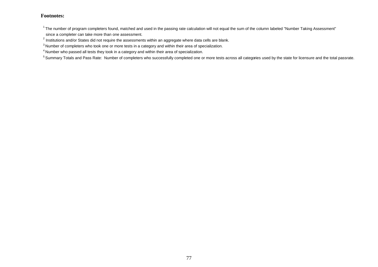$1$ The number of program completers found, matched and used in the passing rate calculation will not equal the sum of the column labeled "Number Taking Assessment"

since a completer can take more than one assessment.

 $^{2}$  Institutions and/or States did not require the assessments within an aggregate where data cells are blank.

<sup>3</sup> Number of completers who took one or more tests in a category and within their area of specialization.

<sup>4</sup> Number who passed all tests they took in a category and within their area of specialization.

<sup>5</sup> Summary Totals and Pass Rate: Number of completers who successfully completed one or more tests across all categories used by the state for licensure and the total passrate.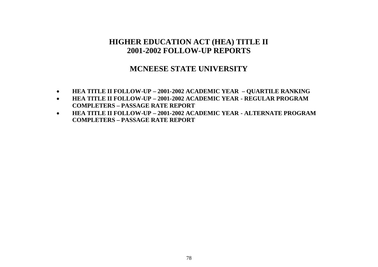### **MCNEESE STATE UNIVERSITY**

- **HEA TITLE II FOLLOW-UP – 2001-2002 ACADEMIC YEAR – QUARTILE RANKING**
- **HEA TITLE II FOLLOW-UP – 2001-2002 ACADEMIC YEAR - REGULAR PROGRAM COMPLETERS – PASSAGE RATE REPORT**
- **HEA TITLE II FOLLOW-UP – 2001-2002 ACADEMIC YEAR - ALTERNATE PROGRAM COMPLETERS – PASSAGE RATE REPORT**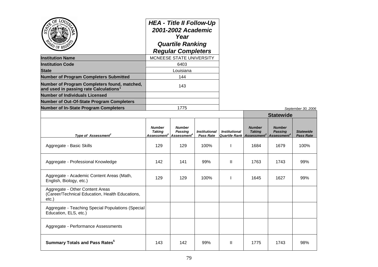| $\overline{O}$<br>LOU                                                                                                    | <b>HEA - Title II Follow-Up</b><br>2001-2002 Academic<br>Year<br><b>Quartile Ranking</b><br><b>Regular Completers</b><br>MCNEESE STATE UNIVERSITY |                                                     |                                          |                      |                                                                                |                                                            |                                      |
|--------------------------------------------------------------------------------------------------------------------------|---------------------------------------------------------------------------------------------------------------------------------------------------|-----------------------------------------------------|------------------------------------------|----------------------|--------------------------------------------------------------------------------|------------------------------------------------------------|--------------------------------------|
| <b>Institution Name</b>                                                                                                  |                                                                                                                                                   |                                                     |                                          |                      |                                                                                |                                                            |                                      |
| <b>Institution Code</b>                                                                                                  |                                                                                                                                                   | 6403                                                |                                          |                      |                                                                                |                                                            |                                      |
| <b>State</b>                                                                                                             |                                                                                                                                                   | Louisiana                                           |                                          |                      |                                                                                |                                                            |                                      |
| <b>Number of Program Completers Submitted</b>                                                                            | 144                                                                                                                                               |                                                     |                                          |                      |                                                                                |                                                            |                                      |
| Number of Program Completers found, matched,<br>and used in passing rate Calculations $^{\text{\tiny{\text{\tiny{1}}}}}$ | 143                                                                                                                                               |                                                     |                                          |                      |                                                                                |                                                            |                                      |
| <b>Number of Individuals Licensed</b>                                                                                    |                                                                                                                                                   |                                                     |                                          |                      |                                                                                |                                                            |                                      |
| Number of Out-Of-State Program Completers                                                                                |                                                                                                                                                   |                                                     |                                          |                      |                                                                                |                                                            |                                      |
| <b>Number of In-State Program Completers</b>                                                                             | 1775                                                                                                                                              |                                                     |                                          |                      |                                                                                | September 30, 2006                                         |                                      |
|                                                                                                                          |                                                                                                                                                   |                                                     |                                          |                      | <b>Statewide</b>                                                               |                                                            |                                      |
| Type of Assessment <sup>2</sup>                                                                                          | <b>Number</b><br><b>Taking</b><br>Assessment $^{\rm 3}$                                                                                           | <b>Number</b><br>Passing<br>Assessment <sup>4</sup> | <b>Institutional</b><br><b>Pass Rate</b> | <b>Institutional</b> | <b>Number</b><br><b>Taking</b><br><b>Quartile Rank Assessment</b> <sup>3</sup> | <b>Number</b><br><b>Passing</b><br>Assessment <sup>4</sup> | <b>Statewide</b><br><b>Pass Rate</b> |
| Aggregate - Basic Skills                                                                                                 | 129                                                                                                                                               | 129                                                 | 100%                                     | $\mathbf{I}$         | 1684                                                                           | 1679                                                       | 100%                                 |
| Aggregate - Professional Knowledge                                                                                       | 142                                                                                                                                               | 141                                                 | 99%                                      | Ш                    | 1763                                                                           | 1743                                                       | 99%                                  |
| Aggregate - Academic Content Areas (Math,<br>English, Biology, etc.)                                                     | 129                                                                                                                                               | 129                                                 | 100%                                     | $\mathbf{I}$         | 1645                                                                           | 1627                                                       | 99%                                  |
| Aggregate - Other Content Areas<br>(Career/Technical Education, Health Educations,<br>etc.)                              |                                                                                                                                                   |                                                     |                                          |                      |                                                                                |                                                            |                                      |
| Aggregate - Teaching Special Populations (Special<br>Education, ELS, etc.)                                               |                                                                                                                                                   |                                                     |                                          |                      |                                                                                |                                                            |                                      |
| Aggregate - Performance Assessments                                                                                      |                                                                                                                                                   |                                                     |                                          |                      |                                                                                |                                                            |                                      |
| <b>Summary Totals and Pass Rates<sup>5</sup></b>                                                                         | 143                                                                                                                                               | 142                                                 | 99%                                      | H.                   | 1775                                                                           | 1743                                                       | 98%                                  |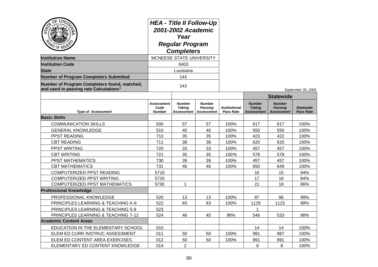| OF LO <sub>U</sub><br><b>Institution Name</b><br><b>Institution Code</b><br>State<br><b>Number of Program Completers Submitted</b> | <b>HEA - Title II Follow-Up</b><br>2001-2002 Academic<br>Year<br><b>Regular Program</b><br><b>Completers</b><br>MCNEESE STATE UNIVERSITY<br>6403<br>Louisiana<br>144 |                                       |                                               |                                          |                                                     |                                                      |                                      |
|------------------------------------------------------------------------------------------------------------------------------------|----------------------------------------------------------------------------------------------------------------------------------------------------------------------|---------------------------------------|-----------------------------------------------|------------------------------------------|-----------------------------------------------------|------------------------------------------------------|--------------------------------------|
| Number of Program Completers found, matched,<br>and used in passing rate Calculations <sup>1</sup>                                 | 143                                                                                                                                                                  |                                       |                                               |                                          |                                                     | September 30, 2006                                   |                                      |
|                                                                                                                                    |                                                                                                                                                                      |                                       |                                               |                                          |                                                     | <b>Statewide</b>                                     |                                      |
| <b>Type of Assessment</b>                                                                                                          | <b>Assessment</b><br>Code<br><b>Number</b>                                                                                                                           | <b>Number</b><br>Takina<br>Assessment | <b>Number</b><br>Passing<br><b>Assessment</b> | <b>Institutional</b><br><b>Pass Rate</b> | <b>Number</b><br><b>Taking</b><br><b>Assessment</b> | <b>Number</b><br><b>Passing</b><br><b>Assessment</b> | <b>Statewide</b><br><b>Pass Rate</b> |
| <b>Basic Skills</b>                                                                                                                |                                                                                                                                                                      |                                       |                                               |                                          |                                                     |                                                      |                                      |
| <b>COMMUNICATION SKILLS</b>                                                                                                        | 500                                                                                                                                                                  | 57                                    | 57                                            | 100%                                     | 617                                                 | 617                                                  | 100%                                 |
| <b>GENERAL KNOWLEDGE</b>                                                                                                           | 510                                                                                                                                                                  | 40                                    | 40                                            | 100%                                     | 550                                                 | 550                                                  | 100%                                 |
| PPST READING                                                                                                                       | 710                                                                                                                                                                  | 35                                    | 35                                            | 100%                                     | 423                                                 | 422                                                  | 100%                                 |
| <b>CBT READING</b>                                                                                                                 | 711                                                                                                                                                                  | 38                                    | 38                                            | 100%                                     | 620                                                 | 620                                                  | 100%                                 |
| PPST WRITING                                                                                                                       | 720                                                                                                                                                                  | 33                                    | 33                                            | 100%                                     | 457                                                 | 457                                                  | 100%                                 |
| <b>CBT WRITING</b>                                                                                                                 | 721                                                                                                                                                                  | 35                                    | 35                                            | 100%                                     | 578                                                 | 578                                                  | 100%                                 |
| PPST MATHEMATICS                                                                                                                   | 730                                                                                                                                                                  | 39                                    | 39                                            | 100%                                     | 457                                                 | 457                                                  | 100%                                 |
| <b>CBT MATHEMATICS</b>                                                                                                             | 731                                                                                                                                                                  | 46                                    | 46                                            | 100%                                     | 650                                                 | 649                                                  | 100%                                 |
| COMPUTERIZED PPST READING                                                                                                          | 5710                                                                                                                                                                 |                                       |                                               |                                          | 16                                                  | 15                                                   | 94%                                  |
| <b>COMPUTERIZED PPST WRITING</b>                                                                                                   | 5720                                                                                                                                                                 |                                       |                                               |                                          | 17                                                  | 16                                                   | 94%                                  |
| <b>COMPUTERIZED PPST MATHEMATICS</b>                                                                                               | 5730                                                                                                                                                                 | $\mathbf{1}$                          |                                               |                                          | 21                                                  | 18                                                   | 86%                                  |
| <b>Professional Knowledge</b>                                                                                                      |                                                                                                                                                                      |                                       |                                               |                                          |                                                     |                                                      |                                      |
| PROFESSIONAL KNOWLEDGE                                                                                                             | 520                                                                                                                                                                  | 13                                    | 13                                            | 100%                                     | 87                                                  | 86                                                   | 99%                                  |
| PRINCIPLES LEARNING & TEACHING K-6                                                                                                 | 522                                                                                                                                                                  | 83                                    | 83                                            | 100%                                     | 1129                                                | 1123                                                 | 99%                                  |
| <b>PRINCIPLES LEARNING &amp; TEACHING 5-9</b>                                                                                      | 523                                                                                                                                                                  |                                       |                                               |                                          | 1                                                   |                                                      |                                      |
| PRINCIPLES LEARNING & TEACHING 7-12                                                                                                | 524                                                                                                                                                                  | 46                                    | 45                                            | 98%                                      | 546                                                 | 533                                                  | 98%                                  |
| <b>Academic Content Areas</b>                                                                                                      |                                                                                                                                                                      |                                       |                                               |                                          |                                                     |                                                      |                                      |
| EDUCATION IN THE ELEMENTARY SCHOOL                                                                                                 | 010                                                                                                                                                                  |                                       |                                               |                                          | 14                                                  | 14                                                   | 100%                                 |
| ELEM ED CURR INSTRUC ASSESSMENT                                                                                                    | 011                                                                                                                                                                  | 50                                    | 50                                            | 100%                                     | 991                                                 | 987                                                  | 100%                                 |
| ELEM ED CONTENT AREA EXERCISES                                                                                                     | 012                                                                                                                                                                  | 50                                    | 50                                            | 100%                                     | 991                                                 | 991                                                  | 100%                                 |
| ELEMENTARY ED CONTENT KNOWLEDGE                                                                                                    | 014                                                                                                                                                                  | $\overline{2}$                        |                                               |                                          | 8                                                   | 8                                                    | 100%                                 |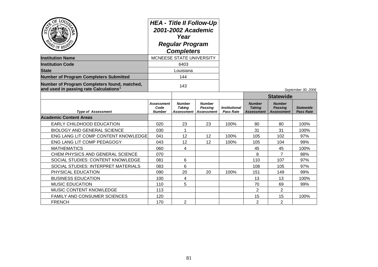| OF $LO$<br>ದಿ<br>APD OF REGE                                                                       | <b>HEA - Title II Follow-Up</b><br>2001-2002 Academic<br>Year<br><b>Regular Program</b><br><b>Completers</b> |                                              |                                               |                                                 |                                              |                                                      |                                      |
|----------------------------------------------------------------------------------------------------|--------------------------------------------------------------------------------------------------------------|----------------------------------------------|-----------------------------------------------|-------------------------------------------------|----------------------------------------------|------------------------------------------------------|--------------------------------------|
| <b>Institution Name</b>                                                                            |                                                                                                              | MCNEESE STATE UNIVERSITY                     |                                               |                                                 |                                              |                                                      |                                      |
| <b>Institution Code</b>                                                                            | 6403                                                                                                         |                                              |                                               |                                                 |                                              |                                                      |                                      |
| <b>State</b>                                                                                       |                                                                                                              | Louisiana                                    |                                               |                                                 |                                              |                                                      |                                      |
| <b>Number of Program Completers Submitted</b>                                                      |                                                                                                              | 144                                          |                                               |                                                 |                                              |                                                      |                                      |
| Number of Program Completers found, matched,<br>and used in passing rate Calculations <sup>1</sup> |                                                                                                              | 143                                          |                                               |                                                 |                                              |                                                      | September 30, 2006                   |
|                                                                                                    |                                                                                                              |                                              |                                               |                                                 |                                              | <b>Statewide</b>                                     |                                      |
| <b>Type of Assessment</b>                                                                          | Assessment<br>Code<br><b>Number</b>                                                                          | <b>Number</b><br><b>Taking</b><br>Assessment | <b>Number</b><br>Passing<br><b>Assessment</b> | <i><b>Institutional</b></i><br><b>Pass Rate</b> | <b>Number</b><br><b>Taking</b><br>Assessment | <b>Number</b><br><b>Passing</b><br><b>Assessment</b> | <b>Statewide</b><br><b>Pass Rate</b> |
| <b>Academic Content Areas</b>                                                                      |                                                                                                              |                                              |                                               |                                                 |                                              |                                                      |                                      |
| <b>EARLY CHILDHOOD EDUCATION</b>                                                                   | 020                                                                                                          | 23                                           | 23                                            | 100%                                            | 80                                           | 80                                                   | 100%                                 |
| <b>BIOLOGY AND GENERAL SCIENCE</b>                                                                 | 030                                                                                                          | $\mathbf{1}$                                 |                                               |                                                 | 31                                           | 31                                                   | 100%                                 |
| ENG LANG LIT COMP CONTENT KNOWLEDGE                                                                | 041                                                                                                          | 12                                           | $12 \overline{ }$                             | 100%                                            | 105                                          | 102                                                  | 97%                                  |
| ENG LANG LIT COMP PEDAGOGY                                                                         | 043                                                                                                          | 12                                           | 12                                            | 100%                                            | 105                                          | 104                                                  | 99%                                  |
| <b>MATHEMATICS</b>                                                                                 | 060                                                                                                          | $\overline{\mathbf{4}}$                      |                                               |                                                 | 45                                           | 45                                                   | 100%                                 |
| CHEM PHYSICS AND GENERAL SCIENCE                                                                   | 070                                                                                                          |                                              |                                               |                                                 | 8                                            | 7                                                    | 88%                                  |
| SOCIAL STUDIES: CONTENT KNOWLEDGE                                                                  | 081                                                                                                          | 6                                            |                                               |                                                 | 110                                          | 107                                                  | 97%                                  |
| SOCIAL STUDIES: INTERPRET MATERIALS                                                                | 083                                                                                                          | 6                                            |                                               |                                                 | 108                                          | 105                                                  | 97%                                  |
| PHYSICAL EDUCATION                                                                                 | 090                                                                                                          | 20                                           | 20                                            | 100%                                            | 151                                          | 149                                                  | 99%                                  |
| <b>BUSINESS EDUCATION</b>                                                                          | 100                                                                                                          | 4                                            |                                               |                                                 | 13                                           | 13                                                   | 100%                                 |
| <b>MUSIC EDUCATION</b>                                                                             | 110                                                                                                          | 5                                            |                                               |                                                 | 70                                           | 69                                                   | 99%                                  |
| MUSIC CONTENT KNOWLEDGE                                                                            | 113                                                                                                          |                                              |                                               |                                                 | 2                                            | $\overline{2}$                                       |                                      |
| FAMILY AND CONSUMER SCIENCES                                                                       | 120                                                                                                          |                                              |                                               |                                                 | 15                                           | 15                                                   | 100%                                 |
| <b>FRENCH</b>                                                                                      | 170                                                                                                          | $\mathbf{2}$                                 |                                               |                                                 | $\overline{2}$                               | $\overline{2}$                                       |                                      |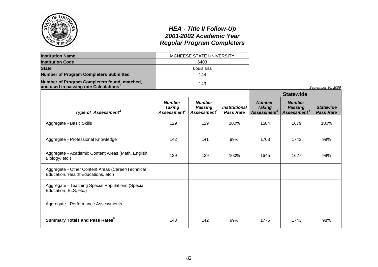|                                                                                          |                                                           | <b>HEA - Title II Follow-Up</b><br>2001-2002 Academic Year<br><b>Regular Program Completers</b> |                                                 |                                                           |                                                            |                                      |
|------------------------------------------------------------------------------------------|-----------------------------------------------------------|-------------------------------------------------------------------------------------------------|-------------------------------------------------|-----------------------------------------------------------|------------------------------------------------------------|--------------------------------------|
| <b>Institution Name</b>                                                                  |                                                           | MCNEESE STATE UNIVERSITY                                                                        |                                                 |                                                           |                                                            |                                      |
| <b>Institution Code</b>                                                                  |                                                           | 6403                                                                                            |                                                 |                                                           |                                                            |                                      |
| <b>State</b>                                                                             |                                                           | Louisiana                                                                                       |                                                 |                                                           |                                                            |                                      |
| <b>Number of Program Completers Submitted</b>                                            |                                                           | 144                                                                                             |                                                 |                                                           |                                                            |                                      |
| Number of Program Completers found, matched,<br>and used in passing rate Calculations    |                                                           | 143                                                                                             |                                                 |                                                           |                                                            | September 30, 2006                   |
|                                                                                          |                                                           |                                                                                                 |                                                 |                                                           | <b>Statewide</b>                                           |                                      |
| Type of Assessment <sup>2</sup>                                                          | <b>Number</b><br><b>Taking</b><br>Assessment <sup>3</sup> | <b>Number</b><br><b>Passing</b><br>Assessment <sup>4</sup>                                      | <i><b>Institutional</b></i><br><b>Pass Rate</b> | <b>Number</b><br><b>Taking</b><br>Assessment <sup>3</sup> | <b>Number</b><br><b>Passing</b><br>Assessment <sup>4</sup> | <b>Statewide</b><br><b>Pass Rate</b> |
| Aggregate - Basic Skills                                                                 | 129                                                       | 129                                                                                             | 100%                                            | 1684                                                      | 1679                                                       | 100%                                 |
| Aggregate - Professional Knowledge                                                       | 142                                                       | 141                                                                                             | 99%                                             | 1763                                                      | 1743                                                       | 99%                                  |
| Aggregate - Academic Content Areas (Math, English,<br>Biology, etc.)                     | 129                                                       | 129                                                                                             | 100%                                            | 1645                                                      | 1627                                                       | 99%                                  |
| Aggregate - Other Content Areas (Career/Technical<br>Education, Health Educations, etc.) |                                                           |                                                                                                 |                                                 |                                                           |                                                            |                                      |
| Aggregate - Teaching Special Populations (Special<br>Education, ELS, etc.)               |                                                           |                                                                                                 |                                                 |                                                           |                                                            |                                      |
| Aggregate - Performance Assessments                                                      |                                                           |                                                                                                 |                                                 |                                                           |                                                            |                                      |
| <b>Summary Totals and Pass Rates</b> <sup>5</sup>                                        | 143                                                       | 142                                                                                             | 99%                                             | 1775                                                      | 1743                                                       | 98%                                  |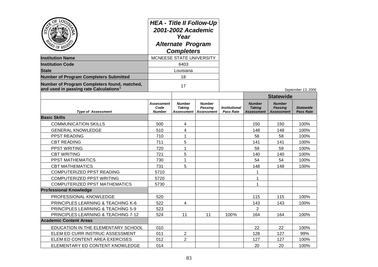| OF LOD<br><b>Institution Name</b><br><b>Institution Code</b><br><b>State</b><br><b>Number of Program Completers Submitted</b> | <b>HEA - Title II Follow-Up</b><br>2001-2002 Academic<br>Year<br><b>Alternate Program</b><br><b>Completers</b><br>MCNEESE STATE UNIVERSITY<br>6403<br>Louisiana<br>18 |                                              |                                               |                                          |                                              |                                                      |                                      |
|-------------------------------------------------------------------------------------------------------------------------------|-----------------------------------------------------------------------------------------------------------------------------------------------------------------------|----------------------------------------------|-----------------------------------------------|------------------------------------------|----------------------------------------------|------------------------------------------------------|--------------------------------------|
| Number of Program Completers found, matched,<br>and used in passing rate Calculations <sup>1</sup>                            | 17                                                                                                                                                                    |                                              |                                               |                                          |                                              | September 13, 2006                                   |                                      |
|                                                                                                                               |                                                                                                                                                                       |                                              |                                               |                                          |                                              | <b>Statewide</b>                                     |                                      |
| <b>Type of Assessment</b>                                                                                                     | <b>Assessment</b><br>Code<br><b>Number</b>                                                                                                                            | <b>Number</b><br><b>Taking</b><br>Assessment | <b>Number</b><br>Passing<br><b>Assessment</b> | <b>Institutional</b><br><b>Pass Rate</b> | <b>Number</b><br><b>Taking</b><br>Assessment | <b>Number</b><br><b>Passing</b><br><b>Assessment</b> | <b>Statewide</b><br><b>Pass Rate</b> |
| <b>Basic Skills</b>                                                                                                           |                                                                                                                                                                       |                                              |                                               |                                          |                                              |                                                      |                                      |
| <b>COMMUNICATION SKILLS</b>                                                                                                   | 500                                                                                                                                                                   | $\overline{4}$                               |                                               |                                          | 150                                          | 150                                                  | 100%                                 |
| <b>GENERAL KNOWLEDGE</b>                                                                                                      | 510                                                                                                                                                                   | 4                                            |                                               |                                          | 148                                          | 148                                                  | 100%                                 |
| PPST READING                                                                                                                  | 710                                                                                                                                                                   | $\mathbf{1}$                                 |                                               |                                          | 58                                           | 58                                                   | 100%                                 |
| <b>CBT READING</b>                                                                                                            | 711                                                                                                                                                                   | 5                                            |                                               |                                          | 141                                          | 141                                                  | 100%                                 |
| PPST WRITING                                                                                                                  | 720                                                                                                                                                                   | $\mathbf{1}$                                 |                                               |                                          | 59                                           | 59                                                   | 100%                                 |
| <b>CBT WRITING</b>                                                                                                            | 721                                                                                                                                                                   | 5                                            |                                               |                                          | 140                                          | 140                                                  | 100%                                 |
| PPST MATHEMATICS                                                                                                              | 730                                                                                                                                                                   | $\mathbf{1}$                                 |                                               |                                          | 54                                           | 54                                                   | 100%                                 |
| <b>CBT MATHEMATICS</b>                                                                                                        | 731                                                                                                                                                                   | 5                                            |                                               |                                          | 148                                          | 148                                                  | 100%                                 |
| COMPUTERIZED PPST READING                                                                                                     | 5710                                                                                                                                                                  |                                              |                                               |                                          | 1                                            |                                                      |                                      |
| COMPUTERIZED PPST WRITING                                                                                                     | 5720                                                                                                                                                                  |                                              |                                               |                                          | 1                                            |                                                      |                                      |
| COMPUTERIZED PPST MATHEMATICS                                                                                                 | 5730                                                                                                                                                                  |                                              |                                               |                                          | 1                                            |                                                      |                                      |
| <b>Professional Knowledge</b>                                                                                                 |                                                                                                                                                                       |                                              |                                               |                                          |                                              |                                                      |                                      |
| PROFESSIONAL KNOWLEDGE                                                                                                        | 520                                                                                                                                                                   |                                              |                                               |                                          | 115                                          | 115                                                  | 100%                                 |
| PRINCIPLES LEARNING & TEACHING K-6                                                                                            | 522                                                                                                                                                                   | $\overline{4}$                               |                                               |                                          | 143                                          | 143                                                  | 100%                                 |
| <b>PRINCIPLES LEARNING &amp; TEACHING 5-9</b>                                                                                 | 523                                                                                                                                                                   |                                              |                                               |                                          | $\overline{2}$                               |                                                      |                                      |
| PRINCIPLES LEARNING & TEACHING 7-12                                                                                           | 524                                                                                                                                                                   | 11                                           | 11                                            | 100%                                     | 164                                          | 164                                                  | 100%                                 |
| <b>Academic Content Areas</b>                                                                                                 |                                                                                                                                                                       |                                              |                                               |                                          |                                              |                                                      |                                      |
| EDUCATION IN THE ELEMENTARY SCHOOL                                                                                            | 010                                                                                                                                                                   |                                              |                                               |                                          | 22                                           | 22                                                   | 100%                                 |
| ELEM ED CURR INSTRUC ASSESSMENT                                                                                               | 011                                                                                                                                                                   | $\overline{2}$                               |                                               |                                          | 128                                          | 127                                                  | 99%                                  |
| ELEM ED CONTENT AREA EXERCISES                                                                                                | 012                                                                                                                                                                   | $\overline{2}$                               |                                               |                                          | 127                                          | 127                                                  | 100%                                 |
| ELEMENTARY ED CONTENT KNOWLEDGE                                                                                               | 014                                                                                                                                                                   |                                              |                                               |                                          | 20                                           | 20                                                   | 100%                                 |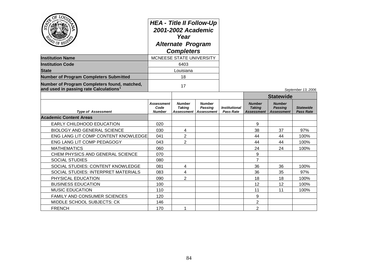| OF LOD,<br>APD OF REGE<br><b>Institution Name</b><br><b>Institution Code</b><br><b>State</b><br><b>Number of Program Completers Submitted</b> | <b>HEA - Title II Follow-Up</b><br>2001-2002 Academic<br>Year<br><b>Alternate Program</b><br><b>Completers</b><br>MCNEESE STATE UNIVERSITY<br>6403<br>Louisiana<br>18 |                                              |                                                      |                                                 |                                                     |                                                      |                                      |
|-----------------------------------------------------------------------------------------------------------------------------------------------|-----------------------------------------------------------------------------------------------------------------------------------------------------------------------|----------------------------------------------|------------------------------------------------------|-------------------------------------------------|-----------------------------------------------------|------------------------------------------------------|--------------------------------------|
| Number of Program Completers found, matched,<br>and used in passing rate Calculations <sup>1</sup>                                            |                                                                                                                                                                       | 17                                           |                                                      |                                                 |                                                     |                                                      |                                      |
|                                                                                                                                               |                                                                                                                                                                       |                                              |                                                      |                                                 |                                                     | <b>Statewide</b>                                     | September 13, 2006                   |
| <b>Type of Assessment</b>                                                                                                                     | <b>Assessment</b><br>Code<br><b>Number</b>                                                                                                                            | <b>Number</b><br><b>Taking</b><br>Assessment | <b>Number</b><br><b>Passing</b><br><b>Assessment</b> | <i><b>Institutional</b></i><br><b>Pass Rate</b> | <b>Number</b><br><b>Taking</b><br><b>Assessment</b> | <b>Number</b><br><b>Passing</b><br><b>Assessment</b> | <b>Statewide</b><br><b>Pass Rate</b> |
| <b>Academic Content Areas</b>                                                                                                                 |                                                                                                                                                                       |                                              |                                                      |                                                 |                                                     |                                                      |                                      |
| EARLY CHILDHOOD EDUCATION                                                                                                                     | 020                                                                                                                                                                   |                                              |                                                      |                                                 | 9                                                   |                                                      |                                      |
| <b>BIOLOGY AND GENERAL SCIENCE</b>                                                                                                            | 030                                                                                                                                                                   | 4                                            |                                                      |                                                 | 38                                                  | 37                                                   | 97%                                  |
| ENG LANG LIT COMP CONTENT KNOWLEDGE                                                                                                           | 041                                                                                                                                                                   | $\overline{2}$                               |                                                      |                                                 | 44                                                  | 44                                                   | 100%                                 |
| ENG LANG LIT COMP PEDAGOGY                                                                                                                    | 043                                                                                                                                                                   | 2                                            |                                                      |                                                 | 44                                                  | 44                                                   | 100%                                 |
| <b>MATHEMATICS</b>                                                                                                                            | 060                                                                                                                                                                   |                                              |                                                      |                                                 | 24                                                  | 24                                                   | 100%                                 |
| CHEM PHYSICS AND GENERAL SCIENCE                                                                                                              | 070                                                                                                                                                                   |                                              |                                                      |                                                 | 9                                                   |                                                      |                                      |
| <b>SOCIAL STUDIES</b>                                                                                                                         | 080                                                                                                                                                                   |                                              |                                                      |                                                 | $\overline{7}$                                      |                                                      |                                      |
| SOCIAL STUDIES: CONTENT KNOWLEDGE                                                                                                             | 081                                                                                                                                                                   | 4                                            |                                                      |                                                 | 36                                                  | 36                                                   | 100%                                 |
| SOCIAL STUDIES: INTERPRET MATERIALS                                                                                                           | 083                                                                                                                                                                   | $\overline{4}$                               |                                                      |                                                 | 36                                                  | 35                                                   | 97%                                  |
| PHYSICAL EDUCATION                                                                                                                            | 090                                                                                                                                                                   | $\overline{2}$                               |                                                      |                                                 | 18                                                  | 18                                                   | 100%                                 |
| <b>BUSINESS EDUCATION</b>                                                                                                                     | 100                                                                                                                                                                   |                                              |                                                      |                                                 | 12                                                  | 12                                                   | 100%                                 |
| <b>MUSIC EDUCATION</b>                                                                                                                        | 110                                                                                                                                                                   |                                              |                                                      |                                                 | 11                                                  | 11                                                   | 100%                                 |
| FAMILY AND CONSUMER SCIENCES                                                                                                                  | 120                                                                                                                                                                   |                                              |                                                      |                                                 | 9                                                   |                                                      |                                      |
| MIDDLE SCHOOL SUBJECTS: CK                                                                                                                    | 146                                                                                                                                                                   |                                              |                                                      |                                                 | $\overline{2}$                                      |                                                      |                                      |
| <b>FRENCH</b>                                                                                                                                 | 170                                                                                                                                                                   | 1                                            |                                                      |                                                 | $\overline{2}$                                      |                                                      |                                      |

سندر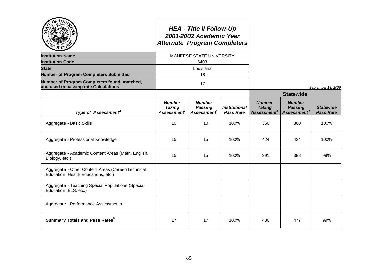| ' OF RF                                                                                            |                                                           | <b>HEA - Title II Follow-Up</b><br>2001-2002 Academic Year<br><b>Alternate Program Completers</b> |                                                 |                                                           |                                                            |                                      |
|----------------------------------------------------------------------------------------------------|-----------------------------------------------------------|---------------------------------------------------------------------------------------------------|-------------------------------------------------|-----------------------------------------------------------|------------------------------------------------------------|--------------------------------------|
| <b>Institution Name</b>                                                                            |                                                           | MCNEESE STATE UNIVERSITY                                                                          |                                                 |                                                           |                                                            |                                      |
| <b>Institution Code</b>                                                                            |                                                           | 6403                                                                                              |                                                 |                                                           |                                                            |                                      |
| <b>State</b>                                                                                       |                                                           | Louisiana                                                                                         |                                                 |                                                           |                                                            |                                      |
| <b>Number of Program Completers Submitted</b>                                                      |                                                           | 18                                                                                                |                                                 |                                                           |                                                            |                                      |
| Number of Program Completers found, matched,<br>and used in passing rate Calculations <sup>1</sup> |                                                           | 17                                                                                                |                                                 |                                                           |                                                            | September 13, 2006                   |
|                                                                                                    |                                                           |                                                                                                   |                                                 |                                                           | <b>Statewide</b>                                           |                                      |
| Type of Assessment <sup>2</sup>                                                                    | <b>Number</b><br><b>Taking</b><br>Assessment <sup>3</sup> | <b>Number</b><br><b>Passing</b><br><b>Assessment</b> <sup>4</sup>                                 | <i><b>Institutional</b></i><br><b>Pass Rate</b> | <b>Number</b><br><b>Taking</b><br>Assessment <sup>3</sup> | <b>Number</b><br><b>Passing</b><br>Assessment <sup>4</sup> | <b>Statewide</b><br><b>Pass Rate</b> |
| Aggregate - Basic Skills                                                                           | 10                                                        | 10                                                                                                | 100%                                            | 360                                                       | 360                                                        | 100%                                 |
| Aggregate - Professional Knowledge                                                                 | 15                                                        | 15                                                                                                | 100%                                            | 424                                                       | 424                                                        | 100%                                 |
| Aggregate - Academic Content Areas (Math, English,<br>Biology, etc.)                               | 15                                                        | 15                                                                                                | 100%                                            | 391                                                       | 388                                                        | 99%                                  |
| Aggregate - Other Content Areas (Career/Technical<br>Education, Health Educations, etc.)           |                                                           |                                                                                                   |                                                 |                                                           |                                                            |                                      |
| Aggregate - Teaching Special Populations (Special<br>Education, ELS, etc.)                         |                                                           |                                                                                                   |                                                 |                                                           |                                                            |                                      |
| Aggregate - Performance Assessments                                                                |                                                           |                                                                                                   |                                                 |                                                           |                                                            |                                      |
| <b>Summary Totals and Pass Rates</b> <sup>5</sup>                                                  | 17                                                        | 17                                                                                                | 100%                                            | 480                                                       | 477                                                        | 99%                                  |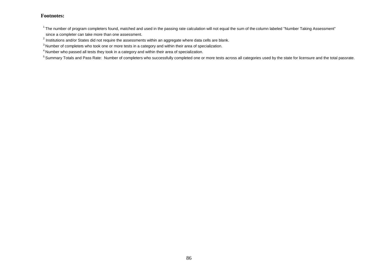$^1$ The number of program completers found, matched and used in the passing rate calculation will not equal the sum of the column labeled "Number Taking Assessment" since a completer can take more than one assessment.

 $^{2}$  Institutions and/or States did not require the assessments within an aggregate where data cells are blank.

<sup>&</sup>lt;sup>3</sup> Number of completers who took one or more tests in a category and within their area of specialization.

<sup>4</sup> Number who passed all tests they took in a category and within their area of specialization.

<sup>&</sup>lt;sup>5</sup> Summary Totals and Pass Rate: Number of completers who successfully completed one or more tests across all categories used by the state for licensure and the total passrate.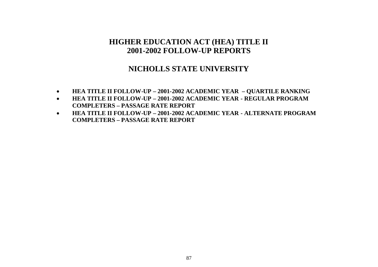# **NICHOLLS STATE UNIVERSITY**

- **HEA TITLE II FOLLOW-UP – 2001-2002 ACADEMIC YEAR – QUARTILE RANKING**
- **HEA TITLE II FOLLOW-UP – 2001-2002 ACADEMIC YEAR - REGULAR PROGRAM COMPLETERS – PASSAGE RATE REPORT**
- **HEA TITLE II FOLLOW-UP – 2001-2002 ACADEMIC YEAR - ALTERNATE PROGRAM COMPLETERS – PASSAGE RATE REPORT**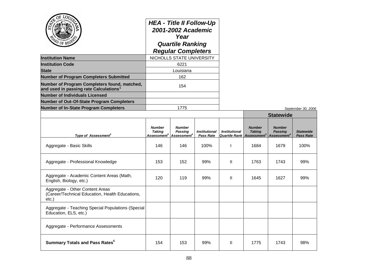| $O_{\vec{E}}$<br><b>PD</b> OF REG                                                                   | <b>HEA - Title II Follow-Up</b><br>2001-2002 Academic<br>Year<br><b>Quartile Ranking</b><br><b>Regular Completers</b><br>NICHOLLS STATE UNIVERSITY |                                                                                    |                                          |                                                     |                                                           |                                                            |                                      |
|-----------------------------------------------------------------------------------------------------|----------------------------------------------------------------------------------------------------------------------------------------------------|------------------------------------------------------------------------------------|------------------------------------------|-----------------------------------------------------|-----------------------------------------------------------|------------------------------------------------------------|--------------------------------------|
| <b>Institution Name</b>                                                                             |                                                                                                                                                    |                                                                                    |                                          |                                                     |                                                           |                                                            |                                      |
| <b>Institution Code</b>                                                                             | 6221                                                                                                                                               |                                                                                    |                                          |                                                     |                                                           |                                                            |                                      |
| <b>State</b>                                                                                        | Louisiana                                                                                                                                          |                                                                                    |                                          |                                                     |                                                           |                                                            |                                      |
| <b>Number of Program Completers Submitted</b>                                                       |                                                                                                                                                    | 162                                                                                |                                          |                                                     |                                                           |                                                            |                                      |
| Number of Program Completers found, matched,<br>and used in passing rate Calculations $^{\text{1}}$ |                                                                                                                                                    | 154                                                                                |                                          |                                                     |                                                           |                                                            |                                      |
| <b>Number of Individuals Licensed</b>                                                               |                                                                                                                                                    |                                                                                    |                                          |                                                     |                                                           |                                                            |                                      |
| Number of Out-Of-State Program Completers                                                           |                                                                                                                                                    |                                                                                    |                                          |                                                     |                                                           |                                                            |                                      |
| <b>Number of In-State Program Completers</b>                                                        |                                                                                                                                                    | 1775                                                                               |                                          |                                                     |                                                           |                                                            | September 30, 2006                   |
|                                                                                                     |                                                                                                                                                    |                                                                                    |                                          |                                                     |                                                           | <b>Statewide</b>                                           |                                      |
| Type of Assessment <sup>2</sup>                                                                     | <b>Number</b><br><b>Taking</b>                                                                                                                     | <b>Number</b><br><b>Passing</b><br>Assessment <sup>3</sup> Assessment <sup>4</sup> | <b>Institutional</b><br><b>Pass Rate</b> | <i><b>Institutional</b></i><br><b>Quartile Rank</b> | <b>Number</b><br><b>Taking</b><br>Assessment <sup>3</sup> | <b>Number</b><br><b>Passing</b><br>Assessment <sup>4</sup> | <b>Statewide</b><br><b>Pass Rate</b> |
| Aggregate - Basic Skills                                                                            | 146                                                                                                                                                | 146                                                                                | 100%                                     |                                                     | 1684                                                      | 1679                                                       | 100%                                 |
| Aggregate - Professional Knowledge                                                                  | 153                                                                                                                                                | 152                                                                                | 99%                                      | Ш                                                   | 1763                                                      | 1743                                                       | 99%                                  |
| Aggregate - Academic Content Areas (Math,<br>English, Biology, etc.)                                | 120                                                                                                                                                | 119                                                                                | 99%                                      | Ш                                                   | 1645                                                      | 1627                                                       | 99%                                  |
| Aggregate - Other Content Areas<br>(Career/Technical Education, Health Educations,<br>etc.)         |                                                                                                                                                    |                                                                                    |                                          |                                                     |                                                           |                                                            |                                      |
| Aggregate - Teaching Special Populations (Special<br>Education, ELS, etc.)                          |                                                                                                                                                    |                                                                                    |                                          |                                                     |                                                           |                                                            |                                      |
| Aggregate - Performance Assessments                                                                 |                                                                                                                                                    |                                                                                    |                                          |                                                     |                                                           |                                                            |                                      |
| <b>Summary Totals and Pass Rates<sup>5</sup></b>                                                    | 154                                                                                                                                                | 153                                                                                | 99%                                      | Ш                                                   | 1775                                                      | 1743                                                       | 98%                                  |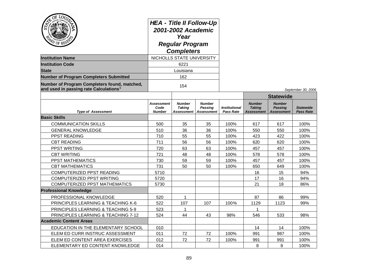|                                                                                                    | <b>HEA - Title II Follow-Up</b><br>2001-2002 Academic<br>Year<br><b>Regular Program</b><br><b>Completers</b> |                                       |                                                      |                                          |                                              |                                                      |                                      |
|----------------------------------------------------------------------------------------------------|--------------------------------------------------------------------------------------------------------------|---------------------------------------|------------------------------------------------------|------------------------------------------|----------------------------------------------|------------------------------------------------------|--------------------------------------|
| <b>Institution Name</b>                                                                            |                                                                                                              | NICHOLLS STATE UNIVERSITY             |                                                      |                                          |                                              |                                                      |                                      |
| <b>Institution Code</b>                                                                            |                                                                                                              | 6221                                  |                                                      |                                          |                                              |                                                      |                                      |
| <b>State</b>                                                                                       |                                                                                                              | Louisiana                             |                                                      |                                          |                                              |                                                      |                                      |
| <b>Number of Program Completers Submitted</b>                                                      |                                                                                                              | 162                                   |                                                      |                                          |                                              |                                                      |                                      |
| Number of Program Completers found, matched,<br>and used in passing rate Calculations <sup>1</sup> |                                                                                                              | 154                                   |                                                      |                                          |                                              |                                                      | September 30, 2006                   |
|                                                                                                    |                                                                                                              |                                       |                                                      |                                          |                                              | <b>Statewide</b>                                     |                                      |
| <b>Type of Assessment</b>                                                                          | Assessment<br>Code<br><b>Number</b>                                                                          | Number<br><b>Taking</b><br>Assessment | <b>Number</b><br><b>Passing</b><br><b>Assessment</b> | <b>Institutional</b><br><b>Pass Rate</b> | <b>Number</b><br><b>Taking</b><br>Assessment | <b>Number</b><br><b>Passing</b><br><b>Assessment</b> | <b>Statewide</b><br><b>Pass Rate</b> |
| <b>Basic Skills</b>                                                                                |                                                                                                              |                                       |                                                      |                                          |                                              |                                                      |                                      |
| <b>COMMUNICATION SKILLS</b>                                                                        | 500                                                                                                          | 35                                    | 35                                                   | 100%                                     | 617                                          | 617                                                  | 100%                                 |
| <b>GENERAL KNOWLEDGE</b>                                                                           | 510                                                                                                          | 36                                    | 36                                                   | 100%                                     | 550                                          | 550                                                  | 100%                                 |
| PPST READING                                                                                       | 710                                                                                                          | 55                                    | 55                                                   | 100%                                     | 423                                          | 422                                                  | 100%                                 |
| <b>CBT READING</b>                                                                                 | 711                                                                                                          | 56                                    | 56                                                   | 100%                                     | 620                                          | 620                                                  | 100%                                 |
| PPST WRITING                                                                                       | 720                                                                                                          | 63                                    | 63                                                   | 100%                                     | 457                                          | 457                                                  | 100%                                 |
| <b>CBT WRITING</b>                                                                                 | 721                                                                                                          | 48                                    | 48                                                   | 100%                                     | 578                                          | 578                                                  | 100%                                 |
| PPST MATHEMATICS                                                                                   | 730                                                                                                          | 59                                    | 59                                                   | 100%                                     | 457                                          | 457                                                  | 100%                                 |
| <b>CBT MATHEMATICS</b>                                                                             | 731                                                                                                          | 50                                    | 50                                                   | 100%                                     | 650                                          | 649                                                  | 100%                                 |
| COMPUTERIZED PPST READING                                                                          | 5710                                                                                                         |                                       |                                                      |                                          | 16                                           | 15                                                   | 94%                                  |
| COMPUTERIZED PPST WRITING                                                                          | 5720                                                                                                         |                                       |                                                      |                                          | 17                                           | 16                                                   | 94%                                  |
| <b>COMPUTERIZED PPST MATHEMATICS</b>                                                               | 5730                                                                                                         |                                       |                                                      |                                          | 21                                           | 18                                                   | 86%                                  |
| <b>Professional Knowledge</b>                                                                      |                                                                                                              |                                       |                                                      |                                          |                                              |                                                      |                                      |
| PROFESSIONAL KNOWLEDGE                                                                             | 520                                                                                                          | 1                                     |                                                      |                                          | 87                                           | 86                                                   | 99%                                  |
| PRINCIPLES LEARNING & TEACHING K-6                                                                 | 522                                                                                                          | 107                                   | 107                                                  | 100%                                     | 1129                                         | 1123                                                 | 99%                                  |
| <b>PRINCIPLES LEARNING &amp; TEACHING 5-9</b>                                                      | 523                                                                                                          | 1                                     |                                                      |                                          |                                              |                                                      |                                      |
| PRINCIPLES LEARNING & TEACHING 7-12                                                                | 524                                                                                                          | 44                                    | 43                                                   | 98%                                      | 546                                          | 533                                                  | 98%                                  |
| <b>Academic Content Areas</b>                                                                      |                                                                                                              |                                       |                                                      |                                          |                                              |                                                      |                                      |
| EDUCATION IN THE ELEMENTARY SCHOOL                                                                 | 010                                                                                                          |                                       |                                                      |                                          | 14                                           | 14                                                   | 100%                                 |
| ELEM ED CURR INSTRUC ASSESSMENT                                                                    | 011                                                                                                          | 72                                    | 72                                                   | 100%                                     | 991                                          | 987                                                  | 100%                                 |
| ELEM ED CONTENT AREA EXERCISES                                                                     | 012                                                                                                          | 72                                    | 72                                                   | 100%                                     | 991                                          | 991                                                  | 100%                                 |
| ELEMENTARY ED CONTENT KNOWLEDGE                                                                    | 014                                                                                                          |                                       |                                                      |                                          | 8                                            | 8                                                    | 100%                                 |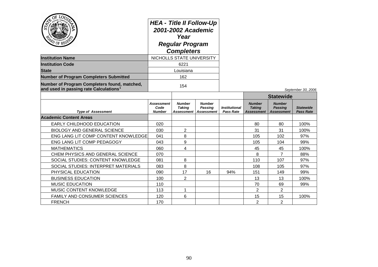|                                                                                                    |                                            | <b>HEA - Title II Follow-Up</b><br>2001-2002 Academic |                                                      |                                          |                                              |                                                      |                                      |
|----------------------------------------------------------------------------------------------------|--------------------------------------------|-------------------------------------------------------|------------------------------------------------------|------------------------------------------|----------------------------------------------|------------------------------------------------------|--------------------------------------|
| PD OF REGE                                                                                         |                                            | Year<br><b>Regular Program</b><br><b>Completers</b>   |                                                      |                                          |                                              |                                                      |                                      |
| <b>Institution Name</b>                                                                            |                                            | NICHOLLS STATE UNIVERSITY                             |                                                      |                                          |                                              |                                                      |                                      |
| <b>Institution Code</b>                                                                            |                                            | 6221                                                  |                                                      |                                          |                                              |                                                      |                                      |
| <b>State</b>                                                                                       |                                            | Louisiana                                             |                                                      |                                          |                                              |                                                      |                                      |
| <b>Number of Program Completers Submitted</b>                                                      |                                            | 162                                                   |                                                      |                                          |                                              |                                                      |                                      |
| Number of Program Completers found, matched,<br>and used in passing rate Calculations <sup>1</sup> |                                            | 154                                                   |                                                      |                                          |                                              |                                                      | September 30, 2006                   |
|                                                                                                    |                                            |                                                       |                                                      |                                          |                                              | <b>Statewide</b>                                     |                                      |
| <b>Type of Assessment</b>                                                                          | <b>Assessment</b><br>Code<br><b>Number</b> | <b>Number</b><br><b>Taking</b><br>Assessment          | <b>Number</b><br><b>Passing</b><br><b>Assessment</b> | <b>Institutional</b><br><b>Pass Rate</b> | <b>Number</b><br><b>Taking</b><br>Assessment | <b>Number</b><br><b>Passing</b><br><b>Assessment</b> | <b>Statewide</b><br><b>Pass Rate</b> |
| <b>Academic Content Areas</b>                                                                      |                                            |                                                       |                                                      |                                          |                                              |                                                      |                                      |
| EARLY CHILDHOOD EDUCATION                                                                          | 020                                        |                                                       |                                                      |                                          | 80                                           | 80                                                   | 100%                                 |
| <b>BIOLOGY AND GENERAL SCIENCE</b>                                                                 | 030                                        | $\overline{2}$                                        |                                                      |                                          | 31                                           | 31                                                   | 100%                                 |
| ENG LANG LIT COMP CONTENT KNOWLEDGE                                                                | 041                                        | 8                                                     |                                                      |                                          | 105                                          | 102                                                  | 97%                                  |
| ENG LANG LIT COMP PEDAGOGY                                                                         | 043                                        | 9                                                     |                                                      |                                          | 105                                          | 104                                                  | 99%                                  |
| <b>MATHEMATICS</b>                                                                                 | 060                                        | 4                                                     |                                                      |                                          | 45                                           | 45                                                   | 100%                                 |
| CHEM PHYSICS AND GENERAL SCIENCE                                                                   | 070                                        |                                                       |                                                      |                                          | 8                                            | $\overline{7}$                                       | 88%                                  |
| SOCIAL STUDIES: CONTENT KNOWLEDGE                                                                  | 081                                        | 8                                                     |                                                      |                                          | 110                                          | 107                                                  | 97%                                  |
| SOCIAL STUDIES: INTERPRET MATERIALS                                                                | 083                                        | 8                                                     |                                                      |                                          | 108                                          | 105                                                  | 97%                                  |
| PHYSICAL EDUCATION                                                                                 | 090                                        | 17                                                    | 16                                                   | 94%                                      | 151                                          | 149                                                  | 99%                                  |
| <b>BUSINESS EDUCATION</b>                                                                          | 100                                        | 2                                                     |                                                      |                                          | 13                                           | 13                                                   | 100%                                 |
| <b>MUSIC EDUCATION</b>                                                                             | 110                                        |                                                       |                                                      |                                          | 70                                           | 69                                                   | 99%                                  |
| <b>MUSIC CONTENT KNOWLEDGE</b>                                                                     | 113                                        | 1                                                     |                                                      |                                          | $\overline{2}$                               | $\overline{2}$                                       |                                      |
| FAMILY AND CONSUMER SCIENCES                                                                       | 120                                        | 6                                                     |                                                      |                                          | 15                                           | 15                                                   | 100%                                 |
| <b>FRENCH</b>                                                                                      | 170                                        |                                                       |                                                      |                                          | $\overline{2}$                               | $\overline{2}$                                       |                                      |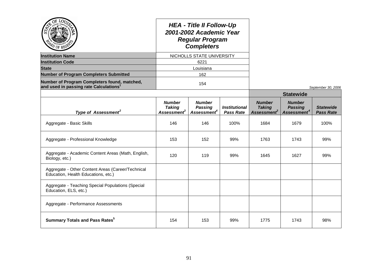| $^{\mathcal{D}}$ of RF                                                                   |                                                           | <b>HEA - Title II Follow-Up</b><br>2001-2002 Academic Year<br><b>Regular Program</b><br><b>Completers</b> |                                          |                                                           |                                                            |                                      |
|------------------------------------------------------------------------------------------|-----------------------------------------------------------|-----------------------------------------------------------------------------------------------------------|------------------------------------------|-----------------------------------------------------------|------------------------------------------------------------|--------------------------------------|
| <b>Institution Name</b>                                                                  |                                                           | NICHOLLS STATE UNIVERSITY                                                                                 |                                          |                                                           |                                                            |                                      |
| <b>Institution Code</b>                                                                  |                                                           | 6221                                                                                                      |                                          |                                                           |                                                            |                                      |
| <b>State</b>                                                                             |                                                           | Louisiana                                                                                                 |                                          |                                                           |                                                            |                                      |
| <b>Number of Program Completers Submitted</b>                                            |                                                           | 162                                                                                                       |                                          |                                                           |                                                            |                                      |
| Number of Program Completers found, matched,<br>and used in passing rate Calculations    |                                                           | 154                                                                                                       |                                          |                                                           |                                                            | September 30, 2006                   |
|                                                                                          |                                                           |                                                                                                           |                                          |                                                           | <b>Statewide</b>                                           |                                      |
| Type of Assessment <sup>2</sup>                                                          | <b>Number</b><br><b>Taking</b><br>Assessment <sup>3</sup> | <b>Number</b><br><b>Passing</b><br>Assessment <sup>4</sup>                                                | <b>Institutional</b><br><b>Pass Rate</b> | <b>Number</b><br><b>Taking</b><br>Assessment <sup>3</sup> | <b>Number</b><br><b>Passing</b><br>Assessment <sup>4</sup> | <b>Statewide</b><br><b>Pass Rate</b> |
| Aggregate - Basic Skills                                                                 | 146                                                       | 146                                                                                                       | 100%                                     | 1684                                                      | 1679                                                       | 100%                                 |
| Aggregate - Professional Knowledge                                                       | 153                                                       | 152                                                                                                       | 99%                                      | 1763                                                      | 1743                                                       | 99%                                  |
| Aggregate - Academic Content Areas (Math, English,<br>Biology, etc.)                     | 120                                                       | 119                                                                                                       | 99%                                      | 1645                                                      | 1627                                                       | 99%                                  |
| Aggregate - Other Content Areas (Career/Technical<br>Education, Health Educations, etc.) |                                                           |                                                                                                           |                                          |                                                           |                                                            |                                      |
| Aggregate - Teaching Special Populations (Special<br>Education, ELS, etc.)               |                                                           |                                                                                                           |                                          |                                                           |                                                            |                                      |
| Aggregate - Performance Assessments                                                      |                                                           |                                                                                                           |                                          |                                                           |                                                            |                                      |
| <b>Summary Totals and Pass Rates</b> <sup>5</sup>                                        | 154                                                       | 153                                                                                                       | 99%                                      | 1775                                                      | 1743                                                       | 98%                                  |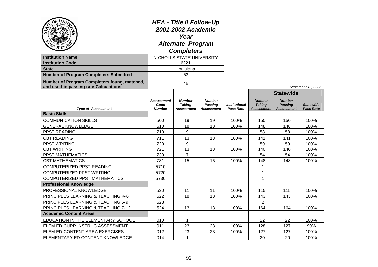| OF LOD<br><b>Institution Name</b><br><b>Institution Code</b><br><b>State</b><br><b>Number of Program Completers Submitted</b><br>Number of Program Completers found, matched,<br>and used in passing rate Calculations | <b>HEA - Title II Follow-Up</b><br>2001-2002 Academic<br>Year<br><b>Alternate Program</b><br><b>Completers</b><br>NICHOLLS STATE UNIVERSITY<br>6221<br>Louisiana<br>53<br>49 |                                                     |                                               |                                          |                                                     |                                                      | September 13, 2006                   |
|------------------------------------------------------------------------------------------------------------------------------------------------------------------------------------------------------------------------|------------------------------------------------------------------------------------------------------------------------------------------------------------------------------|-----------------------------------------------------|-----------------------------------------------|------------------------------------------|-----------------------------------------------------|------------------------------------------------------|--------------------------------------|
|                                                                                                                                                                                                                        |                                                                                                                                                                              |                                                     |                                               |                                          |                                                     | <b>Statewide</b>                                     |                                      |
| <b>Type of Assessment</b>                                                                                                                                                                                              | <b>Assessment</b><br>Code<br><b>Number</b>                                                                                                                                   | <b>Number</b><br><b>Taking</b><br><b>Assessment</b> | <b>Number</b><br>Passing<br><b>Assessment</b> | <b>Institutional</b><br><b>Pass Rate</b> | <b>Number</b><br><b>Taking</b><br><b>Assessment</b> | <b>Number</b><br><b>Passing</b><br><b>Assessment</b> | <b>Statewide</b><br><b>Pass Rate</b> |
| <b>Basic Skills</b>                                                                                                                                                                                                    |                                                                                                                                                                              |                                                     |                                               |                                          |                                                     |                                                      |                                      |
| <b>COMMUNICATION SKILLS</b>                                                                                                                                                                                            | 500                                                                                                                                                                          | 19                                                  | 19                                            | 100%                                     | 150                                                 | 150                                                  | 100%                                 |
| <b>GENERAL KNOWLEDGE</b>                                                                                                                                                                                               | 510                                                                                                                                                                          | 18                                                  | 18                                            | 100%                                     | 148                                                 | 148                                                  | 100%                                 |
| PPST READING                                                                                                                                                                                                           | 710                                                                                                                                                                          | 9                                                   |                                               |                                          | 58                                                  | 58                                                   | 100%                                 |
| <b>CBT READING</b>                                                                                                                                                                                                     | 711                                                                                                                                                                          | 13                                                  | 13                                            | 100%                                     | 141                                                 | 141                                                  | 100%                                 |
| PPST WRITING                                                                                                                                                                                                           | 720                                                                                                                                                                          | 9                                                   |                                               |                                          | 59                                                  | 59                                                   | 100%                                 |
| <b>CBT WRITING</b>                                                                                                                                                                                                     | 721                                                                                                                                                                          | 13                                                  | 13                                            | 100%                                     | 140                                                 | 140                                                  | 100%                                 |
| PPST MATHEMATICS                                                                                                                                                                                                       | 730                                                                                                                                                                          | $\overline{7}$                                      |                                               |                                          | 54                                                  | 54                                                   | 100%                                 |
| <b>CBT MATHEMATICS</b>                                                                                                                                                                                                 | 731                                                                                                                                                                          | 15                                                  | 15                                            | 100%                                     | 148                                                 | 148                                                  | 100%                                 |
| <b>COMPUTERIZED PPST READING</b>                                                                                                                                                                                       | 5710                                                                                                                                                                         |                                                     |                                               |                                          | 1                                                   |                                                      |                                      |
| <b>COMPUTERIZED PPST WRITING</b>                                                                                                                                                                                       | 5720                                                                                                                                                                         |                                                     |                                               |                                          | $\mathbf 1$                                         |                                                      |                                      |
| <b>COMPUTERIZED PPST MATHEMATICS</b>                                                                                                                                                                                   | 5730                                                                                                                                                                         |                                                     |                                               |                                          | $\overline{1}$                                      |                                                      |                                      |
| <b>Professional Knowledge</b>                                                                                                                                                                                          |                                                                                                                                                                              |                                                     |                                               |                                          |                                                     |                                                      |                                      |
| <b>PROFESSIONAL KNOWLEDGE</b>                                                                                                                                                                                          | 520                                                                                                                                                                          | 11                                                  | 11                                            | 100%                                     | 115                                                 | 115                                                  | 100%                                 |
| PRINCIPLES LEARNING & TEACHING K-6                                                                                                                                                                                     | 522                                                                                                                                                                          | 18                                                  | 18                                            | 100%                                     | 143                                                 | 143                                                  | 100%                                 |
| PRINCIPLES LEARNING & TEACHING 5-9                                                                                                                                                                                     | 523                                                                                                                                                                          |                                                     |                                               |                                          | 2                                                   |                                                      |                                      |
| PRINCIPLES LEARNING & TEACHING 7-12                                                                                                                                                                                    | 524                                                                                                                                                                          | 13                                                  | 13                                            | 100%                                     | 164                                                 | 164                                                  | 100%                                 |
| <b>Academic Content Areas</b>                                                                                                                                                                                          |                                                                                                                                                                              |                                                     |                                               |                                          |                                                     |                                                      |                                      |
| EDUCATION IN THE ELEMENTARY SCHOOL                                                                                                                                                                                     | 010                                                                                                                                                                          | $\mathbf 1$                                         |                                               |                                          | 22                                                  | 22                                                   | 100%                                 |
| ELEM ED CURR INSTRUC ASSESSMENT                                                                                                                                                                                        | 011                                                                                                                                                                          | 23                                                  | 23                                            | 100%                                     | 128                                                 | 127                                                  | 99%                                  |
| ELEM ED CONTENT AREA EXERCISES                                                                                                                                                                                         | 012                                                                                                                                                                          | 23                                                  | 23                                            | 100%                                     | 127                                                 | 127                                                  | 100%                                 |
| ELEMENTARY ED CONTENT KNOWLEDGE                                                                                                                                                                                        | 014                                                                                                                                                                          | $\mathbf 1$                                         |                                               |                                          | 20                                                  | 20                                                   | 100%                                 |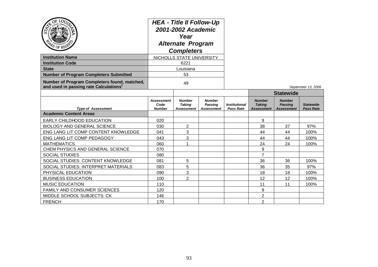| AD OF REGA                                                                                         | <b>HEA - Title II Follow-Up</b><br>2001-2002 Academic<br>Year<br><b>Alternate Program</b><br><b>Completers</b> |                                              |                                                      |                                                 |                                                     |                                                      |                                      |
|----------------------------------------------------------------------------------------------------|----------------------------------------------------------------------------------------------------------------|----------------------------------------------|------------------------------------------------------|-------------------------------------------------|-----------------------------------------------------|------------------------------------------------------|--------------------------------------|
| <b>Institution Name</b>                                                                            | NICHOLLS STATE UNIVERSITY                                                                                      |                                              |                                                      |                                                 |                                                     |                                                      |                                      |
| <b>Institution Code</b>                                                                            |                                                                                                                | 6221                                         |                                                      |                                                 |                                                     |                                                      |                                      |
| <b>State</b>                                                                                       |                                                                                                                | Louisiana                                    |                                                      |                                                 |                                                     |                                                      |                                      |
| <b>Number of Program Completers Submitted</b>                                                      |                                                                                                                | 53                                           |                                                      |                                                 |                                                     |                                                      |                                      |
| Number of Program Completers found, matched,<br>and used in passing rate Calculations <sup>1</sup> | 49                                                                                                             |                                              |                                                      |                                                 |                                                     |                                                      | September 13, 2006                   |
|                                                                                                    |                                                                                                                |                                              |                                                      |                                                 |                                                     | <b>Statewide</b>                                     |                                      |
| <b>Type of Assessment</b>                                                                          | <b>Assessment</b><br>Code<br><b>Number</b>                                                                     | <b>Number</b><br><b>Taking</b><br>Assessment | <b>Number</b><br><b>Passing</b><br><b>Assessment</b> | <i><b>Institutional</b></i><br><b>Pass Rate</b> | <b>Number</b><br><b>Taking</b><br><b>Assessment</b> | <b>Number</b><br><b>Passing</b><br><b>Assessment</b> | <b>Statewide</b><br><b>Pass Rate</b> |
| <b>Academic Content Areas</b>                                                                      |                                                                                                                |                                              |                                                      |                                                 |                                                     |                                                      |                                      |
| <b>EARLY CHILDHOOD EDUCATION</b>                                                                   | 020                                                                                                            |                                              |                                                      |                                                 | 9                                                   |                                                      |                                      |
| <b>BIOLOGY AND GENERAL SCIENCE</b>                                                                 | 030                                                                                                            | 2                                            |                                                      |                                                 | 38                                                  | 37                                                   | 97%                                  |
| ENG LANG LIT COMP CONTENT KNOWLEDGE                                                                | 041                                                                                                            | 3                                            |                                                      |                                                 | 44                                                  | 44                                                   | 100%                                 |
| ENG LANG LIT COMP PEDAGOGY                                                                         | 043                                                                                                            | 3                                            |                                                      |                                                 | 44                                                  | 44                                                   | 100%                                 |
| <b>MATHEMATICS</b>                                                                                 | 060                                                                                                            | $\blacktriangleleft$                         |                                                      |                                                 | 24                                                  | 24                                                   | 100%                                 |
| CHEM PHYSICS AND GENERAL SCIENCE                                                                   | 070                                                                                                            |                                              |                                                      |                                                 | 9                                                   |                                                      |                                      |
| <b>SOCIAL STUDIES</b>                                                                              | 080                                                                                                            |                                              |                                                      |                                                 | $\overline{7}$                                      |                                                      |                                      |
| SOCIAL STUDIES: CONTENT KNOWLEDGE                                                                  | 081                                                                                                            | 5                                            |                                                      |                                                 | 36                                                  | 36                                                   | 100%                                 |
| SOCIAL STUDIES: INTERPRET MATERIALS                                                                | 083                                                                                                            | 5                                            |                                                      |                                                 | 36                                                  | 35                                                   | 97%                                  |
| PHYSICAL EDUCATION                                                                                 | 090                                                                                                            | 3                                            |                                                      |                                                 | 18                                                  | 18                                                   | 100%                                 |
| <b>BUSINESS EDUCATION</b>                                                                          | 100                                                                                                            | $\overline{2}$                               |                                                      |                                                 | 12                                                  | 12                                                   | 100%                                 |
| <b>MUSIC EDUCATION</b>                                                                             | 110                                                                                                            |                                              |                                                      |                                                 | 11                                                  | 11                                                   | 100%                                 |
| FAMILY AND CONSUMER SCIENCES                                                                       | 120                                                                                                            |                                              |                                                      |                                                 | 9                                                   |                                                      |                                      |
| <b>MIDDLE SCHOOL SUBJECTS: CK</b>                                                                  | 146                                                                                                            |                                              |                                                      |                                                 | 2                                                   |                                                      |                                      |
| <b>FRENCH</b>                                                                                      | 170                                                                                                            |                                              |                                                      |                                                 | $\overline{2}$                                      |                                                      |                                      |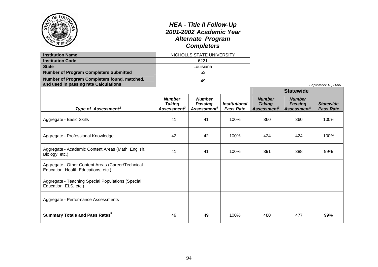|                                                                                          |                                                                  | <b>HEA - Title II Follow-Up</b><br>2001-2002 Academic Year<br><b>Alternate Program</b><br><b>Completers</b> |                                          |                                                           |                                                            |                                      |
|------------------------------------------------------------------------------------------|------------------------------------------------------------------|-------------------------------------------------------------------------------------------------------------|------------------------------------------|-----------------------------------------------------------|------------------------------------------------------------|--------------------------------------|
| <b>Institution Name</b>                                                                  |                                                                  | NICHOLLS STATE UNIVERSITY                                                                                   |                                          |                                                           |                                                            |                                      |
| <b>Institution Code</b>                                                                  |                                                                  | 6221                                                                                                        |                                          |                                                           |                                                            |                                      |
| <b>State</b>                                                                             |                                                                  | Louisiana                                                                                                   |                                          |                                                           |                                                            |                                      |
| <b>Number of Program Completers Submitted</b>                                            |                                                                  | 53                                                                                                          |                                          |                                                           |                                                            |                                      |
| Number of Program Completers found, matched,<br>and used in passing rate Calculations    |                                                                  | 49                                                                                                          |                                          |                                                           |                                                            | September 13, 2006                   |
|                                                                                          |                                                                  |                                                                                                             |                                          |                                                           | <b>Statewide</b>                                           |                                      |
| Type of Assessment <sup>2</sup>                                                          | <b>Number</b><br><b>Taking</b><br><b>Assessment</b> <sup>3</sup> | <b>Number</b><br><b>Passing</b><br>Assessment <sup>4</sup>                                                  | <b>Institutional</b><br><b>Pass Rate</b> | <b>Number</b><br><b>Taking</b><br>Assessment <sup>3</sup> | <b>Number</b><br><b>Passing</b><br>Assessment <sup>4</sup> | <b>Statewide</b><br><b>Pass Rate</b> |
| Aggregate - Basic Skills                                                                 | 41                                                               | 41                                                                                                          | 100%                                     | 360                                                       | 360                                                        | 100%                                 |
| Aggregate - Professional Knowledge                                                       | 42                                                               | 42                                                                                                          | 100%                                     | 424                                                       | 424                                                        | 100%                                 |
| Aggregate - Academic Content Areas (Math, English,<br>Biology, etc.)                     | 41                                                               | 41                                                                                                          | 100%                                     | 391                                                       | 388                                                        | 99%                                  |
| Aggregate - Other Content Areas (Career/Technical<br>Education, Health Educations, etc.) |                                                                  |                                                                                                             |                                          |                                                           |                                                            |                                      |
| Aggregate - Teaching Special Populations (Special<br>Education, ELS, etc.)               |                                                                  |                                                                                                             |                                          |                                                           |                                                            |                                      |
| Aggregate - Performance Assessments                                                      |                                                                  |                                                                                                             |                                          |                                                           |                                                            |                                      |
| <b>Summary Totals and Pass Rates</b> <sup>5</sup>                                        | 49                                                               | 49                                                                                                          | 100%                                     | 480                                                       | 477                                                        | 99%                                  |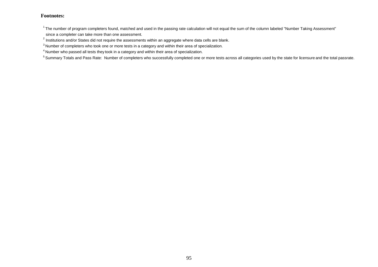$1$ The number of program completers found, matched and used in the passing rate calculation will not equal the sum of the column labeled "Number Taking Assessment" since a completer can take more than one assessment.

 $^{2}$  Institutions and/or States did not require the assessments within an aggregate where data cells are blank.

<sup>3</sup> Number of completers who took one or more tests in a category and within their area of specialization.

<sup>4</sup> Number who passed all tests they took in a category and within their area of specialization.

<sup>5</sup> Summary Totals and Pass Rate: Number of completers who successfully completed one or more tests across all categories used by the state for licensure and the total passrate.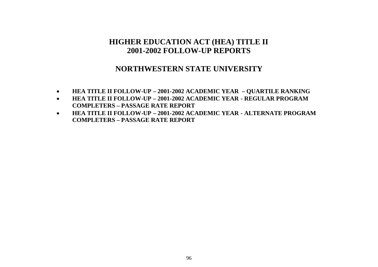### **NORTHWESTERN STATE UNIVERSITY**

- **HEA TITLE II FOLLOW-UP – 2001-2002 ACADEMIC YEAR – QUARTILE RANKING**
- **HEA TITLE II FOLLOW-UP – 2001-2002 ACADEMIC YEAR - REGULAR PROGRAM COMPLETERS – PASSAGE RATE REPORT**
- **HEA TITLE II FOLLOW-UP – 2001-2002 ACADEMIC YEAR - ALTERNATE PROGRAM COMPLETERS – PASSAGE RATE REPORT**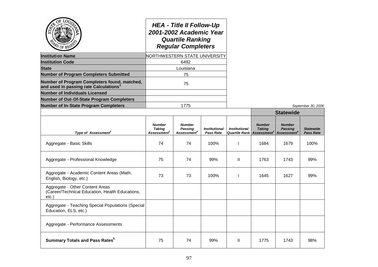|                                                                                            | <b>HEA - Title II Follow-Up</b><br>2001-2002 Academic Year<br><b>Quartile Ranking</b><br><b>Regular Completers</b><br>NORTHWESTERN STATE UNIVERSITY |                                                            |                                          |                                              |                                                           |                                                            |                                      |
|--------------------------------------------------------------------------------------------|-----------------------------------------------------------------------------------------------------------------------------------------------------|------------------------------------------------------------|------------------------------------------|----------------------------------------------|-----------------------------------------------------------|------------------------------------------------------------|--------------------------------------|
| <b>Institution Name</b>                                                                    |                                                                                                                                                     |                                                            |                                          |                                              |                                                           |                                                            |                                      |
| <b>Institution Code</b>                                                                    |                                                                                                                                                     | 6492                                                       |                                          |                                              |                                                           |                                                            |                                      |
| <b>State</b>                                                                               |                                                                                                                                                     | Louisiana                                                  |                                          |                                              |                                                           |                                                            |                                      |
| <b>Number of Program Completers Submitted</b>                                              | 75                                                                                                                                                  |                                                            |                                          |                                              |                                                           |                                                            |                                      |
| Number of Program Completers found, matched,<br>and used in passing rate Calculations      | 75                                                                                                                                                  |                                                            |                                          |                                              |                                                           |                                                            |                                      |
| <b>Number of Individuals Licensed</b>                                                      |                                                                                                                                                     |                                                            |                                          |                                              |                                                           |                                                            |                                      |
| Number of Out-Of-State Program Completers                                                  |                                                                                                                                                     |                                                            |                                          |                                              |                                                           |                                                            |                                      |
| <b>Number of In-State Program Completers</b>                                               |                                                                                                                                                     | 1775                                                       |                                          |                                              |                                                           |                                                            | September 30, 2006                   |
|                                                                                            |                                                                                                                                                     |                                                            |                                          |                                              |                                                           | <b>Statewide</b>                                           |                                      |
| Type of Assessment <sup>2</sup>                                                            | <b>Number</b><br><b>Taking</b><br>Assessment <sup>3</sup>                                                                                           | <b>Number</b><br><b>Passing</b><br>Assessment <sup>4</sup> | <b>Institutional</b><br><b>Pass Rate</b> | <b>Institutional</b><br><b>Quartile Rank</b> | <b>Number</b><br><b>Taking</b><br>Assessment <sup>3</sup> | <b>Number</b><br><b>Passing</b><br>Assessment <sup>4</sup> | <b>Statewide</b><br><b>Pass Rate</b> |
| Aggregate - Basic Skills                                                                   | 74                                                                                                                                                  | 74                                                         | 100%                                     | T                                            | 1684                                                      | 1679                                                       | 100%                                 |
| Aggregate - Professional Knowledge                                                         | 75                                                                                                                                                  | 74                                                         | 99%                                      | Ш                                            | 1763                                                      | 1743                                                       | 99%                                  |
| Aggregate - Academic Content Areas (Math,<br>English, Biology, etc.)                       | 73                                                                                                                                                  | 73                                                         | 100%                                     |                                              | 1645                                                      | 1627                                                       | 99%                                  |
| Aggregate - Other Content Areas<br>(Career/Technical Education, Health Educations,<br>etc. |                                                                                                                                                     |                                                            |                                          |                                              |                                                           |                                                            |                                      |
| Aggregate - Teaching Special Populations (Special<br>Education, ELS, etc.)                 |                                                                                                                                                     |                                                            |                                          |                                              |                                                           |                                                            |                                      |
| Aggregate - Performance Assessments                                                        |                                                                                                                                                     |                                                            |                                          |                                              |                                                           |                                                            |                                      |
| <b>Summary Totals and Pass Rates</b> <sup>5</sup>                                          | 75                                                                                                                                                  | 74                                                         | 99%                                      | Ш                                            | 1775                                                      | 1743                                                       | 98%                                  |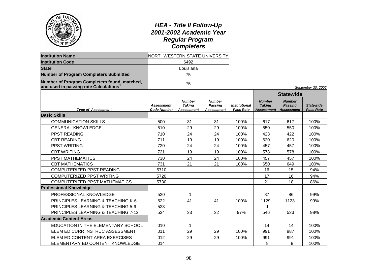| afiden <sup>c</sup><br>APD OF REG'S                                                                |                                         | <b>HEA - Title II Follow-Up</b><br>2001-2002 Academic Year<br><b>Regular Program</b><br><b>Completers</b> |                                               |                                   |                                              |                                                      |                                      |
|----------------------------------------------------------------------------------------------------|-----------------------------------------|-----------------------------------------------------------------------------------------------------------|-----------------------------------------------|-----------------------------------|----------------------------------------------|------------------------------------------------------|--------------------------------------|
| <b>Institution Name</b>                                                                            |                                         | NORTHWESTERN STATE UNIVERSITY                                                                             |                                               |                                   |                                              |                                                      |                                      |
| <b>Institution Code</b>                                                                            |                                         | 6492                                                                                                      |                                               |                                   |                                              |                                                      |                                      |
| <b>State</b>                                                                                       |                                         | Louisiana                                                                                                 |                                               |                                   |                                              |                                                      |                                      |
| <b>Number of Program Completers Submitted</b>                                                      |                                         | 75                                                                                                        |                                               |                                   |                                              |                                                      |                                      |
| Number of Program Completers found, matched,<br>and used in passing rate Calculations <sup>1</sup> |                                         | 75                                                                                                        |                                               |                                   |                                              |                                                      | September 30, 2006                   |
|                                                                                                    |                                         |                                                                                                           |                                               |                                   |                                              | <b>Statewide</b>                                     |                                      |
| <b>Type of Assessment</b>                                                                          | <b>Assessment</b><br><b>Code Number</b> | <b>Number</b><br><b>Taking</b><br>Assessment                                                              | <b>Number</b><br><b>Passing</b><br>Assessment | <b>Institutional</b><br>Pass Rate | <b>Number</b><br><b>Taking</b><br>Assessment | <b>Number</b><br><b>Passing</b><br><b>Assessment</b> | <b>Statewide</b><br><b>Pass Rate</b> |
| <b>Basic Skills</b>                                                                                |                                         |                                                                                                           |                                               |                                   |                                              |                                                      |                                      |
| <b>COMMUNICATION SKILLS</b>                                                                        | 500                                     | 31                                                                                                        | 31                                            | 100%                              | 617                                          | 617                                                  | 100%                                 |
| <b>GENERAL KNOWLEDGE</b>                                                                           | 510                                     | 29                                                                                                        | 29                                            | 100%                              | 550                                          | 550                                                  | 100%                                 |
| PPST READING                                                                                       | 710                                     | 24                                                                                                        | 24                                            | 100%                              | 423                                          | 422                                                  | 100%                                 |
| <b>CBT READING</b>                                                                                 | 711                                     | 19                                                                                                        | 19                                            | 100%                              | 620                                          | 620                                                  | 100%                                 |
| PPST WRITING                                                                                       | 720                                     | 24                                                                                                        | 24                                            | 100%                              | 457                                          | 457                                                  | 100%                                 |
| <b>CBT WRITING</b>                                                                                 | 721                                     | 19                                                                                                        | 19                                            | 100%                              | 578                                          | 578                                                  | 100%                                 |
| PPST MATHEMATICS                                                                                   | 730                                     | 24                                                                                                        | 24                                            | 100%                              | 457                                          | 457                                                  | 100%                                 |
| <b>CBT MATHEMATICS</b>                                                                             | 731                                     | 21                                                                                                        | 21                                            | 100%                              | 650                                          | 649                                                  | 100%                                 |
| COMPUTERIZED PPST READING                                                                          | 5710                                    |                                                                                                           |                                               |                                   | 16                                           | 15                                                   | 94%                                  |
| COMPUTERIZED PPST WRITING                                                                          | 5720                                    |                                                                                                           |                                               |                                   | 17                                           | 16                                                   | 94%                                  |
| <b>COMPUTERIZED PPST MATHEMATICS</b>                                                               | 5730                                    |                                                                                                           |                                               |                                   | 21                                           | 18                                                   | 86%                                  |
| <b>Professional Knowledge</b>                                                                      |                                         |                                                                                                           |                                               |                                   |                                              |                                                      |                                      |
| PROFESSIONAL KNOWLEDGE                                                                             | 520                                     |                                                                                                           |                                               |                                   | 87                                           | 86                                                   | 99%                                  |
| PRINCIPLES LEARNING & TEACHING K-6                                                                 | 522                                     | 41                                                                                                        | 41                                            | 100%                              | 1129                                         | 1123                                                 | 99%                                  |
| PRINCIPLES LEARNING & TEACHING 5-9                                                                 | 523                                     |                                                                                                           |                                               |                                   | 1                                            |                                                      |                                      |
| PRINCIPLES LEARNING & TEACHING 7-12                                                                | 524                                     | 33                                                                                                        | 32                                            | 97%                               | 546                                          | 533                                                  | 98%                                  |
| <b>Academic Content Areas</b>                                                                      |                                         |                                                                                                           |                                               |                                   |                                              |                                                      |                                      |
| EDUCATION IN THE ELEMENTARY SCHOOL                                                                 | 010                                     | 1                                                                                                         |                                               |                                   | 14                                           | 14                                                   | 100%                                 |
| ELEM ED CURR INSTRUC ASSESSMENT                                                                    | 011                                     | 29                                                                                                        | 29                                            | 100%                              | 991                                          | 987                                                  | 100%                                 |
| ELEM ED CONTENT AREA EXERCISES                                                                     | 012                                     | 29                                                                                                        | 29                                            | 100%                              | 991                                          | 991                                                  | 100%                                 |
| ELEMENTARY ED CONTENT KNOWLEDGE                                                                    | 014                                     |                                                                                                           |                                               |                                   | 8                                            | 8                                                    | 100%                                 |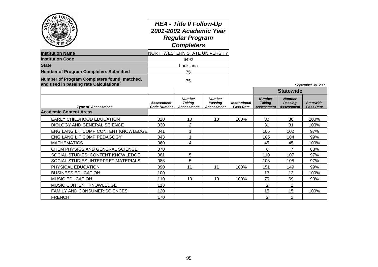| OF LOO                                                                                | <b>HEA - Title II Follow-Up</b><br>2001-2002 Academic Year<br><b>Regular Program</b><br><b>Completers</b><br><b>NORTHWESTERN STATE UNIVERSITY</b> |                                              |                                        |                                          |                                              |                                                      |                                      |
|---------------------------------------------------------------------------------------|---------------------------------------------------------------------------------------------------------------------------------------------------|----------------------------------------------|----------------------------------------|------------------------------------------|----------------------------------------------|------------------------------------------------------|--------------------------------------|
| <b>Institution Name</b>                                                               |                                                                                                                                                   |                                              |                                        |                                          |                                              |                                                      |                                      |
| <b>Institution Code</b>                                                               |                                                                                                                                                   | 6492                                         |                                        |                                          |                                              |                                                      |                                      |
| <b>State</b>                                                                          |                                                                                                                                                   | Louisiana                                    |                                        |                                          |                                              |                                                      |                                      |
| <b>Number of Program Completers Submitted</b>                                         |                                                                                                                                                   | 75                                           |                                        |                                          |                                              |                                                      |                                      |
| Number of Program Completers found, matched,<br>and used in passing rate Calculations |                                                                                                                                                   | 75                                           |                                        |                                          |                                              |                                                      | September 30, 2006                   |
|                                                                                       |                                                                                                                                                   |                                              |                                        |                                          |                                              | <b>Statewide</b>                                     |                                      |
| <b>Type of Assessment</b>                                                             | <b>Assessment</b><br><b>Code Number</b>                                                                                                           | <b>Number</b><br><b>Taking</b><br>Assessment | <b>Number</b><br>Passing<br>Assessment | <b>Institutional</b><br><b>Pass Rate</b> | <b>Number</b><br><b>Taking</b><br>Assessment | <b>Number</b><br><b>Passing</b><br><b>Assessment</b> | <b>Statewide</b><br><b>Pass Rate</b> |
| <b>Academic Content Areas</b>                                                         |                                                                                                                                                   |                                              |                                        |                                          |                                              |                                                      |                                      |
| EARLY CHILDHOOD EDUCATION                                                             | 020                                                                                                                                               | 10                                           | 10                                     | 100%                                     | 80                                           | 80                                                   | 100%                                 |
| <b>BIOLOGY AND GENERAL SCIENCE</b>                                                    | 030                                                                                                                                               | 2                                            |                                        |                                          | 31                                           | 31                                                   | 100%                                 |
| ENG LANG LIT COMP CONTENT KNOWLEDGE                                                   | 041                                                                                                                                               | 1                                            |                                        |                                          | 105                                          | 102                                                  | 97%                                  |
| ENG LANG LIT COMP PEDAGOGY                                                            | 043                                                                                                                                               |                                              |                                        |                                          | 105                                          | 104                                                  | 99%                                  |
| <b>MATHEMATICS</b>                                                                    | 060                                                                                                                                               | 4                                            |                                        |                                          | 45                                           | 45                                                   | 100%                                 |
| CHEM PHYSICS AND GENERAL SCIENCE                                                      | 070                                                                                                                                               |                                              |                                        |                                          | 8                                            | 7                                                    | 88%                                  |
| SOCIAL STUDIES: CONTENT KNOWLEDGE                                                     | 081                                                                                                                                               | 5                                            |                                        |                                          | 110                                          | 107                                                  | 97%                                  |
| SOCIAL STUDIES: INTERPRET MATERIALS                                                   | 083                                                                                                                                               | 5                                            |                                        |                                          | 108                                          | 105                                                  | 97%                                  |
| PHYSICAL EDUCATION                                                                    | 090                                                                                                                                               | 11                                           | 11                                     | 100%                                     | 151                                          | 149                                                  | 99%                                  |
| <b>BUSINESS EDUCATION</b>                                                             | 100                                                                                                                                               |                                              |                                        |                                          | 13                                           | 13                                                   | 100%                                 |
| <b>MUSIC EDUCATION</b>                                                                | 110                                                                                                                                               | 10 <sup>1</sup>                              | 10                                     | 100%                                     | 70                                           | 69                                                   | 99%                                  |
| MUSIC CONTENT KNOWLEDGE                                                               | 113                                                                                                                                               |                                              |                                        |                                          | $\overline{2}$                               | $\overline{2}$                                       |                                      |
| <b>FAMILY AND CONSUMER SCIENCES</b>                                                   | 120                                                                                                                                               |                                              |                                        |                                          | 15                                           | 15                                                   | 100%                                 |
| <b>FRENCH</b>                                                                         | 170                                                                                                                                               |                                              |                                        |                                          | $\overline{2}$                               | $\overline{2}$                                       |                                      |

سد

÷.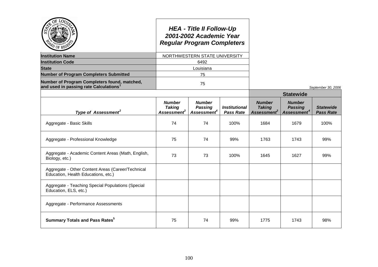| <i>U</i> OF RT                                                                                     |                                              | <b>HEA - Title II Follow-Up</b><br>2001-2002 Academic Year<br><b>Regular Program Completers</b> |                                          |                                                           |                                                            |                                      |
|----------------------------------------------------------------------------------------------------|----------------------------------------------|-------------------------------------------------------------------------------------------------|------------------------------------------|-----------------------------------------------------------|------------------------------------------------------------|--------------------------------------|
| <b>Institution Name</b>                                                                            |                                              | NORTHWESTERN STATE UNIVERSITY                                                                   |                                          |                                                           |                                                            |                                      |
| <b>Institution Code</b>                                                                            |                                              | 6492                                                                                            |                                          |                                                           |                                                            |                                      |
| <b>State</b>                                                                                       |                                              | Louisiana                                                                                       |                                          |                                                           |                                                            |                                      |
| <b>Number of Program Completers Submitted</b>                                                      |                                              | 75                                                                                              |                                          |                                                           |                                                            |                                      |
| Number of Program Completers found, matched,<br>and used in passing rate Calculations <sup>1</sup> |                                              | 75                                                                                              |                                          |                                                           |                                                            | September 30, 2006                   |
|                                                                                                    |                                              |                                                                                                 |                                          |                                                           | <b>Statewide</b>                                           |                                      |
| Type of Assessment <sup>2</sup>                                                                    | <b>Number</b><br><b>Taking</b><br>Assessment | <b>Number</b><br><b>Passing</b><br>Assessment <sup>4</sup>                                      | <b>Institutional</b><br><b>Pass Rate</b> | <b>Number</b><br><b>Taking</b><br>Assessment <sup>3</sup> | <b>Number</b><br><b>Passing</b><br>Assessment <sup>4</sup> | <b>Statewide</b><br><b>Pass Rate</b> |
| Aggregate - Basic Skills                                                                           | 74                                           | 74                                                                                              | 100%                                     | 1684                                                      | 1679                                                       | 100%                                 |
| Aggregate - Professional Knowledge                                                                 | 75                                           | 74                                                                                              | 99%                                      | 1763                                                      | 1743                                                       | 99%                                  |
| Aggregate - Academic Content Areas (Math, English,<br>Biology, etc.)                               | 73                                           | 73                                                                                              | 100%                                     | 1645                                                      | 1627                                                       | 99%                                  |
| Aggregate - Other Content Areas (Career/Technical<br>Education, Health Educations, etc.)           |                                              |                                                                                                 |                                          |                                                           |                                                            |                                      |
| Aggregate - Teaching Special Populations (Special<br>Education, ELS, etc.)                         |                                              |                                                                                                 |                                          |                                                           |                                                            |                                      |
| Aggregate - Performance Assessments                                                                |                                              |                                                                                                 |                                          |                                                           |                                                            |                                      |
| <b>Summary Totals and Pass Rates</b> <sup>5</sup>                                                  | 75                                           | 74                                                                                              | 99%                                      | 1775                                                      | 1743                                                       | 98%                                  |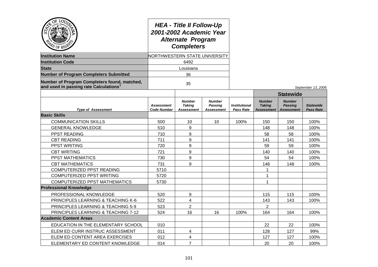| OF<br><b>LOU</b><br>PD OF REG                                                         | <b>HEA - Title II Follow-Up</b><br>2001-2002 Academic Year<br><b>Alternate Program</b><br><b>Completers</b><br>NORTHWESTERN STATE UNIVERSITY |                                              |                                                      |                                          |                                              |                                               |                                      |
|---------------------------------------------------------------------------------------|----------------------------------------------------------------------------------------------------------------------------------------------|----------------------------------------------|------------------------------------------------------|------------------------------------------|----------------------------------------------|-----------------------------------------------|--------------------------------------|
| <b>Institution Name</b>                                                               |                                                                                                                                              |                                              |                                                      |                                          |                                              |                                               |                                      |
| <b>Institution Code</b>                                                               |                                                                                                                                              | 6492                                         |                                                      |                                          |                                              |                                               |                                      |
| <b>State</b>                                                                          |                                                                                                                                              | Louisiana                                    |                                                      |                                          |                                              |                                               |                                      |
| <b>Number of Program Completers Submitted</b>                                         |                                                                                                                                              | 36                                           |                                                      |                                          |                                              |                                               |                                      |
| Number of Program Completers found, matched,<br>and used in passing rate Calculations |                                                                                                                                              | 35                                           |                                                      |                                          |                                              |                                               | September 13, 2006                   |
|                                                                                       |                                                                                                                                              |                                              |                                                      |                                          |                                              | <b>Statewide</b>                              |                                      |
| <b>Type of Assessment</b>                                                             | <b>Assessment</b><br><b>Code Number</b>                                                                                                      | <b>Number</b><br><b>Taking</b><br>Assessment | <b>Number</b><br><b>Passing</b><br><b>Assessment</b> | <b>Institutional</b><br><b>Pass Rate</b> | <b>Number</b><br><b>Taking</b><br>Assessment | <b>Number</b><br>Passina<br><b>Assessment</b> | <b>Statewide</b><br><b>Pass Rate</b> |
| <b>Basic Skills</b>                                                                   |                                                                                                                                              |                                              |                                                      |                                          |                                              |                                               |                                      |
| <b>COMMUNICATION SKILLS</b>                                                           | 500                                                                                                                                          | 10                                           | 10                                                   | 100%                                     | 150                                          | 150                                           | 100%                                 |
| <b>GENERAL KNOWLEDGE</b>                                                              | 510                                                                                                                                          | 9                                            |                                                      |                                          | 148                                          | 148                                           | 100%                                 |
| <b>PPST READING</b>                                                                   | 710                                                                                                                                          | 9                                            |                                                      |                                          | 58                                           | 58                                            | 100%                                 |
| <b>CBT READING</b>                                                                    | 711                                                                                                                                          | 9                                            |                                                      |                                          | 141                                          | 141                                           | 100%                                 |
| <b>PPST WRITING</b>                                                                   | 720                                                                                                                                          | 9                                            |                                                      |                                          | 59                                           | 59                                            | 100%                                 |
| <b>CBT WRITING</b>                                                                    | 721                                                                                                                                          | 9                                            |                                                      |                                          | 140                                          | 140                                           | 100%                                 |
| PPST MATHEMATICS                                                                      | 730                                                                                                                                          | 9                                            |                                                      |                                          | 54                                           | 54                                            | 100%                                 |
| <b>CBT MATHEMATICS</b>                                                                | 731                                                                                                                                          | 9                                            |                                                      |                                          | 148                                          | 148                                           | 100%                                 |
| COMPUTERIZED PPST READING                                                             | 5710                                                                                                                                         |                                              |                                                      |                                          | $\mathbf{1}$                                 |                                               |                                      |
| COMPUTERIZED PPST WRITING                                                             | 5720                                                                                                                                         |                                              |                                                      |                                          | $\mathbf{1}$                                 |                                               |                                      |
| <b>COMPUTERIZED PPST MATHEMATICS</b>                                                  | 5730                                                                                                                                         |                                              |                                                      |                                          | $\mathbf{1}$                                 |                                               |                                      |
| <b>Professional Knowledge</b>                                                         |                                                                                                                                              |                                              |                                                      |                                          |                                              |                                               |                                      |
| PROFESSIONAL KNOWLEDGE                                                                | 520                                                                                                                                          | 9                                            |                                                      |                                          | 115                                          | 115                                           | 100%                                 |
| PRINCIPLES LEARNING & TEACHING K-6                                                    | 522                                                                                                                                          | 4                                            |                                                      |                                          | 143                                          | 143                                           | 100%                                 |
| PRINCIPLES LEARNING & TEACHING 5-9                                                    | 523                                                                                                                                          | $\overline{2}$                               |                                                      |                                          | $\overline{2}$                               |                                               |                                      |
| PRINCIPLES LEARNING & TEACHING 7-12                                                   | 524                                                                                                                                          | 16                                           | 16                                                   | 100%                                     | 164                                          | 164                                           | 100%                                 |
| <b>Academic Content Areas</b>                                                         |                                                                                                                                              |                                              |                                                      |                                          |                                              |                                               |                                      |
| EDUCATION IN THE ELEMENTARY SCHOOL                                                    | 010                                                                                                                                          |                                              |                                                      |                                          | 22                                           | 22                                            | 100%                                 |
| ELEM ED CURR INSTRUC ASSESSMENT                                                       | 011                                                                                                                                          | 4                                            |                                                      |                                          | 128                                          | 127                                           | 99%                                  |
| ELEM ED CONTENT AREA EXERCISES                                                        | 012                                                                                                                                          | 4                                            |                                                      |                                          | 127                                          | 127                                           | 100%                                 |
| ELEMENTARY ED CONTENT KNOWLEDGE                                                       | 014                                                                                                                                          | $\overline{7}$                               |                                                      |                                          | 20                                           | 20                                            | 100%                                 |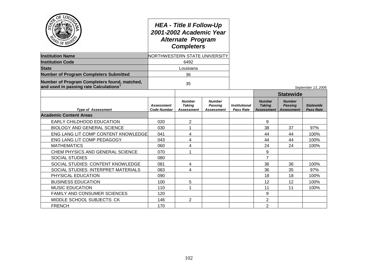| OF LOD<br>APD OF REGU<br><b>Institution Name</b>                                      | <b>HEA - Title II Follow-Up</b><br>2001-2002 Academic Year<br><b>Alternate Program</b><br><b>Completers</b><br>NORTHWESTERN STATE UNIVERSITY |                                              |                                                      |                                                 |                                              |                                                      |                                      |
|---------------------------------------------------------------------------------------|----------------------------------------------------------------------------------------------------------------------------------------------|----------------------------------------------|------------------------------------------------------|-------------------------------------------------|----------------------------------------------|------------------------------------------------------|--------------------------------------|
| <b>Institution Code</b>                                                               |                                                                                                                                              | 6492                                         |                                                      |                                                 |                                              |                                                      |                                      |
| <b>State</b>                                                                          | Louisiana                                                                                                                                    |                                              |                                                      |                                                 |                                              |                                                      |                                      |
| <b>Number of Program Completers Submitted</b>                                         | 36                                                                                                                                           |                                              |                                                      |                                                 |                                              |                                                      |                                      |
| Number of Program Completers found, matched,<br>and used in passing rate Calculations | 35                                                                                                                                           |                                              |                                                      |                                                 |                                              |                                                      | September 13, 2006                   |
|                                                                                       |                                                                                                                                              |                                              |                                                      |                                                 | <b>Statewide</b>                             |                                                      |                                      |
| <b>Type of Assessment</b>                                                             | <b>Assessment</b><br>Code Number                                                                                                             | <b>Number</b><br><b>Taking</b><br>Assessment | <b>Number</b><br><b>Passing</b><br><b>Assessment</b> | <i><b>Institutional</b></i><br><b>Pass Rate</b> | <b>Number</b><br><b>Taking</b><br>Assessment | <b>Number</b><br><b>Passing</b><br><b>Assessment</b> | <b>Statewide</b><br><b>Pass Rate</b> |
| <b>Academic Content Areas</b>                                                         |                                                                                                                                              |                                              |                                                      |                                                 |                                              |                                                      |                                      |
| EARLY CHILDHOOD EDUCATION                                                             | 020                                                                                                                                          | $\overline{2}$                               |                                                      |                                                 | 9                                            |                                                      |                                      |
| <b>BIOLOGY AND GENERAL SCIENCE</b>                                                    | 030                                                                                                                                          | 1                                            |                                                      |                                                 | 38                                           | 37                                                   | 97%                                  |
| ENG LANG LIT COMP CONTENT KNOWLEDGE                                                   | 041                                                                                                                                          | 4                                            |                                                      |                                                 | 44                                           | 44                                                   | 100%                                 |
| ENG LANG LIT COMP PEDAGOGY                                                            | 043                                                                                                                                          | 4                                            |                                                      |                                                 | 44                                           | 44                                                   | 100%                                 |
| <b>MATHEMATICS</b>                                                                    | 060                                                                                                                                          | 4                                            |                                                      |                                                 | 24                                           | 24                                                   | 100%                                 |
| CHEM PHYSICS AND GENERAL SCIENCE                                                      | 070                                                                                                                                          |                                              |                                                      |                                                 | 9                                            |                                                      |                                      |
| <b>SOCIAL STUDIES</b>                                                                 | 080                                                                                                                                          |                                              |                                                      |                                                 | 7                                            |                                                      |                                      |
| SOCIAL STUDIES: CONTENT KNOWLEDGE                                                     | 081                                                                                                                                          | 4                                            |                                                      |                                                 | 36                                           | 36                                                   | 100%                                 |
| SOCIAL STUDIES: INTERPRET MATERIALS                                                   | 083                                                                                                                                          | 4                                            |                                                      |                                                 | 36                                           | 35                                                   | 97%                                  |
| PHYSICAL EDUCATION                                                                    | 090                                                                                                                                          |                                              |                                                      |                                                 | 18                                           | 18                                                   | 100%                                 |
| <b>BUSINESS EDUCATION</b>                                                             | 100                                                                                                                                          | 5                                            |                                                      |                                                 | 12                                           | 12                                                   | 100%                                 |
| <b>MUSIC EDUCATION</b>                                                                | 110                                                                                                                                          |                                              |                                                      |                                                 | 11                                           | 11                                                   | 100%                                 |
| <b>FAMILY AND CONSUMER SCIENCES</b>                                                   | 120                                                                                                                                          |                                              |                                                      |                                                 | 9                                            |                                                      |                                      |
| MIDDLE SCHOOL SUBJECTS: CK                                                            | 146                                                                                                                                          | 2                                            |                                                      |                                                 | 2                                            |                                                      |                                      |
| <b>FRENCH</b>                                                                         | 170                                                                                                                                          |                                              |                                                      |                                                 | 2                                            |                                                      |                                      |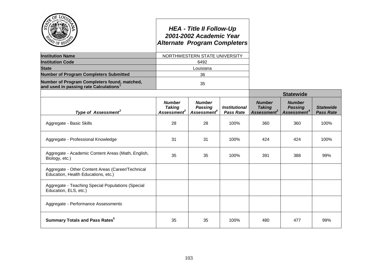|                                                                                                    |                                                           | <b>HEA - Title II Follow-Up</b><br>2001-2002 Academic Year<br><b>Alternate Program Completers</b> |                                                 |                                                           |                                                            |                                      |
|----------------------------------------------------------------------------------------------------|-----------------------------------------------------------|---------------------------------------------------------------------------------------------------|-------------------------------------------------|-----------------------------------------------------------|------------------------------------------------------------|--------------------------------------|
| <b>Institution Name</b>                                                                            |                                                           | NORTHWESTERN STATE UNIVERSITY                                                                     |                                                 |                                                           |                                                            |                                      |
| <b>Institution Code</b>                                                                            |                                                           | 6492                                                                                              |                                                 |                                                           |                                                            |                                      |
| <b>State</b>                                                                                       |                                                           | Louisiana                                                                                         |                                                 |                                                           |                                                            |                                      |
| <b>Number of Program Completers Submitted</b>                                                      |                                                           | 36                                                                                                |                                                 |                                                           |                                                            |                                      |
| Number of Program Completers found, matched,<br>and used in passing rate Calculations <sup>1</sup> |                                                           | 35                                                                                                |                                                 |                                                           |                                                            |                                      |
|                                                                                                    |                                                           |                                                                                                   |                                                 | <b>Statewide</b>                                          |                                                            |                                      |
| Type of Assessment <sup>2</sup>                                                                    | <b>Number</b><br><b>Taking</b><br>Assessment <sup>3</sup> | <b>Number</b><br><b>Passing</b><br>Assessment <sup>4</sup>                                        | <i><b>Institutional</b></i><br><b>Pass Rate</b> | <b>Number</b><br><b>Taking</b><br>Assessment <sup>3</sup> | <b>Number</b><br><b>Passing</b><br>Assessment <sup>4</sup> | <b>Statewide</b><br><b>Pass Rate</b> |
| Aggregate - Basic Skills                                                                           | 28                                                        | 28                                                                                                | 100%                                            | 360                                                       | 360                                                        | 100%                                 |
| Aggregate - Professional Knowledge                                                                 | 31                                                        | 31                                                                                                | 100%                                            | 424                                                       | 424                                                        | 100%                                 |
| Aggregate - Academic Content Areas (Math, English,<br>Biology, etc.)                               | 35                                                        | 35                                                                                                | 100%                                            | 391                                                       | 388                                                        | 99%                                  |
| Aggregate - Other Content Areas (Career/Technical<br>Education, Health Educations, etc.)           |                                                           |                                                                                                   |                                                 |                                                           |                                                            |                                      |
| Aggregate - Teaching Special Populations (Special<br>Education, ELS, etc.)                         |                                                           |                                                                                                   |                                                 |                                                           |                                                            |                                      |
| Aggregate - Performance Assessments                                                                |                                                           |                                                                                                   |                                                 |                                                           |                                                            |                                      |
| <b>Summary Totals and Pass Rates</b> <sup>5</sup>                                                  | 35                                                        | 35                                                                                                | 100%                                            | 480                                                       | 477                                                        | 99%                                  |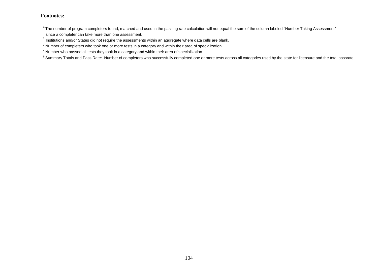$1$ The number of program completers found, matched and used in the passing rate calculation will not equal the sum of the column labeled "Number Taking Assessment" since a completer can take more than one assessment.

 $^{2}$  Institutions and/or States did not require the assessments within an aggregate where data cells are blank.

 $3$  Number of completers who took one or more tests in a category and within their area of specialization.

<sup>4</sup> Number who passed all tests they took in a category and within their area of specialization.

<sup>5</sup> Summary Totals and Pass Rate: Number of completers who successfully completed one or more tests across all categories used by the state for licensure and the total passrate.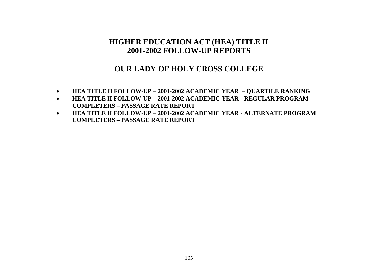# **OUR LADY OF HOLY CROSS COLLEGE**

- **HEA TITLE II FOLLOW-UP – 2001-2002 ACADEMIC YEAR – QUARTILE RANKING**
- **HEA TITLE II FOLLOW-UP – 2001-2002 ACADEMIC YEAR - REGULAR PROGRAM COMPLETERS – PASSAGE RATE REPORT**
- **HEA TITLE II FOLLOW-UP – 2001-2002 ACADEMIC YEAR - ALTERNATE PROGRAM COMPLETERS – PASSAGE RATE REPORT**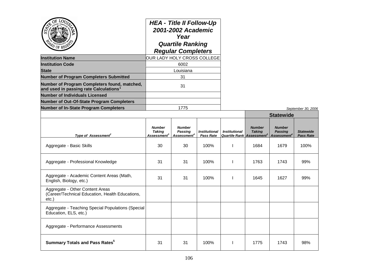|                                                                                                    | <b>HEA - Title II Follow-Up</b><br>2001-2002 Academic<br>Year<br><b>Quartile Ranking</b><br><b>Regular Completers</b> |
|----------------------------------------------------------------------------------------------------|-----------------------------------------------------------------------------------------------------------------------|
| <b>Institution Name</b>                                                                            | OUR LADY HOLY CROSS COLLEGE                                                                                           |
| <b>Institution Code</b>                                                                            | 6002                                                                                                                  |
| <b>State</b>                                                                                       | Louisiana                                                                                                             |
| <b>Number of Program Completers Submitted</b>                                                      | 31                                                                                                                    |
| Number of Program Completers found, matched,<br>and used in passing rate Calculations <sup>1</sup> | 31                                                                                                                    |
| <b>Number of Individuals Licensed</b>                                                              |                                                                                                                       |
| <b>Number of Out-Of-State Program Completers</b>                                                   |                                                                                                                       |
| <b>Number of In-State Program Completers</b>                                                       | 1775                                                                                                                  |

|                                                                                             |                                                           |                                                            |                                          |                                                         | <b>Statewide</b>               |                                                                   |                                      |
|---------------------------------------------------------------------------------------------|-----------------------------------------------------------|------------------------------------------------------------|------------------------------------------|---------------------------------------------------------|--------------------------------|-------------------------------------------------------------------|--------------------------------------|
| Type of Assessment <sup>2</sup>                                                             | <b>Number</b><br><b>Taking</b><br>Assessment <sup>3</sup> | <b>Number</b><br><b>Passing</b><br>Assessment <sup>4</sup> | <b>Institutional</b><br><b>Pass Rate</b> | <b>Institutional</b><br><b>Quartile Rank Assessment</b> | <b>Number</b><br><b>Taking</b> | <b>Number</b><br><b>Passing</b><br><b>Assessment</b> <sup>4</sup> | <b>Statewide</b><br><b>Pass Rate</b> |
| Aggregate - Basic Skills                                                                    | 30                                                        | 30                                                         | 100%                                     |                                                         | 1684                           | 1679                                                              | 100%                                 |
| Aggregate - Professional Knowledge                                                          | 31                                                        | 31                                                         | 100%                                     |                                                         | 1763                           | 1743                                                              | 99%                                  |
| Aggregate - Academic Content Areas (Math,<br>English, Biology, etc.)                        | 31                                                        | 31                                                         | 100%                                     |                                                         | 1645                           | 1627                                                              | 99%                                  |
| Aggregate - Other Content Areas<br>(Career/Technical Education, Health Educations,<br>etc.) |                                                           |                                                            |                                          |                                                         |                                |                                                                   |                                      |
| Aggregate - Teaching Special Populations (Special<br>Education, ELS, etc.)                  |                                                           |                                                            |                                          |                                                         |                                |                                                                   |                                      |
| Aggregate - Performance Assessments                                                         |                                                           |                                                            |                                          |                                                         |                                |                                                                   |                                      |
| <b>Summary Totals and Pass Rates</b> <sup>5</sup>                                           | 31                                                        | 31                                                         | 100%                                     |                                                         | 1775                           | 1743                                                              | 98%                                  |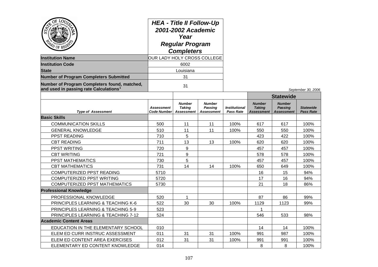| OF<br>LOTT<br><b>Institution Name</b><br><b>Institution Code</b><br><b>State</b><br><b>Number of Program Completers Submitted</b> | <b>HEA - Title II Follow-Up</b><br>2001-2002 Academic<br>Year<br><b>Regular Program</b><br><b>Completers</b><br>OUR LADY HOLY CROSS COLLEGE<br>6002<br>Louisiana<br>31 |                                                     |                                                      |                            |                                                     |                                                      |                                      |
|-----------------------------------------------------------------------------------------------------------------------------------|------------------------------------------------------------------------------------------------------------------------------------------------------------------------|-----------------------------------------------------|------------------------------------------------------|----------------------------|-----------------------------------------------------|------------------------------------------------------|--------------------------------------|
| Number of Program Completers found, matched,<br>and used in passing rate Calculations <sup>1</sup>                                | 31                                                                                                                                                                     |                                                     |                                                      |                            |                                                     | September 30, 2006                                   |                                      |
|                                                                                                                                   |                                                                                                                                                                        |                                                     |                                                      |                            | <b>Statewide</b>                                    |                                                      |                                      |
| <b>Type of Assessment</b>                                                                                                         | <b>Assessment</b><br><b>Code Number</b>                                                                                                                                | <b>Number</b><br><b>Taking</b><br><b>Assessment</b> | <b>Number</b><br><b>Passing</b><br><b>Assessment</b> | Institutional<br>Pass Rate | <b>Number</b><br><b>Taking</b><br><b>Assessment</b> | <b>Number</b><br><b>Passing</b><br><b>Assessment</b> | <b>Statewide</b><br><b>Pass Rate</b> |
| <b>Basic Skills</b>                                                                                                               |                                                                                                                                                                        |                                                     |                                                      |                            |                                                     |                                                      |                                      |
| <b>COMMUNICATION SKILLS</b>                                                                                                       | 500                                                                                                                                                                    | 11                                                  | 11                                                   | 100%                       | 617                                                 | 617                                                  | 100%                                 |
| <b>GENERAL KNOWLEDGE</b>                                                                                                          | 510                                                                                                                                                                    | 11                                                  | 11                                                   | 100%                       | 550                                                 | 550                                                  | 100%                                 |
| PPST READING                                                                                                                      | 710                                                                                                                                                                    | 5                                                   |                                                      |                            | 423                                                 | 422                                                  | 100%                                 |
| <b>CBT READING</b>                                                                                                                | 711                                                                                                                                                                    | 13                                                  | 13                                                   | 100%                       | 620                                                 | 620                                                  | 100%                                 |
| PPST WRITING                                                                                                                      | 720                                                                                                                                                                    | 9                                                   |                                                      |                            | 457                                                 | 457                                                  | 100%                                 |
| <b>CBT WRITING</b>                                                                                                                | 721                                                                                                                                                                    | 9                                                   |                                                      |                            | 578                                                 | 578                                                  | 100%                                 |
| PPST MATHEMATICS                                                                                                                  | 730                                                                                                                                                                    | 5                                                   |                                                      |                            | 457                                                 | 457                                                  | 100%                                 |
| <b>CBT MATHEMATICS</b>                                                                                                            | 731                                                                                                                                                                    | 14                                                  | 14                                                   | 100%                       | 650                                                 | 649                                                  | 100%                                 |
| COMPUTERIZED PPST READING                                                                                                         | 5710                                                                                                                                                                   |                                                     |                                                      |                            | 16                                                  | 15                                                   | 94%                                  |
| COMPUTERIZED PPST WRITING                                                                                                         | 5720                                                                                                                                                                   |                                                     |                                                      |                            | 17                                                  | 16                                                   | 94%                                  |
| <b>COMPUTERIZED PPST MATHEMATICS</b>                                                                                              | 5730                                                                                                                                                                   |                                                     |                                                      |                            | 21                                                  | 18                                                   | 86%                                  |
| <b>Professional Knowledge</b>                                                                                                     |                                                                                                                                                                        |                                                     |                                                      |                            |                                                     |                                                      |                                      |
| PROFESSIONAL KNOWLEDGE                                                                                                            | 520                                                                                                                                                                    | 1                                                   |                                                      |                            | 87                                                  | 86                                                   | 99%                                  |
| <b>PRINCIPLES LEARNING &amp; TEACHING K-6</b>                                                                                     | 522                                                                                                                                                                    | 30                                                  | 30                                                   | 100%                       | 1129                                                | 1123                                                 | 99%                                  |
| PRINCIPLES LEARNING & TEACHING 5-9                                                                                                | 523                                                                                                                                                                    |                                                     |                                                      |                            | 1                                                   |                                                      |                                      |
| PRINCIPLES LEARNING & TEACHING 7-12                                                                                               | 524                                                                                                                                                                    |                                                     |                                                      |                            | 546                                                 | 533                                                  | 98%                                  |
| <b>Academic Content Areas</b>                                                                                                     |                                                                                                                                                                        |                                                     |                                                      |                            |                                                     |                                                      |                                      |
| EDUCATION IN THE ELEMENTARY SCHOOL                                                                                                | 010                                                                                                                                                                    |                                                     |                                                      |                            | 14                                                  | 14                                                   | 100%                                 |
| ELEM ED CURR INSTRUC ASSESSMENT                                                                                                   | 011                                                                                                                                                                    | 31                                                  | 31                                                   | 100%                       | 991                                                 | 987                                                  | 100%                                 |
| ELEM ED CONTENT AREA EXERCISES                                                                                                    | 012                                                                                                                                                                    | 31                                                  | 31                                                   | 100%                       | 991                                                 | 991                                                  | 100%                                 |
| ELEMENTARY ED CONTENT KNOWLEDGE                                                                                                   | 014                                                                                                                                                                    |                                                     |                                                      |                            | 8                                                   | 8                                                    | 100%                                 |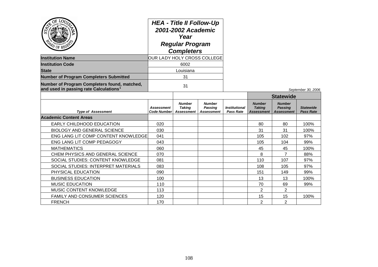| AD OF REG'                                                                                         | <b>HEA - Title II Follow-Up</b><br>2001-2002 Academic<br>Year<br><b>Regular Program</b><br><b>Completers</b><br>OUR LADY HOLY CROSS COLLEGE |                                                     |                                               |                            |                                                     |                                                      |                                      |
|----------------------------------------------------------------------------------------------------|---------------------------------------------------------------------------------------------------------------------------------------------|-----------------------------------------------------|-----------------------------------------------|----------------------------|-----------------------------------------------------|------------------------------------------------------|--------------------------------------|
| <b>Institution Name</b>                                                                            |                                                                                                                                             |                                                     |                                               |                            |                                                     |                                                      |                                      |
| <b>Institution Code</b>                                                                            |                                                                                                                                             | 6002                                                |                                               |                            |                                                     |                                                      |                                      |
| <b>State</b>                                                                                       |                                                                                                                                             | Louisiana                                           |                                               |                            |                                                     |                                                      |                                      |
| <b>Number of Program Completers Submitted</b>                                                      |                                                                                                                                             | 31                                                  |                                               |                            |                                                     |                                                      |                                      |
| Number of Program Completers found, matched,<br>and used in passing rate Calculations <sup>1</sup> | 31                                                                                                                                          |                                                     |                                               |                            |                                                     |                                                      | September 30, 2006                   |
|                                                                                                    |                                                                                                                                             |                                                     |                                               |                            |                                                     | <b>Statewide</b>                                     |                                      |
| <b>Type of Assessment</b>                                                                          | <b>Assessment</b><br><b>Code Number</b>                                                                                                     | <b>Number</b><br><b>Taking</b><br><b>Assessment</b> | <b>Number</b><br>Passing<br><b>Assessment</b> | Institutional<br>Pass Rate | <b>Number</b><br><b>Taking</b><br><b>Assessment</b> | <b>Number</b><br><b>Passing</b><br><b>Assessment</b> | <b>Statewide</b><br><b>Pass Rate</b> |
| <b>Academic Content Areas</b>                                                                      |                                                                                                                                             |                                                     |                                               |                            |                                                     |                                                      |                                      |
| <b>EARLY CHILDHOOD EDUCATION</b>                                                                   | 020                                                                                                                                         |                                                     |                                               |                            | 80                                                  | 80                                                   | 100%                                 |
| <b>BIOLOGY AND GENERAL SCIENCE</b>                                                                 | 030                                                                                                                                         |                                                     |                                               |                            | 31                                                  | 31                                                   | 100%                                 |
| ENG LANG LIT COMP CONTENT KNOWLEDGE                                                                | 041                                                                                                                                         |                                                     |                                               |                            | 105                                                 | 102                                                  | 97%                                  |
| ENG LANG LIT COMP PEDAGOGY                                                                         | 043                                                                                                                                         |                                                     |                                               |                            | 105                                                 | 104                                                  | 99%                                  |
| <b>MATHEMATICS</b>                                                                                 | 060                                                                                                                                         |                                                     |                                               |                            | 45                                                  | 45                                                   | 100%                                 |
| CHEM PHYSICS AND GENERAL SCIENCE                                                                   | 070                                                                                                                                         |                                                     |                                               |                            | 8                                                   | $\overline{7}$                                       | 88%                                  |
| SOCIAL STUDIES: CONTENT KNOWLEDGE                                                                  | 081                                                                                                                                         |                                                     |                                               |                            | 110                                                 | 107                                                  | 97%                                  |
| SOCIAL STUDIES: INTERPRET MATERIALS                                                                | 083                                                                                                                                         |                                                     |                                               |                            | 108                                                 | 105                                                  | 97%                                  |
| PHYSICAL EDUCATION                                                                                 | 090                                                                                                                                         |                                                     |                                               |                            | 151                                                 | 149                                                  | 99%                                  |
| <b>BUSINESS EDUCATION</b>                                                                          | 100                                                                                                                                         |                                                     |                                               |                            | 13                                                  | 13                                                   | 100%                                 |
| <b>MUSIC EDUCATION</b>                                                                             | 110                                                                                                                                         |                                                     |                                               |                            | 70                                                  | 69                                                   | 99%                                  |
| <b>MUSIC CONTENT KNOWLEDGE</b>                                                                     | 113                                                                                                                                         |                                                     |                                               |                            | 2                                                   | $\overline{2}$                                       |                                      |
| <b>FAMILY AND CONSUMER SCIENCES</b>                                                                | 120                                                                                                                                         |                                                     |                                               |                            | 15                                                  | 15                                                   | 100%                                 |
| <b>FRENCH</b>                                                                                      | 170                                                                                                                                         |                                                     |                                               |                            | $\overline{2}$                                      | $\overline{2}$                                       |                                      |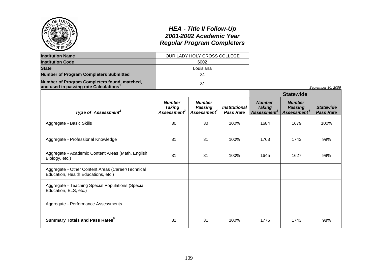| $\mathfrak{D}$ of RE                                                                               |                                                           | <b>HEA - Title II Follow-Up</b><br>2001-2002 Academic Year<br><b>Regular Program Completers</b> |                                          |                                                           |                                                            |                                      |
|----------------------------------------------------------------------------------------------------|-----------------------------------------------------------|-------------------------------------------------------------------------------------------------|------------------------------------------|-----------------------------------------------------------|------------------------------------------------------------|--------------------------------------|
| <b>Institution Name</b>                                                                            |                                                           | OUR LADY HOLY CROSS COLLEGE                                                                     |                                          |                                                           |                                                            |                                      |
| <b>Institution Code</b>                                                                            |                                                           | 6002                                                                                            |                                          |                                                           |                                                            |                                      |
| <b>State</b>                                                                                       |                                                           | Louisiana                                                                                       |                                          |                                                           |                                                            |                                      |
| <b>Number of Program Completers Submitted</b>                                                      |                                                           | 31                                                                                              |                                          |                                                           |                                                            |                                      |
| Number of Program Completers found, matched,<br>and used in passing rate Calculations <sup>1</sup> |                                                           | 31                                                                                              |                                          |                                                           |                                                            | September 30, 2006                   |
|                                                                                                    |                                                           |                                                                                                 |                                          |                                                           | <b>Statewide</b>                                           |                                      |
| Type of Assessment <sup>2</sup>                                                                    | <b>Number</b><br><b>Taking</b><br>Assessment <sup>3</sup> | <b>Number</b><br><b>Passing</b><br>Assessment <sup>4</sup>                                      | <b>Institutional</b><br><b>Pass Rate</b> | <b>Number</b><br><b>Taking</b><br>Assessment <sup>3</sup> | <b>Number</b><br><b>Passing</b><br>Assessment <sup>4</sup> | <b>Statewide</b><br><b>Pass Rate</b> |
| Aggregate - Basic Skills                                                                           | 30                                                        | 30                                                                                              | 100%                                     | 1684                                                      | 1679                                                       | 100%                                 |
| Aggregate - Professional Knowledge                                                                 | 31                                                        | 31                                                                                              | 100%                                     | 1763                                                      | 1743                                                       | 99%                                  |
| Aggregate - Academic Content Areas (Math, English,<br>Biology, etc.)                               | 31                                                        | 31                                                                                              | 100%                                     | 1645                                                      | 1627                                                       | 99%                                  |
| Aggregate - Other Content Areas (Career/Technical<br>Education, Health Educations, etc.)           |                                                           |                                                                                                 |                                          |                                                           |                                                            |                                      |
| Aggregate - Teaching Special Populations (Special<br>Education, ELS, etc.)                         |                                                           |                                                                                                 |                                          |                                                           |                                                            |                                      |
| Aggregate - Performance Assessments                                                                |                                                           |                                                                                                 |                                          |                                                           |                                                            |                                      |
| <b>Summary Totals and Pass Rates</b> <sup>5</sup>                                                  | 31                                                        | 31                                                                                              | 100%                                     | 1775                                                      | 1743                                                       | 98%                                  |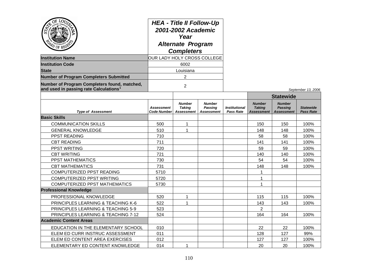| ОĘ<br><b>LOT</b><br>0F.<br><b>Institution Name</b>                                                 | <b>HEA - Title II Follow-Up</b><br>2001-2002 Academic<br>Year<br><b>Alternate Program</b><br><b>Completers</b><br>OUR LADY HOLY CROSS COLLEGE |                                                     |                                               |                                          |                                                     |                                                      |                                      |
|----------------------------------------------------------------------------------------------------|-----------------------------------------------------------------------------------------------------------------------------------------------|-----------------------------------------------------|-----------------------------------------------|------------------------------------------|-----------------------------------------------------|------------------------------------------------------|--------------------------------------|
| <b>Institution Code</b>                                                                            |                                                                                                                                               | 6002                                                |                                               |                                          |                                                     |                                                      |                                      |
| <b>State</b>                                                                                       |                                                                                                                                               | Louisiana                                           |                                               |                                          |                                                     |                                                      |                                      |
| <b>Number of Program Completers Submitted</b>                                                      |                                                                                                                                               | 2                                                   |                                               |                                          |                                                     |                                                      |                                      |
| Number of Program Completers found, matched,<br>and used in passing rate Calculations <sup>1</sup> | $\overline{2}$                                                                                                                                |                                                     |                                               |                                          |                                                     | September 13, 2006                                   |                                      |
|                                                                                                    |                                                                                                                                               |                                                     |                                               |                                          |                                                     | <b>Statewide</b>                                     |                                      |
| <b>Type of Assessment</b>                                                                          | <b>Assessment</b><br><b>Code Number</b>                                                                                                       | <b>Number</b><br><b>Taking</b><br><b>Assessment</b> | <b>Number</b><br>Passing<br><b>Assessment</b> | <b>Institutional</b><br><b>Pass Rate</b> | <b>Number</b><br><b>Taking</b><br><b>Assessment</b> | <b>Number</b><br><b>Passing</b><br><b>Assessment</b> | <b>Statewide</b><br><b>Pass Rate</b> |
| <b>Basic Skills</b>                                                                                |                                                                                                                                               |                                                     |                                               |                                          |                                                     |                                                      |                                      |
| <b>COMMUNICATION SKILLS</b>                                                                        | 500                                                                                                                                           | $\mathbf{1}$                                        |                                               |                                          | 150                                                 | 150                                                  | 100%                                 |
| <b>GENERAL KNOWLEDGE</b>                                                                           | 510                                                                                                                                           | $\mathbf{1}$                                        |                                               |                                          | 148                                                 | 148                                                  | 100%                                 |
| PPST READING                                                                                       | 710                                                                                                                                           |                                                     |                                               |                                          | 58                                                  | 58                                                   | 100%                                 |
| <b>CBT READING</b>                                                                                 | 711                                                                                                                                           |                                                     |                                               |                                          | 141                                                 | 141                                                  | 100%                                 |
| PPST WRITING                                                                                       | 720                                                                                                                                           |                                                     |                                               |                                          | 59                                                  | 59                                                   | 100%                                 |
| <b>CBT WRITING</b>                                                                                 | 721                                                                                                                                           |                                                     |                                               |                                          | 140                                                 | 140                                                  | 100%                                 |
| PPST MATHEMATICS                                                                                   | 730                                                                                                                                           |                                                     |                                               |                                          | 54                                                  | 54                                                   | 100%                                 |
| <b>CBT MATHEMATICS</b>                                                                             | 731                                                                                                                                           |                                                     |                                               |                                          | 148                                                 | 148                                                  | 100%                                 |
| COMPUTERIZED PPST READING                                                                          | 5710                                                                                                                                          |                                                     |                                               |                                          | 1                                                   |                                                      |                                      |
| <b>COMPUTERIZED PPST WRITING</b>                                                                   | 5720                                                                                                                                          |                                                     |                                               |                                          | 1                                                   |                                                      |                                      |
| COMPUTERIZED PPST MATHEMATICS                                                                      | 5730                                                                                                                                          |                                                     |                                               |                                          | 1                                                   |                                                      |                                      |
| <b>Professional Knowledge</b>                                                                      |                                                                                                                                               |                                                     |                                               |                                          |                                                     |                                                      |                                      |
| PROFESSIONAL KNOWLEDGE                                                                             | 520                                                                                                                                           | 1                                                   |                                               |                                          | 115                                                 | 115                                                  | 100%                                 |
| PRINCIPLES LEARNING & TEACHING K-6                                                                 | 522                                                                                                                                           | 1                                                   |                                               |                                          | 143                                                 | 143                                                  | 100%                                 |
| <b>PRINCIPLES LEARNING &amp; TEACHING 5-9</b>                                                      | 523                                                                                                                                           |                                                     |                                               |                                          | $\overline{2}$                                      |                                                      |                                      |
| PRINCIPLES LEARNING & TEACHING 7-12                                                                | 524                                                                                                                                           |                                                     |                                               |                                          | 164                                                 | 164                                                  | 100%                                 |
| <b>Academic Content Areas</b>                                                                      |                                                                                                                                               |                                                     |                                               |                                          |                                                     |                                                      |                                      |
| EDUCATION IN THE ELEMENTARY SCHOOL                                                                 | 010                                                                                                                                           |                                                     |                                               |                                          | 22                                                  | 22                                                   | 100%                                 |
| ELEM ED CURR INSTRUC ASSESSMENT                                                                    | 011                                                                                                                                           |                                                     |                                               |                                          | 128                                                 | 127                                                  | 99%                                  |
| ELEM ED CONTENT AREA EXERCISES                                                                     | 012                                                                                                                                           |                                                     |                                               |                                          | 127                                                 | 127                                                  | 100%                                 |
| ELEMENTARY ED CONTENT KNOWLEDGE                                                                    | 014                                                                                                                                           | $\mathbf{1}$                                        |                                               |                                          | 20                                                  | 20                                                   | 100%                                 |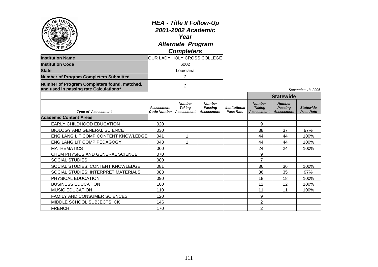| <b>D</b> OF REG                                                                                    | <b>HEA - Title II Follow-Up</b><br>2001-2002 Academic<br>Year<br><b>Alternate Program</b><br><b>Completers</b><br>OUR LADY HOLY CROSS COLLEGE |                                              |                                                      |                                          |                                                     |                                                      |                                      |
|----------------------------------------------------------------------------------------------------|-----------------------------------------------------------------------------------------------------------------------------------------------|----------------------------------------------|------------------------------------------------------|------------------------------------------|-----------------------------------------------------|------------------------------------------------------|--------------------------------------|
| <b>Institution Name</b>                                                                            |                                                                                                                                               |                                              |                                                      |                                          |                                                     |                                                      |                                      |
| <b>Institution Code</b>                                                                            | 6002                                                                                                                                          |                                              |                                                      |                                          |                                                     |                                                      |                                      |
| <b>State</b>                                                                                       |                                                                                                                                               | Louisiana                                    |                                                      |                                          |                                                     |                                                      |                                      |
| <b>Number of Program Completers Submitted</b>                                                      |                                                                                                                                               | 2                                            |                                                      |                                          |                                                     |                                                      |                                      |
| Number of Program Completers found, matched,<br>and used in passing rate Calculations <sup>1</sup> | $\overline{2}$                                                                                                                                |                                              |                                                      |                                          |                                                     |                                                      | September 13, 2006                   |
|                                                                                                    |                                                                                                                                               |                                              |                                                      |                                          | <b>Statewide</b>                                    |                                                      |                                      |
| <b>Type of Assessment</b>                                                                          | <b>Assessment</b><br><b>Code Number</b>                                                                                                       | <b>Number</b><br><b>Taking</b><br>Assessment | <b>Number</b><br><b>Passing</b><br><b>Assessment</b> | <b>Institutional</b><br><b>Pass Rate</b> | <b>Number</b><br><b>Taking</b><br><b>Assessment</b> | <b>Number</b><br><b>Passing</b><br><b>Assessment</b> | <b>Statewide</b><br><b>Pass Rate</b> |
| <b>Academic Content Areas</b>                                                                      |                                                                                                                                               |                                              |                                                      |                                          |                                                     |                                                      |                                      |
| EARLY CHILDHOOD EDUCATION                                                                          | 020                                                                                                                                           |                                              |                                                      |                                          | 9                                                   |                                                      |                                      |
| <b>BIOLOGY AND GENERAL SCIENCE</b>                                                                 | 030                                                                                                                                           |                                              |                                                      |                                          | 38                                                  | 37                                                   | 97%                                  |
| ENG LANG LIT COMP CONTENT KNOWLEDGE                                                                | 041                                                                                                                                           | $\mathbf{1}$                                 |                                                      |                                          | 44                                                  | 44                                                   | 100%                                 |
| ENG LANG LIT COMP PEDAGOGY                                                                         | 043                                                                                                                                           | 1                                            |                                                      |                                          | 44                                                  | 44                                                   | 100%                                 |
| <b>MATHEMATICS</b>                                                                                 | 060                                                                                                                                           |                                              |                                                      |                                          | 24                                                  | 24                                                   | 100%                                 |
| CHEM PHYSICS AND GENERAL SCIENCE                                                                   | 070                                                                                                                                           |                                              |                                                      |                                          | 9                                                   |                                                      |                                      |
| <b>SOCIAL STUDIES</b>                                                                              | 080                                                                                                                                           |                                              |                                                      |                                          | $\overline{7}$                                      |                                                      |                                      |
| SOCIAL STUDIES: CONTENT KNOWLEDGE                                                                  | 081                                                                                                                                           |                                              |                                                      |                                          | 36                                                  | 36                                                   | 100%                                 |
| SOCIAL STUDIES: INTERPRET MATERIALS                                                                | 083                                                                                                                                           |                                              |                                                      |                                          | 36                                                  | 35                                                   | 97%                                  |
| PHYSICAL EDUCATION                                                                                 | 090                                                                                                                                           |                                              |                                                      |                                          | 18                                                  | 18                                                   | 100%                                 |
| <b>BUSINESS EDUCATION</b>                                                                          | 100                                                                                                                                           |                                              |                                                      |                                          | 12                                                  | 12                                                   | 100%                                 |
| <b>MUSIC EDUCATION</b>                                                                             | 110                                                                                                                                           |                                              |                                                      |                                          | 11                                                  | 11                                                   | 100%                                 |
| FAMILY AND CONSUMER SCIENCES                                                                       | 120                                                                                                                                           |                                              |                                                      |                                          | 9                                                   |                                                      |                                      |
| MIDDLE SCHOOL SUBJECTS: CK                                                                         | 146                                                                                                                                           |                                              |                                                      |                                          | $\overline{2}$                                      |                                                      |                                      |
| <b>FRENCH</b>                                                                                      | 170                                                                                                                                           |                                              |                                                      |                                          | $\overline{2}$                                      |                                                      |                                      |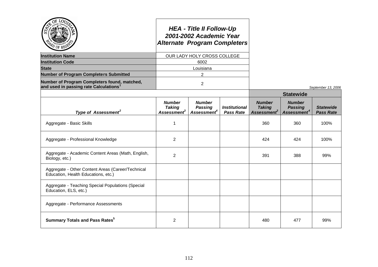| $\omega$ of RES                                                                                    |                                              | <b>HEA - Title II Follow-Up</b><br>2001-2002 Academic Year<br><b>Alternate Program Completers</b> |                                          |                                                           |                                                            |                                      |
|----------------------------------------------------------------------------------------------------|----------------------------------------------|---------------------------------------------------------------------------------------------------|------------------------------------------|-----------------------------------------------------------|------------------------------------------------------------|--------------------------------------|
| <b>Institution Name</b>                                                                            |                                              | OUR LADY HOLY CROSS COLLEGE                                                                       |                                          |                                                           |                                                            |                                      |
| <b>Institution Code</b>                                                                            |                                              | 6002                                                                                              |                                          |                                                           |                                                            |                                      |
| <b>State</b>                                                                                       |                                              | Louisiana                                                                                         |                                          |                                                           |                                                            |                                      |
| <b>Number of Program Completers Submitted</b>                                                      |                                              | $\overline{2}$                                                                                    |                                          |                                                           |                                                            |                                      |
| Number of Program Completers found, matched,<br>and used in passing rate Calculations <sup>1</sup> |                                              | $\overline{2}$                                                                                    |                                          |                                                           |                                                            | September 13, 2006                   |
|                                                                                                    |                                              |                                                                                                   |                                          |                                                           | <b>Statewide</b>                                           |                                      |
| Type of Assessment <sup>2</sup>                                                                    | <b>Number</b><br><b>Taking</b><br>Assessment | <b>Number</b><br><b>Passing</b><br>Assessment <sup>4</sup>                                        | <b>Institutional</b><br><b>Pass Rate</b> | <b>Number</b><br><b>Taking</b><br>Assessment <sup>3</sup> | <b>Number</b><br><b>Passing</b><br>Assessment <sup>4</sup> | <b>Statewide</b><br><b>Pass Rate</b> |
| Aggregate - Basic Skills                                                                           | $\mathbf{1}$                                 |                                                                                                   |                                          | 360                                                       | 360                                                        | 100%                                 |
| Aggregate - Professional Knowledge                                                                 | $\overline{2}$                               |                                                                                                   |                                          | 424                                                       | 424                                                        | 100%                                 |
| Aggregate - Academic Content Areas (Math, English,<br>Biology, etc.)                               | $\overline{2}$                               |                                                                                                   |                                          | 391                                                       | 388                                                        | 99%                                  |
| Aggregate - Other Content Areas (Career/Technical<br>Education, Health Educations, etc.)           |                                              |                                                                                                   |                                          |                                                           |                                                            |                                      |
| Aggregate - Teaching Special Populations (Special<br>Education, ELS, etc.)                         |                                              |                                                                                                   |                                          |                                                           |                                                            |                                      |
| Aggregate - Performance Assessments                                                                |                                              |                                                                                                   |                                          |                                                           |                                                            |                                      |
| <b>Summary Totals and Pass Rates</b> <sup>5</sup>                                                  | $\overline{2}$                               |                                                                                                   |                                          | 480                                                       | 477                                                        | 99%                                  |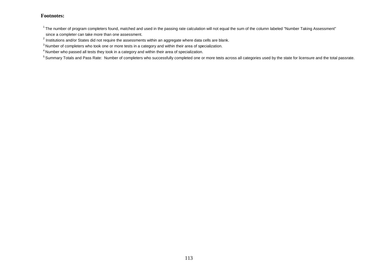<sup>4</sup> Number who passed all tests they took in a category and within their area of specialization.

<sup>5</sup> Summary Totals and Pass Rate: Number of completers who successfully completed one or more tests across all categories used by the state for licensure and the total passrate.

 $1$ The number of program completers found, matched and used in the passing rate calculation will not equal the sum of the column labeled "Number Taking Assessment" since a completer can take more than one assessment.

 $^{2}$  Institutions and/or States did not require the assessments within an aggregate where data cells are blank.

<sup>&</sup>lt;sup>3</sup> Number of completers who took one or more tests in a category and within their area of specialization.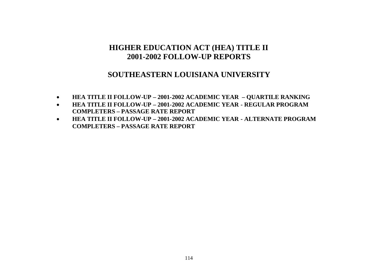### **SOUTHEASTERN LOUISIANA UNIVERSITY**

- **HEA TITLE II FOLLOW-UP – 2001-2002 ACADEMIC YEAR – QUARTILE RANKING**
- **HEA TITLE II FOLLOW-UP – 2001-2002 ACADEMIC YEAR - REGULAR PROGRAM COMPLETERS – PASSAGE RATE REPORT**
- **HEA TITLE II FOLLOW-UP – 2001-2002 ACADEMIC YEAR - ALTERNATE PROGRAM COMPLETERS – PASSAGE RATE REPORT**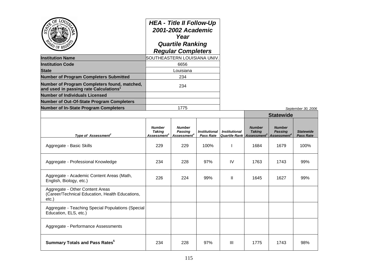| <b>Institution Name</b>                                                                            | <b>HEA - Title II Follow-Up</b><br>2001-2002 Academic<br>Year<br><b>Quartile Ranking</b><br><b>Regular Completers</b><br>SOUTHEASTERN LOUISIANA UNIV.<br>6656 |                                                            |                                   |                      |                                                                                |                                                            |                            |
|----------------------------------------------------------------------------------------------------|---------------------------------------------------------------------------------------------------------------------------------------------------------------|------------------------------------------------------------|-----------------------------------|----------------------|--------------------------------------------------------------------------------|------------------------------------------------------------|----------------------------|
| <b>Institution Code</b>                                                                            |                                                                                                                                                               |                                                            |                                   |                      |                                                                                |                                                            |                            |
| <b>State</b>                                                                                       |                                                                                                                                                               | Louisiana                                                  |                                   |                      |                                                                                |                                                            |                            |
| <b>Number of Program Completers Submitted</b>                                                      |                                                                                                                                                               | 234                                                        |                                   |                      |                                                                                |                                                            |                            |
| Number of Program Completers found, matched,<br>and used in passing rate Calculations <sup>1</sup> |                                                                                                                                                               | 234                                                        |                                   |                      |                                                                                |                                                            |                            |
| <b>Number of Individuals Licensed</b>                                                              |                                                                                                                                                               |                                                            |                                   |                      |                                                                                |                                                            |                            |
| <b>Number of Out-Of-State Program Completers</b>                                                   |                                                                                                                                                               |                                                            |                                   |                      |                                                                                |                                                            |                            |
| <b>Number of In-State Program Completers</b>                                                       |                                                                                                                                                               | 1775                                                       |                                   |                      |                                                                                |                                                            | September 30, 2            |
|                                                                                                    |                                                                                                                                                               |                                                            |                                   |                      | <b>Statewide</b>                                                               |                                                            |                            |
| Type of Assessment <sup>2</sup>                                                                    | <b>Number</b><br><b>Taking</b><br>Assessment $^3$                                                                                                             | <b>Number</b><br><b>Passing</b><br>Assessment <sup>4</sup> | <b>Institutional</b><br>Pass Rate | <b>Institutional</b> | <b>Number</b><br><b>Taking</b><br><b>Quartile Rank Assessment</b> <sup>3</sup> | <b>Number</b><br><b>Passing</b><br>Assessment <sup>4</sup> | <b>Statewic</b><br>Pass Ra |
| Aggregate - Basic Skills                                                                           | 229                                                                                                                                                           | 229                                                        | 100%                              | J.                   | 1684                                                                           | 1679                                                       | 100%                       |
| Aggregate - Professional Knowledge                                                                 | 234                                                                                                                                                           | 228                                                        | 97%                               | IV                   | 1763                                                                           | 1743                                                       | 99%                        |
| Aggregate - Academic Content Areas (Math,<br>English, Biology, etc.)                               | 226                                                                                                                                                           | 224                                                        | 99%                               | $\mathbf{II}$        | 1645                                                                           | 1627                                                       | 99%                        |
| Aggregate - Other Content Areas<br>(Career/Technical Education, Health Educations,<br>$etc.$ )     |                                                                                                                                                               |                                                            |                                   |                      |                                                                                |                                                            |                            |
| Aggregate - Teaching Special Populations (Special<br>Education, ELS, etc.)                         |                                                                                                                                                               |                                                            |                                   |                      |                                                                                |                                                            |                            |
|                                                                                                    |                                                                                                                                                               |                                                            |                                   |                      |                                                                                |                                                            |                            |

Aggregate - Performance Assessments

**Summary Totals and Pass Rates<sup>5</sup>**

**Number of In-State Program Completers** 1775 *September 30, 2006*

*Statewide Pass Rate*

234 | 228 | 97% | III | 1775 | 1743 | 98%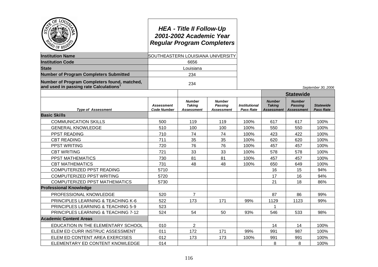| Ö٤<br>LOU<br>PO OF REG                                                                | <b>HEA - Title II Follow-Up</b><br>2001-2002 Academic Year<br><b>Regular Program Completers</b><br>SOUTHEASTERN LOUISIANA UNIVERSITY |                                              |                                                      |                                          |                                              |                                               |                                      |
|---------------------------------------------------------------------------------------|--------------------------------------------------------------------------------------------------------------------------------------|----------------------------------------------|------------------------------------------------------|------------------------------------------|----------------------------------------------|-----------------------------------------------|--------------------------------------|
| <b>Institution Name</b>                                                               |                                                                                                                                      |                                              |                                                      |                                          |                                              |                                               |                                      |
| <b>Institution Code</b>                                                               |                                                                                                                                      |                                              |                                                      |                                          |                                              |                                               |                                      |
| <b>State</b>                                                                          |                                                                                                                                      | Louisiana                                    |                                                      |                                          |                                              |                                               |                                      |
| <b>Number of Program Completers Submitted</b>                                         |                                                                                                                                      | 234                                          |                                                      |                                          |                                              |                                               |                                      |
| Number of Program Completers found, matched,<br>and used in passing rate Calculations | 234                                                                                                                                  |                                              |                                                      |                                          |                                              |                                               | September 30, 2006                   |
|                                                                                       |                                                                                                                                      |                                              |                                                      |                                          |                                              | <b>Statewide</b>                              |                                      |
| <b>Type of Assessment</b>                                                             | <b>Assessment</b><br><b>Code Number</b>                                                                                              | <b>Number</b><br><b>Taking</b><br>Assessment | <b>Number</b><br><b>Passing</b><br><b>Assessment</b> | <b>Institutional</b><br><b>Pass Rate</b> | <b>Number</b><br><b>Taking</b><br>Assessment | <b>Number</b><br>Passing<br><b>Assessment</b> | <b>Statewide</b><br><b>Pass Rate</b> |
| <b>Basic Skills</b>                                                                   |                                                                                                                                      |                                              |                                                      |                                          |                                              |                                               |                                      |
| <b>COMMUNICATION SKILLS</b>                                                           | 500                                                                                                                                  | 119                                          | 119                                                  | 100%                                     | 617                                          | 617                                           | 100%                                 |
| <b>GENERAL KNOWLEDGE</b>                                                              | 510                                                                                                                                  | 100                                          | 100                                                  | 100%                                     | 550                                          | 550                                           | 100%                                 |
| PPST READING                                                                          | 710                                                                                                                                  | 74                                           | 74                                                   | 100%                                     | 423                                          | 422                                           | 100%                                 |
| <b>CBT READING</b>                                                                    | 711                                                                                                                                  | 35                                           | 35                                                   | 100%                                     | 620                                          | 620                                           | 100%                                 |
| PPST WRITING                                                                          | 720                                                                                                                                  | 76                                           | 76                                                   | 100%                                     | 457                                          | 457                                           | 100%                                 |
| <b>CBT WRITING</b>                                                                    | 721                                                                                                                                  | 33                                           | 33                                                   | 100%                                     | 578                                          | 578                                           | 100%                                 |
| PPST MATHEMATICS                                                                      | 730                                                                                                                                  | 81                                           | 81                                                   | 100%                                     | 457                                          | 457                                           | 100%                                 |
| <b>CBT MATHEMATICS</b>                                                                | 731                                                                                                                                  | 48                                           | 48                                                   | 100%                                     | 650                                          | 649                                           | 100%                                 |
| COMPUTERIZED PPST READING                                                             | 5710                                                                                                                                 |                                              |                                                      |                                          | 16                                           | 15                                            | 94%                                  |
| COMPUTERIZED PPST WRITING                                                             | 5720                                                                                                                                 |                                              |                                                      |                                          | 17                                           | 16                                            | 94%                                  |
| <b>COMPUTERIZED PPST MATHEMATICS</b>                                                  | 5730                                                                                                                                 |                                              |                                                      |                                          | 21                                           | 18                                            | 86%                                  |
| <b>Professional Knowledge</b>                                                         |                                                                                                                                      |                                              |                                                      |                                          |                                              |                                               |                                      |
| PROFESSIONAL KNOWLEDGE                                                                | 520                                                                                                                                  | $\overline{7}$                               |                                                      |                                          | 87                                           | 86                                            | 99%                                  |
| PRINCIPLES LEARNING & TEACHING K-6                                                    | 522                                                                                                                                  | 173                                          | 171                                                  | 99%                                      | 1129                                         | 1123                                          | 99%                                  |
| PRINCIPLES LEARNING & TEACHING 5-9                                                    | 523                                                                                                                                  |                                              |                                                      |                                          | 1                                            |                                               |                                      |
| PRINCIPLES LEARNING & TEACHING 7-12                                                   | 524                                                                                                                                  | 54                                           | 50                                                   | 93%                                      | 546                                          | 533                                           | 98%                                  |
| <b>Academic Content Areas</b>                                                         |                                                                                                                                      |                                              |                                                      |                                          |                                              |                                               |                                      |
| EDUCATION IN THE ELEMENTARY SCHOOL                                                    | 010                                                                                                                                  | $\overline{2}$                               |                                                      |                                          | 14                                           | 14                                            | 100%                                 |
| ELEM ED CURR INSTRUC ASSESSMENT                                                       | 011                                                                                                                                  | 172                                          | 171                                                  | 99%                                      | 991                                          | 987                                           | 100%                                 |
| ELEM ED CONTENT AREA EXERCISES                                                        | 012                                                                                                                                  | 173                                          | 173                                                  | 100%                                     | 991                                          | 991                                           | 100%                                 |
| ELEMENTARY ED CONTENT KNOWLEDGE                                                       | 014                                                                                                                                  |                                              |                                                      |                                          | 8                                            | 8                                             | 100%                                 |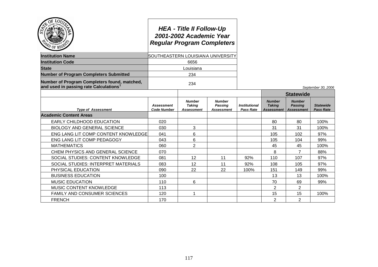| $Q_E$<br>PD OF REGS                                                                   | <b>HEA - Title II Follow-Up</b><br>2001-2002 Academic Year<br><b>Regular Program Completers</b><br>SOUTHEASTERN LOUISIANA UNIVERSITY |                                              |                                        |                                          |                                              |                                                      |                                      |
|---------------------------------------------------------------------------------------|--------------------------------------------------------------------------------------------------------------------------------------|----------------------------------------------|----------------------------------------|------------------------------------------|----------------------------------------------|------------------------------------------------------|--------------------------------------|
| <b>Institution Name</b>                                                               |                                                                                                                                      |                                              |                                        |                                          |                                              |                                                      |                                      |
| <b>Institution Code</b>                                                               | 6656                                                                                                                                 |                                              |                                        |                                          |                                              |                                                      |                                      |
| <b>State</b>                                                                          | Louisiana                                                                                                                            |                                              |                                        |                                          |                                              |                                                      |                                      |
| <b>Number of Program Completers Submitted</b>                                         |                                                                                                                                      | 234                                          |                                        |                                          |                                              |                                                      |                                      |
| Number of Program Completers found, matched,<br>and used in passing rate Calculations |                                                                                                                                      | 234                                          |                                        |                                          |                                              |                                                      | September 30, 2006                   |
|                                                                                       |                                                                                                                                      |                                              |                                        |                                          |                                              | <b>Statewide</b>                                     |                                      |
| <b>Type of Assessment</b>                                                             | <b>Assessment</b><br><b>Code Number</b>                                                                                              | <b>Number</b><br><b>Taking</b><br>Assessment | <b>Number</b><br>Passing<br>Assessment | <b>Institutional</b><br><b>Pass Rate</b> | <b>Number</b><br><b>Taking</b><br>Assessment | <b>Number</b><br><b>Passing</b><br><b>Assessment</b> | <b>Statewide</b><br><b>Pass Rate</b> |
| <b>Academic Content Areas</b>                                                         |                                                                                                                                      |                                              |                                        |                                          |                                              |                                                      |                                      |
| EARLY CHILDHOOD EDUCATION                                                             | 020                                                                                                                                  |                                              |                                        |                                          | 80                                           | 80                                                   | 100%                                 |
| <b>BIOLOGY AND GENERAL SCIENCE</b>                                                    | 030                                                                                                                                  | 3                                            |                                        |                                          | 31                                           | 31                                                   | 100%                                 |
| ENG LANG LIT COMP CONTENT KNOWLEDGE                                                   | 041                                                                                                                                  | 6                                            |                                        |                                          | 105                                          | 102                                                  | 97%                                  |
| ENG LANG LIT COMP PEDAGOGY                                                            | 043                                                                                                                                  | 6                                            |                                        |                                          | 105                                          | 104                                                  | 99%                                  |
| <b>MATHEMATICS</b>                                                                    | 060                                                                                                                                  | $\overline{2}$                               |                                        |                                          | 45                                           | 45                                                   | 100%                                 |
| CHEM PHYSICS AND GENERAL SCIENCE                                                      | 070                                                                                                                                  |                                              |                                        |                                          | 8                                            | $\overline{7}$                                       | 88%                                  |
| SOCIAL STUDIES: CONTENT KNOWLEDGE                                                     | 081                                                                                                                                  | 12                                           | 11                                     | 92%                                      | 110                                          | 107                                                  | 97%                                  |
| SOCIAL STUDIES: INTERPRET MATERIALS                                                   | 083                                                                                                                                  | 12                                           | 11                                     | 92%                                      | 108                                          | 105                                                  | 97%                                  |
| PHYSICAL EDUCATION                                                                    | 090                                                                                                                                  | 22                                           | 22                                     | 100%                                     | 151                                          | 149                                                  | 99%                                  |
| <b>BUSINESS EDUCATION</b>                                                             | 100                                                                                                                                  |                                              |                                        |                                          | 13                                           | 13                                                   | 100%                                 |
| <b>MUSIC EDUCATION</b>                                                                | 110                                                                                                                                  | 6                                            |                                        |                                          | 70                                           | 69                                                   | 99%                                  |
| MUSIC CONTENT KNOWLEDGE                                                               | 113                                                                                                                                  |                                              |                                        |                                          | $\overline{2}$                               | 2                                                    |                                      |
| <b>FAMILY AND CONSUMER SCIENCES</b>                                                   | 120                                                                                                                                  | 1                                            |                                        |                                          | 15                                           | 15                                                   | 100%                                 |
| <b>FRENCH</b>                                                                         | 170                                                                                                                                  |                                              |                                        |                                          | $\overline{2}$                               | $\overline{2}$                                       |                                      |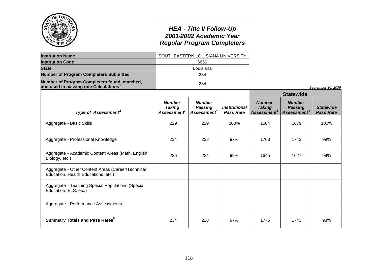|                                                                                                    |                                                           | <b>HEA - Title II Follow-Up</b><br>2001-2002 Academic Year<br><b>Regular Program Completers</b> |                                                 |                                                           |                                                            |                                      |
|----------------------------------------------------------------------------------------------------|-----------------------------------------------------------|-------------------------------------------------------------------------------------------------|-------------------------------------------------|-----------------------------------------------------------|------------------------------------------------------------|--------------------------------------|
| <b>Institution Name</b>                                                                            |                                                           | SOUTHEASTERN LOUISIANA UNIVERSITY                                                               |                                                 |                                                           |                                                            |                                      |
| <b>Institution Code</b>                                                                            |                                                           | 6656                                                                                            |                                                 |                                                           |                                                            |                                      |
| <b>State</b>                                                                                       |                                                           | Louisiana                                                                                       |                                                 |                                                           |                                                            |                                      |
| <b>Number of Program Completers Submitted</b>                                                      |                                                           | 234                                                                                             |                                                 |                                                           |                                                            |                                      |
| Number of Program Completers found, matched,<br>and used in passing rate Calculations <sup>1</sup> |                                                           | 234                                                                                             |                                                 |                                                           |                                                            | September 30, 2006                   |
|                                                                                                    |                                                           |                                                                                                 |                                                 |                                                           | <b>Statewide</b>                                           |                                      |
| Type of Assessment <sup>2</sup>                                                                    | <b>Number</b><br><b>Taking</b><br>Assessment <sup>3</sup> | <b>Number</b><br><b>Passing</b><br><b>Assessment</b> <sup>4</sup>                               | <i><b>Institutional</b></i><br><b>Pass Rate</b> | <b>Number</b><br><b>Taking</b><br>Assessment <sup>3</sup> | <b>Number</b><br><b>Passing</b><br>Assessment <sup>4</sup> | <b>Statewide</b><br><b>Pass Rate</b> |
| Aggregate - Basic Skills                                                                           | 229                                                       | 229                                                                                             | 100%                                            | 1684                                                      | 1679                                                       | 100%                                 |
| Aggregate - Professional Knowledge                                                                 | 234                                                       | 228                                                                                             | 97%                                             | 1763                                                      | 1743                                                       | 99%                                  |
| Aggregate - Academic Content Areas (Math, English,<br>Biology, etc.)                               | 226                                                       | 224                                                                                             | 99%                                             | 1645                                                      | 1627                                                       | 99%                                  |
| Aggregate - Other Content Areas (Career/Technical<br>Education, Health Educations, etc.)           |                                                           |                                                                                                 |                                                 |                                                           |                                                            |                                      |
| Aggregate - Teaching Special Populations (Special<br>Education, ELS, etc.)                         |                                                           |                                                                                                 |                                                 |                                                           |                                                            |                                      |
| Aggregate - Performance Assessments                                                                |                                                           |                                                                                                 |                                                 |                                                           |                                                            |                                      |
| <b>Summary Totals and Pass Rates</b> <sup>5</sup>                                                  | 234                                                       | 228                                                                                             | 97%                                             | 1775                                                      | 1743                                                       | 98%                                  |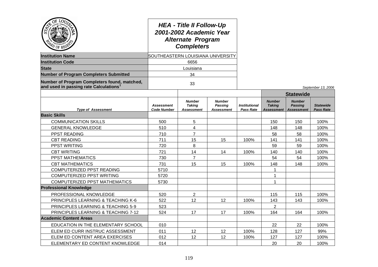| ОĖ<br><sup>i</sup> O of Re                                                            | <b>HEA - Title II Follow-Up</b><br>2001-2002 Academic Year<br><b>Alternate Program</b><br><b>Completers</b><br>SOUTHEASTERN LOUISIANA UNIVERSITY |                                                     |                                        |                                          |                                                     |                                                      |                                      |
|---------------------------------------------------------------------------------------|--------------------------------------------------------------------------------------------------------------------------------------------------|-----------------------------------------------------|----------------------------------------|------------------------------------------|-----------------------------------------------------|------------------------------------------------------|--------------------------------------|
| <b>Institution Name</b>                                                               |                                                                                                                                                  |                                                     |                                        |                                          |                                                     |                                                      |                                      |
| <b>Institution Code</b>                                                               |                                                                                                                                                  | 6656                                                |                                        |                                          |                                                     |                                                      |                                      |
| <b>State</b>                                                                          |                                                                                                                                                  | Louisiana                                           |                                        |                                          |                                                     |                                                      |                                      |
| <b>Number of Program Completers Submitted</b>                                         |                                                                                                                                                  | 34                                                  |                                        |                                          |                                                     |                                                      |                                      |
| Number of Program Completers found, matched,<br>and used in passing rate Calculations | 33                                                                                                                                               |                                                     |                                        |                                          |                                                     |                                                      | September 13, 2006                   |
|                                                                                       |                                                                                                                                                  |                                                     |                                        |                                          |                                                     | <b>Statewide</b>                                     |                                      |
| <b>Type of Assessment</b>                                                             | <b>Assessment</b><br><b>Code Number</b>                                                                                                          | <b>Number</b><br><b>Taking</b><br><b>Assessment</b> | <b>Number</b><br>Passing<br>Assessment | <b>Institutional</b><br><b>Pass Rate</b> | <b>Number</b><br><b>Taking</b><br><b>Assessment</b> | <b>Number</b><br><b>Passing</b><br><b>Assessment</b> | <b>Statewide</b><br><b>Pass Rate</b> |
| <b>Basic Skills</b>                                                                   |                                                                                                                                                  |                                                     |                                        |                                          |                                                     |                                                      |                                      |
| <b>COMMUNICATION SKILLS</b>                                                           | 500                                                                                                                                              | 5                                                   |                                        |                                          | 150                                                 | 150                                                  | 100%                                 |
| <b>GENERAL KNOWLEDGE</b>                                                              | 510                                                                                                                                              | 4                                                   |                                        |                                          | 148                                                 | 148                                                  | 100%                                 |
| PPST READING                                                                          | 710                                                                                                                                              | $\overline{7}$                                      |                                        |                                          | 58                                                  | 58                                                   | 100%                                 |
| <b>CBT READING</b>                                                                    | 711                                                                                                                                              | 15                                                  | 15                                     | 100%                                     | 141                                                 | 141                                                  | 100%                                 |
| <b>PPST WRITING</b>                                                                   | 720                                                                                                                                              | 8                                                   |                                        |                                          | 59                                                  | 59                                                   | 100%                                 |
| <b>CBT WRITING</b>                                                                    | 721                                                                                                                                              | 14                                                  | 14                                     | 100%                                     | 140                                                 | 140                                                  | 100%                                 |
| PPST MATHEMATICS                                                                      | 730                                                                                                                                              | $\overline{7}$                                      |                                        |                                          | 54                                                  | 54                                                   | 100%                                 |
| <b>CBT MATHEMATICS</b>                                                                | 731                                                                                                                                              | 15                                                  | 15                                     | 100%                                     | 148                                                 | 148                                                  | 100%                                 |
| COMPUTERIZED PPST READING                                                             | 5710                                                                                                                                             |                                                     |                                        |                                          | $\mathbf{1}$                                        |                                                      |                                      |
| COMPUTERIZED PPST WRITING                                                             | 5720                                                                                                                                             |                                                     |                                        |                                          | $\mathbf{1}$                                        |                                                      |                                      |
| <b>COMPUTERIZED PPST MATHEMATICS</b>                                                  | 5730                                                                                                                                             |                                                     |                                        |                                          | $\mathbf{1}$                                        |                                                      |                                      |
| <b>Professional Knowledge</b>                                                         |                                                                                                                                                  |                                                     |                                        |                                          |                                                     |                                                      |                                      |
| PROFESSIONAL KNOWLEDGE                                                                | 520                                                                                                                                              | $\overline{2}$                                      |                                        |                                          | 115                                                 | 115                                                  | 100%                                 |
| PRINCIPLES LEARNING & TEACHING K-6                                                    | 522                                                                                                                                              | 12                                                  | 12                                     | 100%                                     | 143                                                 | 143                                                  | 100%                                 |
| PRINCIPLES LEARNING & TEACHING 5-9                                                    | 523                                                                                                                                              |                                                     |                                        |                                          | $\overline{2}$                                      |                                                      |                                      |
| PRINCIPLES LEARNING & TEACHING 7-12                                                   | 524                                                                                                                                              | 17                                                  | 17                                     | 100%                                     | 164                                                 | 164                                                  | 100%                                 |
| <b>Academic Content Areas</b>                                                         |                                                                                                                                                  |                                                     |                                        |                                          |                                                     |                                                      |                                      |
| EDUCATION IN THE ELEMENTARY SCHOOL                                                    | 010                                                                                                                                              |                                                     |                                        |                                          | 22                                                  | 22                                                   | 100%                                 |
| ELEM ED CURR INSTRUC ASSESSMENT                                                       | 011                                                                                                                                              | 12                                                  | 12                                     | 100%                                     | 128                                                 | 127                                                  | 99%                                  |
| ELEM ED CONTENT AREA EXERCISES                                                        | 012                                                                                                                                              | 12                                                  | $12 \overline{ }$                      | 100%                                     | 127                                                 | 127                                                  | 100%                                 |
| ELEMENTARY ED CONTENT KNOWLEDGE                                                       | 014                                                                                                                                              |                                                     |                                        |                                          | 20                                                  | 20                                                   | 100%                                 |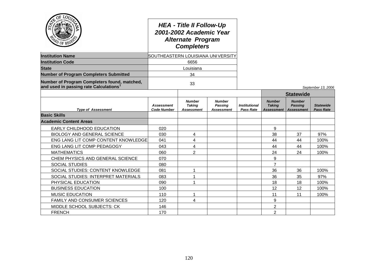| $Q_{\tilde{E}}$<br>LOU<br>PD OF REG'S                                                 | <b>HEA - Title II Follow-Up</b><br>2001-2002 Academic Year<br><b>Alternate Program</b><br><b>Completers</b><br>SOUTHEASTERN LOUISIANA UNIVERSITY |                                                     |                                               |                                          |                                                     |                                                      |                                      |
|---------------------------------------------------------------------------------------|--------------------------------------------------------------------------------------------------------------------------------------------------|-----------------------------------------------------|-----------------------------------------------|------------------------------------------|-----------------------------------------------------|------------------------------------------------------|--------------------------------------|
| <b>Institution Name</b>                                                               |                                                                                                                                                  |                                                     |                                               |                                          |                                                     |                                                      |                                      |
| <b>Institution Code</b>                                                               | 6656                                                                                                                                             |                                                     |                                               |                                          |                                                     |                                                      |                                      |
| <b>State</b>                                                                          |                                                                                                                                                  | Louisiana                                           |                                               |                                          |                                                     |                                                      |                                      |
| <b>Number of Program Completers Submitted</b>                                         |                                                                                                                                                  | 34                                                  |                                               |                                          |                                                     |                                                      |                                      |
| Number of Program Completers found, matched,<br>and used in passing rate Calculations |                                                                                                                                                  | 33                                                  |                                               |                                          |                                                     |                                                      | September 13, 2006                   |
|                                                                                       |                                                                                                                                                  |                                                     |                                               |                                          |                                                     | <b>Statewide</b>                                     |                                      |
| <b>Type of Assessment</b>                                                             | <b>Assessment</b><br><b>Code Number</b>                                                                                                          | <b>Number</b><br><b>Taking</b><br><b>Assessment</b> | <b>Number</b><br>Passing<br><b>Assessment</b> | <b>Institutional</b><br><b>Pass Rate</b> | <b>Number</b><br><b>Taking</b><br><b>Assessment</b> | <b>Number</b><br><b>Passing</b><br><b>Assessment</b> | <b>Statewide</b><br><b>Pass Rate</b> |
| <b>Basic Skills</b>                                                                   |                                                                                                                                                  |                                                     |                                               |                                          |                                                     |                                                      |                                      |
| <b>Academic Content Areas</b>                                                         |                                                                                                                                                  |                                                     |                                               |                                          |                                                     |                                                      |                                      |
| EARLY CHILDHOOD EDUCATION                                                             | 020                                                                                                                                              |                                                     |                                               |                                          | 9                                                   |                                                      |                                      |
| <b>BIOLOGY AND GENERAL SCIENCE</b>                                                    | 030                                                                                                                                              | 4                                                   |                                               |                                          | 38                                                  | 37                                                   | 97%                                  |
| ENG LANG LIT COMP CONTENT KNOWLEDGE                                                   | 041                                                                                                                                              | 4                                                   |                                               |                                          | 44                                                  | 44                                                   | 100%                                 |
| ENG LANG LIT COMP PEDAGOGY                                                            | 043                                                                                                                                              | 4                                                   |                                               |                                          | 44                                                  | 44                                                   | 100%                                 |
| <b>MATHEMATICS</b>                                                                    | 060                                                                                                                                              | $\overline{2}$                                      |                                               |                                          | 24                                                  | 24                                                   | 100%                                 |
| CHEM PHYSICS AND GENERAL SCIENCE                                                      | 070                                                                                                                                              |                                                     |                                               |                                          | 9                                                   |                                                      |                                      |
| <b>SOCIAL STUDIES</b>                                                                 | 080                                                                                                                                              |                                                     |                                               |                                          | $\overline{7}$                                      |                                                      |                                      |
| SOCIAL STUDIES: CONTENT KNOWLEDGE                                                     | 081                                                                                                                                              | 1                                                   |                                               |                                          | 36                                                  | 36                                                   | 100%                                 |
| SOCIAL STUDIES: INTERPRET MATERIALS                                                   | 083                                                                                                                                              |                                                     |                                               |                                          | 36                                                  | 35                                                   | 97%                                  |
| PHYSICAL EDUCATION                                                                    | 090                                                                                                                                              |                                                     |                                               |                                          | 18                                                  | 18                                                   | 100%                                 |
| <b>BUSINESS EDUCATION</b>                                                             | 100                                                                                                                                              |                                                     |                                               |                                          | 12                                                  | 12                                                   | 100%                                 |
| <b>MUSIC EDUCATION</b>                                                                | 110                                                                                                                                              |                                                     |                                               |                                          | 11                                                  | 11                                                   | 100%                                 |
| <b>FAMILY AND CONSUMER SCIENCES</b>                                                   | 120                                                                                                                                              | 4                                                   |                                               |                                          | 9                                                   |                                                      |                                      |
| MIDDLE SCHOOL SUBJECTS: CK                                                            | 146                                                                                                                                              |                                                     |                                               |                                          | $\overline{2}$                                      |                                                      |                                      |
| <b>FRENCH</b>                                                                         | 170                                                                                                                                              |                                                     |                                               |                                          | $\overline{2}$                                      |                                                      |                                      |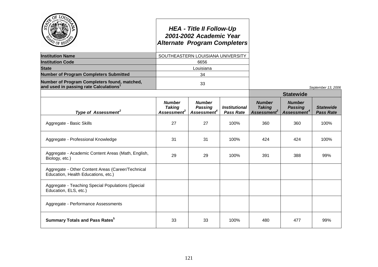|                                                                                                    | <b>Alternate Program Completers</b>                       | <b>HEA - Title II Follow-Up</b><br>2001-2002 Academic Year |                                                 |                                                           |                                                            |                                      |
|----------------------------------------------------------------------------------------------------|-----------------------------------------------------------|------------------------------------------------------------|-------------------------------------------------|-----------------------------------------------------------|------------------------------------------------------------|--------------------------------------|
| <b>Institution Name</b>                                                                            |                                                           | SOUTHEASTERN LOUISIANA UNIVERSITY                          |                                                 |                                                           |                                                            |                                      |
| <b>Institution Code</b>                                                                            |                                                           | 6656                                                       |                                                 |                                                           |                                                            |                                      |
| <b>State</b>                                                                                       |                                                           | Louisiana                                                  |                                                 |                                                           |                                                            |                                      |
| <b>Number of Program Completers Submitted</b>                                                      |                                                           | 34                                                         |                                                 |                                                           |                                                            |                                      |
| Number of Program Completers found, matched,<br>and used in passing rate Calculations <sup>1</sup> |                                                           | 33                                                         |                                                 |                                                           |                                                            | September 13, 2006                   |
|                                                                                                    |                                                           |                                                            |                                                 |                                                           | <b>Statewide</b>                                           |                                      |
| Type of Assessment <sup>2</sup>                                                                    | <b>Number</b><br><b>Taking</b><br>Assessment <sup>3</sup> | <b>Number</b><br><b>Passing</b><br>Assessment <sup>4</sup> | <i><b>Institutional</b></i><br><b>Pass Rate</b> | <b>Number</b><br><b>Taking</b><br>Assessment <sup>3</sup> | <b>Number</b><br><b>Passing</b><br>Assessment <sup>4</sup> | <b>Statewide</b><br><b>Pass Rate</b> |
| Aggregate - Basic Skills                                                                           | 27                                                        | 27                                                         | 100%                                            | 360                                                       | 360                                                        | 100%                                 |
| Aggregate - Professional Knowledge                                                                 | 31                                                        | 31                                                         | 100%                                            | 424                                                       | 424                                                        | 100%                                 |
| Aggregate - Academic Content Areas (Math, English,<br>Biology, etc.)                               | 29                                                        | 29                                                         | 100%                                            | 391                                                       | 388                                                        | 99%                                  |
| Aggregate - Other Content Areas (Career/Technical<br>Education, Health Educations, etc.)           |                                                           |                                                            |                                                 |                                                           |                                                            |                                      |
| Aggregate - Teaching Special Populations (Special<br>Education, ELS, etc.)                         |                                                           |                                                            |                                                 |                                                           |                                                            |                                      |
| Aggregate - Performance Assessments                                                                |                                                           |                                                            |                                                 |                                                           |                                                            |                                      |
| <b>Summary Totals and Pass Rates</b> <sup>5</sup>                                                  | 33                                                        | 33                                                         | 100%                                            | 480                                                       | 477                                                        | 99%                                  |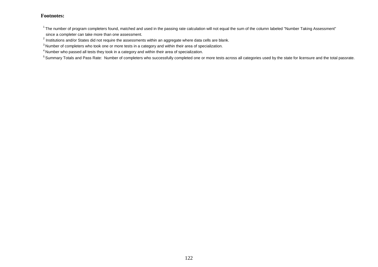$1$ The number of program completers found, matched and used in the passing rate calculation will not equal the sum of the column labeled "Number Taking Assessment" since a completer can take more than one assessment.

 $^{2}$  Institutions and/or States did not require the assessments within an aggregate where data cells are blank.

<sup>&</sup>lt;sup>3</sup> Number of completers who took one or more tests in a category and within their area of specialization.

<sup>4</sup> Number who passed all tests they took in a category and within their area of specialization.

<sup>&</sup>lt;sup>5</sup> Summary Totals and Pass Rate: Number of completers who successfully completed one or more tests across all categories used by the state for licensure and the total passrate.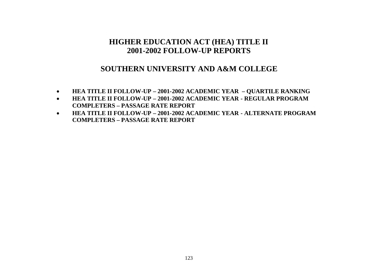### **SOUTHERN UNIVERSITY AND A&M COLLEGE**

- **HEA TITLE II FOLLOW-UP – 2001-2002 ACADEMIC YEAR – QUARTILE RANKING**
- **HEA TITLE II FOLLOW-UP – 2001-2002 ACADEMIC YEAR - REGULAR PROGRAM COMPLETERS – PASSAGE RATE REPORT**
- **HEA TITLE II FOLLOW-UP – 2001-2002 ACADEMIC YEAR - ALTERNATE PROGRAM COMPLETERS – PASSAGE RATE REPORT**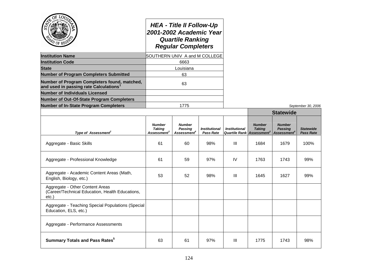|                                                                                                    |                                                         | <b>HEA - Title II Follow-Up</b><br>2001-2002 Academic Year<br><b>Quartile Ranking</b><br><b>Regular Completers</b> |                                          |                                                          |                                |                                                            |                                      |
|----------------------------------------------------------------------------------------------------|---------------------------------------------------------|--------------------------------------------------------------------------------------------------------------------|------------------------------------------|----------------------------------------------------------|--------------------------------|------------------------------------------------------------|--------------------------------------|
| <b>Institution Name</b>                                                                            | SOUTHERN UNIV A and M COLLEGE                           |                                                                                                                    |                                          |                                                          |                                |                                                            |                                      |
| <b>Institution Code</b>                                                                            |                                                         | 6663                                                                                                               |                                          |                                                          |                                |                                                            |                                      |
| <b>State</b>                                                                                       |                                                         | Louisiana                                                                                                          |                                          |                                                          |                                |                                                            |                                      |
| <b>Number of Program Completers Submitted</b>                                                      |                                                         | 63                                                                                                                 |                                          |                                                          |                                |                                                            |                                      |
| Number of Program Completers found, matched,<br>and used in passing rate Calculations <sup>1</sup> |                                                         | 63                                                                                                                 |                                          |                                                          |                                |                                                            |                                      |
| <b>Number of Individuals Licensed</b>                                                              |                                                         |                                                                                                                    |                                          |                                                          |                                |                                                            |                                      |
| <b>Number of Out-Of-State Program Completers</b>                                                   |                                                         |                                                                                                                    |                                          |                                                          |                                |                                                            |                                      |
| <b>Number of In-State Program Completers</b>                                                       |                                                         | 1775                                                                                                               |                                          |                                                          |                                |                                                            | September 30, 2006                   |
|                                                                                                    |                                                         |                                                                                                                    |                                          |                                                          | <b>Statewide</b>               |                                                            |                                      |
| Type of Assessment <sup>2</sup>                                                                    | <b>Number</b><br><b>Taking</b><br>Assessment $^{\circ}$ | <b>Number</b><br><b>Passing</b><br>Assessment <sup>4</sup>                                                         | <i><b>Institutional</b></i><br>Pass Rate | <b>Institutional</b><br><b>Quartile Rank Assessment3</b> | <b>Number</b><br><b>Taking</b> | <b>Number</b><br><b>Passing</b><br>Assessment <sup>4</sup> | <b>Statewide</b><br><b>Pass Rate</b> |
| Aggregate - Basic Skills                                                                           | 61                                                      | 60                                                                                                                 | 98%                                      | $\mathbf{III}$                                           | 1684                           | 1679                                                       | 100%                                 |
| Aggregate - Professional Knowledge                                                                 | 61                                                      | 59                                                                                                                 | 97%                                      | IV                                                       | 1763                           | 1743                                                       | 99%                                  |
| Aggregate - Academic Content Areas (Math,<br>English, Biology, etc.)                               | 53                                                      | 52                                                                                                                 | 98%                                      | Ш                                                        | 1645                           | 1627                                                       | 99%                                  |
| Aggregate - Other Content Areas<br>(Career/Technical Education, Health Educations,<br>$etc.$ )     |                                                         |                                                                                                                    |                                          |                                                          |                                |                                                            |                                      |
| Aggregate - Teaching Special Populations (Special<br>Education, ELS, etc.)                         |                                                         |                                                                                                                    |                                          |                                                          |                                |                                                            |                                      |
| Aggregate - Performance Assessments                                                                |                                                         |                                                                                                                    |                                          |                                                          |                                |                                                            |                                      |
| <b>Summary Totals and Pass Rates</b> <sup>5</sup>                                                  | 63                                                      | 61                                                                                                                 | 97%                                      | $\ensuremath{\mathsf{III}}\xspace$                       | 1775                           | 1743                                                       | 98%                                  |

124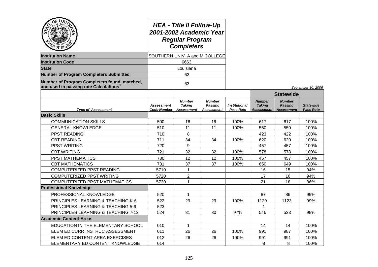| $O_{\tilde{E}}$<br>LOU<br><b>PD</b> OF REGN                                           | <b>HEA - Title II Follow-Up</b><br>2001-2002 Academic Year<br><b>Regular Program</b><br><b>Completers</b><br>SOUTHERN UNIV A and M COLLEGE |                                                     |                                                      |                                          |                                                     |                                                      |                                      |
|---------------------------------------------------------------------------------------|--------------------------------------------------------------------------------------------------------------------------------------------|-----------------------------------------------------|------------------------------------------------------|------------------------------------------|-----------------------------------------------------|------------------------------------------------------|--------------------------------------|
| <b>Institution Name</b>                                                               |                                                                                                                                            |                                                     |                                                      |                                          |                                                     |                                                      |                                      |
| <b>Institution Code</b>                                                               | 6663                                                                                                                                       |                                                     |                                                      |                                          |                                                     |                                                      |                                      |
| <b>State</b>                                                                          |                                                                                                                                            | Louisiana                                           |                                                      |                                          |                                                     |                                                      |                                      |
| <b>Number of Program Completers Submitted</b>                                         |                                                                                                                                            | 63                                                  |                                                      |                                          |                                                     |                                                      |                                      |
| Number of Program Completers found, matched,<br>and used in passing rate Calculations |                                                                                                                                            | 63                                                  |                                                      |                                          |                                                     |                                                      | September 30, 2006                   |
|                                                                                       |                                                                                                                                            |                                                     |                                                      |                                          |                                                     | <b>Statewide</b>                                     |                                      |
| <b>Type of Assessment</b>                                                             | <b>Assessment</b><br>Code Number                                                                                                           | <b>Number</b><br><b>Taking</b><br><b>Assessment</b> | <b>Number</b><br><b>Passing</b><br><b>Assessment</b> | <b>Institutional</b><br><b>Pass Rate</b> | <b>Number</b><br><b>Taking</b><br><b>Assessment</b> | <b>Number</b><br><b>Passing</b><br><b>Assessment</b> | <b>Statewide</b><br><b>Pass Rate</b> |
| <b>Basic Skills</b>                                                                   |                                                                                                                                            |                                                     |                                                      |                                          |                                                     |                                                      |                                      |
| <b>COMMUNICATION SKILLS</b>                                                           | 500                                                                                                                                        | 16                                                  | 16                                                   | 100%                                     | 617                                                 | 617                                                  | 100%                                 |
| <b>GENERAL KNOWLEDGE</b>                                                              | 510                                                                                                                                        | 11                                                  | 11                                                   | 100%                                     | 550                                                 | 550                                                  | 100%                                 |
| PPST READING                                                                          | 710                                                                                                                                        | 8                                                   |                                                      |                                          | 423                                                 | 422                                                  | 100%                                 |
| <b>CBT READING</b>                                                                    | 711                                                                                                                                        | 34                                                  | 34                                                   | 100%                                     | 620                                                 | 620                                                  | 100%                                 |
| <b>PPST WRITING</b>                                                                   | 720                                                                                                                                        | 9                                                   |                                                      |                                          | 457                                                 | 457                                                  | 100%                                 |
| <b>CBT WRITING</b>                                                                    | 721                                                                                                                                        | 32                                                  | 32                                                   | 100%                                     | 578                                                 | 578                                                  | 100%                                 |
| <b>PPST MATHEMATICS</b>                                                               | 730                                                                                                                                        | 12                                                  | 12                                                   | 100%                                     | 457                                                 | 457                                                  | 100%                                 |
| <b>CBT MATHEMATICS</b>                                                                | 731                                                                                                                                        | 37                                                  | 37                                                   | 100%                                     | 650                                                 | 649                                                  | 100%                                 |
| COMPUTERIZED PPST READING                                                             | 5710                                                                                                                                       | 1                                                   |                                                      |                                          | 16                                                  | 15                                                   | 94%                                  |
| COMPUTERIZED PPST WRITING                                                             | 5720                                                                                                                                       | $\overline{2}$                                      |                                                      |                                          | 17                                                  | 16                                                   | 94%                                  |
| <b>COMPUTERIZED PPST MATHEMATICS</b>                                                  | 5730                                                                                                                                       | 1                                                   |                                                      |                                          | 21                                                  | 18                                                   | 86%                                  |
| <b>Professional Knowledge</b>                                                         |                                                                                                                                            |                                                     |                                                      |                                          |                                                     |                                                      |                                      |
| PROFESSIONAL KNOWLEDGE                                                                | 520                                                                                                                                        | $\mathbf{1}$                                        |                                                      |                                          | 87                                                  | 86                                                   | 99%                                  |
| PRINCIPLES LEARNING & TEACHING K-6                                                    | 522                                                                                                                                        | 29                                                  | 29                                                   | 100%                                     | 1129                                                | 1123                                                 | 99%                                  |
| PRINCIPLES LEARNING & TEACHING 5-9                                                    | 523                                                                                                                                        |                                                     |                                                      |                                          | 1                                                   |                                                      |                                      |
| PRINCIPLES LEARNING & TEACHING 7-12                                                   | 524                                                                                                                                        | 31                                                  | 30                                                   | 97%                                      | 546                                                 | 533                                                  | 98%                                  |
| <b>Academic Content Areas</b>                                                         |                                                                                                                                            |                                                     |                                                      |                                          |                                                     |                                                      |                                      |
| EDUCATION IN THE ELEMENTARY SCHOOL                                                    | 010                                                                                                                                        | 1                                                   |                                                      |                                          | 14                                                  | 14                                                   | 100%                                 |
| ELEM ED CURR INSTRUC ASSESSMENT                                                       | 011<br>26<br>26                                                                                                                            |                                                     |                                                      | 100%                                     | 991                                                 | 987                                                  | 100%                                 |
| ELEM ED CONTENT AREA EXERCISES                                                        | 012                                                                                                                                        | 26                                                  | 26                                                   | 100%                                     | 991                                                 | 991                                                  | 100%                                 |
| ELEMENTARY ED CONTENT KNOWLEDGE                                                       | 014                                                                                                                                        |                                                     |                                                      |                                          | 8                                                   | 8                                                    | 100%                                 |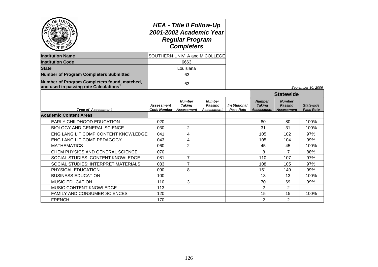| $O_{\tilde{E}}$<br>LOUT<br>PD OF REGE                                                 | <b>HEA - Title II Follow-Up</b><br>2001-2002 Academic Year<br><b>Regular Program</b><br><b>Completers</b><br>SOUTHERN UNIV A and M COLLEGE |                                              |                                               |                                   |                                                     |                                               |                                      |
|---------------------------------------------------------------------------------------|--------------------------------------------------------------------------------------------------------------------------------------------|----------------------------------------------|-----------------------------------------------|-----------------------------------|-----------------------------------------------------|-----------------------------------------------|--------------------------------------|
| <b>Institution Name</b>                                                               |                                                                                                                                            |                                              |                                               |                                   |                                                     |                                               |                                      |
| <b>Institution Code</b>                                                               | 6663                                                                                                                                       |                                              |                                               |                                   |                                                     |                                               |                                      |
| <b>State</b>                                                                          |                                                                                                                                            | Louisiana                                    |                                               |                                   |                                                     |                                               |                                      |
| <b>Number of Program Completers Submitted</b>                                         |                                                                                                                                            | 63                                           |                                               |                                   |                                                     |                                               |                                      |
| Number of Program Completers found, matched,<br>and used in passing rate Calculations |                                                                                                                                            | 63                                           |                                               |                                   |                                                     |                                               | September 30, 2006                   |
|                                                                                       |                                                                                                                                            |                                              |                                               |                                   |                                                     | <b>Statewide</b>                              |                                      |
| <b>Type of Assessment</b>                                                             | Assessment<br>Code Number                                                                                                                  | <b>Number</b><br><b>Taking</b><br>Assessment | <b>Number</b><br><b>Passing</b><br>Assessment | <b>Institutional</b><br>Pass Rate | <b>Number</b><br><b>Taking</b><br><b>Assessment</b> | <b>Number</b><br>Passing<br><b>Assessment</b> | <b>Statewide</b><br><b>Pass Rate</b> |
| <b>Academic Content Areas</b>                                                         |                                                                                                                                            |                                              |                                               |                                   |                                                     |                                               |                                      |
| EARLY CHILDHOOD EDUCATION                                                             | 020                                                                                                                                        |                                              |                                               |                                   | 80                                                  | 80                                            | 100%                                 |
| <b>BIOLOGY AND GENERAL SCIENCE</b>                                                    | 030                                                                                                                                        | $\overline{2}$                               |                                               |                                   | 31                                                  | 31                                            | 100%                                 |
| ENG LANG LIT COMP CONTENT KNOWLEDGE                                                   | 041                                                                                                                                        | 4                                            |                                               |                                   | 105                                                 | 102                                           | 97%                                  |
| ENG LANG LIT COMP PEDAGOGY                                                            | 043                                                                                                                                        | 4                                            |                                               |                                   | 105                                                 | 104                                           | 99%                                  |
| <b>MATHEMATICS</b>                                                                    | 060                                                                                                                                        | $\overline{2}$                               |                                               |                                   | 45                                                  | 45                                            | 100%                                 |
| CHEM PHYSICS AND GENERAL SCIENCE                                                      | 070                                                                                                                                        |                                              |                                               |                                   | 8                                                   | 7                                             | 88%                                  |
| SOCIAL STUDIES: CONTENT KNOWLEDGE                                                     | 081                                                                                                                                        | 7                                            |                                               |                                   | 110                                                 | 107                                           | 97%                                  |
| SOCIAL STUDIES: INTERPRET MATERIALS                                                   | 083                                                                                                                                        | 7                                            |                                               |                                   | 108                                                 | 105                                           | 97%                                  |
| PHYSICAL EDUCATION                                                                    | 090                                                                                                                                        | 8                                            |                                               |                                   | 151                                                 | 149                                           | 99%                                  |
| <b>BUSINESS EDUCATION</b>                                                             | 100                                                                                                                                        |                                              |                                               |                                   | 13                                                  | 13                                            | 100%                                 |
| <b>MUSIC EDUCATION</b>                                                                | 110                                                                                                                                        | 3                                            |                                               |                                   | 70                                                  | 69                                            | 99%                                  |
| MUSIC CONTENT KNOWLEDGE                                                               | 113                                                                                                                                        |                                              |                                               |                                   | $\overline{2}$                                      | $\overline{2}$                                |                                      |
| <b>FAMILY AND CONSUMER SCIENCES</b>                                                   | 120                                                                                                                                        |                                              |                                               |                                   | 15                                                  | 15                                            | 100%                                 |
| <b>FRENCH</b>                                                                         | 170                                                                                                                                        |                                              |                                               |                                   | $\overline{2}$                                      | $\overline{2}$                                |                                      |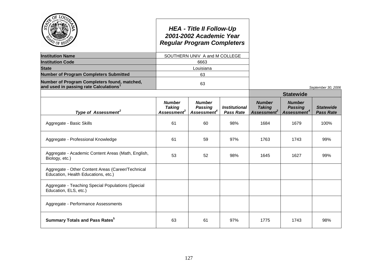|                                                                                                    |                                                           | <b>HEA - Title II Follow-Up</b><br>2001-2002 Academic Year<br><b>Regular Program Completers</b> |                                          |                                                           |                                                            |                                      |
|----------------------------------------------------------------------------------------------------|-----------------------------------------------------------|-------------------------------------------------------------------------------------------------|------------------------------------------|-----------------------------------------------------------|------------------------------------------------------------|--------------------------------------|
| <b>Institution Name</b>                                                                            |                                                           | SOUTHERN UNIV A and M COLLEGE                                                                   |                                          |                                                           |                                                            |                                      |
| <b>Institution Code</b>                                                                            |                                                           | 6663                                                                                            |                                          |                                                           |                                                            |                                      |
| <b>State</b>                                                                                       |                                                           | Louisiana                                                                                       |                                          |                                                           |                                                            |                                      |
| <b>Number of Program Completers Submitted</b>                                                      |                                                           | 63                                                                                              |                                          |                                                           |                                                            |                                      |
| Number of Program Completers found, matched,<br>and used in passing rate Calculations <sup>1</sup> |                                                           | 63                                                                                              |                                          |                                                           |                                                            | September 30, 2006                   |
|                                                                                                    |                                                           |                                                                                                 |                                          |                                                           | <b>Statewide</b>                                           |                                      |
| Type of Assessment <sup>2</sup>                                                                    | <b>Number</b><br><b>Taking</b><br>Assessment <sup>3</sup> | <b>Number</b><br><b>Passing</b><br>Assessment <sup>4</sup>                                      | <b>Institutional</b><br><b>Pass Rate</b> | <b>Number</b><br><b>Taking</b><br>Assessment <sup>3</sup> | <b>Number</b><br><b>Passing</b><br>Assessment <sup>4</sup> | <b>Statewide</b><br><b>Pass Rate</b> |
| Aggregate - Basic Skills                                                                           | 61                                                        | 60                                                                                              | 98%                                      | 1684                                                      | 1679                                                       | 100%                                 |
| Aggregate - Professional Knowledge                                                                 | 61                                                        | 59                                                                                              | 97%                                      | 1763                                                      | 1743                                                       | 99%                                  |
| Aggregate - Academic Content Areas (Math, English,<br>Biology, etc.)                               | 53                                                        | 52                                                                                              | 98%                                      | 1645                                                      | 1627                                                       | 99%                                  |
| Aggregate - Other Content Areas (Career/Technical<br>Education, Health Educations, etc.)           |                                                           |                                                                                                 |                                          |                                                           |                                                            |                                      |
| Aggregate - Teaching Special Populations (Special<br>Education, ELS, etc.)                         |                                                           |                                                                                                 |                                          |                                                           |                                                            |                                      |
| Aggregate - Performance Assessments                                                                |                                                           |                                                                                                 |                                          |                                                           |                                                            |                                      |
| <b>Summary Totals and Pass Rates</b> <sup>5</sup>                                                  | 63                                                        | 61                                                                                              | 97%                                      | 1775                                                      | 1743                                                       | 98%                                  |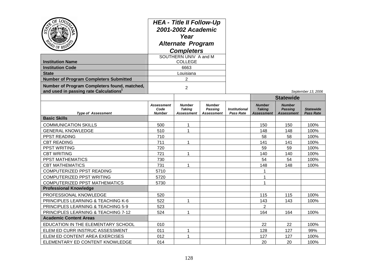| $Q_{\tilde{E}}$<br>LOU<br>$v_{0F}$<br><b>Institution Name</b><br><b>Institution Code</b><br><b>State</b><br><b>Number of Program Completers Submitted</b><br>Number of Program Completers found, matched,<br>and used in passing rate Calculations <sup>1</sup> | <b>HEA - Title II Follow-Up</b><br>2001-2002 Academic<br>Year<br><b>Alternate Program</b><br><b>Completers</b><br>SOUTHERN UNIV A and M<br><b>COLLEGE</b><br>6663<br>Louisiana<br>2<br>$\overline{2}$ |                                                     |                                                      |                                          |                                              |                                                      | September 13, 2006                   |
|-----------------------------------------------------------------------------------------------------------------------------------------------------------------------------------------------------------------------------------------------------------------|-------------------------------------------------------------------------------------------------------------------------------------------------------------------------------------------------------|-----------------------------------------------------|------------------------------------------------------|------------------------------------------|----------------------------------------------|------------------------------------------------------|--------------------------------------|
|                                                                                                                                                                                                                                                                 |                                                                                                                                                                                                       |                                                     |                                                      |                                          |                                              | <b>Statewide</b>                                     |                                      |
| <b>Type of Assessment</b>                                                                                                                                                                                                                                       | <b>Assessment</b><br>Code<br><b>Number</b>                                                                                                                                                            | <b>Number</b><br><b>Taking</b><br><b>Assessment</b> | <b>Number</b><br><b>Passing</b><br><b>Assessment</b> | <b>Institutional</b><br><b>Pass Rate</b> | <b>Number</b><br><b>Taking</b><br>Assessment | <b>Number</b><br><b>Passing</b><br><b>Assessment</b> | <b>Statewide</b><br><b>Pass Rate</b> |
| <b>Basic Skills</b>                                                                                                                                                                                                                                             |                                                                                                                                                                                                       |                                                     |                                                      |                                          |                                              |                                                      |                                      |
| <b>COMMUNICATION SKILLS</b>                                                                                                                                                                                                                                     | 500                                                                                                                                                                                                   | $\mathbf{1}$                                        |                                                      |                                          | 150                                          | 150                                                  | 100%                                 |
| <b>GENERAL KNOWLEDGE</b>                                                                                                                                                                                                                                        | 510                                                                                                                                                                                                   | 1                                                   |                                                      |                                          | 148                                          | 148                                                  | 100%                                 |
| PPST READING                                                                                                                                                                                                                                                    | 710                                                                                                                                                                                                   |                                                     |                                                      |                                          | 58                                           | 58                                                   | 100%                                 |
| <b>CBT READING</b>                                                                                                                                                                                                                                              | 711                                                                                                                                                                                                   | 1                                                   |                                                      |                                          | 141                                          | 141                                                  | 100%                                 |
| <b>PPST WRITING</b>                                                                                                                                                                                                                                             | 720                                                                                                                                                                                                   |                                                     |                                                      |                                          | 59                                           | 59                                                   | 100%                                 |
| <b>CBT WRITING</b>                                                                                                                                                                                                                                              | 721                                                                                                                                                                                                   | $\mathbf{1}$                                        |                                                      |                                          | 140                                          | 140                                                  | 100%                                 |
| PPST MATHEMATICS                                                                                                                                                                                                                                                | 730                                                                                                                                                                                                   |                                                     |                                                      |                                          | 54                                           | 54                                                   | 100%                                 |
| <b>CBT MATHEMATICS</b>                                                                                                                                                                                                                                          | 731                                                                                                                                                                                                   | $\mathbf{1}$                                        |                                                      |                                          | 148                                          | 148                                                  | 100%                                 |
| COMPUTERIZED PPST READING                                                                                                                                                                                                                                       | 5710                                                                                                                                                                                                  |                                                     |                                                      |                                          | 1                                            |                                                      |                                      |
| COMPUTERIZED PPST WRITING                                                                                                                                                                                                                                       | 5720                                                                                                                                                                                                  |                                                     |                                                      |                                          | 1                                            |                                                      |                                      |
| <b>COMPUTERIZED PPST MATHEMATICS</b>                                                                                                                                                                                                                            | 5730                                                                                                                                                                                                  |                                                     |                                                      |                                          | 1                                            |                                                      |                                      |
| <b>Professional Knowledge</b>                                                                                                                                                                                                                                   |                                                                                                                                                                                                       |                                                     |                                                      |                                          |                                              |                                                      |                                      |
| PROFESSIONAL KNOWLEDGE                                                                                                                                                                                                                                          | 520                                                                                                                                                                                                   |                                                     |                                                      |                                          | 115                                          | 115                                                  | 100%                                 |
| PRINCIPLES LEARNING & TEACHING K-6                                                                                                                                                                                                                              | 522                                                                                                                                                                                                   | 1                                                   |                                                      |                                          | 143                                          | 143                                                  | 100%                                 |
| PRINCIPLES LEARNING & TEACHING 5-9                                                                                                                                                                                                                              | 523                                                                                                                                                                                                   |                                                     |                                                      |                                          | $\overline{2}$                               |                                                      |                                      |
| PRINCIPLES LEARNING & TEACHING 7-12                                                                                                                                                                                                                             | 524                                                                                                                                                                                                   | 1                                                   |                                                      |                                          | 164                                          | 164                                                  | 100%                                 |
| <b>Academic Content Areas</b>                                                                                                                                                                                                                                   |                                                                                                                                                                                                       |                                                     |                                                      |                                          |                                              |                                                      |                                      |
| EDUCATION IN THE ELEMENTARY SCHOOL                                                                                                                                                                                                                              | 010                                                                                                                                                                                                   |                                                     |                                                      |                                          | 22                                           | 22                                                   | 100%                                 |
| ELEM ED CURR INSTRUC ASSESSMENT                                                                                                                                                                                                                                 | 011                                                                                                                                                                                                   | $\mathbf{1}$                                        |                                                      |                                          | 128                                          | 127                                                  | 99%                                  |
| ELEM ED CONTENT AREA EXERCISES                                                                                                                                                                                                                                  | 012                                                                                                                                                                                                   | $\mathbf{1}$                                        |                                                      |                                          | 127                                          | 127                                                  | 100%                                 |
| ELEMENTARY ED CONTENT KNOWLEDGE                                                                                                                                                                                                                                 | 014                                                                                                                                                                                                   |                                                     |                                                      |                                          | 20                                           | 20                                                   | 100%                                 |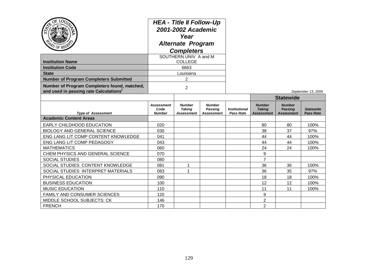| ۲Ğ                                                                                                 | <b>HEA - Title II Follow-Up</b><br>2001-2002 Academic<br>Year<br><b>Alternate Program</b><br><b>Completers</b> |                                              |                                                      |                                          |                                              |                                                      |                                      |
|----------------------------------------------------------------------------------------------------|----------------------------------------------------------------------------------------------------------------|----------------------------------------------|------------------------------------------------------|------------------------------------------|----------------------------------------------|------------------------------------------------------|--------------------------------------|
|                                                                                                    |                                                                                                                | SOUTHERN UNIV A and M                        |                                                      |                                          |                                              |                                                      |                                      |
| <b>Institution Name</b>                                                                            |                                                                                                                | <b>COLLEGE</b>                               |                                                      |                                          |                                              |                                                      |                                      |
| <b>Institution Code</b>                                                                            |                                                                                                                | 6663                                         |                                                      |                                          |                                              |                                                      |                                      |
| <b>State</b>                                                                                       |                                                                                                                | Louisiana                                    |                                                      |                                          |                                              |                                                      |                                      |
| <b>Number of Program Completers Submitted</b>                                                      |                                                                                                                | 2                                            |                                                      |                                          |                                              |                                                      |                                      |
| Number of Program Completers found, matched,<br>and used in passing rate Calculations <sup>1</sup> |                                                                                                                | $\overline{2}$                               |                                                      |                                          |                                              |                                                      | September 13, 2006                   |
|                                                                                                    |                                                                                                                |                                              |                                                      |                                          | <b>Statewide</b>                             |                                                      |                                      |
| <b>Type of Assessment</b>                                                                          | <b>Assessment</b><br>Code<br><b>Number</b>                                                                     | <b>Number</b><br><b>Taking</b><br>Assessment | <b>Number</b><br><b>Passing</b><br><b>Assessment</b> | <b>Institutional</b><br><b>Pass Rate</b> | <b>Number</b><br><b>Taking</b><br>Assessment | <b>Number</b><br><b>Passing</b><br><b>Assessment</b> | <b>Statewide</b><br><b>Pass Rate</b> |
| <b>Academic Content Areas</b>                                                                      |                                                                                                                |                                              |                                                      |                                          |                                              |                                                      |                                      |
| EARLY CHILDHOOD EDUCATION                                                                          | 020                                                                                                            |                                              |                                                      |                                          | 80                                           | 80                                                   | 100%                                 |
| <b>BIOLOGY AND GENERAL SCIENCE</b>                                                                 | 030                                                                                                            |                                              |                                                      |                                          | 38                                           | 37                                                   | 97%                                  |
| ENG LANG LIT COMP CONTENT KNOWLEDGE                                                                | 041                                                                                                            |                                              |                                                      |                                          | 44                                           | 44                                                   | 100%                                 |
| ENG LANG LIT COMP PEDAGOGY                                                                         | 043                                                                                                            |                                              |                                                      |                                          | 44                                           | 44                                                   | 100%                                 |
| <b>MATHEMATICS</b>                                                                                 | 060                                                                                                            |                                              |                                                      |                                          | 24                                           | 24                                                   | 100%                                 |
| CHEM PHYSICS AND GENERAL SCIENCE                                                                   | 070                                                                                                            |                                              |                                                      |                                          | 9                                            |                                                      |                                      |
| <b>SOCIAL STUDIES</b>                                                                              | 080                                                                                                            |                                              |                                                      |                                          | $\overline{7}$                               |                                                      |                                      |
| SOCIAL STUDIES: CONTENT KNOWLEDGE                                                                  | 081                                                                                                            | 1                                            |                                                      |                                          | 36                                           | 36                                                   | 100%                                 |
| SOCIAL STUDIES: INTERPRET MATERIALS                                                                | 083                                                                                                            | 1                                            |                                                      |                                          | 36                                           | 35                                                   | 97%                                  |
| PHYSICAL EDUCATION                                                                                 | 090                                                                                                            |                                              |                                                      |                                          | 18                                           | 18                                                   | 100%                                 |
| <b>BUSINESS EDUCATION</b>                                                                          | 100                                                                                                            |                                              |                                                      |                                          | 12                                           | 12                                                   | 100%                                 |
| <b>MUSIC EDUCATION</b>                                                                             | 110                                                                                                            |                                              |                                                      |                                          | 11                                           | 11                                                   | 100%                                 |
| <b>FAMILY AND CONSUMER SCIENCES</b>                                                                | 120                                                                                                            |                                              |                                                      |                                          | 9                                            |                                                      |                                      |
| MIDDLE SCHOOL SUBJECTS: CK                                                                         | 146                                                                                                            |                                              |                                                      |                                          | $\overline{2}$                               |                                                      |                                      |
| <b>FRENCH</b>                                                                                      | 170                                                                                                            |                                              |                                                      |                                          | $\overline{2}$                               |                                                      |                                      |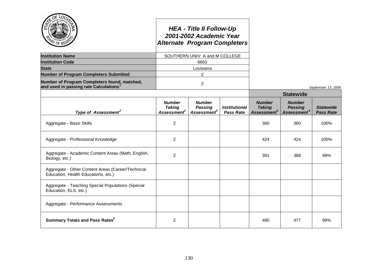|                                                                                                    | <b>Alternate Program Completers</b>                       | <b>HEA - Title II Follow-Up</b><br>2001-2002 Academic Year |                                          |                                                           |                                                            |                                      |
|----------------------------------------------------------------------------------------------------|-----------------------------------------------------------|------------------------------------------------------------|------------------------------------------|-----------------------------------------------------------|------------------------------------------------------------|--------------------------------------|
| <b>Institution Name</b>                                                                            |                                                           | SOUTHERN UNIV A and M COLLEGE                              |                                          |                                                           |                                                            |                                      |
| <b>Institution Code</b>                                                                            |                                                           | 6663                                                       |                                          |                                                           |                                                            |                                      |
| <b>State</b>                                                                                       |                                                           | Louisiana                                                  |                                          |                                                           |                                                            |                                      |
| <b>Number of Program Completers Submitted</b>                                                      |                                                           | $\overline{2}$                                             |                                          |                                                           |                                                            |                                      |
| Number of Program Completers found, matched,<br>and used in passing rate Calculations <sup>1</sup> |                                                           | $\overline{2}$                                             |                                          |                                                           |                                                            | September 13, 2006                   |
|                                                                                                    |                                                           |                                                            |                                          |                                                           | <b>Statewide</b>                                           |                                      |
| Type of Assessment <sup>2</sup>                                                                    | <b>Number</b><br><b>Taking</b><br>Assessment <sup>3</sup> | <b>Number</b><br><b>Passing</b><br>Assessment <sup>4</sup> | <b>Institutional</b><br><b>Pass Rate</b> | <b>Number</b><br><b>Taking</b><br>Assessment <sup>3</sup> | <b>Number</b><br><b>Passing</b><br>Assessment <sup>4</sup> | <b>Statewide</b><br><b>Pass Rate</b> |
| Aggregate - Basic Skills                                                                           | $\overline{2}$                                            |                                                            |                                          | 360                                                       | 360                                                        | 100%                                 |
| Aggregate - Professional Knowledge                                                                 | 2                                                         |                                                            |                                          | 424                                                       | 424                                                        | 100%                                 |
| Aggregate - Academic Content Areas (Math, English,<br>Biology, etc.)                               | 2                                                         |                                                            |                                          | 391                                                       | 388                                                        | 99%                                  |
| Aggregate - Other Content Areas (Career/Technical<br>Education, Health Educations, etc.)           |                                                           |                                                            |                                          |                                                           |                                                            |                                      |
| Aggregate - Teaching Special Populations (Special<br>Education, ELS, etc.)                         |                                                           |                                                            |                                          |                                                           |                                                            |                                      |
| Aggregate - Performance Assessments                                                                |                                                           |                                                            |                                          |                                                           |                                                            |                                      |
| <b>Summary Totals and Pass Rates</b> <sup>5</sup>                                                  | $\overline{2}$                                            |                                                            |                                          | 480                                                       | 477                                                        | 99%                                  |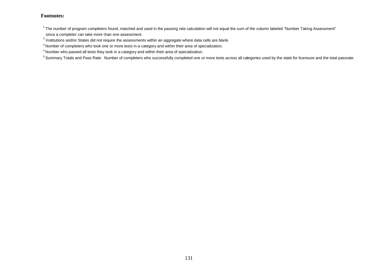$1$ The number of program completers found, matched and used in the passing rate calculation will not equal the sum of the column labeled "Number Taking Assessment"

since a completer can take more than one assessment.

 $^{2}$  Institutions and/or States did not require the assessments within an aggregate where data cells are blank.

<sup>&</sup>lt;sup>3</sup> Number of completers who took one or more tests in a category and within their area of specialization.

<sup>4</sup> Number who passed all tests they took in a category and within their area of specialization.

<sup>&</sup>lt;sup>5</sup> Summary Totals and Pass Rate: Number of completers who successfully completed one or more tests across all categories used by the state for licensure and the total passrate.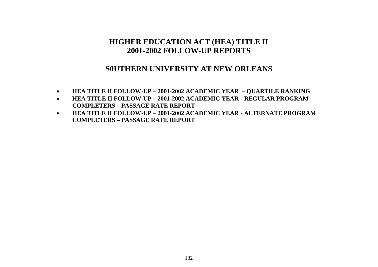### **S0UTHERN UNIVERSITY AT NEW ORLEANS**

- **HEA TITLE II FOLLOW-UP – 2001-2002 ACADEMIC YEAR – QUARTILE RANKING**
- **HEA TITLE II FOLLOW-UP – 2001-2002 ACADEMIC YEAR - REGULAR PROGRAM COMPLETERS – PASSAGE RATE REPORT**
- **HEA TITLE II FOLLOW-UP – 2001-2002 ACADEMIC YEAR - ALTERNATE PROGRAM COMPLETERS – PASSAGE RATE REPORT**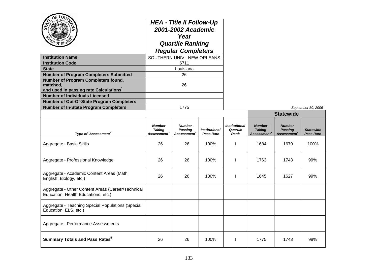| OF LOD,<br><b>Institution Name</b><br><b>Institution Code</b><br><b>State</b><br><b>Number of Program Completers Submitted</b><br>Number of Program Completers found,<br>matched.<br>and used in passing rate Calculations <sup>1</sup> |                                                           | <b>HEA - Title II Follow-Up</b><br>2001-2002 Academic<br>Year<br><b>Quartile Ranking</b><br><b>Regular Completers</b><br>SOUTHERN UNIV - NEW ORLEANS<br>6711<br>Louisiana<br>26<br>26 |                                          |                                          |                                                           |                                                            |                                      |
|-----------------------------------------------------------------------------------------------------------------------------------------------------------------------------------------------------------------------------------------|-----------------------------------------------------------|---------------------------------------------------------------------------------------------------------------------------------------------------------------------------------------|------------------------------------------|------------------------------------------|-----------------------------------------------------------|------------------------------------------------------------|--------------------------------------|
| <b>Number of Individuals Licensed</b>                                                                                                                                                                                                   |                                                           |                                                                                                                                                                                       |                                          |                                          |                                                           |                                                            |                                      |
| Number of Out-Of-State Program Completers                                                                                                                                                                                               |                                                           |                                                                                                                                                                                       |                                          |                                          |                                                           |                                                            |                                      |
| <b>Number of In-State Program Completers</b>                                                                                                                                                                                            |                                                           | 1775                                                                                                                                                                                  |                                          |                                          |                                                           |                                                            | September 30, 2006                   |
|                                                                                                                                                                                                                                         |                                                           |                                                                                                                                                                                       |                                          |                                          |                                                           | <b>Statewide</b>                                           |                                      |
| Type of Assessment <sup>2</sup>                                                                                                                                                                                                         | <b>Number</b><br><b>Taking</b><br>Assessment <sup>3</sup> | <b>Number</b><br><b>Passing</b><br>Assessment <sup>e</sup>                                                                                                                            | <b>Institutional</b><br><b>Pass Rate</b> | <b>Institutional</b><br>Quartile<br>Rank | <b>Number</b><br><b>Taking</b><br>Assessment <sup>3</sup> | <b>Number</b><br><b>Passing</b><br>Assessment <sup>4</sup> | <b>Statewide</b><br><b>Pass Rate</b> |
| Aggregate - Basic Skills                                                                                                                                                                                                                | 26                                                        | 26                                                                                                                                                                                    | 100%                                     | ı                                        | 1684                                                      | 1679                                                       | 100%                                 |
| Aggregate - Professional Knowledge                                                                                                                                                                                                      | 26                                                        | 26                                                                                                                                                                                    | 100%                                     | -1                                       | 1763                                                      | 1743                                                       | 99%                                  |
| Aggregate - Academic Content Areas (Math,<br>English, Biology, etc.)                                                                                                                                                                    | 26                                                        | 26                                                                                                                                                                                    | 100%                                     | $\mathbf{I}$                             | 1645                                                      | 1627                                                       | 99%                                  |
| Aggregate - Other Content Areas (Career/Technical<br>Education, Health Educations, etc.)                                                                                                                                                |                                                           |                                                                                                                                                                                       |                                          |                                          |                                                           |                                                            |                                      |
| Aggregate - Teaching Special Populations (Special<br>Education, ELS, etc.)                                                                                                                                                              |                                                           |                                                                                                                                                                                       |                                          |                                          |                                                           |                                                            |                                      |
| Aggregate - Performance Assessments                                                                                                                                                                                                     |                                                           |                                                                                                                                                                                       |                                          |                                          |                                                           |                                                            |                                      |
| <b>Summary Totals and Pass Rates<sup>5</sup></b>                                                                                                                                                                                        | 26                                                        | 26                                                                                                                                                                                    | 100%                                     | $\mathbf{I}$                             | 1775                                                      | 1743                                                       | 98%                                  |

سد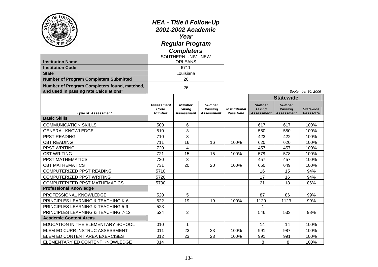| OF LO <sub>U</sub><br><b>Institution Name</b><br><b>Institution Code</b><br><b>State</b><br><b>Number of Program Completers Submitted</b><br>Number of Program Completers found, matched,<br>and used in passing rate Calculations <sup>1</sup> | <b>HEA - Title II Follow-Up</b><br>2001-2002 Academic<br>Year<br><b>Regular Program</b><br><b>Completers</b><br>SOUTHERN UNIV - NEW<br><b>ORLEANS</b><br>6711<br>Louisiana<br>26<br>26 |                                              |                                               |                                          |                                              |                                                      |                                      |
|-------------------------------------------------------------------------------------------------------------------------------------------------------------------------------------------------------------------------------------------------|----------------------------------------------------------------------------------------------------------------------------------------------------------------------------------------|----------------------------------------------|-----------------------------------------------|------------------------------------------|----------------------------------------------|------------------------------------------------------|--------------------------------------|
|                                                                                                                                                                                                                                                 |                                                                                                                                                                                        |                                              |                                               |                                          |                                              | <b>Statewide</b>                                     | September 30, 2006                   |
| <b>Type of Assessment</b>                                                                                                                                                                                                                       | <b>Assessment</b><br>Code<br><b>Number</b>                                                                                                                                             | <b>Number</b><br><b>Taking</b><br>Assessment | <b>Number</b><br><b>Passing</b><br>Assessment | <b>Institutional</b><br><b>Pass Rate</b> | <b>Number</b><br><b>Taking</b><br>Assessment | <b>Number</b><br><b>Passing</b><br><b>Assessment</b> | <b>Statewide</b><br><b>Pass Rate</b> |
| <b>Basic Skills</b>                                                                                                                                                                                                                             |                                                                                                                                                                                        |                                              |                                               |                                          |                                              |                                                      |                                      |
| <b>COMMUNICATION SKILLS</b>                                                                                                                                                                                                                     | 500                                                                                                                                                                                    | 6                                            |                                               |                                          | 617                                          | 617                                                  | 100%                                 |
| <b>GENERAL KNOWLEDGE</b>                                                                                                                                                                                                                        | 510                                                                                                                                                                                    | 3                                            |                                               |                                          | 550                                          | 550                                                  | 100%                                 |
| PPST READING                                                                                                                                                                                                                                    | 710                                                                                                                                                                                    | 3                                            |                                               |                                          | 423                                          | 422                                                  | 100%                                 |
| <b>CBT READING</b>                                                                                                                                                                                                                              | 711                                                                                                                                                                                    | 16                                           | 16                                            | 100%                                     | 620                                          | 620                                                  | 100%                                 |
| <b>PPST WRITING</b>                                                                                                                                                                                                                             | 720                                                                                                                                                                                    | 4                                            |                                               |                                          | 457                                          | 457                                                  | 100%                                 |
| <b>CBT WRITING</b>                                                                                                                                                                                                                              | 721                                                                                                                                                                                    | 15                                           | 15                                            | 100%                                     | 578                                          | 578                                                  | 100%                                 |
| PPST MATHEMATICS                                                                                                                                                                                                                                | 730                                                                                                                                                                                    | 3                                            |                                               |                                          | 457                                          | 457                                                  | 100%                                 |
| <b>CBT MATHEMATICS</b>                                                                                                                                                                                                                          | 731                                                                                                                                                                                    | 20                                           | 20                                            | 100%                                     | 650                                          | 649                                                  | 100%                                 |
| COMPUTERIZED PPST READING                                                                                                                                                                                                                       | 5710                                                                                                                                                                                   |                                              |                                               |                                          | 16                                           | 15                                                   | 94%                                  |
| COMPUTERIZED PPST WRITING                                                                                                                                                                                                                       | 5720                                                                                                                                                                                   |                                              |                                               |                                          | 17                                           | 16                                                   | 94%                                  |
| <b>COMPUTERIZED PPST MATHEMATICS</b>                                                                                                                                                                                                            | 5730                                                                                                                                                                                   |                                              |                                               |                                          | 21                                           | 18                                                   | 86%                                  |
| <b>Professional Knowledge</b>                                                                                                                                                                                                                   |                                                                                                                                                                                        |                                              |                                               |                                          |                                              |                                                      |                                      |
| PROFESSIONAL KNOWLEDGE                                                                                                                                                                                                                          | 520                                                                                                                                                                                    | 5                                            |                                               |                                          | 87                                           | 86                                                   | 99%                                  |
| PRINCIPLES LEARNING & TEACHING K-6                                                                                                                                                                                                              | 522                                                                                                                                                                                    | 19                                           | 19                                            | 100%                                     | 1129                                         | 1123                                                 | 99%                                  |
| PRINCIPLES LEARNING & TEACHING 5-9                                                                                                                                                                                                              | 523                                                                                                                                                                                    |                                              |                                               |                                          | 1                                            |                                                      |                                      |
| PRINCIPLES LEARNING & TEACHING 7-12                                                                                                                                                                                                             | 524                                                                                                                                                                                    | 2                                            |                                               |                                          | 546                                          | 533                                                  | 98%                                  |
| <b>Academic Content Areas</b>                                                                                                                                                                                                                   |                                                                                                                                                                                        |                                              |                                               |                                          |                                              |                                                      |                                      |
| EDUCATION IN THE ELEMENTARY SCHOOL                                                                                                                                                                                                              | 010                                                                                                                                                                                    | $\mathbf 1$                                  |                                               |                                          | 14                                           | 14                                                   | 100%                                 |
| ELEM ED CURR INSTRUC ASSESSMENT                                                                                                                                                                                                                 | 011                                                                                                                                                                                    | 23                                           | 23                                            | 100%                                     | 991                                          | 987                                                  | 100%                                 |
| ELEM ED CONTENT AREA EXERCISES                                                                                                                                                                                                                  | 012                                                                                                                                                                                    | 23                                           | 23                                            | 100%                                     | 991                                          | 991                                                  | 100%                                 |
| ELEMENTARY ED CONTENT KNOWLEDGE                                                                                                                                                                                                                 | 014                                                                                                                                                                                    |                                              |                                               |                                          | 8                                            | 8                                                    | 100%                                 |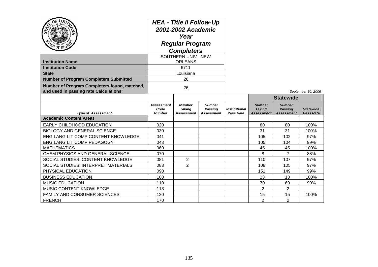| LOU<br>PD OF REGS                                                                                  | <b>HEA - Title II Follow-Up</b><br>2001-2002 Academic<br>Year<br><b>Regular Program</b><br><b>Completers</b><br><b>SOUTHERN UNIV - NEW</b> |                                              |                                               |                                                 |                                              |                                                      |                                      |
|----------------------------------------------------------------------------------------------------|--------------------------------------------------------------------------------------------------------------------------------------------|----------------------------------------------|-----------------------------------------------|-------------------------------------------------|----------------------------------------------|------------------------------------------------------|--------------------------------------|
|                                                                                                    |                                                                                                                                            | <b>ORLEANS</b>                               |                                               |                                                 |                                              |                                                      |                                      |
| <b>Institution Name</b><br><b>Institution Code</b>                                                 |                                                                                                                                            | 6711                                         |                                               |                                                 |                                              |                                                      |                                      |
| <b>State</b>                                                                                       |                                                                                                                                            | Louisiana                                    |                                               |                                                 |                                              |                                                      |                                      |
| <b>Number of Program Completers Submitted</b>                                                      |                                                                                                                                            | 26                                           |                                               |                                                 |                                              |                                                      |                                      |
| Number of Program Completers found, matched,<br>and used in passing rate Calculations <sup>1</sup> | 26                                                                                                                                         |                                              |                                               |                                                 |                                              |                                                      | September 30, 2006                   |
|                                                                                                    |                                                                                                                                            |                                              |                                               |                                                 |                                              | <b>Statewide</b>                                     |                                      |
| <b>Type of Assessment</b>                                                                          | <b>Assessment</b><br>Code<br><b>Number</b>                                                                                                 | <b>Number</b><br><b>Taking</b><br>Assessment | <b>Number</b><br>Passing<br><b>Assessment</b> | <i><b>Institutional</b></i><br><b>Pass Rate</b> | <b>Number</b><br><b>Taking</b><br>Assessment | <b>Number</b><br><b>Passing</b><br><b>Assessment</b> | <b>Statewide</b><br><b>Pass Rate</b> |
| <b>Academic Content Areas</b>                                                                      |                                                                                                                                            |                                              |                                               |                                                 |                                              |                                                      |                                      |
| EARLY CHILDHOOD EDUCATION                                                                          | 020                                                                                                                                        |                                              |                                               |                                                 | 80                                           | 80                                                   | 100%                                 |
| <b>BIOLOGY AND GENERAL SCIENCE</b>                                                                 | 030                                                                                                                                        |                                              |                                               |                                                 | 31                                           | 31                                                   | 100%                                 |
| ENG LANG LIT COMP CONTENT KNOWLEDGE                                                                | 041                                                                                                                                        |                                              |                                               |                                                 | 105                                          | 102                                                  | 97%                                  |
| ENG LANG LIT COMP PEDAGOGY                                                                         | 043                                                                                                                                        |                                              |                                               |                                                 | 105                                          | 104                                                  | 99%                                  |
| <b>MATHEMATICS</b>                                                                                 | 060                                                                                                                                        |                                              |                                               |                                                 | 45                                           | 45                                                   | 100%                                 |
| CHEM PHYSICS AND GENERAL SCIENCE                                                                   | 070                                                                                                                                        |                                              |                                               |                                                 | 8                                            | $\overline{7}$                                       | 88%                                  |
| SOCIAL STUDIES: CONTENT KNOWLEDGE                                                                  | 081                                                                                                                                        | $\overline{2}$                               |                                               |                                                 | 110                                          | 107                                                  | 97%                                  |
| SOCIAL STUDIES: INTERPRET MATERIALS                                                                | 083                                                                                                                                        | $\overline{2}$                               |                                               |                                                 | 108                                          | 105                                                  | 97%                                  |
| PHYSICAL EDUCATION                                                                                 | 090                                                                                                                                        |                                              |                                               |                                                 | 151                                          | 149                                                  | 99%                                  |
| <b>BUSINESS EDUCATION</b>                                                                          | 100                                                                                                                                        |                                              |                                               |                                                 | 13                                           | 13                                                   | 100%                                 |
| <b>MUSIC EDUCATION</b>                                                                             | 110                                                                                                                                        |                                              |                                               |                                                 | 70                                           | 69                                                   | 99%                                  |
| MUSIC CONTENT KNOWLEDGE                                                                            | 113                                                                                                                                        |                                              |                                               |                                                 | 2                                            | $\overline{2}$                                       |                                      |
|                                                                                                    |                                                                                                                                            |                                              |                                               |                                                 |                                              |                                                      |                                      |
| FAMILY AND CONSUMER SCIENCES                                                                       | 120                                                                                                                                        |                                              |                                               |                                                 | 15                                           | 15                                                   | 100%                                 |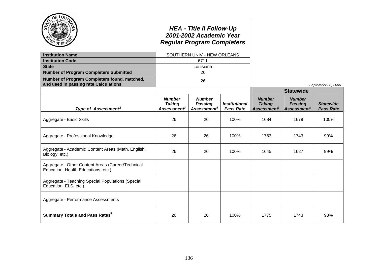|                                                                                                    |                                                                  | <b>HEA - Title II Follow-Up</b><br>2001-2002 Academic Year<br><b>Regular Program Completers</b> |                                          |                                                           |                                                            |                                      |
|----------------------------------------------------------------------------------------------------|------------------------------------------------------------------|-------------------------------------------------------------------------------------------------|------------------------------------------|-----------------------------------------------------------|------------------------------------------------------------|--------------------------------------|
| <b>Institution Name</b>                                                                            |                                                                  | SOUTHERN UNIV - NEW ORLEANS                                                                     |                                          |                                                           |                                                            |                                      |
| <b>Institution Code</b>                                                                            |                                                                  | 6711                                                                                            |                                          |                                                           |                                                            |                                      |
| <b>State</b>                                                                                       |                                                                  | Louisiana                                                                                       |                                          |                                                           |                                                            |                                      |
| <b>Number of Program Completers Submitted</b>                                                      |                                                                  | 26                                                                                              |                                          |                                                           |                                                            |                                      |
| Number of Program Completers found, matched,<br>and used in passing rate Calculations <sup>1</sup> |                                                                  | 26                                                                                              |                                          |                                                           |                                                            | September 30, 2006                   |
|                                                                                                    |                                                                  |                                                                                                 |                                          |                                                           | <b>Statewide</b>                                           |                                      |
| Type of Assessment <sup>2</sup>                                                                    | <b>Number</b><br><b>Taking</b><br><b>Assessment</b> <sup>3</sup> | <b>Number</b><br><b>Passing</b><br>Assessment <sup>4</sup>                                      | <b>Institutional</b><br><b>Pass Rate</b> | <b>Number</b><br><b>Taking</b><br>Assessment <sup>3</sup> | <b>Number</b><br><b>Passing</b><br>Assessment <sup>4</sup> | <b>Statewide</b><br><b>Pass Rate</b> |
| Aggregate - Basic Skills                                                                           | 26                                                               | 26                                                                                              | 100%                                     | 1684                                                      | 1679                                                       | 100%                                 |
| Aggregate - Professional Knowledge                                                                 | 26                                                               | 26                                                                                              | 100%                                     | 1763                                                      | 1743                                                       | 99%                                  |
| Aggregate - Academic Content Areas (Math, English,<br>Biology, etc.)                               | 26                                                               | 26                                                                                              | 100%                                     | 1645                                                      | 1627                                                       | 99%                                  |
| Aggregate - Other Content Areas (Career/Technical<br>Education, Health Educations, etc.)           |                                                                  |                                                                                                 |                                          |                                                           |                                                            |                                      |
| Aggregate - Teaching Special Populations (Special<br>Education, ELS, etc.)                         |                                                                  |                                                                                                 |                                          |                                                           |                                                            |                                      |
| Aggregate - Performance Assessments                                                                |                                                                  |                                                                                                 |                                          |                                                           |                                                            |                                      |
| <b>Summary Totals and Pass Rates<sup>5</sup></b>                                                   | 26                                                               | 26                                                                                              | 100%                                     | 1775                                                      | 1743                                                       | 98%                                  |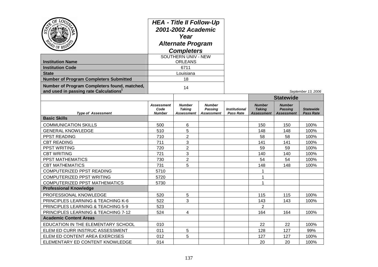| Ö٤<br>LOU<br>$v_{0F}$<br><b>Institution Name</b><br><b>Institution Code</b><br><b>State</b><br><b>Number of Program Completers Submitted</b><br>Number of Program Completers found, matched,<br>and used in passing rate Calculations <sup>1</sup> | <b>HEA - Title II Follow-Up</b><br>2001-2002 Academic<br>Year<br><b>Alternate Program</b><br><b>Completers</b><br><b>SOUTHERN UNIV - NEW</b><br><b>ORLEANS</b><br>6711<br>Louisiana<br>18<br>14 |                                                     |                                                      |                                          |                                              |                                                      | September 13, 2006                   |
|----------------------------------------------------------------------------------------------------------------------------------------------------------------------------------------------------------------------------------------------------|-------------------------------------------------------------------------------------------------------------------------------------------------------------------------------------------------|-----------------------------------------------------|------------------------------------------------------|------------------------------------------|----------------------------------------------|------------------------------------------------------|--------------------------------------|
|                                                                                                                                                                                                                                                    |                                                                                                                                                                                                 |                                                     |                                                      |                                          |                                              | <b>Statewide</b>                                     |                                      |
| <b>Type of Assessment</b>                                                                                                                                                                                                                          | <b>Assessment</b><br>Code<br><b>Number</b>                                                                                                                                                      | <b>Number</b><br><b>Taking</b><br><b>Assessment</b> | <b>Number</b><br><b>Passing</b><br><b>Assessment</b> | <b>Institutional</b><br><b>Pass Rate</b> | <b>Number</b><br><b>Taking</b><br>Assessment | <b>Number</b><br><b>Passing</b><br><b>Assessment</b> | <b>Statewide</b><br><b>Pass Rate</b> |
| <b>Basic Skills</b>                                                                                                                                                                                                                                |                                                                                                                                                                                                 |                                                     |                                                      |                                          |                                              |                                                      |                                      |
| <b>COMMUNICATION SKILLS</b>                                                                                                                                                                                                                        | 500                                                                                                                                                                                             | 6                                                   |                                                      |                                          | 150                                          | 150                                                  | 100%                                 |
| <b>GENERAL KNOWLEDGE</b>                                                                                                                                                                                                                           | 510                                                                                                                                                                                             | 5                                                   |                                                      |                                          | 148                                          | 148                                                  | 100%                                 |
| PPST READING                                                                                                                                                                                                                                       | 710                                                                                                                                                                                             | $\overline{2}$                                      |                                                      |                                          | 58                                           | 58                                                   | 100%                                 |
| <b>CBT READING</b>                                                                                                                                                                                                                                 | 711                                                                                                                                                                                             | 3                                                   |                                                      |                                          | 141                                          | 141                                                  | 100%                                 |
| PPST WRITING                                                                                                                                                                                                                                       | 720                                                                                                                                                                                             | $\overline{2}$                                      |                                                      |                                          | 59                                           | 59                                                   | 100%                                 |
| <b>CBT WRITING</b>                                                                                                                                                                                                                                 | 721                                                                                                                                                                                             | 3                                                   |                                                      |                                          | 140                                          | 140                                                  | 100%                                 |
| PPST MATHEMATICS                                                                                                                                                                                                                                   | 730                                                                                                                                                                                             | $\overline{2}$                                      |                                                      |                                          | 54                                           | 54                                                   | 100%                                 |
| <b>CBT MATHEMATICS</b>                                                                                                                                                                                                                             | 731                                                                                                                                                                                             | 5                                                   |                                                      |                                          | 148                                          | 148                                                  | 100%                                 |
| COMPUTERIZED PPST READING                                                                                                                                                                                                                          | 5710                                                                                                                                                                                            |                                                     |                                                      |                                          | 1                                            |                                                      |                                      |
| COMPUTERIZED PPST WRITING                                                                                                                                                                                                                          | 5720                                                                                                                                                                                            |                                                     |                                                      |                                          | 1                                            |                                                      |                                      |
| <b>COMPUTERIZED PPST MATHEMATICS</b>                                                                                                                                                                                                               | 5730                                                                                                                                                                                            |                                                     |                                                      |                                          | 1                                            |                                                      |                                      |
| <b>Professional Knowledge</b>                                                                                                                                                                                                                      |                                                                                                                                                                                                 |                                                     |                                                      |                                          |                                              |                                                      |                                      |
| PROFESSIONAL KNOWLEDGE                                                                                                                                                                                                                             | 520                                                                                                                                                                                             | 5                                                   |                                                      |                                          | 115                                          | 115                                                  | 100%                                 |
| PRINCIPLES LEARNING & TEACHING K-6                                                                                                                                                                                                                 | 522                                                                                                                                                                                             | 3                                                   |                                                      |                                          | 143                                          | 143                                                  | 100%                                 |
| PRINCIPLES LEARNING & TEACHING 5-9                                                                                                                                                                                                                 | 523                                                                                                                                                                                             |                                                     |                                                      |                                          | $\overline{2}$                               |                                                      |                                      |
| PRINCIPLES LEARNING & TEACHING 7-12                                                                                                                                                                                                                | 524                                                                                                                                                                                             | 4                                                   |                                                      |                                          | 164                                          | 164                                                  | 100%                                 |
| <b>Academic Content Areas</b>                                                                                                                                                                                                                      |                                                                                                                                                                                                 |                                                     |                                                      |                                          |                                              |                                                      |                                      |
| EDUCATION IN THE ELEMENTARY SCHOOL                                                                                                                                                                                                                 | 010                                                                                                                                                                                             |                                                     |                                                      |                                          | 22                                           | 22                                                   | 100%                                 |
| ELEM ED CURR INSTRUC ASSESSMENT                                                                                                                                                                                                                    | 011                                                                                                                                                                                             | 5                                                   |                                                      |                                          | 128                                          | 127                                                  | 99%                                  |
| ELEM ED CONTENT AREA EXERCISES                                                                                                                                                                                                                     | 012                                                                                                                                                                                             | 5                                                   |                                                      |                                          | 127                                          | 127                                                  | 100%                                 |
| ELEMENTARY ED CONTENT KNOWLEDGE                                                                                                                                                                                                                    | 014                                                                                                                                                                                             |                                                     |                                                      |                                          | 20                                           | 20                                                   | 100%                                 |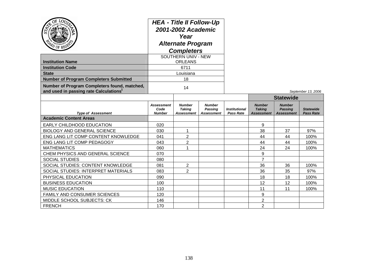| ာ                                                                                                  | <b>HEA - Title II Follow-Up</b><br>2001-2002 Academic<br>Year<br><b>Alternate Program</b><br><b>Completers</b><br>SOUTHERN UNIV - NEW |                                              |                                                      |                                                 |                                                     |                                                      |                                      |
|----------------------------------------------------------------------------------------------------|---------------------------------------------------------------------------------------------------------------------------------------|----------------------------------------------|------------------------------------------------------|-------------------------------------------------|-----------------------------------------------------|------------------------------------------------------|--------------------------------------|
| <b>Institution Name</b>                                                                            |                                                                                                                                       | <b>ORLEANS</b>                               |                                                      |                                                 |                                                     |                                                      |                                      |
| <b>Institution Code</b>                                                                            |                                                                                                                                       | 6711                                         |                                                      |                                                 |                                                     |                                                      |                                      |
| <b>State</b>                                                                                       |                                                                                                                                       | Louisiana                                    |                                                      |                                                 |                                                     |                                                      |                                      |
| <b>Number of Program Completers Submitted</b>                                                      |                                                                                                                                       | 18                                           |                                                      |                                                 |                                                     |                                                      |                                      |
| Number of Program Completers found, matched,<br>and used in passing rate Calculations <sup>1</sup> | 14                                                                                                                                    |                                              |                                                      |                                                 |                                                     | September 13, 2006                                   |                                      |
|                                                                                                    |                                                                                                                                       |                                              |                                                      |                                                 |                                                     | <b>Statewide</b>                                     |                                      |
| <b>Type of Assessment</b>                                                                          | <b>Assessment</b><br>Code<br><b>Number</b>                                                                                            | <b>Number</b><br><b>Taking</b><br>Assessment | <b>Number</b><br><b>Passing</b><br><b>Assessment</b> | <i><b>Institutional</b></i><br><b>Pass Rate</b> | <b>Number</b><br><b>Taking</b><br><b>Assessment</b> | <b>Number</b><br><b>Passing</b><br><b>Assessment</b> | <b>Statewide</b><br><b>Pass Rate</b> |
| <b>Academic Content Areas</b>                                                                      |                                                                                                                                       |                                              |                                                      |                                                 |                                                     |                                                      |                                      |
| EARLY CHILDHOOD EDUCATION                                                                          | 020                                                                                                                                   |                                              |                                                      |                                                 | 9                                                   |                                                      |                                      |
| <b>BIOLOGY AND GENERAL SCIENCE</b>                                                                 | 030                                                                                                                                   | 1                                            |                                                      |                                                 | 38                                                  | 37                                                   | 97%                                  |
| ENG LANG LIT COMP CONTENT KNOWLEDGE                                                                | 041                                                                                                                                   | $\overline{2}$                               |                                                      |                                                 | 44                                                  | 44                                                   | 100%                                 |
| ENG LANG LIT COMP PEDAGOGY                                                                         | 043                                                                                                                                   | $\overline{2}$                               |                                                      |                                                 | 44                                                  | 44                                                   | 100%                                 |
| <b>MATHEMATICS</b>                                                                                 | 060                                                                                                                                   | 1                                            |                                                      |                                                 | 24                                                  | 24                                                   | 100%                                 |
| CHEM PHYSICS AND GENERAL SCIENCE                                                                   | 070                                                                                                                                   |                                              |                                                      |                                                 | 9                                                   |                                                      |                                      |
| <b>SOCIAL STUDIES</b>                                                                              | 080                                                                                                                                   |                                              |                                                      |                                                 | $\overline{7}$                                      |                                                      |                                      |
| SOCIAL STUDIES: CONTENT KNOWLEDGE                                                                  | 081                                                                                                                                   | 2                                            |                                                      |                                                 | 36                                                  | 36                                                   | 100%                                 |
| SOCIAL STUDIES: INTERPRET MATERIALS                                                                | 083                                                                                                                                   | $\overline{2}$                               |                                                      |                                                 | 36                                                  | 35                                                   | 97%                                  |
| PHYSICAL EDUCATION                                                                                 | 090                                                                                                                                   |                                              |                                                      |                                                 | 18                                                  | 18                                                   | 100%                                 |
| <b>BUSINESS EDUCATION</b>                                                                          | 100                                                                                                                                   |                                              |                                                      |                                                 | 12                                                  | 12                                                   | 100%                                 |
| <b>MUSIC EDUCATION</b>                                                                             | 110                                                                                                                                   |                                              |                                                      |                                                 | 11                                                  | 11                                                   | 100%                                 |
| <b>FAMILY AND CONSUMER SCIENCES</b>                                                                | 120                                                                                                                                   |                                              |                                                      |                                                 | 9                                                   |                                                      |                                      |
| MIDDLE SCHOOL SUBJECTS: CK                                                                         | 146                                                                                                                                   |                                              |                                                      |                                                 | 2                                                   |                                                      |                                      |
| <b>FRENCH</b>                                                                                      | 170                                                                                                                                   |                                              |                                                      |                                                 | $\overline{2}$                                      |                                                      |                                      |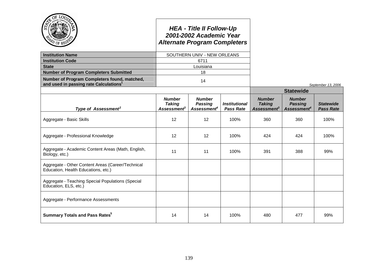|                                                                                                    |                                                                  | <b>HEA - Title II Follow-Up</b><br>2001-2002 Academic Year<br><b>Alternate Program Completers</b> |                                                 |                                                                  |                                                            |                                      |
|----------------------------------------------------------------------------------------------------|------------------------------------------------------------------|---------------------------------------------------------------------------------------------------|-------------------------------------------------|------------------------------------------------------------------|------------------------------------------------------------|--------------------------------------|
| <b>Institution Name</b>                                                                            |                                                                  | SOUTHERN UNIV - NEW ORLEANS                                                                       |                                                 |                                                                  |                                                            |                                      |
| <b>Institution Code</b>                                                                            |                                                                  | 6711                                                                                              |                                                 |                                                                  |                                                            |                                      |
| <b>State</b>                                                                                       |                                                                  | Louisiana                                                                                         |                                                 |                                                                  |                                                            |                                      |
| <b>Number of Program Completers Submitted</b>                                                      |                                                                  | 18                                                                                                |                                                 |                                                                  |                                                            |                                      |
| Number of Program Completers found, matched,<br>and used in passing rate Calculations <sup>1</sup> |                                                                  | 14                                                                                                |                                                 |                                                                  |                                                            | September 13, 2006                   |
|                                                                                                    |                                                                  |                                                                                                   |                                                 |                                                                  | <b>Statewide</b>                                           |                                      |
| Type of Assessment <sup>2</sup>                                                                    | <b>Number</b><br><b>Taking</b><br><b>Assessment</b> <sup>3</sup> | <b>Number</b><br><b>Passing</b><br>Assessment <sup>4</sup>                                        | <i><b>Institutional</b></i><br><b>Pass Rate</b> | <b>Number</b><br><b>Taking</b><br><b>Assessment</b> <sup>3</sup> | <b>Number</b><br><b>Passing</b><br>Assessment <sup>4</sup> | <b>Statewide</b><br><b>Pass Rate</b> |
| Aggregate - Basic Skills                                                                           | 12                                                               | 12                                                                                                | 100%                                            | 360                                                              | 360                                                        | 100%                                 |
| Aggregate - Professional Knowledge                                                                 | 12                                                               | 12                                                                                                | 100%                                            | 424                                                              | 424                                                        | 100%                                 |
| Aggregate - Academic Content Areas (Math, English,<br>Biology, etc.)                               | 11                                                               | 11                                                                                                | 100%                                            | 391                                                              | 388                                                        | 99%                                  |
| Aggregate - Other Content Areas (Career/Technical<br>Education, Health Educations, etc.)           |                                                                  |                                                                                                   |                                                 |                                                                  |                                                            |                                      |
| Aggregate - Teaching Special Populations (Special<br>Education, ELS, etc.)                         |                                                                  |                                                                                                   |                                                 |                                                                  |                                                            |                                      |
| Aggregate - Performance Assessments                                                                |                                                                  |                                                                                                   |                                                 |                                                                  |                                                            |                                      |
| <b>Summary Totals and Pass Rates</b> <sup>5</sup>                                                  | 14                                                               | 14                                                                                                | 100%                                            | 480                                                              | 477                                                        | 99%                                  |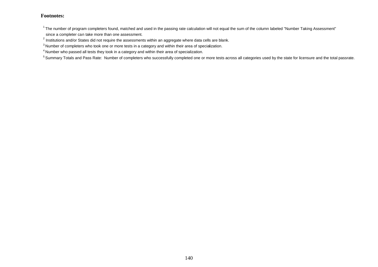$1$ The number of program completers found, matched and used in the passing rate calculation will not equal the sum of the column labeled "Number Taking Assessment"

since a completer can take more than one assessment.

 $^{2}$  Institutions and/or States did not require the assessments within an aggregate where data cells are blank.

<sup>&</sup>lt;sup>3</sup> Number of completers who took one or more tests in a category and within their area of specialization.

<sup>4</sup> Number who passed all tests they took in a category and within their area of specialization.

<sup>&</sup>lt;sup>5</sup> Summary Totals and Pass Rate: Number of completers who successfully completed one or more tests across all categories used by the state for licensure and the total passrate.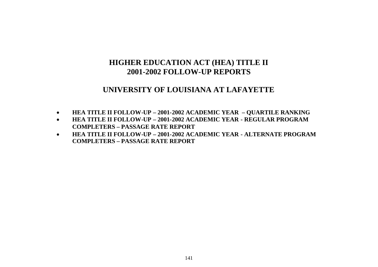# **UNIVERSITY OF LOUISIANA AT LAFAYETTE**

- **HEA TITLE II FOLLOW-UP – 2001-2002 ACADEMIC YEAR – QUARTILE RANKING**
- **HEA TITLE II FOLLOW-UP – 2001-2002 ACADEMIC YEAR - REGULAR PROGRAM COMPLETERS – PASSAGE RATE REPORT**
- **HEA TITLE II FOLLOW-UP – 2001-2002 ACADEMIC YEAR - ALTERNATE PROGRAM COMPLETERS – PASSAGE RATE REPORT**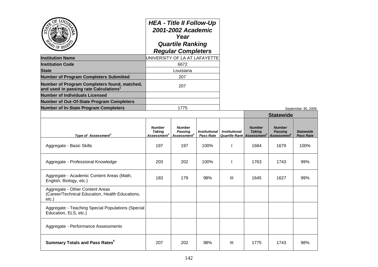| UNIVERSITY OF LA AT LAFAYETTE<br>6672<br><b>State</b><br>Louisiana<br><b>Number of Program Completers Submitted</b><br>207<br>Number of Program Completers found, matched,<br>207<br>and used in passing rate Calculations <sup>1</sup><br><b>Number of Out-Of-State Program Completers</b><br>1775 | hfiden                                       |                         | <b>HEA - Title II Follow-Up</b><br>2001-2002 Academic<br>Year<br><b>Quartile Ranking</b><br><b>Regular Completers</b> |                           |  |
|-----------------------------------------------------------------------------------------------------------------------------------------------------------------------------------------------------------------------------------------------------------------------------------------------------|----------------------------------------------|-------------------------|-----------------------------------------------------------------------------------------------------------------------|---------------------------|--|
|                                                                                                                                                                                                                                                                                                     | <b>Institution Name</b>                      |                         |                                                                                                                       |                           |  |
|                                                                                                                                                                                                                                                                                                     | <b>Institution Code</b>                      |                         |                                                                                                                       |                           |  |
|                                                                                                                                                                                                                                                                                                     |                                              |                         |                                                                                                                       |                           |  |
|                                                                                                                                                                                                                                                                                                     |                                              |                         |                                                                                                                       |                           |  |
|                                                                                                                                                                                                                                                                                                     |                                              |                         |                                                                                                                       |                           |  |
|                                                                                                                                                                                                                                                                                                     | <b>Number of Individuals Licensed</b>        |                         |                                                                                                                       |                           |  |
|                                                                                                                                                                                                                                                                                                     |                                              |                         |                                                                                                                       |                           |  |
|                                                                                                                                                                                                                                                                                                     | <b>Number of In-State Program Completers</b> |                         |                                                                                                                       |                           |  |
|                                                                                                                                                                                                                                                                                                     |                                              | <b>Number</b><br>Takinn | Number<br>Passina                                                                                                     | Institutional Institution |  |

**Number of In-State Program Completers** 1775 *September 30, 2006*

|                                                                                             |                                                           |                                                            |                                          |                      |                                                                                          | <b>Statewide</b>                |                                      |
|---------------------------------------------------------------------------------------------|-----------------------------------------------------------|------------------------------------------------------------|------------------------------------------|----------------------|------------------------------------------------------------------------------------------|---------------------------------|--------------------------------------|
| Type of Assessment <sup>2</sup>                                                             | <b>Number</b><br><b>Taking</b><br>Assessment <sup>3</sup> | <b>Number</b><br><b>Passing</b><br>Assessment <sup>4</sup> | <b>Institutional</b><br><b>Pass Rate</b> | <b>Institutional</b> | <b>Number</b><br><b>Taking</b><br><b>Quartile Rank Assessment<sup>3</sup> Assessment</b> | <b>Number</b><br><b>Passing</b> | <b>Statewide</b><br><b>Pass Rate</b> |
| Aggregate - Basic Skills                                                                    | 197                                                       | 197                                                        | 100%                                     |                      | 1684                                                                                     | 1679                            | 100%                                 |
| Aggregate - Professional Knowledge                                                          | 203                                                       | 202                                                        | 100%                                     |                      | 1763                                                                                     | 1743                            | 99%                                  |
| Aggregate - Academic Content Areas (Math,<br>English, Biology, etc.)                        | 183                                                       | 179                                                        | 98%                                      | III                  | 1645                                                                                     | 1627                            | 99%                                  |
| Aggregate - Other Content Areas<br>(Career/Technical Education, Health Educations,<br>etc.) |                                                           |                                                            |                                          |                      |                                                                                          |                                 |                                      |
| Aggregate - Teaching Special Populations (Special<br>Education, ELS, etc.)                  |                                                           |                                                            |                                          |                      |                                                                                          |                                 |                                      |
| Aggregate - Performance Assessments                                                         |                                                           |                                                            |                                          |                      |                                                                                          |                                 |                                      |
| <b>Summary Totals and Pass Rates</b> <sup>5</sup>                                           | 207                                                       | 202                                                        | 98%                                      | III                  | 1775                                                                                     | 1743                            | 98%                                  |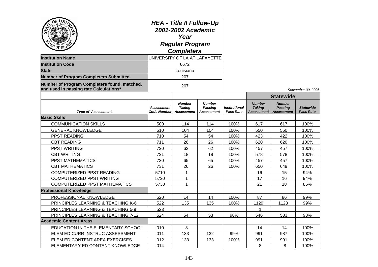| Ö٤<br>LOU<br><b>Institution Name</b><br><b>Institution Code</b><br><b>State</b><br><b>Number of Program Completers Submitted</b><br>Number of Program Completers found, matched,<br>and used in passing rate Calculations <sup>1</sup> |                                         | <b>HEA - Title II Follow-Up</b><br>2001-2002 Academic<br>Year<br><b>Regular Program</b><br><b>Completers</b><br>UNIVERSITY OF LA AT LAFAYETTE<br>6672<br>Louisiana<br>207<br>207 |                                                      |                                          |                                                     |                                                      | September 30, 2006                   |
|----------------------------------------------------------------------------------------------------------------------------------------------------------------------------------------------------------------------------------------|-----------------------------------------|----------------------------------------------------------------------------------------------------------------------------------------------------------------------------------|------------------------------------------------------|------------------------------------------|-----------------------------------------------------|------------------------------------------------------|--------------------------------------|
|                                                                                                                                                                                                                                        |                                         |                                                                                                                                                                                  |                                                      |                                          |                                                     | <b>Statewide</b>                                     |                                      |
| <b>Type of Assessment</b>                                                                                                                                                                                                              | <b>Assessment</b><br><b>Code Number</b> | <b>Number</b><br><b>Taking</b><br><b>Assessment</b>                                                                                                                              | <b>Number</b><br><b>Passing</b><br><b>Assessment</b> | <b>Institutional</b><br><b>Pass Rate</b> | <b>Number</b><br><b>Taking</b><br><b>Assessment</b> | <b>Number</b><br><b>Passing</b><br><b>Assessment</b> | <b>Statewide</b><br><b>Pass Rate</b> |
| <b>Basic Skills</b>                                                                                                                                                                                                                    |                                         |                                                                                                                                                                                  |                                                      |                                          |                                                     |                                                      |                                      |
| <b>COMMUNICATION SKILLS</b>                                                                                                                                                                                                            | 500                                     | 114                                                                                                                                                                              | 114                                                  | 100%                                     | 617                                                 | 617                                                  | 100%                                 |
| <b>GENERAL KNOWLEDGE</b>                                                                                                                                                                                                               | 510                                     | 104                                                                                                                                                                              | 104                                                  | 100%                                     | 550                                                 | 550                                                  | 100%                                 |
| <b>PPST READING</b>                                                                                                                                                                                                                    | 710                                     | 54                                                                                                                                                                               | 54                                                   | 100%                                     | 423                                                 | 422                                                  | 100%                                 |
| <b>CBT READING</b>                                                                                                                                                                                                                     | 711                                     | 26                                                                                                                                                                               | 26                                                   | 100%                                     | 620                                                 | 620                                                  | 100%                                 |
| PPST WRITING                                                                                                                                                                                                                           | 720                                     | 62                                                                                                                                                                               | 62                                                   | 100%                                     | 457                                                 | 457                                                  | 100%                                 |
| <b>CBT WRITING</b>                                                                                                                                                                                                                     | 721                                     | 18                                                                                                                                                                               | 18                                                   | 100%                                     | 578                                                 | 578                                                  | 100%                                 |
| PPST MATHEMATICS                                                                                                                                                                                                                       | 730                                     | 65                                                                                                                                                                               | 65                                                   | 100%                                     | 457                                                 | 457                                                  | 100%                                 |
| <b>CBT MATHEMATICS</b>                                                                                                                                                                                                                 | 731                                     | 26                                                                                                                                                                               | 26                                                   | 100%                                     | 650                                                 | 649                                                  | 100%                                 |
| COMPUTERIZED PPST READING                                                                                                                                                                                                              | 5710                                    | $\mathbf{1}$                                                                                                                                                                     |                                                      |                                          | 16                                                  | 15                                                   | 94%                                  |
| COMPUTERIZED PPST WRITING                                                                                                                                                                                                              | 5720                                    | $\mathbf{1}$                                                                                                                                                                     |                                                      |                                          | 17                                                  | 16                                                   | 94%                                  |
| <b>COMPUTERIZED PPST MATHEMATICS</b>                                                                                                                                                                                                   | 5730                                    | $\mathbf{1}$                                                                                                                                                                     |                                                      |                                          | 21                                                  | 18                                                   | 86%                                  |
| <b>Professional Knowledge</b>                                                                                                                                                                                                          |                                         |                                                                                                                                                                                  |                                                      |                                          |                                                     |                                                      |                                      |
| PROFESSIONAL KNOWLEDGE                                                                                                                                                                                                                 | 520                                     | 14                                                                                                                                                                               | 14                                                   | 100%                                     | 87                                                  | 86                                                   | 99%                                  |
| <b>PRINCIPLES LEARNING &amp; TEACHING K-6</b>                                                                                                                                                                                          | 522                                     | 135                                                                                                                                                                              | 135                                                  | 100%                                     | 1129                                                | 1123                                                 | 99%                                  |
| PRINCIPLES LEARNING & TEACHING 5-9                                                                                                                                                                                                     | 523                                     |                                                                                                                                                                                  |                                                      |                                          | 1                                                   |                                                      |                                      |
| PRINCIPLES LEARNING & TEACHING 7-12                                                                                                                                                                                                    | 524                                     | 54                                                                                                                                                                               | 53                                                   | 98%                                      | 546                                                 | 533                                                  | 98%                                  |
| <b>Academic Content Areas</b>                                                                                                                                                                                                          |                                         |                                                                                                                                                                                  |                                                      |                                          |                                                     |                                                      |                                      |
| EDUCATION IN THE ELEMENTARY SCHOOL                                                                                                                                                                                                     | 010                                     | 3                                                                                                                                                                                |                                                      |                                          | 14                                                  | 14                                                   | 100%                                 |
| ELEM ED CURR INSTRUC ASSESSMENT                                                                                                                                                                                                        | 011                                     | 133                                                                                                                                                                              | 132                                                  | 99%                                      | 991                                                 | 987                                                  | 100%                                 |
| ELEM ED CONTENT AREA EXERCISES                                                                                                                                                                                                         | 012                                     | 133                                                                                                                                                                              | 133                                                  | 100%                                     | 991                                                 | 991                                                  | 100%                                 |
| ELEMENTARY ED CONTENT KNOWLEDGE                                                                                                                                                                                                        | 014                                     |                                                                                                                                                                                  |                                                      |                                          | 8                                                   | 8                                                    | 100%                                 |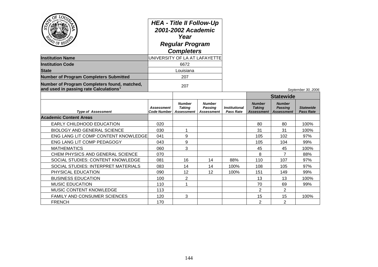| OF LO <sub>L</sub><br><b>PD OF REGES</b>                                                           | <b>HEA - Title II Follow-Up</b><br>2001-2002 Academic<br>Year<br><b>Regular Program</b><br><b>Completers</b> |                                              |                                               |                                          |                                              |                                                      |                                      |
|----------------------------------------------------------------------------------------------------|--------------------------------------------------------------------------------------------------------------|----------------------------------------------|-----------------------------------------------|------------------------------------------|----------------------------------------------|------------------------------------------------------|--------------------------------------|
| <b>Institution Name</b>                                                                            |                                                                                                              | UNIVERSITY OF LA AT LAFAYETTE                |                                               |                                          |                                              |                                                      |                                      |
| <b>Institution Code</b>                                                                            |                                                                                                              | 6672                                         |                                               |                                          |                                              |                                                      |                                      |
| <b>State</b>                                                                                       |                                                                                                              | Louisiana                                    |                                               |                                          |                                              |                                                      |                                      |
| <b>Number of Program Completers Submitted</b>                                                      |                                                                                                              | 207                                          |                                               |                                          |                                              |                                                      |                                      |
| Number of Program Completers found, matched,<br>and used in passing rate Calculations <sup>1</sup> |                                                                                                              | 207                                          |                                               |                                          |                                              |                                                      | September 30, 2006                   |
|                                                                                                    |                                                                                                              |                                              |                                               |                                          | <b>Statewide</b>                             |                                                      |                                      |
| <b>Type of Assessment</b>                                                                          | <b>Assessment</b><br>Code Number                                                                             | <b>Number</b><br><b>Taking</b><br>Assessment | <b>Number</b><br><b>Passing</b><br>Assessment | <b>Institutional</b><br><b>Pass Rate</b> | <b>Number</b><br><b>Taking</b><br>Assessment | <b>Number</b><br><b>Passing</b><br><b>Assessment</b> | <b>Statewide</b><br><b>Pass Rate</b> |
| <b>Academic Content Areas</b>                                                                      |                                                                                                              |                                              |                                               |                                          |                                              |                                                      |                                      |
| <b>EARLY CHILDHOOD EDUCATION</b>                                                                   | 020                                                                                                          |                                              |                                               |                                          | 80                                           | 80                                                   | 100%                                 |
| <b>BIOLOGY AND GENERAL SCIENCE</b>                                                                 | 030                                                                                                          | 1                                            |                                               |                                          | 31                                           | 31                                                   | 100%                                 |
| ENG LANG LIT COMP CONTENT KNOWLEDGE                                                                | 041                                                                                                          | 9                                            |                                               |                                          | 105                                          | 102                                                  | 97%                                  |
| ENG LANG LIT COMP PEDAGOGY                                                                         | 043                                                                                                          | 9                                            |                                               |                                          | 105                                          | 104                                                  | 99%                                  |
| <b>MATHEMATICS</b>                                                                                 | 060                                                                                                          | 3                                            |                                               |                                          | 45                                           | 45                                                   | 100%                                 |
| CHEM PHYSICS AND GENERAL SCIENCE                                                                   | 070                                                                                                          |                                              |                                               |                                          | 8                                            | $\overline{7}$                                       | 88%                                  |
| SOCIAL STUDIES: CONTENT KNOWLEDGE                                                                  | 081                                                                                                          | 16                                           | 14                                            | 88%                                      | 110                                          | 107                                                  | 97%                                  |
| SOCIAL STUDIES: INTERPRET MATERIALS                                                                | 083                                                                                                          | 14                                           | 14                                            | 100%                                     | 108                                          | 105                                                  | 97%                                  |
| PHYSICAL EDUCATION                                                                                 | 090                                                                                                          | 12                                           | 12                                            | 100%                                     | 151                                          | 149                                                  | 99%                                  |
| <b>BUSINESS EDUCATION</b>                                                                          | 100                                                                                                          | $\overline{2}$                               |                                               |                                          | 13                                           | 13                                                   | 100%                                 |
| <b>MUSIC EDUCATION</b>                                                                             | 110                                                                                                          | 1                                            |                                               |                                          | 70                                           | 69                                                   | 99%                                  |
| MUSIC CONTENT KNOWLEDGE                                                                            | 113                                                                                                          |                                              |                                               |                                          | 2                                            | $\overline{2}$                                       |                                      |
| <b>FAMILY AND CONSUMER SCIENCES</b>                                                                | 120                                                                                                          | 3                                            |                                               |                                          | 15                                           | 15                                                   | 100%                                 |
| <b>FRENCH</b>                                                                                      | 170                                                                                                          |                                              |                                               |                                          | $\overline{2}$                               | $\overline{2}$                                       |                                      |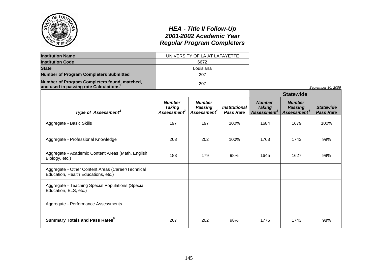|                                                                                                    |                                                           | <b>HEA - Title II Follow-Up</b><br>2001-2002 Academic Year<br><b>Regular Program Completers</b> |                                                 |                                                           |                                                            |                                      |
|----------------------------------------------------------------------------------------------------|-----------------------------------------------------------|-------------------------------------------------------------------------------------------------|-------------------------------------------------|-----------------------------------------------------------|------------------------------------------------------------|--------------------------------------|
| <b>Institution Name</b>                                                                            |                                                           | UNIVERSITY OF LA AT LAFAYETTE                                                                   |                                                 |                                                           |                                                            |                                      |
| <b>Institution Code</b>                                                                            |                                                           | 6672                                                                                            |                                                 |                                                           |                                                            |                                      |
| <b>State</b>                                                                                       |                                                           | Louisiana                                                                                       |                                                 |                                                           |                                                            |                                      |
| <b>Number of Program Completers Submitted</b>                                                      |                                                           | 207                                                                                             |                                                 |                                                           |                                                            |                                      |
| Number of Program Completers found, matched,<br>and used in passing rate Calculations <sup>1</sup> |                                                           | 207                                                                                             |                                                 |                                                           |                                                            | September 30, 2006                   |
|                                                                                                    |                                                           |                                                                                                 |                                                 |                                                           | <b>Statewide</b>                                           |                                      |
| Type of Assessment <sup>2</sup>                                                                    | <b>Number</b><br><b>Taking</b><br>Assessment <sup>3</sup> | <b>Number</b><br><b>Passing</b><br>Assessment <sup>4</sup>                                      | <i><b>Institutional</b></i><br><b>Pass Rate</b> | <b>Number</b><br><b>Taking</b><br>Assessment <sup>3</sup> | <b>Number</b><br><b>Passing</b><br>Assessment <sup>4</sup> | <b>Statewide</b><br><b>Pass Rate</b> |
| Aggregate - Basic Skills                                                                           | 197                                                       | 197                                                                                             | 100%                                            | 1684                                                      | 1679                                                       | 100%                                 |
| Aggregate - Professional Knowledge                                                                 | 203                                                       | 202                                                                                             | 100%                                            | 1763                                                      | 1743                                                       | 99%                                  |
| Aggregate - Academic Content Areas (Math, English,<br>Biology, etc.)                               | 183                                                       | 179                                                                                             | 98%                                             | 1645                                                      | 1627                                                       | 99%                                  |
| Aggregate - Other Content Areas (Career/Technical<br>Education, Health Educations, etc.)           |                                                           |                                                                                                 |                                                 |                                                           |                                                            |                                      |
| Aggregate - Teaching Special Populations (Special<br>Education, ELS, etc.)                         |                                                           |                                                                                                 |                                                 |                                                           |                                                            |                                      |
| Aggregate - Performance Assessments                                                                |                                                           |                                                                                                 |                                                 |                                                           |                                                            |                                      |
| <b>Summary Totals and Pass Rates</b> <sup>5</sup>                                                  | 207                                                       | 202                                                                                             | 98%                                             | 1775                                                      | 1743                                                       | 98%                                  |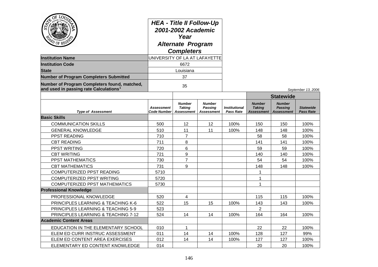| $\overline{O}$<br>LOUT<br>PD OF REGS                                                               | <b>HEA - Title II Follow-Up</b><br>2001-2002 Academic<br>Year<br><b>Alternate Program</b><br><b>Completers</b><br>UNIVERSITY OF LA AT LAFAYETTE |                                              |                                 |                                   |                                              |                                                      |                               |
|----------------------------------------------------------------------------------------------------|-------------------------------------------------------------------------------------------------------------------------------------------------|----------------------------------------------|---------------------------------|-----------------------------------|----------------------------------------------|------------------------------------------------------|-------------------------------|
| <b>Institution Name</b>                                                                            |                                                                                                                                                 |                                              |                                 |                                   |                                              |                                                      |                               |
| <b>Institution Code</b><br><b>State</b>                                                            |                                                                                                                                                 | 6672                                         |                                 |                                   |                                              |                                                      |                               |
|                                                                                                    |                                                                                                                                                 | Louisiana                                    |                                 |                                   |                                              |                                                      |                               |
| <b>Number of Program Completers Submitted</b>                                                      |                                                                                                                                                 | 37                                           |                                 |                                   |                                              |                                                      |                               |
| Number of Program Completers found, matched,<br>and used in passing rate Calculations <sup>1</sup> |                                                                                                                                                 | 35                                           |                                 |                                   |                                              |                                                      | September 13, 2006            |
|                                                                                                    |                                                                                                                                                 |                                              |                                 |                                   |                                              | <b>Statewide</b>                                     |                               |
| <b>Type of Assessment</b>                                                                          | <b>Assessment</b><br><b>Code Number</b>                                                                                                         | <b>Number</b><br><b>Taking</b><br>Assessment | Number<br>Passing<br>Assessment | Institutional<br><b>Pass Rate</b> | <b>Number</b><br><b>Taking</b><br>Assessment | <b>Number</b><br><b>Passing</b><br><b>Assessment</b> | <b>Statewide</b><br>Pass Rate |
| <b>Basic Skills</b>                                                                                |                                                                                                                                                 |                                              |                                 |                                   |                                              |                                                      |                               |
| <b>COMMUNICATION SKILLS</b>                                                                        | 500                                                                                                                                             | 12                                           | 12                              | 100%                              | 150                                          | 150                                                  | 100%                          |
| <b>GENERAL KNOWLEDGE</b>                                                                           | 510                                                                                                                                             | 11                                           | 11                              | 100%                              | 148                                          | 148                                                  | 100%                          |
| <b>PPST READING</b>                                                                                | 710                                                                                                                                             | 7                                            |                                 |                                   | 58                                           | 58                                                   | 100%                          |
| <b>CBT READING</b>                                                                                 | 711                                                                                                                                             | 8                                            |                                 |                                   | 141                                          | 141                                                  | 100%                          |
| <b>PPST WRITING</b>                                                                                | 720                                                                                                                                             | 6                                            |                                 |                                   | 59                                           | 59                                                   | 100%                          |
| <b>CBT WRITING</b>                                                                                 | 721                                                                                                                                             | 9                                            |                                 |                                   | 140                                          | 140                                                  | 100%                          |
| PPST MATHEMATICS                                                                                   | 730                                                                                                                                             | 7                                            |                                 |                                   | 54                                           | 54                                                   | 100%                          |
| <b>CBT MATHEMATICS</b>                                                                             | 731                                                                                                                                             | 9                                            |                                 |                                   | 148                                          | 148                                                  | 100%                          |
| COMPUTERIZED PPST READING                                                                          | 5710                                                                                                                                            |                                              |                                 |                                   | 1                                            |                                                      |                               |
| COMPUTERIZED PPST WRITING                                                                          | 5720                                                                                                                                            |                                              |                                 |                                   |                                              |                                                      |                               |
| COMPUTERIZED PPST MATHEMATICS                                                                      | 5730                                                                                                                                            |                                              |                                 |                                   |                                              |                                                      |                               |
| <b>Professional Knowledge</b>                                                                      |                                                                                                                                                 |                                              |                                 |                                   |                                              |                                                      |                               |
| PROFESSIONAL KNOWLEDGE                                                                             | 520                                                                                                                                             | 4                                            |                                 |                                   | 115                                          | 115                                                  | 100%                          |
| <b>PRINCIPLES LEARNING &amp; TEACHING K-6</b>                                                      | 522                                                                                                                                             | 15                                           | 15                              | 100%                              | 143                                          | 143                                                  | 100%                          |
| PRINCIPLES LEARNING & TEACHING 5-9                                                                 | 523                                                                                                                                             |                                              |                                 |                                   | 2                                            |                                                      |                               |
| PRINCIPLES LEARNING & TEACHING 7-12                                                                | 524                                                                                                                                             | 14                                           | 14                              | 100%                              | 164                                          | 164                                                  | 100%                          |
| <b>Academic Content Areas</b>                                                                      |                                                                                                                                                 |                                              |                                 |                                   |                                              |                                                      |                               |
| EDUCATION IN THE ELEMENTARY SCHOOL                                                                 | 010                                                                                                                                             | $\mathbf 1$                                  |                                 |                                   | 22                                           | 22                                                   | 100%                          |
| ELEM ED CURR INSTRUC ASSESSMENT                                                                    | 011                                                                                                                                             | 14                                           | 14                              | 100%                              | 128                                          | 127                                                  | 99%                           |
| ELEM ED CONTENT AREA EXERCISES                                                                     | 012                                                                                                                                             | 14                                           | 14                              | 100%                              | 127                                          | 127                                                  | 100%                          |
| ELEMENTARY ED CONTENT KNOWLEDGE                                                                    | 014                                                                                                                                             |                                              |                                 |                                   | 20                                           | 20                                                   | 100%                          |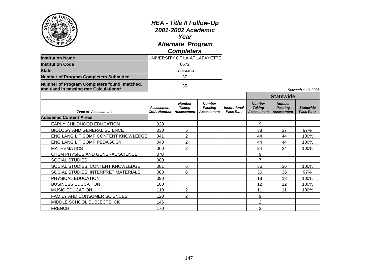| OF LOUT<br>AD OF REGE<br><b>Institution Name</b>                                                   | <b>HEA - Title II Follow-Up</b><br>2001-2002 Academic<br>Year<br><b>Alternate Program</b><br><b>Completers</b><br>UNIVERSITY OF LA AT LAFAYETTE |                                                     |                                               |                                          |                                              |                                                      |                                      |
|----------------------------------------------------------------------------------------------------|-------------------------------------------------------------------------------------------------------------------------------------------------|-----------------------------------------------------|-----------------------------------------------|------------------------------------------|----------------------------------------------|------------------------------------------------------|--------------------------------------|
| <b>Institution Code</b>                                                                            |                                                                                                                                                 | 6672                                                |                                               |                                          |                                              |                                                      |                                      |
| <b>State</b>                                                                                       |                                                                                                                                                 | Louisiana                                           |                                               |                                          |                                              |                                                      |                                      |
| <b>Number of Program Completers Submitted</b>                                                      |                                                                                                                                                 | 37                                                  |                                               |                                          |                                              |                                                      |                                      |
| Number of Program Completers found, matched,<br>and used in passing rate Calculations <sup>1</sup> | 35                                                                                                                                              |                                                     |                                               |                                          |                                              |                                                      | September 13, 2006                   |
|                                                                                                    |                                                                                                                                                 |                                                     |                                               |                                          |                                              | <b>Statewide</b>                                     |                                      |
| <b>Type of Assessment</b>                                                                          | <b>Assessment</b><br><b>Code Number</b>                                                                                                         | <b>Number</b><br><b>Taking</b><br><b>Assessment</b> | <b>Number</b><br>Passing<br><b>Assessment</b> | <b>Institutional</b><br><b>Pass Rate</b> | <b>Number</b><br><b>Taking</b><br>Assessment | <b>Number</b><br><b>Passing</b><br><b>Assessment</b> | <b>Statewide</b><br><b>Pass Rate</b> |
| <b>Academic Content Areas</b>                                                                      |                                                                                                                                                 |                                                     |                                               |                                          |                                              |                                                      |                                      |
| EARLY CHILDHOOD EDUCATION                                                                          | 020                                                                                                                                             |                                                     |                                               |                                          | 9                                            |                                                      |                                      |
| <b>BIOLOGY AND GENERAL SCIENCE</b>                                                                 | 030                                                                                                                                             | 5                                                   |                                               |                                          | 38                                           | 37                                                   | 97%                                  |
| ENG LANG LIT COMP CONTENT KNOWLEDGE                                                                | 041                                                                                                                                             | 2                                                   |                                               |                                          | 44                                           | 44                                                   | 100%                                 |
| ENG LANG LIT COMP PEDAGOGY                                                                         | 043                                                                                                                                             | $\overline{2}$                                      |                                               |                                          | 44                                           | 44                                                   | 100%                                 |
| <b>MATHEMATICS</b>                                                                                 | 060                                                                                                                                             | $\overline{2}$                                      |                                               |                                          | 24                                           | 24                                                   | 100%                                 |
| CHEM PHYSICS AND GENERAL SCIENCE                                                                   | 070                                                                                                                                             |                                                     |                                               |                                          | 9                                            |                                                      |                                      |
| <b>SOCIAL STUDIES</b>                                                                              | 080                                                                                                                                             |                                                     |                                               |                                          | $\overline{7}$                               |                                                      |                                      |
| SOCIAL STUDIES: CONTENT KNOWLEDGE                                                                  | 081                                                                                                                                             | 6                                                   |                                               |                                          | 36                                           | 36                                                   | 100%                                 |
| SOCIAL STUDIES: INTERPRET MATERIALS                                                                | 083                                                                                                                                             | 6                                                   |                                               |                                          | 36                                           | 35                                                   | 97%                                  |
| PHYSICAL EDUCATION                                                                                 | 090                                                                                                                                             |                                                     |                                               |                                          | 18                                           | 18                                                   | 100%                                 |
| <b>BUSINESS EDUCATION</b>                                                                          | 100                                                                                                                                             |                                                     |                                               |                                          | 12                                           | 12                                                   | 100%                                 |
| <b>MUSIC EDUCATION</b>                                                                             | 110                                                                                                                                             | 2                                                   |                                               |                                          | 11                                           | 11                                                   | 100%                                 |
| FAMILY AND CONSUMER SCIENCES                                                                       | 120                                                                                                                                             | $\overline{2}$                                      |                                               |                                          | 9                                            |                                                      |                                      |
| MIDDLE SCHOOL SUBJECTS: CK                                                                         | 146                                                                                                                                             |                                                     |                                               |                                          | $\overline{2}$                               |                                                      |                                      |
| <b>FRENCH</b>                                                                                      | 170                                                                                                                                             |                                                     |                                               |                                          | $\overline{c}$                               |                                                      |                                      |

سا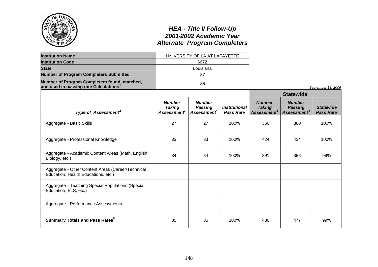|                                                                                                    | <b>Alternate Program Completers</b>                       | <b>HEA - Title II Follow-Up</b><br>2001-2002 Academic Year |                                                 |                                                           |                                                            |                                      |
|----------------------------------------------------------------------------------------------------|-----------------------------------------------------------|------------------------------------------------------------|-------------------------------------------------|-----------------------------------------------------------|------------------------------------------------------------|--------------------------------------|
| <b>Institution Name</b>                                                                            |                                                           | UNIVERSITY OF LA AT LAFAYETTE                              |                                                 |                                                           |                                                            |                                      |
| <b>Institution Code</b>                                                                            |                                                           | 6672                                                       |                                                 |                                                           |                                                            |                                      |
| <b>State</b>                                                                                       |                                                           | Louisiana                                                  |                                                 |                                                           |                                                            |                                      |
| <b>Number of Program Completers Submitted</b>                                                      |                                                           | 37                                                         |                                                 |                                                           |                                                            |                                      |
| Number of Program Completers found, matched,<br>and used in passing rate Calculations <sup>1</sup> |                                                           | 35                                                         |                                                 |                                                           |                                                            | September 13, 2006                   |
|                                                                                                    |                                                           |                                                            |                                                 |                                                           | <b>Statewide</b>                                           |                                      |
| Type of Assessment <sup>2</sup>                                                                    | <b>Number</b><br><b>Taking</b><br>Assessment <sup>3</sup> | <b>Number</b><br><b>Passing</b><br>Assessment <sup>4</sup> | <i><b>Institutional</b></i><br><b>Pass Rate</b> | <b>Number</b><br><b>Taking</b><br>Assessment <sup>3</sup> | <b>Number</b><br><b>Passing</b><br>Assessment <sup>4</sup> | <b>Statewide</b><br><b>Pass Rate</b> |
| Aggregate - Basic Skills                                                                           | 27                                                        | 27                                                         | 100%                                            | 360                                                       | 360                                                        | 100%                                 |
| Aggregate - Professional Knowledge                                                                 | 33                                                        | 33                                                         | 100%                                            | 424                                                       | 424                                                        | 100%                                 |
| Aggregate - Academic Content Areas (Math, English,<br>Biology, etc.)                               | 34                                                        | 34                                                         | 100%                                            | 391                                                       | 388                                                        | 99%                                  |
| Aggregate - Other Content Areas (Career/Technical<br>Education, Health Educations, etc.)           |                                                           |                                                            |                                                 |                                                           |                                                            |                                      |
| Aggregate - Teaching Special Populations (Special<br>Education, ELS, etc.)                         |                                                           |                                                            |                                                 |                                                           |                                                            |                                      |
| Aggregate - Performance Assessments                                                                |                                                           |                                                            |                                                 |                                                           |                                                            |                                      |
| <b>Summary Totals and Pass Rates</b> <sup>5</sup>                                                  | 35                                                        | 35                                                         | 100%                                            | 480                                                       | 477                                                        | 99%                                  |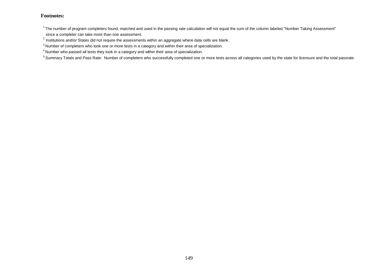$1$ The number of program completers found, matched and used in the passing rate calculation will not equal the sum of the column labeled "Number Taking Assessment" since a completer can take more than one assessment.

 $^{2}$  Institutions and/or States did not require the assessments within an aggregate where data cells are blank.

<sup>&</sup>lt;sup>3</sup> Number of completers who took one or more tests in a category and within their area of specialization.

<sup>4</sup> Number who passed all tests they took in a category and within their area of specialization.

<sup>&</sup>lt;sup>5</sup> Summary Totals and Pass Rate: Number of completers who successfully completed one or more tests across all categories used by the state for licensure and the total passrate.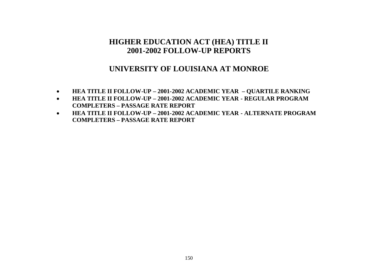# **HIGHER EDUCATION ACT (HEA) TITLE II 2001-2002 FOLLOW-UP REPORTS**

### **UNIVERSITY OF LOUISIANA AT MONROE**

- **HEA TITLE II FOLLOW-UP – 2001-2002 ACADEMIC YEAR – QUARTILE RANKING**
- **HEA TITLE II FOLLOW-UP – 2001-2002 ACADEMIC YEAR - REGULAR PROGRAM COMPLETERS – PASSAGE RATE REPORT**
- **HEA TITLE II FOLLOW-UP – 2001-2002 ACADEMIC YEAR - ALTERNATE PROGRAM COMPLETERS – PASSAGE RATE REPORT**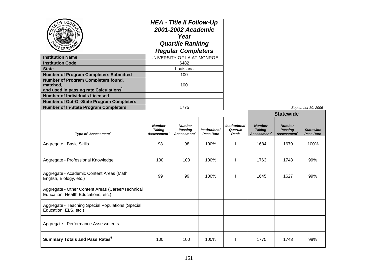| <b>Institution Name</b><br><b>Institution Code</b><br><b>State</b><br><b>Number of Program Completers Submitted</b><br>Number of Program Completers found,<br>matched,<br>and used in passing rate Calculations <sup>1</sup><br><b>Number of Individuals Licensed</b> | <b>HEA - Title II Follow-Up</b><br>2001-2002 Academic<br>Year<br><b>Quartile Ranking</b><br><b>Regular Completers</b><br>UNIVERSITY OF LA AT MONROE<br>6482<br>Louisiana<br>100<br>100 |                                                            |                                   |                                          |                                                         |                                                            |                                      |
|-----------------------------------------------------------------------------------------------------------------------------------------------------------------------------------------------------------------------------------------------------------------------|----------------------------------------------------------------------------------------------------------------------------------------------------------------------------------------|------------------------------------------------------------|-----------------------------------|------------------------------------------|---------------------------------------------------------|------------------------------------------------------------|--------------------------------------|
| <b>Number of Out-Of-State Program Completers</b>                                                                                                                                                                                                                      |                                                                                                                                                                                        |                                                            |                                   |                                          |                                                         |                                                            |                                      |
| <b>Number of In-State Program Completers</b>                                                                                                                                                                                                                          |                                                                                                                                                                                        | 1775                                                       |                                   |                                          |                                                         |                                                            | September 30, 2006                   |
|                                                                                                                                                                                                                                                                       |                                                                                                                                                                                        |                                                            |                                   |                                          |                                                         | <b>Statewide</b>                                           |                                      |
| Type of Assessment <sup>2</sup>                                                                                                                                                                                                                                       | <b>Number</b><br><b>Taking</b><br><b>Assessment</b>                                                                                                                                    | <b>Number</b><br><b>Passing</b><br>Assessment <sup>4</sup> | <b>Institutional</b><br>Pass Rate | <b>Institutional</b><br>Quartile<br>Rank | <b>Number</b><br><b>Taking</b><br>Assessment $^{\rm 3}$ | <b>Number</b><br><b>Passing</b><br>Assessment <sup>4</sup> | <b>Statewide</b><br><b>Pass Rate</b> |
| Aggregate - Basic Skills                                                                                                                                                                                                                                              | 98                                                                                                                                                                                     | 98                                                         | 100%                              | H                                        | 1684                                                    | 1679                                                       | 100%                                 |
| Aggregate - Professional Knowledge                                                                                                                                                                                                                                    | 100                                                                                                                                                                                    | 100                                                        | 100%                              | I.                                       | 1763                                                    | 1743                                                       | 99%                                  |
| Aggregate - Academic Content Areas (Math,<br>English, Biology, etc.)                                                                                                                                                                                                  | 99                                                                                                                                                                                     | 99                                                         | 100%                              | ı                                        | 1645                                                    | 1627                                                       | 99%                                  |
| Aggregate - Other Content Areas (Career/Technical<br>Education, Health Educations, etc.)                                                                                                                                                                              |                                                                                                                                                                                        |                                                            |                                   |                                          |                                                         |                                                            |                                      |
| Aggregate - Teaching Special Populations (Special<br>Education, ELS, etc.)                                                                                                                                                                                            |                                                                                                                                                                                        |                                                            |                                   |                                          |                                                         |                                                            |                                      |
| Aggregate - Performance Assessments                                                                                                                                                                                                                                   |                                                                                                                                                                                        |                                                            |                                   |                                          |                                                         |                                                            |                                      |
| <b>Summary Totals and Pass Rates</b> <sup>5</sup>                                                                                                                                                                                                                     | 100                                                                                                                                                                                    | 100                                                        | 100%                              | J.                                       | 1775                                                    | 1743                                                       | 98%                                  |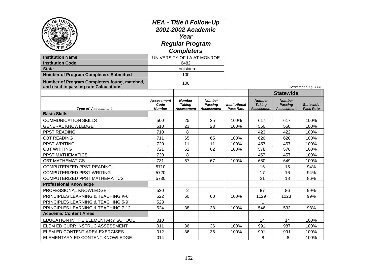| $Q_E$<br>LOU<br><b>Institution Name</b><br><b>Institution Code</b><br><b>State</b><br><b>Number of Program Completers Submitted</b><br>Number of Program Completers found, matched,<br>and used in passing rate Calculations | <b>HEA - Title II Follow-Up</b><br>2001-2002 Academic<br>Year<br><b>Regular Program</b><br><b>Completers</b><br>UNIVERSITY OF LA AT MONROE<br>6482<br>Louisiana<br>100<br>100 |                                                     |                                                      |                                          |                                                     |                                                      | September 30, 2006                   |
|------------------------------------------------------------------------------------------------------------------------------------------------------------------------------------------------------------------------------|-------------------------------------------------------------------------------------------------------------------------------------------------------------------------------|-----------------------------------------------------|------------------------------------------------------|------------------------------------------|-----------------------------------------------------|------------------------------------------------------|--------------------------------------|
|                                                                                                                                                                                                                              |                                                                                                                                                                               |                                                     |                                                      |                                          |                                                     | <b>Statewide</b>                                     |                                      |
| <b>Type of Assessment</b>                                                                                                                                                                                                    | <b>Assessment</b><br>Code<br><b>Number</b>                                                                                                                                    | <b>Number</b><br><b>Taking</b><br><b>Assessment</b> | <b>Number</b><br><b>Passing</b><br><b>Assessment</b> | <b>Institutional</b><br><b>Pass Rate</b> | <b>Number</b><br><b>Taking</b><br><b>Assessment</b> | <b>Number</b><br><b>Passing</b><br><b>Assessment</b> | <b>Statewide</b><br><b>Pass Rate</b> |
| <b>Basic Skills</b>                                                                                                                                                                                                          |                                                                                                                                                                               |                                                     |                                                      |                                          |                                                     |                                                      |                                      |
| <b>COMMUNICATION SKILLS</b>                                                                                                                                                                                                  | 500                                                                                                                                                                           | 25                                                  | 25                                                   | 100%                                     | 617                                                 | 617                                                  | 100%                                 |
| <b>GENERAL KNOWLEDGE</b>                                                                                                                                                                                                     | 510                                                                                                                                                                           | 23                                                  | 23                                                   | 100%                                     | 550                                                 | 550                                                  | 100%                                 |
| PPST READING                                                                                                                                                                                                                 | 710                                                                                                                                                                           | 8                                                   |                                                      |                                          | 423                                                 | 422                                                  | 100%                                 |
| <b>CBT READING</b>                                                                                                                                                                                                           | 711                                                                                                                                                                           | 65                                                  | 65                                                   | 100%                                     | 620                                                 | 620                                                  | 100%                                 |
| PPST WRITING                                                                                                                                                                                                                 | 720                                                                                                                                                                           | 11                                                  | 11                                                   | 100%                                     | 457                                                 | 457                                                  | 100%                                 |
| <b>CBT WRITING</b>                                                                                                                                                                                                           | 721                                                                                                                                                                           | 62                                                  | 62                                                   | 100%                                     | 578                                                 | 578                                                  | 100%                                 |
| PPST MATHEMATICS                                                                                                                                                                                                             | 730                                                                                                                                                                           | 8                                                   |                                                      |                                          | 457                                                 | 457                                                  | 100%                                 |
| <b>CBT MATHEMATICS</b>                                                                                                                                                                                                       | 731                                                                                                                                                                           | 67                                                  | 67                                                   | 100%                                     | 650                                                 | 649                                                  | 100%                                 |
| COMPUTERIZED PPST READING                                                                                                                                                                                                    | 5710                                                                                                                                                                          |                                                     |                                                      |                                          | 16                                                  | 15                                                   | 94%                                  |
| <b>COMPUTERIZED PPST WRITING</b>                                                                                                                                                                                             | 5720                                                                                                                                                                          |                                                     |                                                      |                                          | 17                                                  | 16                                                   | 94%                                  |
| <b>COMPUTERIZED PPST MATHEMATICS</b>                                                                                                                                                                                         | 5730                                                                                                                                                                          |                                                     |                                                      |                                          | 21                                                  | 18                                                   | 86%                                  |
| <b>Professional Knowledge</b>                                                                                                                                                                                                |                                                                                                                                                                               |                                                     |                                                      |                                          |                                                     |                                                      |                                      |
| PROFESSIONAL KNOWLEDGE                                                                                                                                                                                                       | 520                                                                                                                                                                           | 2                                                   |                                                      |                                          | 87                                                  | 86                                                   | 99%                                  |
| PRINCIPLES LEARNING & TEACHING K-6                                                                                                                                                                                           | 522                                                                                                                                                                           | 60                                                  | 60                                                   | 100%                                     | 1129                                                | 1123                                                 | 99%                                  |
| PRINCIPLES LEARNING & TEACHING 5-9                                                                                                                                                                                           | 523                                                                                                                                                                           |                                                     |                                                      |                                          | -1                                                  |                                                      |                                      |
| PRINCIPLES LEARNING & TEACHING 7-12                                                                                                                                                                                          | 524                                                                                                                                                                           | 38                                                  | 38                                                   | 100%                                     | 546                                                 | 533                                                  | 98%                                  |
| <b>Academic Content Areas</b>                                                                                                                                                                                                |                                                                                                                                                                               |                                                     |                                                      |                                          |                                                     |                                                      |                                      |
| EDUCATION IN THE ELEMENTARY SCHOOL                                                                                                                                                                                           | 010                                                                                                                                                                           |                                                     |                                                      |                                          | 14                                                  | 14                                                   | 100%                                 |
| ELEM ED CURR INSTRUC ASSESSMENT                                                                                                                                                                                              | 011                                                                                                                                                                           | 36                                                  | 36                                                   | 100%                                     | 991                                                 | 987                                                  | 100%                                 |
| ELEM ED CONTENT AREA EXERCISES                                                                                                                                                                                               | 012                                                                                                                                                                           | 36                                                  | 36                                                   | 100%                                     | 991                                                 | 991                                                  | 100%                                 |
| ELEMENTARY ED CONTENT KNOWLEDGE                                                                                                                                                                                              | 014                                                                                                                                                                           |                                                     |                                                      |                                          | 8                                                   | 8                                                    | 100%                                 |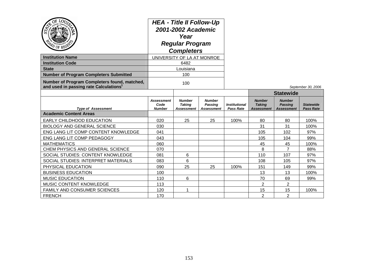| PO OF REGE                                                                                         | <b>HEA - Title II Follow-Up</b><br>2001-2002 Academic<br>Year<br><b>Regular Program</b><br><b>Completers</b> |                                              |                                                      |                                                 |                                              |                                                      |                                      |
|----------------------------------------------------------------------------------------------------|--------------------------------------------------------------------------------------------------------------|----------------------------------------------|------------------------------------------------------|-------------------------------------------------|----------------------------------------------|------------------------------------------------------|--------------------------------------|
| <b>Institution Name</b>                                                                            | UNIVERSITY OF LA AT MONROE                                                                                   |                                              |                                                      |                                                 |                                              |                                                      |                                      |
| <b>Institution Code</b>                                                                            |                                                                                                              | 6482                                         |                                                      |                                                 |                                              |                                                      |                                      |
| <b>State</b>                                                                                       |                                                                                                              | Louisiana                                    |                                                      |                                                 |                                              |                                                      |                                      |
| <b>Number of Program Completers Submitted</b>                                                      |                                                                                                              | 100                                          |                                                      |                                                 |                                              |                                                      |                                      |
| Number of Program Completers found, matched,<br>and used in passing rate Calculations <sup>1</sup> | 100                                                                                                          |                                              |                                                      |                                                 |                                              |                                                      | September 30, 2006                   |
|                                                                                                    |                                                                                                              |                                              |                                                      |                                                 |                                              | <b>Statewide</b>                                     |                                      |
| <b>Type of Assessment</b>                                                                          | Assessment<br>Code<br><b>Number</b>                                                                          | <b>Number</b><br><b>Taking</b><br>Assessment | <b>Number</b><br><b>Passing</b><br><b>Assessment</b> | <i><b>Institutional</b></i><br><b>Pass Rate</b> | <b>Number</b><br><b>Taking</b><br>Assessment | <b>Number</b><br><b>Passing</b><br><b>Assessment</b> | <b>Statewide</b><br><b>Pass Rate</b> |
| <b>Academic Content Areas</b>                                                                      |                                                                                                              |                                              |                                                      |                                                 |                                              |                                                      |                                      |
| EARLY CHILDHOOD EDUCATION                                                                          | 020                                                                                                          | 25                                           | 25                                                   | 100%                                            | 80                                           | 80                                                   | 100%                                 |
| <b>BIOLOGY AND GENERAL SCIENCE</b>                                                                 | 030                                                                                                          |                                              |                                                      |                                                 | 31                                           | 31                                                   | 100%                                 |
| ENG LANG LIT COMP CONTENT KNOWLEDGE                                                                | 041                                                                                                          |                                              |                                                      |                                                 | 105                                          | 102                                                  | 97%                                  |
| ENG LANG LIT COMP PEDAGOGY                                                                         | 043                                                                                                          |                                              |                                                      |                                                 | 105                                          | 104                                                  | 99%                                  |
| <b>MATHEMATICS</b>                                                                                 | 060                                                                                                          |                                              |                                                      |                                                 | 45                                           | 45                                                   | 100%                                 |
| CHEM PHYSICS AND GENERAL SCIENCE                                                                   | 070                                                                                                          |                                              |                                                      |                                                 | 8                                            | 7                                                    | 88%                                  |
| SOCIAL STUDIES: CONTENT KNOWLEDGE                                                                  | 081                                                                                                          | 6                                            |                                                      |                                                 | 110                                          | 107                                                  | 97%                                  |
| SOCIAL STUDIES: INTERPRET MATERIALS                                                                | 083                                                                                                          | 6                                            |                                                      |                                                 | 108                                          | 105                                                  | 97%                                  |
| PHYSICAL EDUCATION                                                                                 | 090                                                                                                          | 25                                           | 25                                                   | 100%                                            | 151                                          | 149                                                  | 99%                                  |
| <b>BUSINESS EDUCATION</b>                                                                          | 100                                                                                                          |                                              |                                                      |                                                 | 13                                           | 13                                                   | 100%                                 |
| <b>MUSIC EDUCATION</b>                                                                             | 110                                                                                                          | 6                                            |                                                      |                                                 | 70                                           | 69                                                   | 99%                                  |
| MUSIC CONTENT KNOWLEDGE                                                                            | 113                                                                                                          |                                              |                                                      |                                                 | $\overline{2}$                               | $\overline{2}$                                       |                                      |
| FAMILY AND CONSUMER SCIENCES                                                                       | 120                                                                                                          |                                              |                                                      |                                                 | 15                                           | 15                                                   | 100%                                 |
| <b>FRENCH</b>                                                                                      | 170                                                                                                          |                                              |                                                      |                                                 | $\overline{2}$                               | $\overline{2}$                                       |                                      |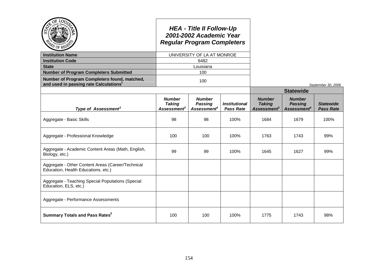|                                                                                                    |                                                                  | <b>HEA - Title II Follow-Up</b><br>2001-2002 Academic Year<br><b>Regular Program Completers</b> |                                          |                                                                  |                                                            |                                      |
|----------------------------------------------------------------------------------------------------|------------------------------------------------------------------|-------------------------------------------------------------------------------------------------|------------------------------------------|------------------------------------------------------------------|------------------------------------------------------------|--------------------------------------|
| <b>Institution Name</b>                                                                            |                                                                  | UNIVERSITY OF LA AT MONROE                                                                      |                                          |                                                                  |                                                            |                                      |
| <b>Institution Code</b>                                                                            |                                                                  | 6482                                                                                            |                                          |                                                                  |                                                            |                                      |
| <b>State</b>                                                                                       |                                                                  | Louisiana                                                                                       |                                          |                                                                  |                                                            |                                      |
| <b>Number of Program Completers Submitted</b>                                                      |                                                                  | 100                                                                                             |                                          |                                                                  |                                                            |                                      |
| Number of Program Completers found, matched,<br>and used in passing rate Calculations <sup>1</sup> |                                                                  | 100                                                                                             |                                          |                                                                  |                                                            | September 30, 2006                   |
|                                                                                                    |                                                                  |                                                                                                 |                                          |                                                                  | <b>Statewide</b>                                           |                                      |
| Type of Assessment <sup>2</sup>                                                                    | <b>Number</b><br><b>Taking</b><br><b>Assessment</b> <sup>3</sup> | <b>Number</b><br><b>Passing</b><br>Assessment <sup>4</sup>                                      | <b>Institutional</b><br><b>Pass Rate</b> | <b>Number</b><br><b>Taking</b><br><b>Assessment</b> <sup>3</sup> | <b>Number</b><br><b>Passing</b><br>Assessment <sup>4</sup> | <b>Statewide</b><br><b>Pass Rate</b> |
| Aggregate - Basic Skills                                                                           | 98                                                               | 98                                                                                              | 100%                                     | 1684                                                             | 1679                                                       | 100%                                 |
| Aggregate - Professional Knowledge                                                                 | 100                                                              | 100                                                                                             | 100%                                     | 1763                                                             | 1743                                                       | 99%                                  |
| Aggregate - Academic Content Areas (Math, English,<br>Biology, etc.)                               | 99                                                               | 99                                                                                              | 100%                                     | 1645                                                             | 1627                                                       | 99%                                  |
| Aggregate - Other Content Areas (Career/Technical<br>Education, Health Educations, etc.)           |                                                                  |                                                                                                 |                                          |                                                                  |                                                            |                                      |
| Aggregate - Teaching Special Populations (Special<br>Education, ELS, etc.)                         |                                                                  |                                                                                                 |                                          |                                                                  |                                                            |                                      |
| Aggregate - Performance Assessments                                                                |                                                                  |                                                                                                 |                                          |                                                                  |                                                            |                                      |
| <b>Summary Totals and Pass Rates</b> <sup>5</sup>                                                  | 100                                                              | 100                                                                                             | 100%                                     | 1775                                                             | 1743                                                       | 98%                                  |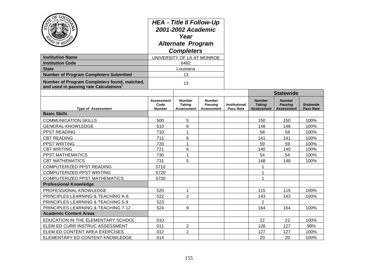| $\overrightarrow{\text{OF}}\underset{\text{m},j_{\text{u}_{\text{str}}}}{\text{LO}}\overrightarrow{\text{O}}\overrightarrow{\text{O}}$<br><b>Institution Name</b><br><b>Institution Code</b><br><b>State</b> | <b>HEA - Title II Follow-Up</b><br>2001-2002 Academic<br>Year<br><b>Alternate Program</b><br><b>Completers</b><br>UNIVERSITY OF LA AT MONROE<br>6482<br>Louisiana |                                              |                                                      |                                          |                                                     |                                                      |                                      |
|--------------------------------------------------------------------------------------------------------------------------------------------------------------------------------------------------------------|-------------------------------------------------------------------------------------------------------------------------------------------------------------------|----------------------------------------------|------------------------------------------------------|------------------------------------------|-----------------------------------------------------|------------------------------------------------------|--------------------------------------|
| <b>Number of Program Completers Submitted</b>                                                                                                                                                                |                                                                                                                                                                   | 13                                           |                                                      |                                          |                                                     |                                                      |                                      |
| Number of Program Completers found, matched,<br>and used in passing rate Calculations <sup>1</sup>                                                                                                           |                                                                                                                                                                   | 13                                           |                                                      |                                          |                                                     |                                                      |                                      |
|                                                                                                                                                                                                              |                                                                                                                                                                   |                                              |                                                      |                                          |                                                     | <b>Statewide</b>                                     |                                      |
| <b>Type of Assessment</b>                                                                                                                                                                                    | <b>Assessment</b><br>Code<br><b>Number</b>                                                                                                                        | <b>Number</b><br><b>Taking</b><br>Assessment | <b>Number</b><br><b>Passing</b><br><b>Assessment</b> | <b>Institutional</b><br><b>Pass Rate</b> | <b>Number</b><br><b>Taking</b><br><b>Assessment</b> | <b>Number</b><br><b>Passing</b><br><b>Assessment</b> | <b>Statewide</b><br><b>Pass Rate</b> |
| <b>Basic Skills</b>                                                                                                                                                                                          |                                                                                                                                                                   |                                              |                                                      |                                          |                                                     |                                                      |                                      |
| <b>COMMUNICATION SKILLS</b>                                                                                                                                                                                  | 500                                                                                                                                                               | 5                                            |                                                      |                                          | 150                                                 | 150                                                  | 100%                                 |
| <b>GENERAL KNOWLEDGE</b>                                                                                                                                                                                     | 510                                                                                                                                                               | 6                                            |                                                      |                                          | 148                                                 | 148                                                  | 100%                                 |
| PPST READING                                                                                                                                                                                                 | 710                                                                                                                                                               | $\mathbf{1}$                                 |                                                      |                                          | 58                                                  | 58                                                   | 100%                                 |
| <b>CBT READING</b>                                                                                                                                                                                           | 711                                                                                                                                                               | 6                                            |                                                      |                                          | 141                                                 | 141                                                  | 100%                                 |
| PPST WRITING                                                                                                                                                                                                 | 720                                                                                                                                                               | $\mathbf{1}$                                 |                                                      |                                          | 59                                                  | 59                                                   | 100%                                 |
| <b>CBT WRITING</b>                                                                                                                                                                                           | 721                                                                                                                                                               | 6                                            |                                                      |                                          | 140                                                 | 140                                                  | 100%                                 |
| PPST MATHEMATICS                                                                                                                                                                                             | 730                                                                                                                                                               | 1                                            |                                                      |                                          | 54                                                  | 54                                                   | 100%                                 |
| <b>CBT MATHEMATICS</b>                                                                                                                                                                                       | 731                                                                                                                                                               | 5                                            |                                                      |                                          | 148                                                 | 148                                                  | 100%                                 |
| COMPUTERIZED PPST READING                                                                                                                                                                                    | 5710                                                                                                                                                              |                                              |                                                      |                                          | 1                                                   |                                                      |                                      |
| COMPUTERIZED PPST WRITING                                                                                                                                                                                    | 5720                                                                                                                                                              |                                              |                                                      |                                          | $\mathbf{1}$                                        |                                                      |                                      |
| <b>COMPUTERIZED PPST MATHEMATICS</b>                                                                                                                                                                         | 5730                                                                                                                                                              |                                              |                                                      |                                          | 1                                                   |                                                      |                                      |
| <b>Professional Knowledge</b>                                                                                                                                                                                |                                                                                                                                                                   |                                              |                                                      |                                          |                                                     |                                                      |                                      |
| PROFESSIONAL KNOWLEDGE                                                                                                                                                                                       | 520                                                                                                                                                               | 1                                            |                                                      |                                          | 115                                                 | 115                                                  | 100%                                 |
| PRINCIPLES LEARNING & TEACHING K-6<br>PRINCIPLES LEARNING & TEACHING 5-9                                                                                                                                     | 522<br>523                                                                                                                                                        | $\overline{2}$                               |                                                      |                                          | 143<br>$\overline{2}$                               | 143                                                  | 100%                                 |
|                                                                                                                                                                                                              | 524                                                                                                                                                               | 9                                            |                                                      |                                          | 164                                                 | 164                                                  | 100%                                 |
| PRINCIPLES LEARNING & TEACHING 7-12<br><b>Academic Content Areas</b>                                                                                                                                         |                                                                                                                                                                   |                                              |                                                      |                                          |                                                     |                                                      |                                      |
| EDUCATION IN THE ELEMENTARY SCHOOL                                                                                                                                                                           | 010                                                                                                                                                               |                                              |                                                      |                                          | 22                                                  | 22                                                   | 100%                                 |
| ELEM ED CURR INSTRUC ASSESSMENT                                                                                                                                                                              | 011                                                                                                                                                               | $\overline{2}$                               |                                                      |                                          | 128                                                 | 127                                                  | 99%                                  |
| ELEM ED CONTENT AREA EXERCISES                                                                                                                                                                               | 012                                                                                                                                                               | $\overline{2}$                               |                                                      |                                          | 127                                                 | 127                                                  | 100%                                 |
| ELEMENTARY ED CONTENT KNOWLEDGE                                                                                                                                                                              | 014                                                                                                                                                               |                                              |                                                      |                                          | 20                                                  | 20                                                   | 100%                                 |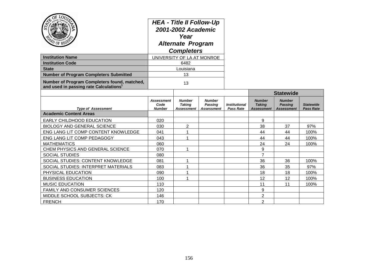| OF LOUTS<br>ST <sub>4</sub><br>PD OF REGES<br><b>Institution Name</b><br><b>Institution Code</b><br><b>State</b><br><b>Number of Program Completers Submitted</b><br>Number of Program Completers found, matched,<br>and used in passing rate Calculations <sup>1</sup> | <b>HEA - Title II Follow-Up</b><br>2001-2002 Academic<br>Year<br><b>Alternate Program</b><br><b>Completers</b><br>UNIVERSITY OF LA AT MONROE<br>6482<br>Louisiana<br>13<br>13 |                                              |                                               |                                                 |                                              |                                                      |                                      |
|-------------------------------------------------------------------------------------------------------------------------------------------------------------------------------------------------------------------------------------------------------------------------|-------------------------------------------------------------------------------------------------------------------------------------------------------------------------------|----------------------------------------------|-----------------------------------------------|-------------------------------------------------|----------------------------------------------|------------------------------------------------------|--------------------------------------|
|                                                                                                                                                                                                                                                                         |                                                                                                                                                                               |                                              |                                               |                                                 | <b>Statewide</b>                             |                                                      |                                      |
| <b>Type of Assessment</b>                                                                                                                                                                                                                                               | <b>Assessment</b><br>Code<br><b>Number</b>                                                                                                                                    | <b>Number</b><br><b>Taking</b><br>Assessment | <b>Number</b><br>Passing<br><b>Assessment</b> | <i><b>Institutional</b></i><br><b>Pass Rate</b> | <b>Number</b><br><b>Taking</b><br>Assessment | <b>Number</b><br><b>Passing</b><br><b>Assessment</b> | <b>Statewide</b><br><b>Pass Rate</b> |
| <b>Academic Content Areas</b>                                                                                                                                                                                                                                           |                                                                                                                                                                               |                                              |                                               |                                                 |                                              |                                                      |                                      |
| <b>EARLY CHILDHOOD EDUCATION</b>                                                                                                                                                                                                                                        | 020                                                                                                                                                                           |                                              |                                               |                                                 | 9                                            |                                                      |                                      |
| <b>BIOLOGY AND GENERAL SCIENCE</b>                                                                                                                                                                                                                                      | 030                                                                                                                                                                           | $\overline{c}$                               |                                               |                                                 | 38                                           | 37                                                   | 97%                                  |
| ENG LANG LIT COMP CONTENT KNOWLEDGE                                                                                                                                                                                                                                     | 041                                                                                                                                                                           | 1                                            |                                               |                                                 | 44                                           | 44                                                   | 100%                                 |
| ENG LANG LIT COMP PEDAGOGY                                                                                                                                                                                                                                              | 043                                                                                                                                                                           | 1                                            |                                               |                                                 | 44                                           | 44                                                   | 100%                                 |
| <b>MATHEMATICS</b>                                                                                                                                                                                                                                                      | 060                                                                                                                                                                           |                                              |                                               |                                                 | 24                                           | 24                                                   | 100%                                 |
| CHEM PHYSICS AND GENERAL SCIENCE                                                                                                                                                                                                                                        | 070                                                                                                                                                                           | 1                                            |                                               |                                                 | 9                                            |                                                      |                                      |
| <b>SOCIAL STUDIES</b>                                                                                                                                                                                                                                                   | 080                                                                                                                                                                           |                                              |                                               |                                                 | 7                                            |                                                      |                                      |
| SOCIAL STUDIES: CONTENT KNOWLEDGE                                                                                                                                                                                                                                       | 081                                                                                                                                                                           | 1                                            |                                               |                                                 | 36                                           | 36                                                   | 100%                                 |
| SOCIAL STUDIES: INTERPRET MATERIALS                                                                                                                                                                                                                                     | 083                                                                                                                                                                           | 1                                            |                                               |                                                 | 36                                           | 35                                                   | 97%                                  |
| PHYSICAL EDUCATION                                                                                                                                                                                                                                                      | 090                                                                                                                                                                           | 1                                            |                                               |                                                 | 18                                           | 18                                                   | 100%                                 |
| <b>BUSINESS EDUCATION</b>                                                                                                                                                                                                                                               | 100                                                                                                                                                                           | 1                                            |                                               |                                                 | 12                                           | 12                                                   | 100%                                 |
| <b>MUSIC EDUCATION</b>                                                                                                                                                                                                                                                  | 110                                                                                                                                                                           |                                              |                                               |                                                 | 11                                           | 11                                                   | 100%                                 |
| <b>FAMILY AND CONSUMER SCIENCES</b>                                                                                                                                                                                                                                     | 120                                                                                                                                                                           |                                              |                                               |                                                 | 9                                            |                                                      |                                      |
| <b>MIDDLE SCHOOL SUBJECTS: CK</b>                                                                                                                                                                                                                                       | 146                                                                                                                                                                           |                                              |                                               |                                                 | $\overline{2}$                               |                                                      |                                      |
| <b>FRENCH</b>                                                                                                                                                                                                                                                           | 170                                                                                                                                                                           |                                              |                                               |                                                 | $\overline{2}$                               |                                                      |                                      |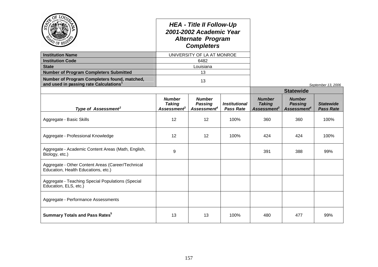|                                                                                                    |                                                           | <b>HEA - Title II Follow-Up</b><br>2001-2002 Academic Year<br><b>Alternate Program</b><br><b>Completers</b> |                                          |                                                           |                                                            |                                      |
|----------------------------------------------------------------------------------------------------|-----------------------------------------------------------|-------------------------------------------------------------------------------------------------------------|------------------------------------------|-----------------------------------------------------------|------------------------------------------------------------|--------------------------------------|
| <b>Institution Name</b>                                                                            |                                                           | UNIVERSITY OF LA AT MONROE                                                                                  |                                          |                                                           |                                                            |                                      |
| <b>Institution Code</b>                                                                            |                                                           | 6482                                                                                                        |                                          |                                                           |                                                            |                                      |
| <b>State</b>                                                                                       |                                                           | Louisiana                                                                                                   |                                          |                                                           |                                                            |                                      |
| <b>Number of Program Completers Submitted</b>                                                      |                                                           | 13                                                                                                          |                                          |                                                           |                                                            |                                      |
| Number of Program Completers found, matched,<br>and used in passing rate Calculations <sup>1</sup> |                                                           | 13                                                                                                          |                                          |                                                           |                                                            | September 13, 2006                   |
|                                                                                                    |                                                           |                                                                                                             |                                          |                                                           | <b>Statewide</b>                                           |                                      |
| Type of Assessment <sup>2</sup>                                                                    | <b>Number</b><br><b>Taking</b><br>Assessment <sup>3</sup> | <b>Number</b><br><b>Passing</b><br>Assessment <sup>4</sup>                                                  | <b>Institutional</b><br><b>Pass Rate</b> | <b>Number</b><br><b>Taking</b><br>Assessment <sup>3</sup> | <b>Number</b><br><b>Passing</b><br>Assessment <sup>4</sup> | <b>Statewide</b><br><b>Pass Rate</b> |
| Aggregate - Basic Skills                                                                           | $12 \overline{ }$                                         | 12                                                                                                          | 100%                                     | 360                                                       | 360                                                        | 100%                                 |
| Aggregate - Professional Knowledge                                                                 | 12                                                        | 12                                                                                                          | 100%                                     | 424                                                       | 424                                                        | 100%                                 |
| Aggregate - Academic Content Areas (Math, English,<br>Biology, etc.)                               | 9                                                         |                                                                                                             |                                          | 391                                                       | 388                                                        | 99%                                  |
| Aggregate - Other Content Areas (Career/Technical<br>Education, Health Educations, etc.)           |                                                           |                                                                                                             |                                          |                                                           |                                                            |                                      |
| Aggregate - Teaching Special Populations (Special<br>Education, ELS, etc.)                         |                                                           |                                                                                                             |                                          |                                                           |                                                            |                                      |
| Aggregate - Performance Assessments                                                                |                                                           |                                                                                                             |                                          |                                                           |                                                            |                                      |
| <b>Summary Totals and Pass Rates<sup>5</sup></b>                                                   | 13                                                        | 13                                                                                                          | 100%                                     | 480                                                       | 477                                                        | 99%                                  |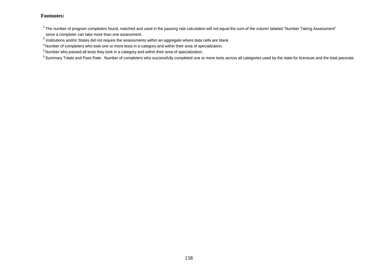$1$ The number of program completers found, matched and used in the passing rate calculation will not equal the sum of the column labeled "Number Taking Assessment" since a completer can take more than one assessment.

 $^2$  Institutions and/or States did not require the assessments within an aggregate where data cells are blank.

<sup>3</sup> Number of completers who took one or more tests in a category and within their area of specialization.

<sup>4</sup> Number who passed all tests they took in a category and within their area of specialization.

<sup>5</sup> Summary Totals and Pass Rate: Number of completers who successfully completed one or more tests across all categories used by the state for licensure and the total passrate.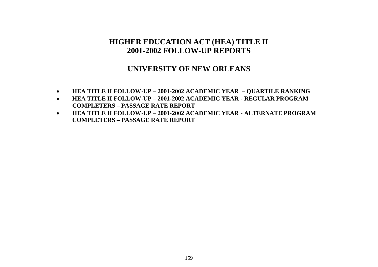# **HIGHER EDUCATION ACT (HEA) TITLE II 2001-2002 FOLLOW-UP REPORTS**

### **UNIVERSITY OF NEW ORLEANS**

- **HEA TITLE II FOLLOW-UP – 2001-2002 ACADEMIC YEAR – QUARTILE RANKING**
- **HEA TITLE II FOLLOW-UP – 2001-2002 ACADEMIC YEAR - REGULAR PROGRAM COMPLETERS – PASSAGE RATE REPORT**
- **HEA TITLE II FOLLOW-UP – 2001-2002 ACADEMIC YEAR - ALTERNATE PROGRAM COMPLETERS – PASSAGE RATE REPORT**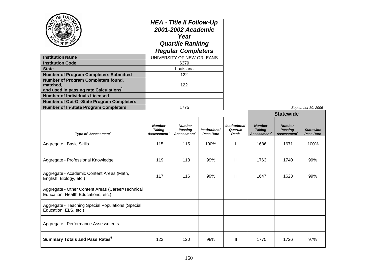| OF LOD<br>PD OF REG                                                                                   |                                                           | <b>HEA - Title II Follow-Up</b><br>2001-2002 Academic<br>Year<br><b>Quartile Ranking</b><br><b>Regular Completers</b> |                                          |                                          |                                                           |                                                            |                               |
|-------------------------------------------------------------------------------------------------------|-----------------------------------------------------------|-----------------------------------------------------------------------------------------------------------------------|------------------------------------------|------------------------------------------|-----------------------------------------------------------|------------------------------------------------------------|-------------------------------|
| <b>Institution Name</b>                                                                               |                                                           | UNIVERSITY OF NEW ORLEANS                                                                                             |                                          |                                          |                                                           |                                                            |                               |
| <b>Institution Code</b>                                                                               |                                                           | 6379                                                                                                                  |                                          |                                          |                                                           |                                                            |                               |
| <b>State</b>                                                                                          |                                                           | Louisiana                                                                                                             |                                          |                                          |                                                           |                                                            |                               |
| <b>Number of Program Completers Submitted</b>                                                         |                                                           | 122                                                                                                                   |                                          |                                          |                                                           |                                                            |                               |
| Number of Program Completers found,<br>matched.<br>and used in passing rate Calculations <sup>1</sup> |                                                           | 122                                                                                                                   |                                          |                                          |                                                           |                                                            |                               |
| <b>Number of Individuals Licensed</b>                                                                 |                                                           |                                                                                                                       |                                          |                                          |                                                           |                                                            |                               |
| Number of Out-Of-State Program Completers                                                             |                                                           |                                                                                                                       |                                          |                                          |                                                           |                                                            |                               |
| <b>Number of In-State Program Completers</b>                                                          | 1775                                                      |                                                                                                                       |                                          |                                          |                                                           |                                                            | September 30, 2006            |
|                                                                                                       |                                                           |                                                                                                                       |                                          |                                          |                                                           | <b>Statewide</b>                                           |                               |
| Type of Assessment <sup>2</sup>                                                                       | <b>Number</b><br><b>Taking</b><br>Assessment <sup>3</sup> | <b>Number</b><br>Passing<br>Assessment <sup>4</sup>                                                                   | <b>Institutional</b><br><b>Pass Rate</b> | <b>Institutional</b><br>Quartile<br>Rank | <b>Number</b><br><b>Taking</b><br>Assessment <sup>3</sup> | <b>Number</b><br><b>Passing</b><br>Assessment <sup>4</sup> | <b>Statewide</b><br>Pass Rate |
| Aggregate - Basic Skills                                                                              | 115                                                       | 115                                                                                                                   | 100%                                     | $\mathbf{I}$                             | 1686                                                      | 1671                                                       | 100%                          |
| Aggregate - Professional Knowledge                                                                    | 119                                                       | 118                                                                                                                   | 99%                                      | Ш                                        | 1763                                                      | 1740                                                       | 99%                           |
| Aggregate - Academic Content Areas (Math,<br>English, Biology, etc.)                                  | 117                                                       | 116                                                                                                                   | 99%                                      | Ш                                        | 1647                                                      | 1623                                                       | 99%                           |
| Aggregate - Other Content Areas (Career/Technical<br>Education, Health Educations, etc.)              |                                                           |                                                                                                                       |                                          |                                          |                                                           |                                                            |                               |
| Aggregate - Teaching Special Populations (Special<br>Education, ELS, etc.)                            |                                                           |                                                                                                                       |                                          |                                          |                                                           |                                                            |                               |
| Aggregate - Performance Assessments                                                                   |                                                           |                                                                                                                       |                                          |                                          |                                                           |                                                            |                               |
| <b>Summary Totals and Pass Rates<sup>5</sup></b>                                                      | 122                                                       | 120                                                                                                                   | 98%                                      | Ш                                        | 1775                                                      | 1726                                                       | 97%                           |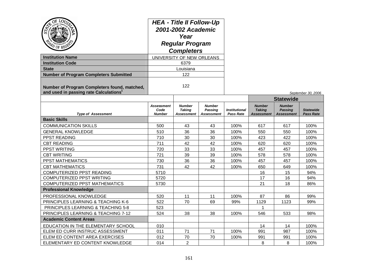| ΩĘ<br>$\rm \overline{\mathcal{O}}$ OF<br><b>Institution Name</b><br><b>Institution Code</b><br><b>State</b><br><b>Number of Program Completers Submitted</b><br>Number of Program Completers found, matched,<br>and used in passing rate Calculations <sup>1</sup> | <b>HEA - Title II Follow-Up</b><br>2001-2002 Academic<br>Year<br><b>Regular Program</b><br><b>Completers</b><br>UNIVERSITY OF NEW ORLEANS<br>6379<br>Louisiana<br>122<br>122 |                                                     |                                                      |                                          |                                                     |                                                      | September 30, 2006                   |
|--------------------------------------------------------------------------------------------------------------------------------------------------------------------------------------------------------------------------------------------------------------------|------------------------------------------------------------------------------------------------------------------------------------------------------------------------------|-----------------------------------------------------|------------------------------------------------------|------------------------------------------|-----------------------------------------------------|------------------------------------------------------|--------------------------------------|
|                                                                                                                                                                                                                                                                    |                                                                                                                                                                              |                                                     |                                                      |                                          |                                                     | <b>Statewide</b>                                     |                                      |
| <b>Type of Assessment</b>                                                                                                                                                                                                                                          | <b>Assessment</b><br>Code<br><b>Number</b>                                                                                                                                   | <b>Number</b><br><b>Taking</b><br><b>Assessment</b> | <b>Number</b><br><b>Passing</b><br><b>Assessment</b> | <b>Institutional</b><br><b>Pass Rate</b> | <b>Number</b><br><b>Taking</b><br><b>Assessment</b> | <b>Number</b><br><b>Passing</b><br><b>Assessment</b> | <b>Statewide</b><br><b>Pass Rate</b> |
| <b>Basic Skills</b>                                                                                                                                                                                                                                                |                                                                                                                                                                              |                                                     |                                                      |                                          |                                                     |                                                      |                                      |
| <b>COMMUNICATION SKILLS</b>                                                                                                                                                                                                                                        | 500                                                                                                                                                                          | 43                                                  | 43                                                   | 100%                                     | 617                                                 | 617                                                  | 100%                                 |
| <b>GENERAL KNOWLEDGE</b>                                                                                                                                                                                                                                           | 510                                                                                                                                                                          | 36                                                  | 36                                                   | 100%                                     | 550                                                 | 550                                                  | 100%                                 |
| PPST READING                                                                                                                                                                                                                                                       | 710                                                                                                                                                                          | 30                                                  | 30                                                   | 100%                                     | 423                                                 | 422                                                  | 100%                                 |
| <b>CBT READING</b>                                                                                                                                                                                                                                                 | 711                                                                                                                                                                          | 42                                                  | 42                                                   | 100%                                     | 620                                                 | 620                                                  | 100%                                 |
| PPST WRITING                                                                                                                                                                                                                                                       | 720                                                                                                                                                                          | 33                                                  | 33                                                   | 100%                                     | 457                                                 | 457                                                  | 100%                                 |
| <b>CBT WRITING</b>                                                                                                                                                                                                                                                 | 721                                                                                                                                                                          | 39                                                  | 39                                                   | 100%                                     | 578                                                 | 578                                                  | 100%                                 |
| PPST MATHEMATICS                                                                                                                                                                                                                                                   | 730                                                                                                                                                                          | 36                                                  | 36                                                   | 100%                                     | 457                                                 | 457                                                  | 100%                                 |
| <b>CBT MATHEMATICS</b>                                                                                                                                                                                                                                             | 731                                                                                                                                                                          | 42                                                  | 42                                                   | 100%                                     | 650                                                 | 649                                                  | 100%                                 |
| COMPUTERIZED PPST READING                                                                                                                                                                                                                                          | 5710                                                                                                                                                                         |                                                     |                                                      |                                          | 16                                                  | 15                                                   | 94%                                  |
| COMPUTERIZED PPST WRITING                                                                                                                                                                                                                                          | 5720                                                                                                                                                                         |                                                     |                                                      |                                          | 17                                                  | 16                                                   | 94%                                  |
| <b>COMPUTERIZED PPST MATHEMATICS</b>                                                                                                                                                                                                                               | 5730                                                                                                                                                                         |                                                     |                                                      |                                          | 21                                                  | 18                                                   | 86%                                  |
| <b>Professional Knowledge</b>                                                                                                                                                                                                                                      |                                                                                                                                                                              |                                                     |                                                      |                                          |                                                     |                                                      |                                      |
| PROFESSIONAL KNOWLEDGE                                                                                                                                                                                                                                             | 520                                                                                                                                                                          | 11                                                  | 11                                                   | 100%                                     | 87                                                  | 86                                                   | 99%                                  |
| PRINCIPLES LEARNING & TEACHING K-6                                                                                                                                                                                                                                 | 522                                                                                                                                                                          | 70                                                  | 69                                                   | 99%                                      | 1129                                                | 1123                                                 | 99%                                  |
| PRINCIPLES LEARNING & TEACHING 5-8                                                                                                                                                                                                                                 | 523                                                                                                                                                                          |                                                     |                                                      |                                          | 1                                                   |                                                      |                                      |
| PRINCIPLES LEARNING & TEACHING 7-12                                                                                                                                                                                                                                | 524                                                                                                                                                                          | 38                                                  | 38                                                   | 100%                                     | 546                                                 | 533                                                  | 98%                                  |
| <b>Academic Content Areas</b>                                                                                                                                                                                                                                      |                                                                                                                                                                              |                                                     |                                                      |                                          |                                                     |                                                      |                                      |
| EDUCATION IN THE ELEMENTARY SCHOOL                                                                                                                                                                                                                                 | 010                                                                                                                                                                          |                                                     |                                                      |                                          | 14                                                  | 14                                                   | 100%                                 |
| ELEM ED CURR INSTRUC ASSESSMENT                                                                                                                                                                                                                                    | 011<br>71<br>71                                                                                                                                                              |                                                     |                                                      | 100%                                     | 991                                                 | 987                                                  | 100%                                 |
| ELEM ED CONTENT AREA EXERCISES                                                                                                                                                                                                                                     | 012                                                                                                                                                                          | 70                                                  | 70                                                   | 100%                                     | 991                                                 | 991                                                  | 100%                                 |
| ELEMENTARY ED CONTENT KNOWLEDGE                                                                                                                                                                                                                                    | 014                                                                                                                                                                          | $\overline{2}$                                      |                                                      |                                          | 8                                                   | 8                                                    | 100%                                 |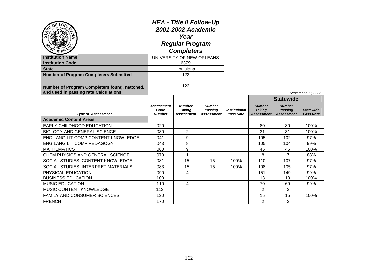| PD OF REG'S                                                                                        | <b>HEA - Title II Follow-Up</b><br>2001-2002 Academic<br>Year<br><b>Regular Program</b><br><b>Completers</b> |                                              |                                        |                                          |                                              |                                                      |                                      |
|----------------------------------------------------------------------------------------------------|--------------------------------------------------------------------------------------------------------------|----------------------------------------------|----------------------------------------|------------------------------------------|----------------------------------------------|------------------------------------------------------|--------------------------------------|
| <b>Institution Name</b>                                                                            |                                                                                                              | UNIVERSITY OF NEW ORLEANS                    |                                        |                                          |                                              |                                                      |                                      |
| <b>Institution Code</b>                                                                            | 6379                                                                                                         |                                              |                                        |                                          |                                              |                                                      |                                      |
| <b>State</b>                                                                                       |                                                                                                              | Louisiana                                    |                                        |                                          |                                              |                                                      |                                      |
| <b>Number of Program Completers Submitted</b>                                                      |                                                                                                              | 122                                          |                                        |                                          |                                              |                                                      |                                      |
| Number of Program Completers found, matched,<br>and used in passing rate Calculations <sup>1</sup> | 122                                                                                                          |                                              |                                        |                                          |                                              |                                                      | September 30, 2006                   |
|                                                                                                    |                                                                                                              |                                              |                                        |                                          |                                              | <b>Statewide</b>                                     |                                      |
| <b>Type of Assessment</b>                                                                          | Assessment<br>Code<br><b>Number</b>                                                                          | <b>Number</b><br><b>Taking</b><br>Assessment | <b>Number</b><br>Passing<br>Assessment | <b>Institutional</b><br><b>Pass Rate</b> | <b>Number</b><br><b>Taking</b><br>Assessment | <b>Number</b><br><b>Passing</b><br><b>Assessment</b> | <b>Statewide</b><br><b>Pass Rate</b> |
| <b>Academic Content Areas</b>                                                                      |                                                                                                              |                                              |                                        |                                          |                                              |                                                      |                                      |
| <b>EARLY CHILDHOOD EDUCATION</b>                                                                   | 020                                                                                                          |                                              |                                        |                                          | 80                                           | 80                                                   | 100%                                 |
| <b>BIOLOGY AND GENERAL SCIENCE</b>                                                                 | 030                                                                                                          | $\overline{2}$                               |                                        |                                          | 31                                           | 31                                                   | 100%                                 |
| ENG LANG LIT COMP CONTENT KNOWLEDGE                                                                | 041                                                                                                          | 9                                            |                                        |                                          | 105                                          | 102                                                  | 97%                                  |
| ENG LANG LIT COMP PEDAGOGY                                                                         | 043                                                                                                          | 8                                            |                                        |                                          | 105                                          | 104                                                  | 99%                                  |
| <b>MATHEMATICS</b>                                                                                 | 060                                                                                                          | 9                                            |                                        |                                          | 45                                           | 45                                                   | 100%                                 |
| CHEM PHYSICS AND GENERAL SCIENCE                                                                   | 070                                                                                                          | 1                                            |                                        |                                          | 8                                            | $\overline{7}$                                       | 88%                                  |
| SOCIAL STUDIES: CONTENT KNOWLEDGE                                                                  | 081                                                                                                          | 15                                           | 15                                     | 100%                                     | 110                                          | 107                                                  | 97%                                  |
| SOCIAL STUDIES: INTERPRET MATERIALS                                                                | 083                                                                                                          | 15                                           | 15                                     | 100%                                     | 108                                          | 105                                                  | 97%                                  |
| PHYSICAL EDUCATION                                                                                 | 090                                                                                                          | 4                                            |                                        |                                          | 151                                          | 149                                                  | 99%                                  |
| <b>BUSINESS EDUCATION</b>                                                                          | 100                                                                                                          |                                              |                                        |                                          | 13                                           | 13                                                   | 100%                                 |
| <b>MUSIC EDUCATION</b>                                                                             | 110                                                                                                          | 4                                            |                                        |                                          | 70                                           | 69                                                   | 99%                                  |
| MUSIC CONTENT KNOWLEDGE                                                                            | 113                                                                                                          |                                              |                                        |                                          | 2                                            | 2                                                    |                                      |
| <b>FAMILY AND CONSUMER SCIENCES</b>                                                                | 120                                                                                                          |                                              |                                        |                                          | 15                                           | 15                                                   | 100%                                 |
| <b>FRENCH</b>                                                                                      | 170                                                                                                          |                                              |                                        |                                          | $\overline{2}$                               | $\overline{2}$                                       |                                      |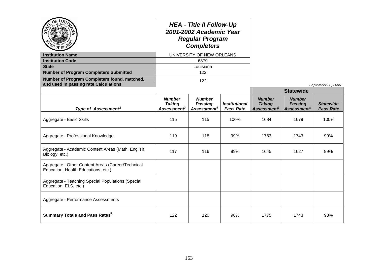|                                                                                                    |                                                                  | <b>HEA - Title II Follow-Up</b><br>2001-2002 Academic Year<br><b>Regular Program</b><br><b>Completers</b> |                                                 |                                                           |                                                            |                                      |
|----------------------------------------------------------------------------------------------------|------------------------------------------------------------------|-----------------------------------------------------------------------------------------------------------|-------------------------------------------------|-----------------------------------------------------------|------------------------------------------------------------|--------------------------------------|
| <b>Institution Name</b>                                                                            |                                                                  | UNIVERSITY OF NEW ORLEANS                                                                                 |                                                 |                                                           |                                                            |                                      |
| <b>Institution Code</b>                                                                            |                                                                  | 6379                                                                                                      |                                                 |                                                           |                                                            |                                      |
| <b>State</b>                                                                                       |                                                                  | Louisiana                                                                                                 |                                                 |                                                           |                                                            |                                      |
| <b>Number of Program Completers Submitted</b>                                                      |                                                                  | 122                                                                                                       |                                                 |                                                           |                                                            |                                      |
| Number of Program Completers found, matched,<br>and used in passing rate Calculations <sup>1</sup> |                                                                  | 122                                                                                                       |                                                 |                                                           |                                                            | September 30, 2006                   |
|                                                                                                    |                                                                  |                                                                                                           |                                                 |                                                           | <b>Statewide</b>                                           |                                      |
| Type of Assessment <sup>2</sup>                                                                    | <b>Number</b><br><b>Taking</b><br><b>Assessment</b> <sup>3</sup> | <b>Number</b><br><b>Passing</b><br>Assessment <sup>4</sup>                                                | <i><b>Institutional</b></i><br><b>Pass Rate</b> | <b>Number</b><br><b>Taking</b><br>Assessment <sup>3</sup> | <b>Number</b><br><b>Passing</b><br>Assessment <sup>4</sup> | <b>Statewide</b><br><b>Pass Rate</b> |
| Aggregate - Basic Skills                                                                           | 115                                                              | 115                                                                                                       | 100%                                            | 1684                                                      | 1679                                                       | 100%                                 |
| Aggregate - Professional Knowledge                                                                 | 119                                                              | 118                                                                                                       | 99%                                             | 1763                                                      | 1743                                                       | 99%                                  |
| Aggregate - Academic Content Areas (Math, English,<br>Biology, etc.)                               | 117                                                              | 116                                                                                                       | 99%                                             | 1645                                                      | 1627                                                       | 99%                                  |
| Aggregate - Other Content Areas (Career/Technical<br>Education, Health Educations, etc.)           |                                                                  |                                                                                                           |                                                 |                                                           |                                                            |                                      |
| Aggregate - Teaching Special Populations (Special<br>Education, ELS, etc.)                         |                                                                  |                                                                                                           |                                                 |                                                           |                                                            |                                      |
| Aggregate - Performance Assessments                                                                |                                                                  |                                                                                                           |                                                 |                                                           |                                                            |                                      |
| <b>Summary Totals and Pass Rates</b> <sup>5</sup>                                                  | 122                                                              | 120                                                                                                       | 98%                                             | 1775                                                      | 1743                                                       | 98%                                  |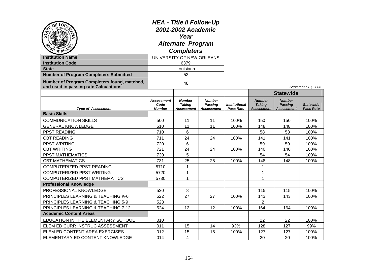| <b>PD OF REGY</b><br><b>Institution Name</b><br><b>Institution Code</b><br><b>State</b><br><b>Number of Program Completers Submitted</b><br>Number of Program Completers found, matched, | <b>HEA - Title II Follow-Up</b><br>2001-2002 Academic<br>Year<br><b>Alternate Program</b><br><b>Completers</b><br>UNIVERSITY OF NEW ORLEANS<br>6379<br>Louisiana<br>52<br>48 |                                       |                                               |                                          |                                                     |                                               |                                      |
|------------------------------------------------------------------------------------------------------------------------------------------------------------------------------------------|------------------------------------------------------------------------------------------------------------------------------------------------------------------------------|---------------------------------------|-----------------------------------------------|------------------------------------------|-----------------------------------------------------|-----------------------------------------------|--------------------------------------|
| and used in passing rate Calculations <sup>1</sup>                                                                                                                                       |                                                                                                                                                                              |                                       |                                               |                                          |                                                     | <b>Statewide</b>                              | September 13, 2006                   |
| <b>Type of Assessment</b>                                                                                                                                                                | <b>Assessment</b><br>Code<br><b>Number</b>                                                                                                                                   | <b>Number</b><br>Taking<br>Assessment | <b>Number</b><br>Passing<br><b>Assessment</b> | <b>Institutional</b><br><b>Pass Rate</b> | <b>Number</b><br><b>Taking</b><br><b>Assessment</b> | <b>Number</b><br><b>Passing</b><br>Assessment | <b>Statewide</b><br><b>Pass Rate</b> |
| <b>Basic Skills</b>                                                                                                                                                                      |                                                                                                                                                                              |                                       |                                               |                                          |                                                     |                                               |                                      |
| <b>COMMUNICATION SKILLS</b>                                                                                                                                                              | 500                                                                                                                                                                          | 11                                    | 11                                            | 100%                                     | 150                                                 | 150                                           | 100%                                 |
| <b>GENERAL KNOWLEDGE</b>                                                                                                                                                                 | 510                                                                                                                                                                          | 11                                    | 11                                            | 100%                                     | 148                                                 | 148                                           | 100%                                 |
| PPST READING                                                                                                                                                                             | 710                                                                                                                                                                          | 6                                     |                                               |                                          | 58                                                  | 58                                            | 100%                                 |
| <b>CBT READING</b>                                                                                                                                                                       | 711                                                                                                                                                                          | 24                                    | 24                                            | 100%                                     | 141                                                 | 141                                           | 100%                                 |
| PPST WRITING                                                                                                                                                                             | 720                                                                                                                                                                          | 6                                     |                                               |                                          | 59                                                  | 59                                            | 100%                                 |
| <b>CBT WRITING</b>                                                                                                                                                                       | 721                                                                                                                                                                          | 24                                    | 24                                            | 100%                                     | 140                                                 | 140                                           | 100%                                 |
| <b>PPST MATHEMATICS</b>                                                                                                                                                                  | 730                                                                                                                                                                          | 5                                     |                                               |                                          | 54                                                  | 54                                            | 100%                                 |
| <b>CBT MATHEMATICS</b>                                                                                                                                                                   | 731                                                                                                                                                                          | 25                                    | 25                                            | 100%                                     | 148                                                 | 148                                           | 100%                                 |
| COMPUTERIZED PPST READING                                                                                                                                                                | 5710                                                                                                                                                                         | 1                                     |                                               |                                          | 1                                                   |                                               |                                      |
| COMPUTERIZED PPST WRITING                                                                                                                                                                | 5720                                                                                                                                                                         | 1                                     |                                               |                                          | $\overline{1}$                                      |                                               |                                      |
| <b>COMPUTERIZED PPST MATHEMATICS</b>                                                                                                                                                     | 5730                                                                                                                                                                         | $\mathbf{1}$                          |                                               |                                          | 1                                                   |                                               |                                      |
| <b>Professional Knowledge</b>                                                                                                                                                            |                                                                                                                                                                              |                                       |                                               |                                          |                                                     |                                               |                                      |
| PROFESSIONAL KNOWLEDGE                                                                                                                                                                   | 520                                                                                                                                                                          | 8                                     |                                               |                                          | 115                                                 | 115                                           | 100%                                 |
| PRINCIPLES LEARNING & TEACHING K-6                                                                                                                                                       | 522                                                                                                                                                                          | 27                                    | 27                                            | 100%                                     | 143                                                 | 143                                           | 100%                                 |
| PRINCIPLES LEARNING & TEACHING 5-9                                                                                                                                                       | 523                                                                                                                                                                          |                                       |                                               |                                          | 2                                                   |                                               |                                      |
| PRINCIPLES LEARNING & TEACHING 7-12                                                                                                                                                      | 524                                                                                                                                                                          | 12                                    | 12                                            | 100%                                     | 164                                                 | 164                                           | 100%                                 |
| <b>Academic Content Areas</b>                                                                                                                                                            |                                                                                                                                                                              |                                       |                                               |                                          |                                                     |                                               |                                      |
| EDUCATION IN THE ELEMENTARY SCHOOL                                                                                                                                                       | 010                                                                                                                                                                          |                                       |                                               |                                          | 22                                                  | 22                                            | 100%                                 |
| ELEM ED CURR INSTRUC ASSESSMENT                                                                                                                                                          | 011                                                                                                                                                                          | 15                                    | 14                                            | 93%                                      | 128                                                 | 127                                           | 99%                                  |
| ELEM ED CONTENT AREA EXERCISES                                                                                                                                                           | 012                                                                                                                                                                          | 15                                    | 15                                            | 100%                                     | 127                                                 | 127                                           | 100%                                 |
| ELEMENTARY ED CONTENT KNOWLEDGE                                                                                                                                                          | 014                                                                                                                                                                          | 4                                     |                                               |                                          | 20                                                  | 20                                            | 100%                                 |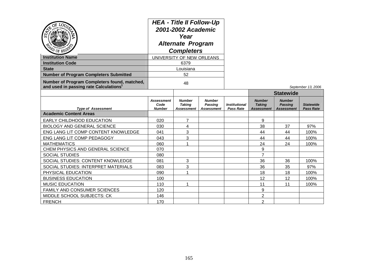| တ<br>PO OF REGE                                                                                    | <b>HEA - Title II Follow-Up</b><br>2001-2002 Academic<br>Year<br><b>Alternate Program</b><br><b>Completers</b><br>UNIVERSITY OF NEW ORLEANS |                                       |                                        |                                                 |                                              |                                               |                                      |
|----------------------------------------------------------------------------------------------------|---------------------------------------------------------------------------------------------------------------------------------------------|---------------------------------------|----------------------------------------|-------------------------------------------------|----------------------------------------------|-----------------------------------------------|--------------------------------------|
| <b>Institution Name</b>                                                                            |                                                                                                                                             |                                       |                                        |                                                 |                                              |                                               |                                      |
| <b>Institution Code</b>                                                                            |                                                                                                                                             | 6379                                  |                                        |                                                 |                                              |                                               |                                      |
| <b>State</b>                                                                                       |                                                                                                                                             | Louisiana                             |                                        |                                                 |                                              |                                               |                                      |
| <b>Number of Program Completers Submitted</b>                                                      |                                                                                                                                             | 52                                    |                                        |                                                 |                                              |                                               |                                      |
| Number of Program Completers found, matched,<br>and used in passing rate Calculations <sup>1</sup> | 48                                                                                                                                          |                                       |                                        |                                                 |                                              |                                               | September 13, 2006                   |
|                                                                                                    |                                                                                                                                             |                                       |                                        |                                                 |                                              | <b>Statewide</b>                              |                                      |
| <b>Type of Assessment</b>                                                                          | Assessment<br>Code<br><b>Number</b>                                                                                                         | <b>Number</b><br>Takina<br>Assessment | <b>Number</b><br>Passina<br>Assessment | <i><b>Institutional</b></i><br><b>Pass Rate</b> | <b>Number</b><br><b>Taking</b><br>Assessment | <b>Number</b><br><b>Passing</b><br>Assessment | <b>Statewide</b><br><b>Pass Rate</b> |
| <b>Academic Content Areas</b>                                                                      |                                                                                                                                             |                                       |                                        |                                                 |                                              |                                               |                                      |
| <b>EARLY CHILDHOOD EDUCATION</b>                                                                   | 020                                                                                                                                         | $\overline{7}$                        |                                        |                                                 | 9                                            |                                               |                                      |
| <b>BIOLOGY AND GENERAL SCIENCE</b>                                                                 | 030                                                                                                                                         | 4                                     |                                        |                                                 | 38                                           | 37                                            | 97%                                  |
| ENG LANG LIT COMP CONTENT KNOWLEDGE                                                                | 041                                                                                                                                         | 3                                     |                                        |                                                 | 44                                           | 44                                            | 100%                                 |
| ENG LANG LIT COMP PEDAGOGY                                                                         | 043                                                                                                                                         | 3                                     |                                        |                                                 | 44                                           | 44                                            | 100%                                 |
| <b>MATHEMATICS</b>                                                                                 | 060                                                                                                                                         | 1                                     |                                        |                                                 | 24                                           | 24                                            | 100%                                 |
| CHEM PHYSICS AND GENERAL SCIENCE                                                                   | 070                                                                                                                                         |                                       |                                        |                                                 | 9                                            |                                               |                                      |
| <b>SOCIAL STUDIES</b>                                                                              | 080                                                                                                                                         |                                       |                                        |                                                 | $\overline{7}$                               |                                               |                                      |
| SOCIAL STUDIES: CONTENT KNOWLEDGE                                                                  | 081                                                                                                                                         | 3                                     |                                        |                                                 | 36                                           | 36                                            | 100%                                 |
| SOCIAL STUDIES: INTERPRET MATERIALS                                                                | 083                                                                                                                                         | 3                                     |                                        |                                                 | 36                                           | 35                                            | 97%                                  |
| PHYSICAL EDUCATION                                                                                 | 090                                                                                                                                         | 1                                     |                                        |                                                 | 18                                           | 18                                            | 100%                                 |
| <b>BUSINESS EDUCATION</b>                                                                          | 100                                                                                                                                         |                                       |                                        |                                                 | $12 \overline{ }$                            | 12                                            | 100%                                 |
| <b>MUSIC EDUCATION</b>                                                                             | 110                                                                                                                                         | 1                                     |                                        |                                                 | 11                                           | 11                                            | 100%                                 |
| <b>FAMILY AND CONSUMER SCIENCES</b>                                                                | 120                                                                                                                                         |                                       |                                        |                                                 | 9                                            |                                               |                                      |
| MIDDLE SCHOOL SUBJECTS: CK                                                                         | 146                                                                                                                                         |                                       |                                        |                                                 | 2                                            |                                               |                                      |
| <b>FRENCH</b>                                                                                      | 170                                                                                                                                         |                                       |                                        |                                                 | $\overline{2}$                               |                                               |                                      |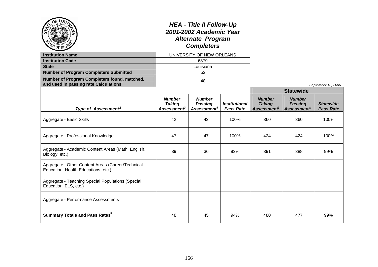|                                                                                                    |                                                                  | <b>HEA - Title II Follow-Up</b><br>2001-2002 Academic Year<br><b>Alternate Program</b><br><b>Completers</b> |                                          |                                                           |                                                            |                                      |
|----------------------------------------------------------------------------------------------------|------------------------------------------------------------------|-------------------------------------------------------------------------------------------------------------|------------------------------------------|-----------------------------------------------------------|------------------------------------------------------------|--------------------------------------|
| <b>Institution Name</b>                                                                            |                                                                  | UNIVERSITY OF NEW ORLEANS                                                                                   |                                          |                                                           |                                                            |                                      |
| <b>Institution Code</b>                                                                            |                                                                  | 6379                                                                                                        |                                          |                                                           |                                                            |                                      |
| <b>State</b>                                                                                       |                                                                  | Louisiana                                                                                                   |                                          |                                                           |                                                            |                                      |
| <b>Number of Program Completers Submitted</b>                                                      |                                                                  | 52                                                                                                          |                                          |                                                           |                                                            |                                      |
| Number of Program Completers found, matched,<br>and used in passing rate Calculations <sup>1</sup> |                                                                  | 48                                                                                                          |                                          |                                                           |                                                            | September 13, 2006                   |
|                                                                                                    |                                                                  |                                                                                                             |                                          |                                                           | <b>Statewide</b>                                           |                                      |
| Type of Assessment <sup>2</sup>                                                                    | <b>Number</b><br><b>Taking</b><br><b>Assessment</b> <sup>3</sup> | <b>Number</b><br><b>Passing</b><br>Assessment <sup>4</sup>                                                  | <b>Institutional</b><br><b>Pass Rate</b> | <b>Number</b><br><b>Taking</b><br>Assessment <sup>3</sup> | <b>Number</b><br><b>Passing</b><br>Assessment <sup>4</sup> | <b>Statewide</b><br><b>Pass Rate</b> |
| Aggregate - Basic Skills                                                                           | 42                                                               | 42                                                                                                          | 100%                                     | 360                                                       | 360                                                        | 100%                                 |
| Aggregate - Professional Knowledge                                                                 | 47                                                               | 47                                                                                                          | 100%                                     | 424                                                       | 424                                                        | 100%                                 |
| Aggregate - Academic Content Areas (Math, English,<br>Biology, etc.)                               | 39                                                               | 36                                                                                                          | 92%                                      | 391                                                       | 388                                                        | 99%                                  |
| Aggregate - Other Content Areas (Career/Technical<br>Education, Health Educations, etc.)           |                                                                  |                                                                                                             |                                          |                                                           |                                                            |                                      |
| Aggregate - Teaching Special Populations (Special<br>Education, ELS, etc.)                         |                                                                  |                                                                                                             |                                          |                                                           |                                                            |                                      |
| Aggregate - Performance Assessments                                                                |                                                                  |                                                                                                             |                                          |                                                           |                                                            |                                      |
| <b>Summary Totals and Pass Rates<sup>5</sup></b>                                                   | 48                                                               | 45                                                                                                          | 94%                                      | 480                                                       | 477                                                        | 99%                                  |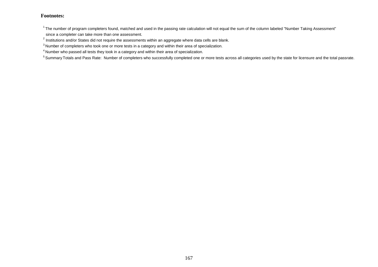$1$ The number of program completers found, matched and used in the passing rate calculation will not equal the sum of the column labeled "Number Taking Assessment" since a completer can take more than one assessment.

 $^{2}$  Institutions and/or States did not require the assessments within an aggregate where data cells are blank.

 $3$  Number of completers who took one or more tests in a category and within their area of specialization.

<sup>4</sup> Number who passed all tests they took in a category and within their area of specialization.

<sup>5</sup> Summary Totals and Pass Rate: Number of completers who successfully completed one or more tests across all categories used by the state for licensure and the total passrate.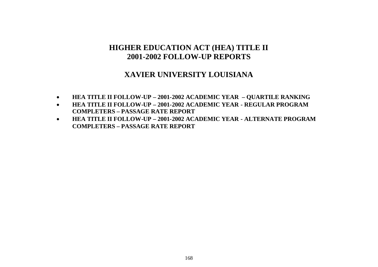# **HIGHER EDUCATION ACT (HEA) TITLE II 2001-2002 FOLLOW-UP REPORTS**

### **XAVIER UNIVERSITY LOUISIANA**

- **HEA TITLE II FOLLOW-UP – 2001-2002 ACADEMIC YEAR – QUARTILE RANKING**
- **HEA TITLE II FOLLOW-UP – 2001-2002 ACADEMIC YEAR - REGULAR PROGRAM COMPLETERS – PASSAGE RATE REPORT**
- **HEA TITLE II FOLLOW-UP – 2001-2002 ACADEMIC YEAR - ALTERNATE PROGRAM COMPLETERS – PASSAGE RATE REPORT**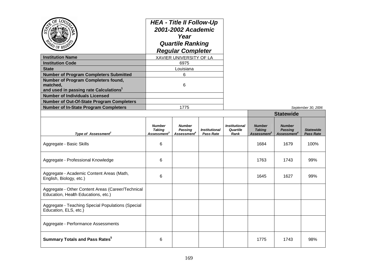| ОĒ<br>LOr<br><b>Institution Name</b><br><b>Institution Code</b><br><b>State</b><br><b>Number of Program Completers Submitted</b><br>Number of Program Completers found,<br>matched,<br>and used in passing rate Calculations <sup>1</sup><br><b>Number of Individuals Licensed</b><br><b>Number of Out-Of-State Program Completers</b> | <b>HEA - Title II Follow-Up</b><br>2001-2002 Academic<br>Year<br><b>Quartile Ranking</b><br><b>Regular Completer</b><br>XAVIER UNIVERSITY OF LA<br>6975<br>Louisiana<br>6<br>6 |                                                     |                                          |                                          |                                                           |                                                            |                                      |
|----------------------------------------------------------------------------------------------------------------------------------------------------------------------------------------------------------------------------------------------------------------------------------------------------------------------------------------|--------------------------------------------------------------------------------------------------------------------------------------------------------------------------------|-----------------------------------------------------|------------------------------------------|------------------------------------------|-----------------------------------------------------------|------------------------------------------------------------|--------------------------------------|
| <b>Number of In-State Program Completers</b>                                                                                                                                                                                                                                                                                           |                                                                                                                                                                                | 1775                                                |                                          |                                          |                                                           |                                                            | September 30, 2006                   |
|                                                                                                                                                                                                                                                                                                                                        |                                                                                                                                                                                |                                                     |                                          |                                          | <b>Statewide</b>                                          |                                                            |                                      |
| Type of Assessment <sup>2</sup>                                                                                                                                                                                                                                                                                                        | <b>Number</b><br><b>Taking</b><br>Assessment                                                                                                                                   | <b>Number</b><br>Passing<br>Assessment <sup>4</sup> | <b>Institutional</b><br><b>Pass Rate</b> | <b>Institutional</b><br>Quartile<br>Rank | <b>Number</b><br><b>Taking</b><br>Assessment <sup>3</sup> | <b>Number</b><br><b>Passing</b><br>Assessment <sup>4</sup> | <b>Statewide</b><br><b>Pass Rate</b> |
| Aggregate - Basic Skills                                                                                                                                                                                                                                                                                                               | 6                                                                                                                                                                              |                                                     |                                          |                                          | 1684                                                      | 1679                                                       | 100%                                 |
| Aggregate - Professional Knowledge                                                                                                                                                                                                                                                                                                     | 6                                                                                                                                                                              |                                                     |                                          |                                          | 1763                                                      | 1743                                                       | 99%                                  |
| Aggregate - Academic Content Areas (Math,<br>English, Biology, etc.)                                                                                                                                                                                                                                                                   | 6                                                                                                                                                                              |                                                     |                                          |                                          | 1645                                                      | 1627                                                       | 99%                                  |
| Aggregate - Other Content Areas (Career/Technical<br>Education, Health Educations, etc.)                                                                                                                                                                                                                                               |                                                                                                                                                                                |                                                     |                                          |                                          |                                                           |                                                            |                                      |
| Aggregate - Teaching Special Populations (Special<br>Education, ELS, etc.)                                                                                                                                                                                                                                                             |                                                                                                                                                                                |                                                     |                                          |                                          |                                                           |                                                            |                                      |
| Aggregate - Performance Assessments                                                                                                                                                                                                                                                                                                    |                                                                                                                                                                                |                                                     |                                          |                                          |                                                           |                                                            |                                      |
| <b>Summary Totals and Pass Rates</b> <sup>5</sup>                                                                                                                                                                                                                                                                                      | 6                                                                                                                                                                              |                                                     |                                          |                                          | 1775                                                      | 1743                                                       | 98%                                  |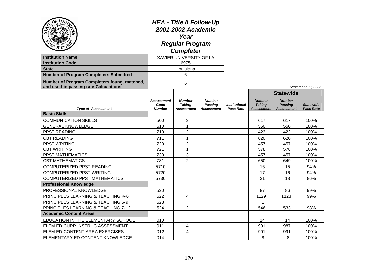| $Q_E$<br>LOUTS<br><b>Institution Name</b><br><b>Institution Code</b><br><b>State</b><br><b>Number of Program Completers Submitted</b><br>Number of Program Completers found, matched,<br>and used in passing rate Calculations | <b>HEA - Title II Follow-Up</b><br>2001-2002 Academic<br>Year<br><b>Regular Program</b><br><b>Completer</b><br>XAVIER UNIVERSITY OF LA<br>6975<br>Louisiana<br>6<br>6 |                                       |                                                      |                                                 |                                                     |                                                      | September 30, 2006                   |
|--------------------------------------------------------------------------------------------------------------------------------------------------------------------------------------------------------------------------------|-----------------------------------------------------------------------------------------------------------------------------------------------------------------------|---------------------------------------|------------------------------------------------------|-------------------------------------------------|-----------------------------------------------------|------------------------------------------------------|--------------------------------------|
|                                                                                                                                                                                                                                |                                                                                                                                                                       |                                       |                                                      |                                                 |                                                     | <b>Statewide</b>                                     |                                      |
| <b>Type of Assessment</b>                                                                                                                                                                                                      | <b>Assessment</b><br>Code<br><b>Number</b>                                                                                                                            | <b>Number</b><br>Taking<br>Assessment | <b>Number</b><br><b>Passing</b><br><b>Assessment</b> | <i><b>Institutional</b></i><br><b>Pass Rate</b> | <b>Number</b><br><b>Taking</b><br><b>Assessment</b> | <b>Number</b><br><b>Passing</b><br><b>Assessment</b> | <b>Statewide</b><br><b>Pass Rate</b> |
| <b>Basic Skills</b>                                                                                                                                                                                                            |                                                                                                                                                                       |                                       |                                                      |                                                 |                                                     |                                                      |                                      |
| <b>COMMUNICATION SKILLS</b>                                                                                                                                                                                                    | 500                                                                                                                                                                   | 3                                     |                                                      |                                                 | 617                                                 | 617                                                  | 100%                                 |
| <b>GENERAL KNOWLEDGE</b>                                                                                                                                                                                                       | 510                                                                                                                                                                   | 1                                     |                                                      |                                                 | 550                                                 | 550                                                  | 100%                                 |
| PPST READING                                                                                                                                                                                                                   | 710                                                                                                                                                                   | 2                                     |                                                      |                                                 | 423                                                 | 422                                                  | 100%                                 |
| <b>CBT READING</b>                                                                                                                                                                                                             | 711                                                                                                                                                                   | 1                                     |                                                      |                                                 | 620                                                 | 620                                                  | 100%                                 |
| PPST WRITING                                                                                                                                                                                                                   | 720                                                                                                                                                                   | $\overline{2}$                        |                                                      |                                                 | 457                                                 | 457                                                  | 100%                                 |
| <b>CBT WRITING</b>                                                                                                                                                                                                             | 721                                                                                                                                                                   | 1                                     |                                                      |                                                 | 578                                                 | 578                                                  | 100%                                 |
| PPST MATHEMATICS                                                                                                                                                                                                               | 730                                                                                                                                                                   | 3                                     |                                                      |                                                 | 457                                                 | 457                                                  | 100%                                 |
| <b>CBT MATHEMATICS</b>                                                                                                                                                                                                         | 731                                                                                                                                                                   | $\overline{2}$                        |                                                      |                                                 | 650                                                 | 649                                                  | 100%                                 |
| COMPUTERIZED PPST READING                                                                                                                                                                                                      | 5710                                                                                                                                                                  |                                       |                                                      |                                                 | 16                                                  | 15                                                   | 94%                                  |
| COMPUTERIZED PPST WRITING                                                                                                                                                                                                      | 5720                                                                                                                                                                  |                                       |                                                      |                                                 | 17                                                  | 16                                                   | 94%                                  |
| <b>COMPUTERIZED PPST MATHEMATICS</b>                                                                                                                                                                                           | 5730                                                                                                                                                                  |                                       |                                                      |                                                 | 21                                                  | 18                                                   | 86%                                  |
| <b>Professional Knowledge</b>                                                                                                                                                                                                  |                                                                                                                                                                       |                                       |                                                      |                                                 |                                                     |                                                      |                                      |
| PROFESSIONAL KNOWLEDGE                                                                                                                                                                                                         | 520                                                                                                                                                                   |                                       |                                                      |                                                 | 87                                                  | 86                                                   | 99%                                  |
| PRINCIPLES LEARNING & TEACHING K-6                                                                                                                                                                                             | 522                                                                                                                                                                   | 4                                     |                                                      |                                                 | 1129                                                | 1123                                                 | 99%                                  |
| PRINCIPLES LEARNING & TEACHING 5-9                                                                                                                                                                                             | 523                                                                                                                                                                   |                                       |                                                      |                                                 | 1                                                   |                                                      |                                      |
| PRINCIPLES LEARNING & TEACHING 7-12                                                                                                                                                                                            | 524                                                                                                                                                                   | $\overline{2}$                        |                                                      |                                                 | 546                                                 | 533                                                  | 98%                                  |
| <b>Academic Content Areas</b>                                                                                                                                                                                                  |                                                                                                                                                                       |                                       |                                                      |                                                 |                                                     |                                                      |                                      |
| EDUCATION IN THE ELEMENTARY SCHOOL                                                                                                                                                                                             | 010                                                                                                                                                                   |                                       |                                                      |                                                 | 14                                                  | 14                                                   | 100%                                 |
| ELEM ED CURR INSTRUC ASSESSMENT                                                                                                                                                                                                | 011                                                                                                                                                                   | 4                                     |                                                      |                                                 | 991                                                 | 987                                                  | 100%                                 |
| ELEM ED CONTENT AREA EXERCISES                                                                                                                                                                                                 | 012                                                                                                                                                                   | 4                                     |                                                      |                                                 | 991                                                 | 991                                                  | 100%                                 |
| ELEMENTARY ED CONTENT KNOWLEDGE                                                                                                                                                                                                | 014                                                                                                                                                                   |                                       |                                                      |                                                 | 8                                                   | 8                                                    | 100%                                 |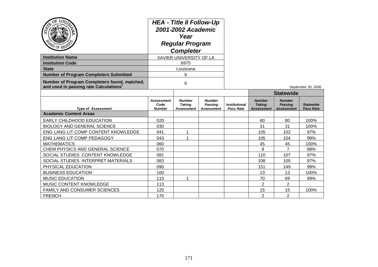| PD OF REGS                                                                                         | <b>HEA - Title II Follow-Up</b><br>2001-2002 Academic<br>Year<br><b>Regular Program</b><br><b>Completer</b><br>XAVIER UNIVERSITY OF LA |                                              |                                               |                                                 |                                                     |                                                      |                                      |
|----------------------------------------------------------------------------------------------------|----------------------------------------------------------------------------------------------------------------------------------------|----------------------------------------------|-----------------------------------------------|-------------------------------------------------|-----------------------------------------------------|------------------------------------------------------|--------------------------------------|
| <b>Institution Name</b>                                                                            |                                                                                                                                        |                                              |                                               |                                                 |                                                     |                                                      |                                      |
| <b>Institution Code</b>                                                                            |                                                                                                                                        | 6975                                         |                                               |                                                 |                                                     |                                                      |                                      |
| <b>State</b>                                                                                       |                                                                                                                                        | Louisiana                                    |                                               |                                                 |                                                     |                                                      |                                      |
| <b>Number of Program Completers Submitted</b>                                                      |                                                                                                                                        | 6                                            |                                               |                                                 |                                                     |                                                      |                                      |
| Number of Program Completers found, matched,<br>and used in passing rate Calculations <sup>1</sup> | 6                                                                                                                                      |                                              |                                               |                                                 |                                                     |                                                      | September 30, 2006                   |
|                                                                                                    |                                                                                                                                        |                                              |                                               |                                                 | <b>Statewide</b>                                    |                                                      |                                      |
| <b>Type of Assessment</b>                                                                          | <b>Assessment</b><br>Code<br><b>Number</b>                                                                                             | <b>Number</b><br><b>Taking</b><br>Assessment | <b>Number</b><br>Passing<br><b>Assessment</b> | <i><b>Institutional</b></i><br><b>Pass Rate</b> | <b>Number</b><br><b>Taking</b><br><b>Assessment</b> | <b>Number</b><br><b>Passing</b><br><b>Assessment</b> | <b>Statewide</b><br><b>Pass Rate</b> |
| <b>Academic Content Areas</b>                                                                      |                                                                                                                                        |                                              |                                               |                                                 |                                                     |                                                      |                                      |
| <b>EARLY CHILDHOOD EDUCATION</b>                                                                   | 020                                                                                                                                    |                                              |                                               |                                                 | 80                                                  | 80                                                   | 100%                                 |
| <b>BIOLOGY AND GENERAL SCIENCE</b>                                                                 | 030                                                                                                                                    |                                              |                                               |                                                 | 31                                                  | 31                                                   | 100%                                 |
| ENG LANG LIT COMP CONTENT KNOWLEDGE                                                                | 041                                                                                                                                    |                                              |                                               |                                                 | 105                                                 | 102                                                  | 97%                                  |
| ENG LANG LIT COMP PEDAGOGY                                                                         | 043                                                                                                                                    |                                              |                                               |                                                 | 105                                                 | 104                                                  | 99%                                  |
| <b>MATHEMATICS</b>                                                                                 | 060                                                                                                                                    |                                              |                                               |                                                 | 45                                                  | 45                                                   | 100%                                 |
| CHEM PHYSICS AND GENERAL SCIENCE                                                                   | 070                                                                                                                                    |                                              |                                               |                                                 | 8                                                   | $\overline{7}$                                       | 88%                                  |
| SOCIAL STUDIES: CONTENT KNOWLEDGE                                                                  | 081                                                                                                                                    |                                              |                                               |                                                 | 110                                                 | 107                                                  | 97%                                  |
| SOCIAL STUDIES: INTERPRET MATERIALS                                                                | 083                                                                                                                                    |                                              |                                               |                                                 | 108                                                 | 105                                                  | 97%                                  |
| PHYSICAL EDUCATION                                                                                 | 090                                                                                                                                    |                                              |                                               |                                                 | 151                                                 | 149                                                  | 99%                                  |
| <b>BUSINESS EDUCATION</b>                                                                          | 100                                                                                                                                    |                                              |                                               |                                                 | 13                                                  | 13                                                   | 100%                                 |
| <b>MUSIC EDUCATION</b>                                                                             | 110                                                                                                                                    |                                              |                                               |                                                 | 70                                                  | 69                                                   | 99%                                  |
| MUSIC CONTENT KNOWLEDGE                                                                            | 113                                                                                                                                    |                                              |                                               |                                                 | $\overline{2}$                                      | $\overline{2}$                                       |                                      |
| FAMILY AND CONSUMER SCIENCES                                                                       | 120                                                                                                                                    |                                              |                                               |                                                 | 15                                                  | 15                                                   | 100%                                 |
| <b>FRENCH</b>                                                                                      | 170                                                                                                                                    |                                              |                                               |                                                 | $\overline{2}$                                      | $\overline{2}$                                       |                                      |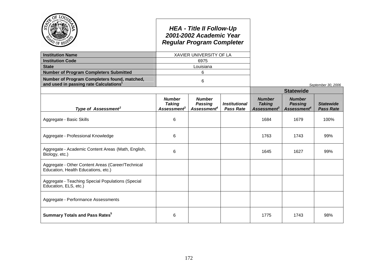|                                                                                                    |                                                           | <b>HEA - Title II Follow-Up</b><br>2001-2002 Academic Year<br><b>Regular Program Completer</b> |                                          |                                                                  |                                                            |                                      |
|----------------------------------------------------------------------------------------------------|-----------------------------------------------------------|------------------------------------------------------------------------------------------------|------------------------------------------|------------------------------------------------------------------|------------------------------------------------------------|--------------------------------------|
| <b>Institution Name</b>                                                                            |                                                           | XAVIER UNIVERSITY OF LA                                                                        |                                          |                                                                  |                                                            |                                      |
| <b>Institution Code</b>                                                                            |                                                           | 6975                                                                                           |                                          |                                                                  |                                                            |                                      |
| <b>State</b>                                                                                       |                                                           | Louisiana                                                                                      |                                          |                                                                  |                                                            |                                      |
| <b>Number of Program Completers Submitted</b>                                                      |                                                           | 6                                                                                              |                                          |                                                                  |                                                            |                                      |
| Number of Program Completers found, matched,<br>and used in passing rate Calculations <sup>1</sup> |                                                           | 6                                                                                              |                                          |                                                                  |                                                            | September 30, 2006                   |
|                                                                                                    |                                                           |                                                                                                |                                          |                                                                  | <b>Statewide</b>                                           |                                      |
| Type of Assessment <sup>2</sup>                                                                    | <b>Number</b><br><b>Taking</b><br>Assessment <sup>3</sup> | <b>Number</b><br><b>Passing</b><br>Assessment <sup>4</sup>                                     | <b>Institutional</b><br><b>Pass Rate</b> | <b>Number</b><br><b>Taking</b><br><b>Assessment</b> <sup>3</sup> | <b>Number</b><br><b>Passing</b><br>Assessment <sup>4</sup> | <b>Statewide</b><br><b>Pass Rate</b> |
| Aggregate - Basic Skills                                                                           | 6                                                         |                                                                                                |                                          | 1684                                                             | 1679                                                       | 100%                                 |
| Aggregate - Professional Knowledge                                                                 | 6                                                         |                                                                                                |                                          | 1763                                                             | 1743                                                       | 99%                                  |
| Aggregate - Academic Content Areas (Math, English,<br>Biology, etc.)                               | 6                                                         |                                                                                                |                                          | 1645                                                             | 1627                                                       | 99%                                  |
| Aggregate - Other Content Areas (Career/Technical<br>Education, Health Educations, etc.)           |                                                           |                                                                                                |                                          |                                                                  |                                                            |                                      |
| Aggregate - Teaching Special Populations (Special<br>Education, ELS, etc.)                         |                                                           |                                                                                                |                                          |                                                                  |                                                            |                                      |
| Aggregate - Performance Assessments                                                                |                                                           |                                                                                                |                                          |                                                                  |                                                            |                                      |
| <b>Summary Totals and Pass Rates</b> <sup>5</sup>                                                  | 6                                                         |                                                                                                |                                          | 1775                                                             | 1743                                                       | 98%                                  |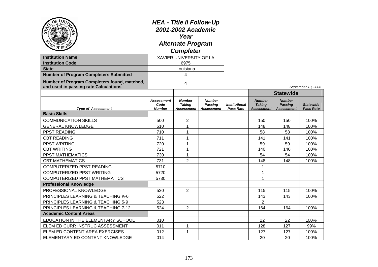| $\mathrm{O}\!\mathrm{E}$<br>$\omega$ of $v_{\text{E}}$<br><b>Institution Name</b><br><b>Institution Code</b><br><b>State</b><br><b>Number of Program Completers Submitted</b><br>Number of Program Completers found, matched,<br>and used in passing rate Calculations <sup>1</sup> | <b>HEA - Title II Follow-Up</b><br>2001-2002 Academic<br>Year<br><b>Alternate Program</b><br><b>Completer</b><br>XAVIER UNIVERSITY OF LA<br>6975<br>Louisiana<br>4<br>4 |                                              |                                                      |                                          |                                                     |                                                      | September 13, 2006                   |
|-------------------------------------------------------------------------------------------------------------------------------------------------------------------------------------------------------------------------------------------------------------------------------------|-------------------------------------------------------------------------------------------------------------------------------------------------------------------------|----------------------------------------------|------------------------------------------------------|------------------------------------------|-----------------------------------------------------|------------------------------------------------------|--------------------------------------|
|                                                                                                                                                                                                                                                                                     |                                                                                                                                                                         |                                              |                                                      |                                          |                                                     | <b>Statewide</b>                                     |                                      |
| <b>Type of Assessment</b>                                                                                                                                                                                                                                                           | <b>Assessment</b><br>Code<br><b>Number</b>                                                                                                                              | <b>Number</b><br><b>Taking</b><br>Assessment | <b>Number</b><br><b>Passing</b><br><b>Assessment</b> | <b>Institutional</b><br><b>Pass Rate</b> | <b>Number</b><br><b>Taking</b><br><b>Assessment</b> | <b>Number</b><br><b>Passing</b><br><b>Assessment</b> | <b>Statewide</b><br><b>Pass Rate</b> |
| <b>Basic Skills</b>                                                                                                                                                                                                                                                                 |                                                                                                                                                                         |                                              |                                                      |                                          |                                                     |                                                      |                                      |
| <b>COMMUNICATION SKILLS</b>                                                                                                                                                                                                                                                         | 500                                                                                                                                                                     | $\overline{2}$                               |                                                      |                                          | 150                                                 | 150                                                  | 100%                                 |
| <b>GENERAL KNOWLEDGE</b>                                                                                                                                                                                                                                                            | 510                                                                                                                                                                     | $\mathbf{1}$                                 |                                                      |                                          | 148                                                 | 148                                                  | 100%                                 |
| PPST READING                                                                                                                                                                                                                                                                        | 710                                                                                                                                                                     | $\mathbf{1}$                                 |                                                      |                                          | 58                                                  | 58                                                   | 100%                                 |
| <b>CBT READING</b>                                                                                                                                                                                                                                                                  | 711                                                                                                                                                                     | $\mathbf{1}$                                 |                                                      |                                          | 141                                                 | 141                                                  | 100%                                 |
| PPST WRITING                                                                                                                                                                                                                                                                        | 720                                                                                                                                                                     | 1                                            |                                                      |                                          | 59                                                  | 59                                                   | 100%                                 |
| <b>CBT WRITING</b>                                                                                                                                                                                                                                                                  | 721                                                                                                                                                                     | 1                                            |                                                      |                                          | 140                                                 | 140                                                  | 100%                                 |
| PPST MATHEMATICS                                                                                                                                                                                                                                                                    | 730                                                                                                                                                                     | 1                                            |                                                      |                                          | 54                                                  | 54                                                   | 100%                                 |
| <b>CBT MATHEMATICS</b>                                                                                                                                                                                                                                                              | 731                                                                                                                                                                     | $\overline{2}$                               |                                                      |                                          | 148                                                 | 148                                                  | 100%                                 |
| COMPUTERIZED PPST READING                                                                                                                                                                                                                                                           | 5710                                                                                                                                                                    |                                              |                                                      |                                          | 1                                                   |                                                      |                                      |
| <b>COMPUTERIZED PPST WRITING</b>                                                                                                                                                                                                                                                    | 5720                                                                                                                                                                    |                                              |                                                      |                                          | 1                                                   |                                                      |                                      |
| <b>COMPUTERIZED PPST MATHEMATICS</b>                                                                                                                                                                                                                                                | 5730                                                                                                                                                                    |                                              |                                                      |                                          | 1                                                   |                                                      |                                      |
| <b>Professional Knowledge</b>                                                                                                                                                                                                                                                       |                                                                                                                                                                         |                                              |                                                      |                                          |                                                     |                                                      |                                      |
| PROFESSIONAL KNOWLEDGE                                                                                                                                                                                                                                                              | 520                                                                                                                                                                     | $\overline{2}$                               |                                                      |                                          | 115                                                 | 115                                                  | 100%                                 |
| PRINCIPLES LEARNING & TEACHING K-6                                                                                                                                                                                                                                                  | 522                                                                                                                                                                     |                                              |                                                      |                                          | 143                                                 | 143                                                  | 100%                                 |
| PRINCIPLES LEARNING & TEACHING 5-9                                                                                                                                                                                                                                                  | 523                                                                                                                                                                     |                                              |                                                      |                                          | $\overline{2}$                                      |                                                      |                                      |
| PRINCIPLES LEARNING & TEACHING 7-12                                                                                                                                                                                                                                                 | 524                                                                                                                                                                     | $\overline{2}$                               |                                                      |                                          | 164                                                 | 164                                                  | 100%                                 |
| <b>Academic Content Areas</b>                                                                                                                                                                                                                                                       |                                                                                                                                                                         |                                              |                                                      |                                          |                                                     |                                                      |                                      |
| EDUCATION IN THE ELEMENTARY SCHOOL                                                                                                                                                                                                                                                  | 010                                                                                                                                                                     |                                              |                                                      |                                          | 22                                                  | 22                                                   | 100%                                 |
| ELEM ED CURR INSTRUC ASSESSMENT                                                                                                                                                                                                                                                     | 011                                                                                                                                                                     | 1                                            |                                                      |                                          | 128                                                 | 127                                                  | 99%                                  |
| ELEM ED CONTENT AREA EXERCISES                                                                                                                                                                                                                                                      | 012                                                                                                                                                                     | 1                                            |                                                      |                                          | 127                                                 | 127                                                  | 100%                                 |
| ELEMENTARY ED CONTENT KNOWLEDGE                                                                                                                                                                                                                                                     | 014                                                                                                                                                                     |                                              |                                                      |                                          | 20                                                  | 20                                                   | 100%                                 |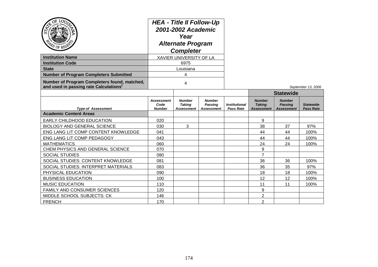| <b>PD OF REGS</b>                                                                                  | <b>HEA - Title II Follow-Up</b><br>2001-2002 Academic<br>Year<br><b>Alternate Program</b><br><b>Completer</b> |                                              |                                                      |                                          |                                                     |                                               |                                      |
|----------------------------------------------------------------------------------------------------|---------------------------------------------------------------------------------------------------------------|----------------------------------------------|------------------------------------------------------|------------------------------------------|-----------------------------------------------------|-----------------------------------------------|--------------------------------------|
| <b>Institution Name</b>                                                                            | XAVIER UNIVERSITY OF LA                                                                                       |                                              |                                                      |                                          |                                                     |                                               |                                      |
| <b>Institution Code</b>                                                                            | 6975                                                                                                          |                                              |                                                      |                                          |                                                     |                                               |                                      |
| <b>State</b>                                                                                       | Louisiana                                                                                                     |                                              |                                                      |                                          |                                                     |                                               |                                      |
| <b>Number of Program Completers Submitted</b>                                                      | 4                                                                                                             |                                              |                                                      |                                          |                                                     |                                               |                                      |
| Number of Program Completers found, matched,<br>and used in passing rate Calculations <sup>1</sup> | 4                                                                                                             |                                              |                                                      |                                          |                                                     |                                               | September 13, 2006                   |
|                                                                                                    |                                                                                                               |                                              |                                                      |                                          | <b>Statewide</b>                                    |                                               |                                      |
| <b>Type of Assessment</b>                                                                          | <b>Assessment</b><br>Code<br><b>Number</b>                                                                    | <b>Number</b><br><b>Taking</b><br>Assessment | <b>Number</b><br><b>Passing</b><br><b>Assessment</b> | <b>Institutional</b><br><b>Pass Rate</b> | <b>Number</b><br><b>Taking</b><br><b>Assessment</b> | <b>Number</b><br><b>Passing</b><br>Assessment | <b>Statewide</b><br><b>Pass Rate</b> |
| <b>Academic Content Areas</b>                                                                      |                                                                                                               |                                              |                                                      |                                          |                                                     |                                               |                                      |
| EARLY CHILDHOOD EDUCATION                                                                          | 020                                                                                                           |                                              |                                                      |                                          | 9                                                   |                                               |                                      |
| <b>BIOLOGY AND GENERAL SCIENCE</b>                                                                 | 030                                                                                                           | 3                                            |                                                      |                                          | 38                                                  | 37                                            | 97%                                  |
| ENG LANG LIT COMP CONTENT KNOWLEDGE                                                                | 041                                                                                                           |                                              |                                                      |                                          | 44                                                  | 44                                            | 100%                                 |
| ENG LANG LIT COMP PEDAGOGY                                                                         | 043                                                                                                           |                                              |                                                      |                                          | 44                                                  | 44                                            | 100%                                 |
| <b>MATHEMATICS</b>                                                                                 | 060                                                                                                           |                                              |                                                      |                                          | 24                                                  | 24                                            | 100%                                 |
| CHEM PHYSICS AND GENERAL SCIENCE                                                                   | 070                                                                                                           |                                              |                                                      |                                          | 9                                                   |                                               |                                      |
| <b>SOCIAL STUDIES</b>                                                                              | 080                                                                                                           |                                              |                                                      |                                          | $\overline{7}$                                      |                                               |                                      |
| SOCIAL STUDIES: CONTENT KNOWLEDGE                                                                  | 081                                                                                                           |                                              |                                                      |                                          | 36                                                  | 36                                            | 100%                                 |
| SOCIAL STUDIES: INTERPRET MATERIALS                                                                | 083                                                                                                           |                                              |                                                      |                                          | 36                                                  | 35                                            | 97%                                  |
| PHYSICAL EDUCATION                                                                                 | 090                                                                                                           |                                              |                                                      |                                          | 18                                                  | 18                                            | 100%                                 |
| <b>BUSINESS EDUCATION</b>                                                                          | 100                                                                                                           |                                              |                                                      |                                          | 12                                                  | 12                                            | 100%                                 |
| <b>MUSIC EDUCATION</b>                                                                             | 110                                                                                                           |                                              |                                                      |                                          | 11                                                  | 11                                            | 100%                                 |
| FAMILY AND CONSUMER SCIENCES                                                                       | 120                                                                                                           |                                              |                                                      |                                          | 9                                                   |                                               |                                      |
| MIDDLE SCHOOL SUBJECTS: CK                                                                         | 146                                                                                                           |                                              |                                                      |                                          | $\overline{2}$                                      |                                               |                                      |
| <b>FRENCH</b>                                                                                      | 170                                                                                                           |                                              |                                                      |                                          | $\overline{2}$                                      |                                               |                                      |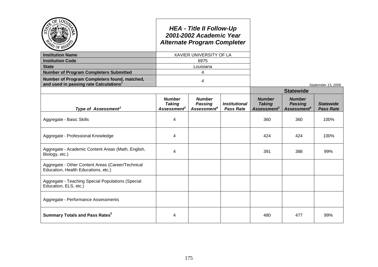| PO OF REP                                                                                          |                                                                  | <b>HEA - Title II Follow-Up</b><br>2001-2002 Academic Year<br><b>Alternate Program Completer</b> |                                          |                                                                  |                                                            |                                      |  |  |
|----------------------------------------------------------------------------------------------------|------------------------------------------------------------------|--------------------------------------------------------------------------------------------------|------------------------------------------|------------------------------------------------------------------|------------------------------------------------------------|--------------------------------------|--|--|
| <b>Institution Name</b>                                                                            |                                                                  | XAVIER UNIVERSITY OF LA                                                                          |                                          |                                                                  |                                                            |                                      |  |  |
| <b>Institution Code</b>                                                                            |                                                                  | 6975                                                                                             |                                          |                                                                  |                                                            |                                      |  |  |
| <b>State</b>                                                                                       |                                                                  | Louisiana                                                                                        |                                          |                                                                  |                                                            |                                      |  |  |
| <b>Number of Program Completers Submitted</b>                                                      |                                                                  | 4                                                                                                |                                          |                                                                  |                                                            |                                      |  |  |
| Number of Program Completers found, matched,<br>and used in passing rate Calculations <sup>1</sup> |                                                                  | 4                                                                                                |                                          |                                                                  |                                                            | September 13, 2006                   |  |  |
|                                                                                                    |                                                                  |                                                                                                  |                                          | <b>Statewide</b>                                                 |                                                            |                                      |  |  |
| Type of Assessment <sup>2</sup>                                                                    | <b>Number</b><br><b>Taking</b><br><b>Assessment</b> <sup>3</sup> | <b>Number</b><br><b>Passing</b><br>Assessment <sup>4</sup>                                       | <b>Institutional</b><br><b>Pass Rate</b> | <b>Number</b><br><b>Taking</b><br><b>Assessment</b> <sup>3</sup> | <b>Number</b><br><b>Passing</b><br>Assessment <sup>4</sup> | <b>Statewide</b><br><b>Pass Rate</b> |  |  |
| Aggregate - Basic Skills                                                                           | 4                                                                |                                                                                                  |                                          | 360                                                              | 360                                                        | 100%                                 |  |  |
| Aggregate - Professional Knowledge                                                                 | 4                                                                |                                                                                                  |                                          | 424                                                              | 424                                                        | 100%                                 |  |  |
| Aggregate - Academic Content Areas (Math, English,<br>Biology, etc.)                               | 4                                                                |                                                                                                  |                                          | 391                                                              | 388                                                        | 99%                                  |  |  |
| Aggregate - Other Content Areas (Career/Technical<br>Education, Health Educations, etc.)           |                                                                  |                                                                                                  |                                          |                                                                  |                                                            |                                      |  |  |
| Aggregate - Teaching Special Populations (Special<br>Education, ELS, etc.)                         |                                                                  |                                                                                                  |                                          |                                                                  |                                                            |                                      |  |  |
| Aggregate - Performance Assessments                                                                |                                                                  |                                                                                                  |                                          |                                                                  |                                                            |                                      |  |  |
| <b>Summary Totals and Pass Rates<sup>5</sup></b>                                                   | 4                                                                |                                                                                                  |                                          | 480                                                              | 477                                                        | 99%                                  |  |  |